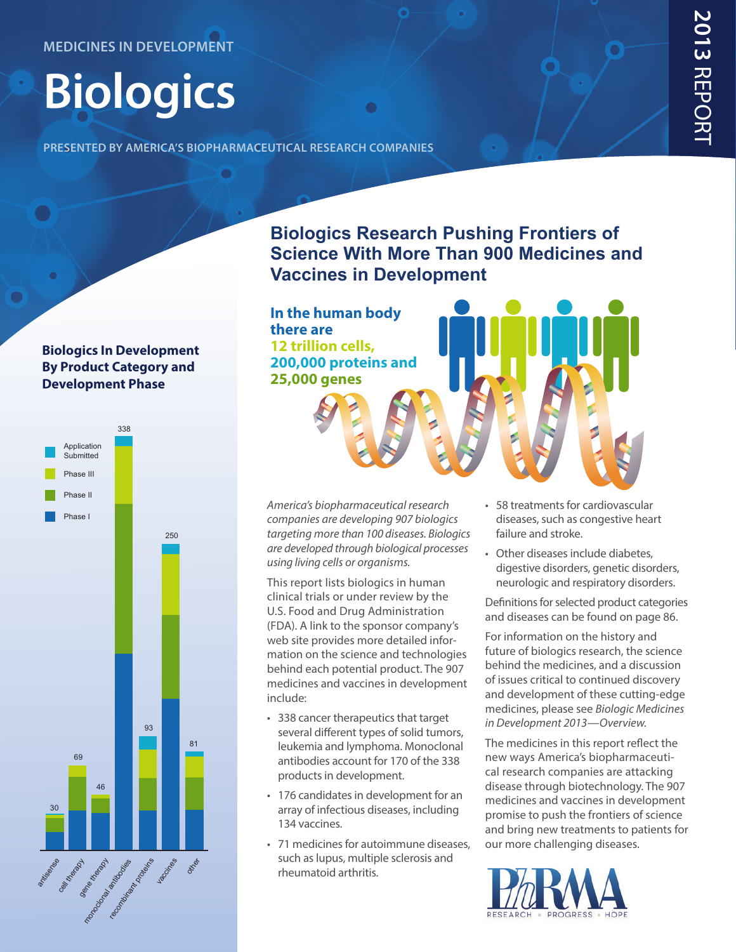# **Biologics**

**presented by america's biopharmaceutical research companies**

#### **Biologics In Development By Product Category and Development Phase**



#### **Biologics Research Pushing Frontiers of Science With More Than 900 Medicines and Vaccines in Development**

**In the human body there are 12 trillion cells, 200,000 proteins and 25,000 genes**

*America's biopharmaceutical research companies are developing 907 biologics targeting more than 100 diseases. Biologics are developed through biological processes using living cells or organisms.* 

This report lists biologics in human clinical trials or under review by the U.S. Food and Drug Administration (FDA). A link to the sponsor company's web site provides more detailed information on the science and technologies behind each potential product. The 907 medicines and vaccines in development include:

- 338 cancer therapeutics that target several different types of solid tumors, leukemia and lymphoma. Monoclonal antibodies account for 170 of the 338 products in development.
- 176 candidates in development for an array of infectious diseases, including 134 vaccines.
- 71 medicines for autoimmune diseases, such as lupus, multiple sclerosis and rheumatoid arthritis.
- 58 treatments for cardiovascular diseases, such as congestive heart failure and stroke.
- Other diseases include diabetes, digestive disorders, genetic disorders, neurologic and respiratory disorders.

Definitions for selected product categories and diseases can be found on page 86.

For information on the history and future of biologics research, the science behind the medicines, and a discussion of issues critical to continued discovery and development of these cutting-edge medicines, please see *Biologic Medicines in Development 2013[—Overview.](http://onphr.ma/XXQ2yO)*

The medicines in this report reflect the new ways America's biopharmaceutical research companies are attacking disease through biotechnology. The 907 medicines and vaccines in development promise to push the frontiers of science and bring new treatments to patients for our more challenging diseases.

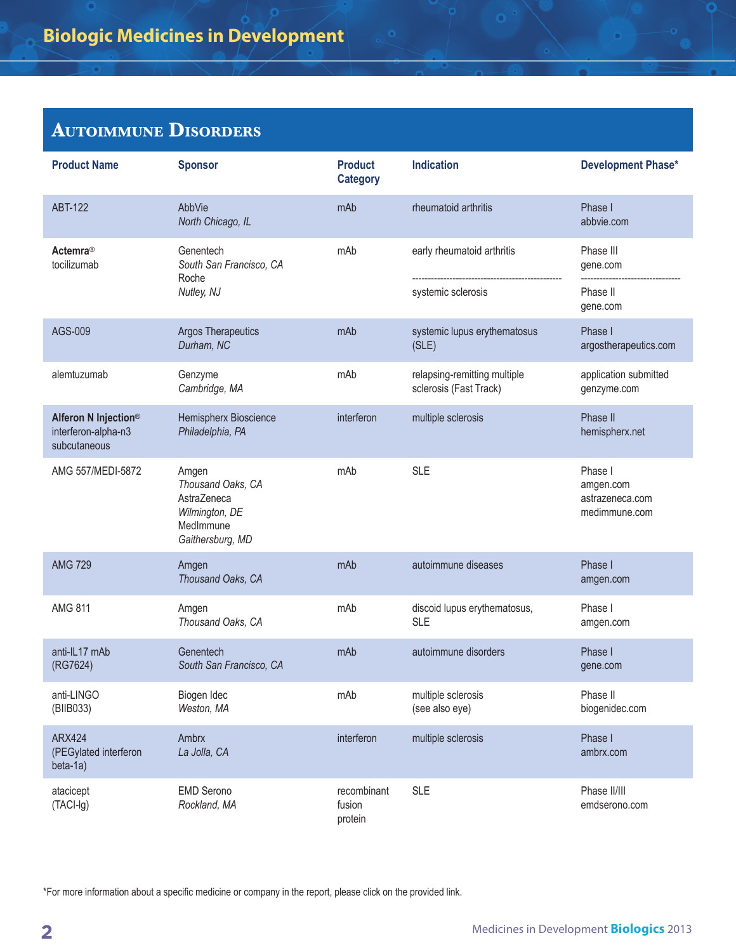| <b>Product Name</b>                                         | <b>Sponsor</b>                                                                               | <b>Product</b><br><b>Category</b> | <b>Indication</b>                                      | <b>Development Phase*</b>                                |
|-------------------------------------------------------------|----------------------------------------------------------------------------------------------|-----------------------------------|--------------------------------------------------------|----------------------------------------------------------|
| <b>ABT-122</b>                                              | AbbVie<br>North Chicago, IL                                                                  | mAb                               | rheumatoid arthritis                                   | Phase I<br>abbvie.com                                    |
| Actemra <sup>®</sup><br>tocilizumab                         | Genentech<br>South San Francisco, CA<br>Roche<br>Nutley, NJ                                  | mAb                               | early rheumatoid arthritis<br>systemic sclerosis       | Phase III<br>gene.com<br>Phase II<br>gene.com            |
| AGS-009                                                     | <b>Argos Therapeutics</b><br>Durham, NC                                                      | mAb                               | systemic lupus erythematosus<br>(SLE)                  | Phase I<br>argostherapeutics.com                         |
| alemtuzumab                                                 | Genzyme<br>Cambridge, MA                                                                     | mAb                               | relapsing-remitting multiple<br>sclerosis (Fast Track) | application submitted<br>genzyme.com                     |
| Alferon N Injection®<br>interferon-alpha-n3<br>subcutaneous | Hemispherx Bioscience<br>Philadelphia, PA                                                    | interferon                        | multiple sclerosis                                     | Phase II<br>hemispherx.net                               |
| AMG 557/MEDI-5872                                           | Amgen<br>Thousand Oaks, CA<br>AstraZeneca<br>Wilmington, DE<br>MedImmune<br>Gaithersburg, MD | mAb                               | <b>SLE</b>                                             | Phase I<br>amgen.com<br>astrazeneca.com<br>medimmune.com |
| <b>AMG 729</b>                                              | Amgen<br>Thousand Oaks, CA                                                                   | mAb                               | autoimmune diseases                                    | Phase I<br>amgen.com                                     |
| <b>AMG 811</b>                                              | Amgen<br>Thousand Oaks, CA                                                                   | mAb                               | discoid lupus erythematosus,<br><b>SLE</b>             | Phase I<br>amgen.com                                     |
| anti-IL17 mAb<br>(RG7624)                                   | Genentech<br>South San Francisco, CA                                                         | mAb                               | autoimmune disorders                                   | Phase I<br>gene.com                                      |
| anti-LINGO<br>(BIIB033)                                     | Biogen Idec<br>Weston, MA                                                                    | mAb                               | multiple sclerosis<br>(see also eye)                   | Phase II<br>biogenidec.com                               |
| <b>ARX424</b><br>(PEGylated interferon<br>beta-1a)          | Ambrx<br>La Jolla, CA                                                                        | interferon                        | multiple sclerosis                                     | Phase I<br>ambrx.com                                     |
| atacicept<br>(TACI-Ig)                                      | <b>EMD Serono</b><br>Rockland, MA                                                            | recombinant<br>fusion<br>protein  | <b>SLE</b>                                             | Phase II/III<br>emdserono.com                            |

6

\*For more information about a specific medicine or company in the report, please click on the provided link.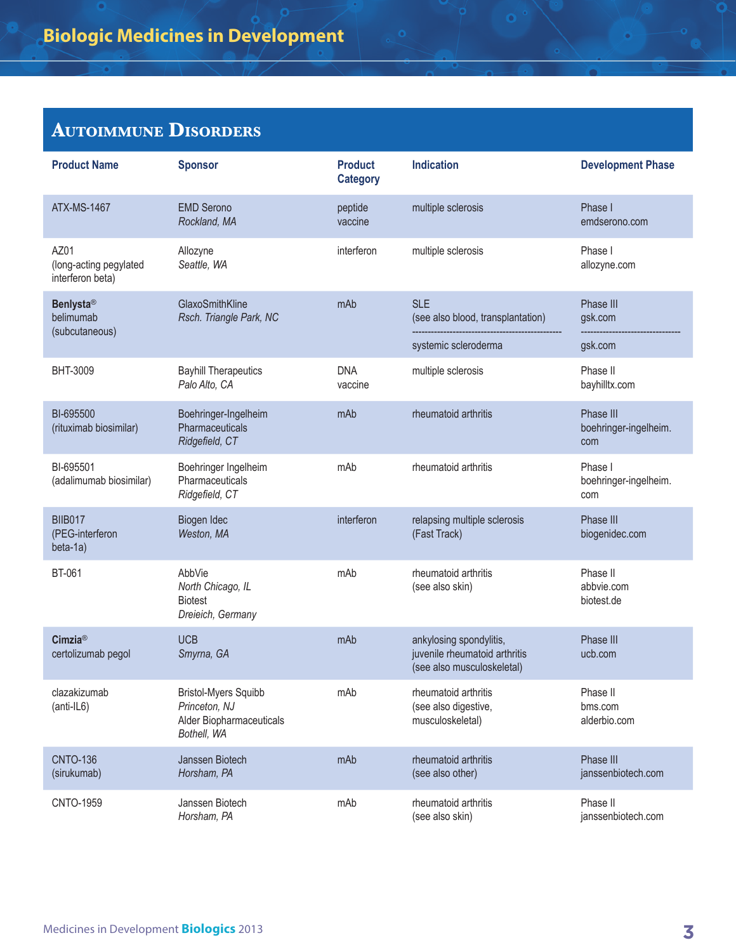| <b>Product Name</b>                                | <b>Sponsor</b>                                                                          | <b>Product</b><br><b>Category</b> | <b>Indication</b>                                                                      | <b>Development Phase</b>                  |
|----------------------------------------------------|-----------------------------------------------------------------------------------------|-----------------------------------|----------------------------------------------------------------------------------------|-------------------------------------------|
| <b>ATX-MS-1467</b>                                 | <b>EMD Serono</b><br>Rockland, MA                                                       | peptide<br>vaccine                | multiple sclerosis                                                                     | Phase I<br>emdserono.com                  |
| AZ01<br>(long-acting pegylated<br>interferon beta) | Allozyne<br>Seattle, WA                                                                 | interferon                        | multiple sclerosis                                                                     | Phase I<br>allozyne.com                   |
| <b>Benlysta®</b><br>belimumab<br>(subcutaneous)    | GlaxoSmithKline<br>Rsch. Triangle Park, NC                                              | mAb                               | <b>SLE</b><br>(see also blood, transplantation)                                        | Phase III<br>gsk.com                      |
|                                                    |                                                                                         |                                   | systemic scleroderma                                                                   | gsk.com                                   |
| BHT-3009                                           | <b>Bayhill Therapeutics</b><br>Palo Alto, CA                                            | <b>DNA</b><br>vaccine             | multiple sclerosis                                                                     | Phase II<br>bayhilltx.com                 |
| BI-695500<br>(rituximab biosimilar)                | Boehringer-Ingelheim<br>Pharmaceuticals<br>Ridgefield, CT                               | mAb                               | rheumatoid arthritis                                                                   | Phase III<br>boehringer-ingelheim.<br>com |
| BI-695501<br>(adalimumab biosimilar)               | Boehringer Ingelheim<br>Pharmaceuticals<br>Ridgefield, CT                               | mAb                               | rheumatoid arthritis                                                                   | Phase I<br>boehringer-ingelheim.<br>com   |
| <b>BIIB017</b><br>(PEG-interferon<br>beta-1a)      | Biogen Idec<br>Weston, MA                                                               | interferon                        | relapsing multiple sclerosis<br>(Fast Track)                                           | Phase III<br>biogenidec.com               |
| <b>BT-061</b>                                      | AbbVie<br>North Chicago, IL<br><b>Biotest</b><br>Dreieich, Germany                      | mAb                               | rheumatoid arthritis<br>(see also skin)                                                | Phase II<br>abbvie.com<br>biotest.de      |
| <b>Cimzia®</b><br>certolizumab pegol               | <b>UCB</b><br>Smyrna, GA                                                                | mAb                               | ankylosing spondylitis,<br>juvenile rheumatoid arthritis<br>(see also musculoskeletal) | Phase III<br>ucb.com                      |
| clazakizumab<br>(anti-IL6)                         | <b>Bristol-Myers Squibb</b><br>Princeton, NJ<br>Alder Biopharmaceuticals<br>Bothell, WA | mAb                               | rheumatoid arthritis<br>(see also digestive,<br>musculoskeletal)                       | Phase II<br>bms.com<br>alderbio.com       |
| <b>CNTO-136</b><br>(sirukumab)                     | Janssen Biotech<br>Horsham, PA                                                          | mAb                               | rheumatoid arthritis<br>(see also other)                                               | Phase III<br>janssenbiotech.com           |
| <b>CNTO-1959</b>                                   | Janssen Biotech<br>Horsham, PA                                                          | mAb                               | rheumatoid arthritis<br>(see also skin)                                                | Phase II<br>janssenbiotech.com            |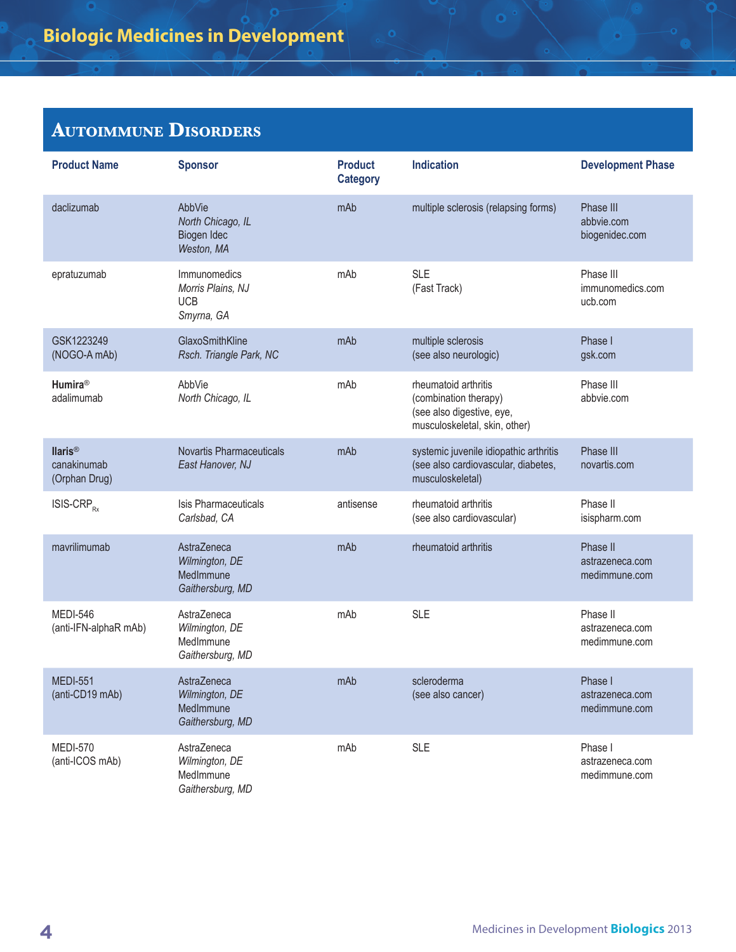| <b>Product Name</b>                            | <b>Sponsor</b>                                                 | <b>Product</b><br><b>Category</b> | <b>Indication</b>                                                                                           | <b>Development Phase</b>                     |
|------------------------------------------------|----------------------------------------------------------------|-----------------------------------|-------------------------------------------------------------------------------------------------------------|----------------------------------------------|
| daclizumab                                     | AbbVie<br>North Chicago, IL<br>Biogen Idec<br>Weston, MA       | mAb                               | multiple sclerosis (relapsing forms)                                                                        | Phase III<br>abbvie.com<br>biogenidec.com    |
| epratuzumab                                    | Immunomedics<br>Morris Plains, NJ<br><b>UCB</b><br>Smyrna, GA  | mAb                               | <b>SLE</b><br>(Fast Track)                                                                                  | Phase III<br>immunomedics.com<br>ucb.com     |
| GSK1223249<br>(NOGO-A mAb)                     | GlaxoSmithKline<br>Rsch. Triangle Park, NC                     | mAb                               | multiple sclerosis<br>(see also neurologic)                                                                 | Phase I<br>gsk.com                           |
| Humira <sup>®</sup><br>adalimumab              | AbbVie<br>North Chicago, IL                                    | mAb                               | rheumatoid arthritis<br>(combination therapy)<br>(see also digestive, eye,<br>musculoskeletal, skin, other) | Phase III<br>abbvie.com                      |
| <b>Ilaris®</b><br>canakinumab<br>(Orphan Drug) | <b>Novartis Pharmaceuticals</b><br>East Hanover, NJ            | mAb                               | systemic juvenile idiopathic arthritis<br>(see also cardiovascular, diabetes,<br>musculoskeletal)           | Phase III<br>novartis.com                    |
| $ISIS-CRP_{Rx}$                                | Isis Pharmaceuticals<br>Carlsbad, CA                           | antisense                         | rheumatoid arthritis<br>(see also cardiovascular)                                                           | Phase II<br>isispharm.com                    |
| mavrilimumab                                   | AstraZeneca<br>Wilmington, DE<br>MedImmune<br>Gaithersburg, MD | mAb                               | rheumatoid arthritis                                                                                        | Phase II<br>astrazeneca.com<br>medimmune.com |
| <b>MEDI-546</b><br>(anti-IFN-alphaR mAb)       | AstraZeneca<br>Wilmington, DE<br>MedImmune<br>Gaithersburg, MD | mAb                               | <b>SLE</b>                                                                                                  | Phase II<br>astrazeneca.com<br>medimmune.com |
| <b>MEDI-551</b><br>(anti-CD19 mAb)             | Astra7eneca<br>Wilmington, DE<br>MedImmune<br>Gaithersburg, MD | mAb                               | scleroderma<br>(see also cancer)                                                                            | Phase I<br>astrazeneca.com<br>medimmune.com  |
| <b>MEDI-570</b><br>(anti-ICOS mAb)             | AstraZeneca<br>Wilmington, DE<br>MedImmune<br>Gaithersburg, MD | mAb                               | <b>SLE</b>                                                                                                  | Phase I<br>astrazeneca.com<br>medimmune.com  |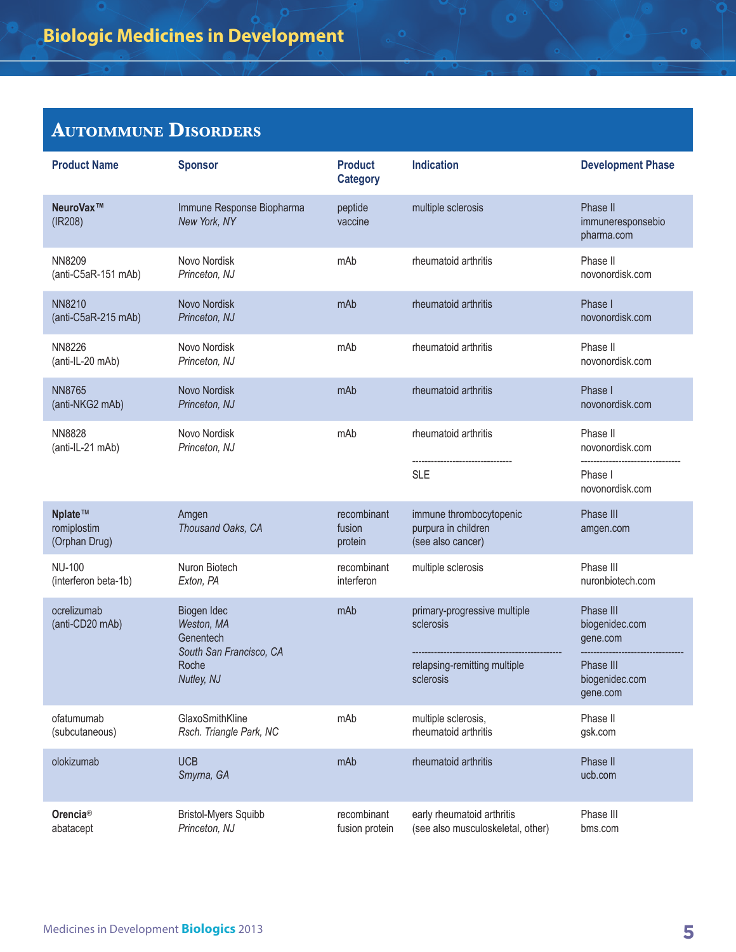| <b>Product Name</b>                     | <b>Sponsor</b>                                                    | <b>Product</b><br><b>Category</b> | <b>Indication</b>                                                   | <b>Development Phase</b>                    |
|-----------------------------------------|-------------------------------------------------------------------|-----------------------------------|---------------------------------------------------------------------|---------------------------------------------|
| NeuroVax™<br>(IR208)                    | Immune Response Biopharma<br>New York, NY                         | peptide<br>vaccine                | multiple sclerosis                                                  | Phase II<br>immuneresponsebio<br>pharma.com |
| <b>NN8209</b><br>(anti-C5aR-151 mAb)    | Novo Nordisk<br>Princeton, NJ                                     | mAb                               | rheumatoid arthritis                                                | Phase II<br>novonordisk.com                 |
| <b>NN8210</b><br>(anti-C5aR-215 mAb)    | Novo Nordisk<br>Princeton, NJ                                     | mAb                               | rheumatoid arthritis                                                | Phase I<br>novonordisk.com                  |
| <b>NN8226</b><br>(anti-IL-20 mAb)       | Novo Nordisk<br>Princeton, NJ                                     | mAb                               | rheumatoid arthritis                                                | Phase II<br>novonordisk.com                 |
| <b>NN8765</b><br>(anti-NKG2 mAb)        | <b>Novo Nordisk</b><br>Princeton, NJ                              | mAb                               | rheumatoid arthritis                                                | Phase I<br>novonordisk.com                  |
| <b>NN8828</b><br>(anti-IL-21 mAb)       | Novo Nordisk<br>Princeton, NJ                                     | mAb                               | rheumatoid arthritis                                                | Phase II<br>novonordisk.com                 |
|                                         |                                                                   |                                   | <b>SLE</b>                                                          | Phase I<br>novonordisk.com                  |
| Nplate™<br>romiplostim<br>(Orphan Drug) | Amgen<br>Thousand Oaks, CA                                        | recombinant<br>fusion<br>protein  | immune thrombocytopenic<br>purpura in children<br>(see also cancer) | Phase III<br>amgen.com                      |
| <b>NU-100</b><br>(interferon beta-1b)   | Nuron Biotech<br>Exton, PA                                        | recombinant<br>interferon         | multiple sclerosis                                                  | Phase III<br>nuronbiotech.com               |
| ocrelizumab<br>(anti-CD20 mAb)          | Biogen Idec<br>Weston, MA<br>Genentech<br>South San Francisco, CA | mAb                               | primary-progressive multiple<br>sclerosis                           | Phase III<br>biogenidec.com<br>gene.com     |
|                                         | Roche<br>Nutley, NJ                                               |                                   | relapsing-remitting multiple<br>sclerosis                           | Phase III<br>biogenidec.com<br>gene.com     |
| ofatumumab<br>(subcutaneous)            | GlaxoSmithKline<br>Rsch. Triangle Park, NC                        | mAb                               | multiple sclerosis,<br>rheumatoid arthritis                         | Phase II<br>gsk.com                         |
| olokizumab                              | <b>UCB</b><br>Smyrna, GA                                          | mAb                               | rheumatoid arthritis                                                | Phase II<br>ucb.com                         |
| Orencia <sup>®</sup><br>abatacept       | <b>Bristol-Myers Squibb</b><br>Princeton, NJ                      | recombinant<br>fusion protein     | early rheumatoid arthritis<br>(see also musculoskeletal, other)     | Phase III<br>bms.com                        |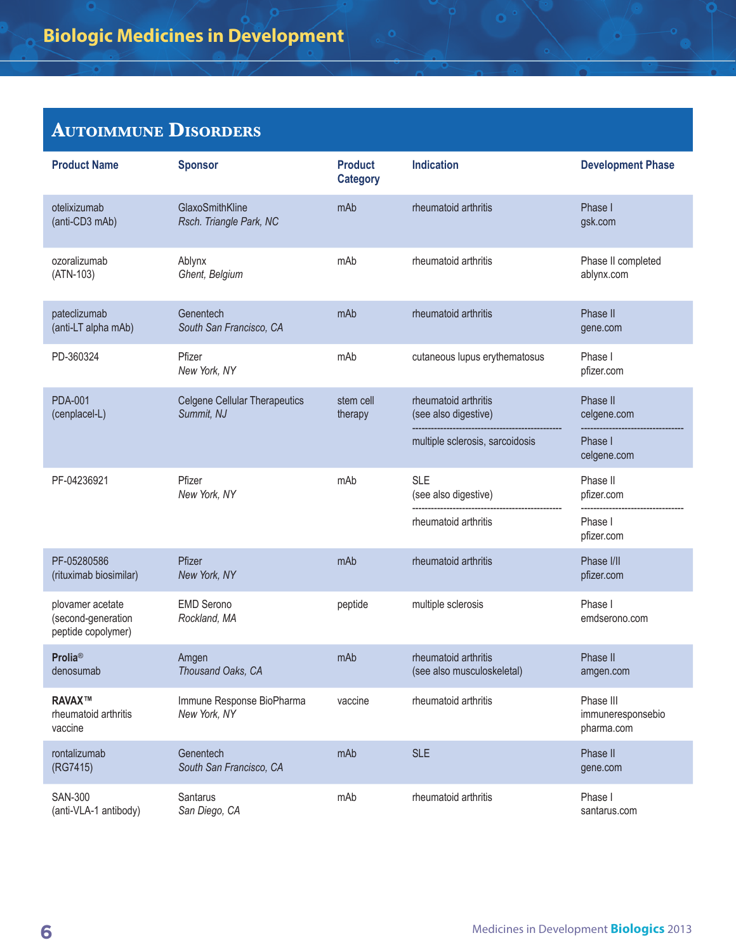| <b>Product Name</b>                                          | <b>Sponsor</b>                                     | <b>Product</b><br><b>Category</b> | <b>Indication</b>                                  | <b>Development Phase</b>                     |
|--------------------------------------------------------------|----------------------------------------------------|-----------------------------------|----------------------------------------------------|----------------------------------------------|
| otelixizumab<br>(anti-CD3 mAb)                               | GlaxoSmithKline<br>Rsch. Triangle Park, NC         | mAb                               | rheumatoid arthritis                               | Phase I<br>gsk.com                           |
| ozoralizumab<br>(ATN-103)                                    | Ablynx<br>Ghent, Belgium                           | mAb                               | rheumatoid arthritis                               | Phase II completed<br>ablynx.com             |
| pateclizumab<br>(anti-LT alpha mAb)                          | Genentech<br>South San Francisco, CA               | mAb                               | rheumatoid arthritis                               | Phase II<br>gene.com                         |
| PD-360324                                                    | Pfizer<br>New York, NY                             | mAb                               | cutaneous lupus erythematosus                      | Phase I<br>pfizer.com                        |
| <b>PDA-001</b><br>(cenplacel-L)                              | <b>Celgene Cellular Therapeutics</b><br>Summit, NJ | stem cell<br>therapy              | rheumatoid arthritis<br>(see also digestive)       | Phase II<br>celgene.com                      |
|                                                              |                                                    |                                   | multiple sclerosis, sarcoidosis                    | Phase I<br>celgene.com                       |
| PF-04236921                                                  | Pfizer<br>New York, NY                             | mAb                               | <b>SLE</b><br>(see also digestive)                 | Phase II<br>pfizer.com                       |
|                                                              |                                                    |                                   | rheumatoid arthritis                               | Phase I<br>pfizer.com                        |
| PF-05280586<br>(rituximab biosimilar)                        | Pfizer<br>New York, NY                             | mAb                               | rheumatoid arthritis                               | Phase I/II<br>pfizer.com                     |
| plovamer acetate<br>(second-generation<br>peptide copolymer) | <b>EMD Serono</b><br>Rockland, MA                  | peptide                           | multiple sclerosis                                 | Phase I<br>emdserono.com                     |
| <b>Prolia®</b><br>denosumab                                  | Amgen<br>Thousand Oaks, CA                         | mAb                               | rheumatoid arthritis<br>(see also musculoskeletal) | Phase II<br>amgen.com                        |
| RAVAX™<br>rheumatoid arthritis<br>vaccine                    | Immune Response BioPharma<br>New York, NY          | vaccine                           | rheumatoid arthritis                               | Phase III<br>immuneresponsebio<br>pharma.com |
| rontalizumab<br>(RG7415)                                     | Genentech<br>South San Francisco, CA               | mAb                               | <b>SLE</b>                                         | Phase II<br>gene.com                         |
| <b>SAN-300</b><br>(anti-VLA-1 antibody)                      | Santarus<br>San Diego, CA                          | mAb                               | rheumatoid arthritis                               | Phase I<br>santarus.com                      |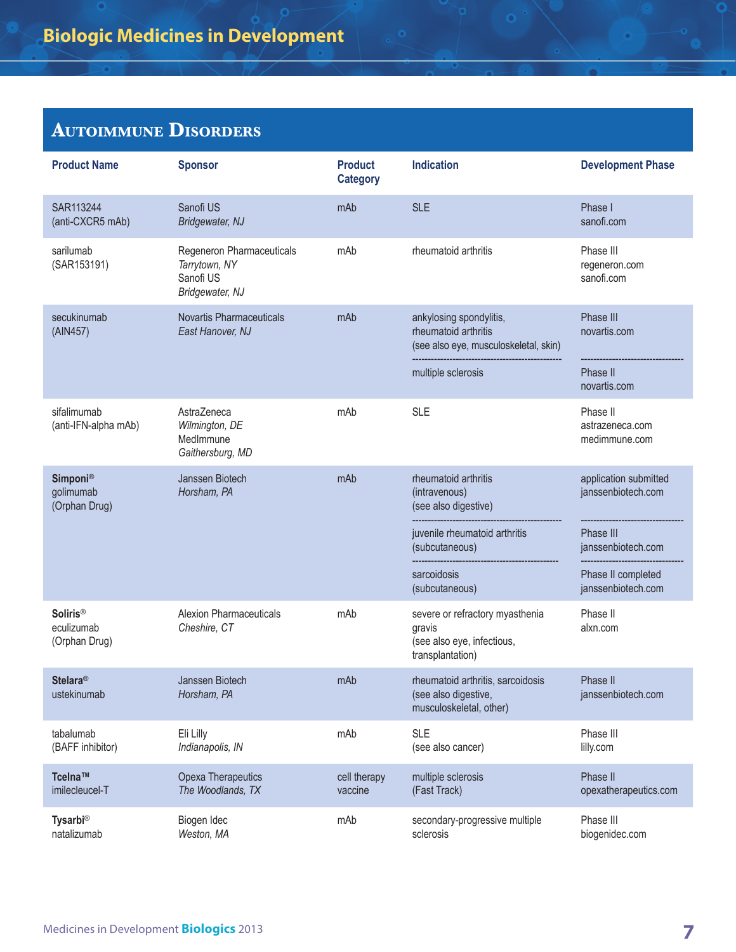| <b>Product Name</b>                            | <b>Sponsor</b>                                                             | <b>Product</b><br><b>Category</b> | <b>Indication</b>                                                                                              | <b>Development Phase</b>                              |
|------------------------------------------------|----------------------------------------------------------------------------|-----------------------------------|----------------------------------------------------------------------------------------------------------------|-------------------------------------------------------|
| SAR113244<br>(anti-CXCR5 mAb)                  | Sanofi US<br>Bridgewater, NJ                                               | mAb                               | <b>SLE</b>                                                                                                     | Phase I<br>sanofi.com                                 |
| sarilumab<br>(SAR153191)                       | Regeneron Pharmaceuticals<br>Tarrytown, NY<br>Sanofi US<br>Bridgewater, NJ | mAb                               | rheumatoid arthritis                                                                                           | Phase III<br>regeneron.com<br>sanofi.com              |
| secukinumab<br>(AIN457)                        | <b>Novartis Pharmaceuticals</b><br>East Hanover, NJ                        | mAb                               | ankylosing spondylitis,<br>rheumatoid arthritis<br>(see also eye, musculoskeletal, skin)<br>multiple sclerosis | Phase III<br>novartis.com<br>Phase II<br>novartis.com |
| sifalimumab<br>(anti-IFN-alpha mAb)            | Astra7eneca<br>Wilmington, DE<br>MedImmune<br>Gaithersburg, MD             | mAb                               | <b>SLE</b>                                                                                                     | Phase II<br>astrazeneca.com<br>medimmune.com          |
| <b>Simponi®</b><br>golimumab<br>(Orphan Drug)  | Janssen Biotech<br>Horsham, PA                                             | mAb                               | rheumatoid arthritis<br>(intravenous)<br>(see also digestive)                                                  | application submitted<br>janssenbiotech.com           |
|                                                |                                                                            |                                   | juvenile rheumatoid arthritis<br>(subcutaneous)                                                                | Phase III<br>janssenbiotech.com                       |
|                                                |                                                                            |                                   | sarcoidosis<br>(subcutaneous)                                                                                  | Phase II completed<br>janssenbiotech.com              |
| <b>Soliris®</b><br>eculizumab<br>(Orphan Drug) | <b>Alexion Pharmaceuticals</b><br>Cheshire, CT                             | mAb                               | severe or refractory myasthenia<br>gravis<br>(see also eye, infectious,<br>transplantation)                    | Phase II<br>alxn.com                                  |
| <b>Stelara®</b><br>ustekinumab                 | Janssen Biotech<br>Horsham, PA                                             | mAb                               | rheumatoid arthritis, sarcoidosis<br>(see also digestive,<br>musculoskeletal, other)                           | Phase II<br>janssenbiotech.com                        |
| tabalumab<br>(BAFF inhibitor)                  | Eli Lilly<br>Indianapolis, IN                                              | mAb                               | <b>SLE</b><br>(see also cancer)                                                                                | Phase III<br>lilly.com                                |
| Tcelna™<br>imilecleucel-T                      | Opexa Therapeutics<br>The Woodlands, TX                                    | cell therapy<br>vaccine           | multiple sclerosis<br>(Fast Track)                                                                             | Phase II<br>opexatherapeutics.com                     |
| <b>Tysarbi®</b><br>natalizumab                 | Biogen Idec<br>Weston, MA                                                  | mAb                               | secondary-progressive multiple<br>sclerosis                                                                    | Phase III<br>biogenidec.com                           |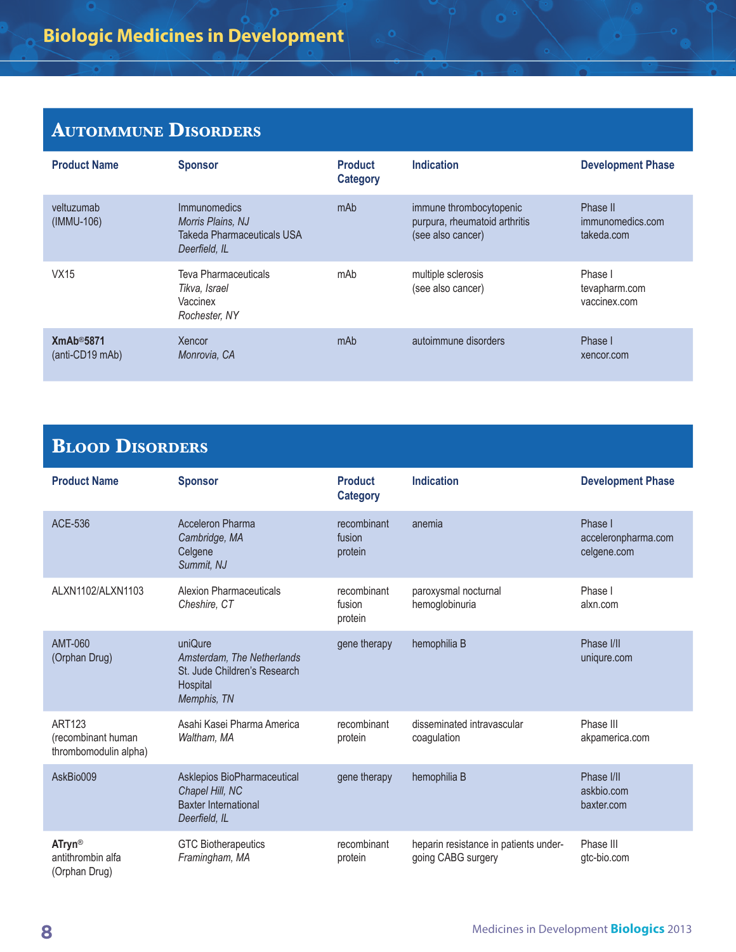| <b>Product Name</b>          | <b>Sponsor</b>                                                                   | <b>Product</b><br><b>Category</b> | <b>Indication</b>                                                             | <b>Development Phase</b>                   |
|------------------------------|----------------------------------------------------------------------------------|-----------------------------------|-------------------------------------------------------------------------------|--------------------------------------------|
| veltuzumab<br>(IMMU-106)     | Immunomedics<br>Morris Plains, NJ<br>Takeda Pharmaceuticals USA<br>Deerfield. IL | mAb                               | immune thrombocytopenic<br>purpura, rheumatoid arthritis<br>(see also cancer) | Phase II<br>immunomedics.com<br>takeda.com |
| VX15                         | <b>Teva Pharmaceuticals</b><br>Tikva, Israel<br>Vaccinex<br>Rochester, NY        | mAb                               | multiple sclerosis<br>(see also cancer)                                       | Phase I<br>tevapharm.com<br>vaccinex.com   |
| XmAb@5871<br>(anti-CD19 mAb) | Xencor<br>Monrovia, CA                                                           | mAb                               | autoimmune disorders                                                          | Phase I<br>xencor.com                      |

 $\bullet$ 

#### **Blood Disorders**

| <b>Product Name</b>                                          | <b>Sponsor</b>                                                                                   | <b>Product</b><br><b>Category</b> | <b>Indication</b>                                           | <b>Development Phase</b>                      |
|--------------------------------------------------------------|--------------------------------------------------------------------------------------------------|-----------------------------------|-------------------------------------------------------------|-----------------------------------------------|
| ACE-536                                                      | <b>Acceleron Pharma</b><br>Cambridge, MA<br>Celgene<br>Summit, NJ                                | recombinant<br>fusion<br>protein  | anemia                                                      | Phase I<br>acceleronpharma.com<br>celgene.com |
| ALXN1102/ALXN1103                                            | <b>Alexion Pharmaceuticals</b><br>Cheshire, CT                                                   | recombinant<br>fusion<br>protein  | paroxysmal nocturnal<br>hemoglobinuria                      | Phase I<br>alxn.com                           |
| AMT-060<br>(Orphan Drug)                                     | uniQure<br>Amsterdam, The Netherlands<br>St. Jude Children's Research<br>Hospital<br>Memphis, TN | gene therapy                      | hemophilia B                                                | Phase I/II<br>uniqure.com                     |
| <b>ART123</b><br>(recombinant human<br>thrombomodulin alpha) | Asahi Kasei Pharma America<br>Waltham, MA                                                        | recombinant<br>protein            | disseminated intravascular<br>coagulation                   | Phase III<br>akpamerica.com                   |
| AskBio009                                                    | Asklepios BioPharmaceutical<br>Chapel Hill, NC<br><b>Baxter International</b><br>Deerfield, IL   | gene therapy                      | hemophilia B                                                | Phase I/II<br>askbio.com<br>baxter.com        |
| <b>ATryn®</b><br>antithrombin alfa<br>(Orphan Drug)          | <b>GTC Biotherapeutics</b><br>Framingham, MA                                                     | recombinant<br>protein            | heparin resistance in patients under-<br>going CABG surgery | Phase III<br>gtc-bio.com                      |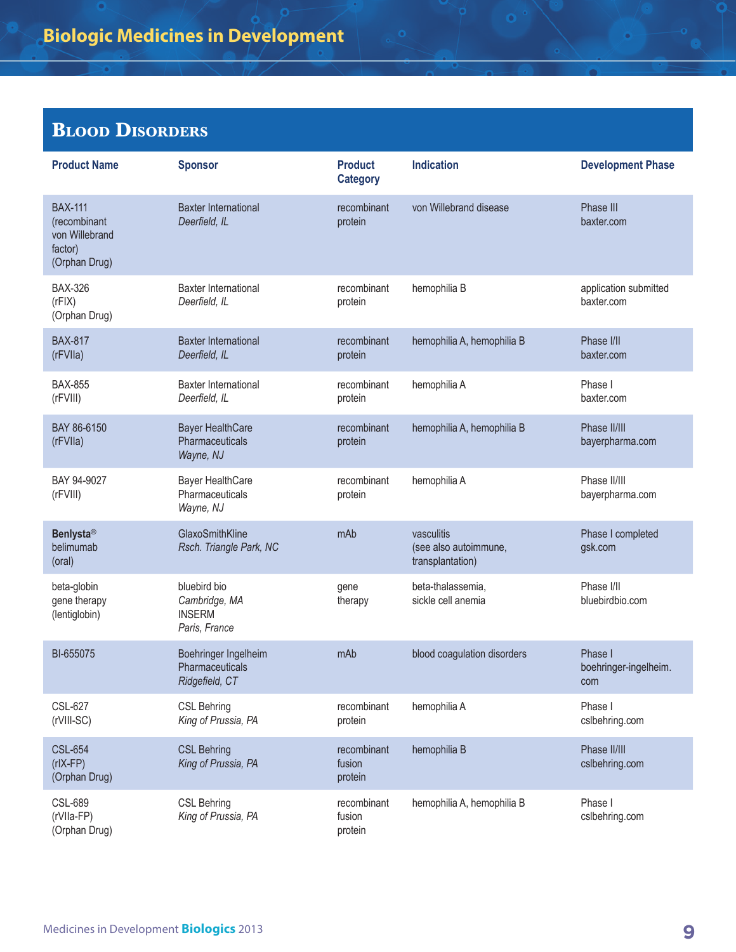## **Blood Disorders**

| <b>Product Name</b>                                                          | <b>Sponsor</b>                                                  | <b>Product</b><br><b>Category</b> | <b>Indication</b>                                       | <b>Development Phase</b>                |
|------------------------------------------------------------------------------|-----------------------------------------------------------------|-----------------------------------|---------------------------------------------------------|-----------------------------------------|
| <b>BAX-111</b><br>(recombinant<br>von Willebrand<br>factor)<br>(Orphan Drug) | <b>Baxter International</b><br>Deerfield, IL                    | recombinant<br>protein            | von Willebrand disease                                  | Phase III<br>baxter.com                 |
| <b>BAX-326</b><br>(rFIX)<br>(Orphan Drug)                                    | <b>Baxter International</b><br>Deerfield, IL                    | recombinant<br>protein            | hemophilia B                                            | application submitted<br>baxter.com     |
| <b>BAX-817</b><br>(rFVIIa)                                                   | <b>Baxter International</b><br>Deerfield, IL                    | recombinant<br>protein            | hemophilia A, hemophilia B                              | Phase I/II<br>baxter.com                |
| <b>BAX-855</b><br>(rFVIII)                                                   | <b>Baxter International</b><br>Deerfield, IL                    | recombinant<br>protein            | hemophilia A                                            | Phase I<br>baxter.com                   |
| BAY 86-6150<br>(rFVIIa)                                                      | <b>Bayer HealthCare</b><br>Pharmaceuticals<br>Wayne, NJ         | recombinant<br>protein            | hemophilia A, hemophilia B                              | Phase II/III<br>bayerpharma.com         |
| BAY 94-9027<br>(rFVIII)                                                      | <b>Bayer HealthCare</b><br>Pharmaceuticals<br>Wayne, NJ         | recombinant<br>protein            | hemophilia A                                            | Phase II/III<br>bayerpharma.com         |
| <b>Benlysta®</b><br>belimumab<br>(oral)                                      | GlaxoSmithKline<br>Rsch. Triangle Park, NC                      | mAb                               | vasculitis<br>(see also autoimmune,<br>transplantation) | Phase I completed<br>gsk.com            |
| beta-globin<br>gene therapy<br>(lentiglobin)                                 | bluebird bio<br>Cambridge, MA<br><b>INSERM</b><br>Paris, France | gene<br>therapy                   | beta-thalassemia,<br>sickle cell anemia                 | Phase I/II<br>bluebirdbio.com           |
| BI-655075                                                                    | Boehringer Ingelheim<br>Pharmaceuticals<br>Ridgefield, CT       | mAb                               | blood coagulation disorders                             | Phase I<br>boehringer-ingelheim.<br>com |
| <b>CSL-627</b><br>(rVIII-SC)                                                 | <b>CSL Behring</b><br>King of Prussia, PA                       | recombinant<br>protein            | hemophilia A                                            | Phase I<br>cslbehring.com               |
| <b>CSL-654</b><br>$(rIX-FP)$<br>(Orphan Drug)                                | <b>CSL Behring</b><br>King of Prussia, PA                       | recombinant<br>fusion<br>protein  | hemophilia B                                            | Phase II/III<br>cslbehring.com          |
| <b>CSL-689</b><br>(rVIIa-FP)<br>(Orphan Drug)                                | <b>CSL Behring</b><br>King of Prussia, PA                       | recombinant<br>fusion<br>protein  | hemophilia A, hemophilia B                              | Phase I<br>cslbehring.com               |

€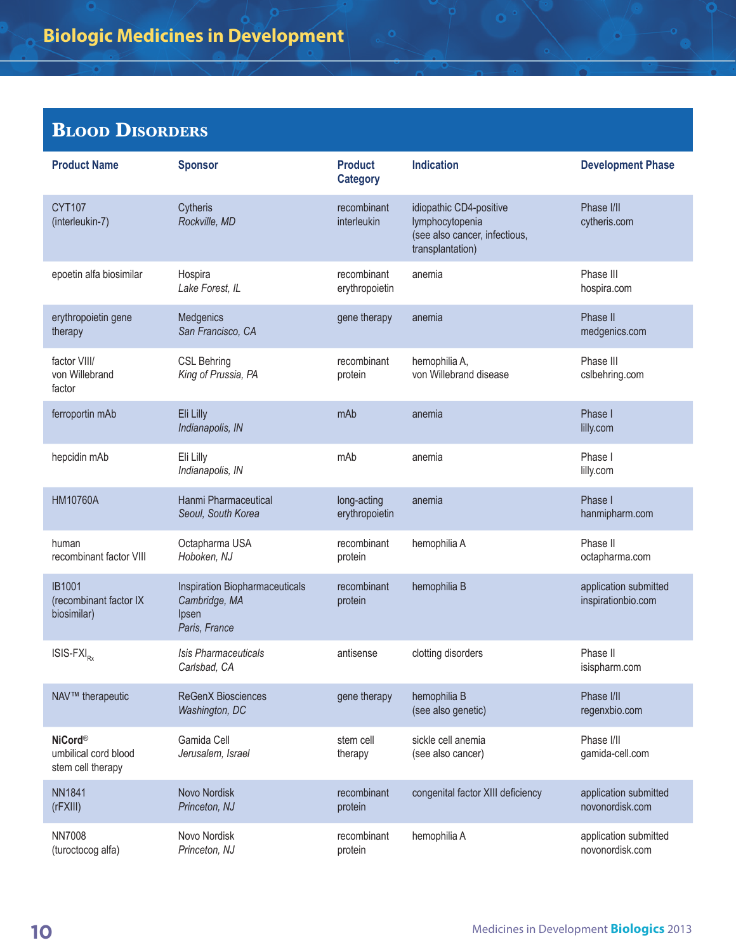## **Blood Disorders**

| <b>Product Name</b>                                         | <b>Sponsor</b>                                                            | <b>Product</b><br><b>Category</b> | <b>Indication</b>                                                                               | <b>Development Phase</b>                    |
|-------------------------------------------------------------|---------------------------------------------------------------------------|-----------------------------------|-------------------------------------------------------------------------------------------------|---------------------------------------------|
| <b>CYT107</b><br>(interleukin-7)                            | Cytheris<br>Rockville, MD                                                 | recombinant<br>interleukin        | idiopathic CD4-positive<br>lymphocytopenia<br>(see also cancer, infectious,<br>transplantation) | Phase I/II<br>cytheris.com                  |
| epoetin alfa biosimilar                                     | Hospira<br>Lake Forest, IL                                                | recombinant<br>erythropoietin     | anemia                                                                                          | Phase III<br>hospira.com                    |
| erythropoietin gene<br>therapy                              | Medgenics<br>San Francisco, CA                                            | gene therapy                      | anemia                                                                                          | Phase II<br>medgenics.com                   |
| factor VIII/<br>von Willebrand<br>factor                    | <b>CSL Behring</b><br>King of Prussia, PA                                 | recombinant<br>protein            | hemophilia A,<br>von Willebrand disease                                                         | Phase III<br>cslbehring.com                 |
| ferroportin mAb                                             | Eli Lilly<br>Indianapolis, IN                                             | mAb                               | anemia                                                                                          | Phase I<br>lilly.com                        |
| hepcidin mAb                                                | Eli Lilly<br>Indianapolis, IN                                             | mAb                               | anemia                                                                                          | Phase I<br>lilly.com                        |
| <b>HM10760A</b>                                             | Hanmi Pharmaceutical<br>Seoul, South Korea                                | long-acting<br>erythropoietin     | anemia                                                                                          | Phase I<br>hanmipharm.com                   |
| human<br>recombinant factor VIII                            | Octapharma USA<br>Hoboken, NJ                                             | recombinant<br>protein            | hemophilia A                                                                                    | Phase II<br>octapharma.com                  |
| <b>IB1001</b><br>(recombinant factor IX<br>biosimilar)      | Inspiration Biopharmaceuticals<br>Cambridge, MA<br>Ipsen<br>Paris, France | recombinant<br>protein            | hemophilia B                                                                                    | application submitted<br>inspirationbio.com |
| $ISIS-FXIRx$                                                | Isis Pharmaceuticals<br>Carlsbad, CA                                      | antisense                         | clotting disorders                                                                              | Phase II<br>isispharm.com                   |
| NAV™ therapeutic                                            | <b>ReGenX Biosciences</b><br>Washington, DC                               | gene therapy                      | hemophilia B<br>(see also genetic)                                                              | Phase I/II<br>regenxbio.com                 |
| <b>NiCord®</b><br>umbilical cord blood<br>stem cell therapy | Gamida Cell<br>Jerusalem, Israel                                          | stem cell<br>therapy              | sickle cell anemia<br>(see also cancer)                                                         | Phase I/II<br>gamida-cell.com               |
| <b>NN1841</b><br>(rFXIII)                                   | Novo Nordisk<br>Princeton, NJ                                             | recombinant<br>protein            | congenital factor XIII deficiency                                                               | application submitted<br>novonordisk.com    |
| <b>NN7008</b><br>(turoctocog alfa)                          | Novo Nordisk<br>Princeton, NJ                                             | recombinant<br>protein            | hemophilia A                                                                                    | application submitted<br>novonordisk.com    |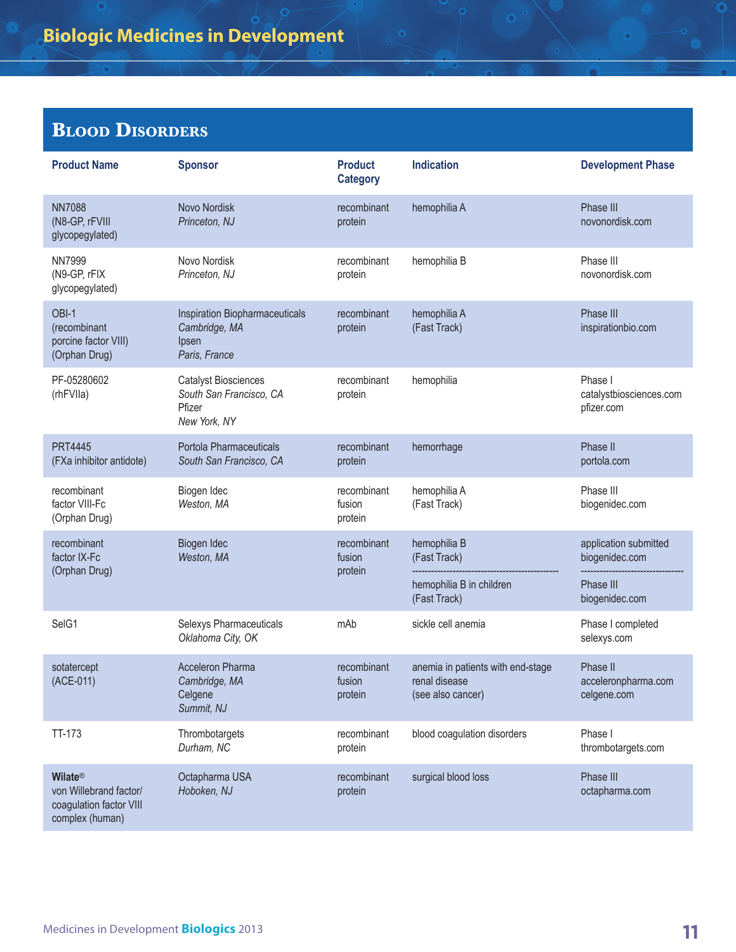## **Blood Disorders**

| <b>Product Name</b>                                                                    | <b>Sponsor</b>                                                                   | <b>Product</b><br><b>Category</b> | <b>Indication</b>                                                       | <b>Development Phase</b>                         |
|----------------------------------------------------------------------------------------|----------------------------------------------------------------------------------|-----------------------------------|-------------------------------------------------------------------------|--------------------------------------------------|
| <b>NN7088</b><br>(N8-GP, rFVIII<br>glycopegylated)                                     | Novo Nordisk<br>Princeton, NJ                                                    | recombinant<br>protein            | hemophilia A                                                            | Phase III<br>novonordisk.com                     |
| <b>NN7999</b><br>(N9-GP, rFIX<br>glycopegylated)                                       | Novo Nordisk<br>Princeton, NJ                                                    | recombinant<br>protein            | hemophilia B                                                            | Phase III<br>novonordisk.com                     |
| OBI-1<br>(recombinant<br>porcine factor VIII)<br>(Orphan Drug)                         | Inspiration Biopharmaceuticals<br>Cambridge, MA<br>Ipsen<br>Paris, France        | recombinant<br>protein            | hemophilia A<br>(Fast Track)                                            | Phase III<br>inspirationbio.com                  |
| PF-05280602<br>(rhFVIIa)                                                               | <b>Catalyst Biosciences</b><br>South San Francisco, CA<br>Pfizer<br>New York, NY | recombinant<br>protein            | hemophilia                                                              | Phase I<br>catalystbiosciences.com<br>pfizer.com |
| <b>PRT4445</b><br>(FXa inhibitor antidote)                                             | Portola Pharmaceuticals<br>South San Francisco, CA                               | recombinant<br>protein            | hemorrhage                                                              | Phase II<br>portola.com                          |
| recombinant<br>factor VIII-Fc<br>(Orphan Drug)                                         | Biogen Idec<br>Weston, MA                                                        | recombinant<br>fusion<br>protein  | hemophilia A<br>(Fast Track)                                            | Phase III<br>biogenidec.com                      |
| recombinant<br>factor IX-Fc<br>(Orphan Drug)                                           | Biogen Idec<br>Weston, MA                                                        | recombinant<br>fusion<br>protein  | hemophilia B<br>(Fast Track)                                            | application submitted<br>biogenidec.com          |
|                                                                                        |                                                                                  |                                   | hemophilia B in children<br>(Fast Track)                                | Phase III<br>biogenidec.com                      |
| SelG1                                                                                  | Selexys Pharmaceuticals<br>Oklahoma City, OK                                     | mAb                               | sickle cell anemia                                                      | Phase I completed<br>selexys.com                 |
| sotatercept<br>(ACE-011)                                                               | <b>Acceleron Pharma</b><br>Cambridge, MA<br>Celgene<br>Summit, NJ                | recombinant<br>fusion<br>protein  | anemia in patients with end-stage<br>renal disease<br>(see also cancer) | Phase II<br>acceleronpharma.com<br>celgene.com   |
| TT-173                                                                                 | Thrombotargets<br>Durham, NC                                                     | recombinant<br>protein            | blood coagulation disorders                                             | Phase I<br>thrombotargets.com                    |
| <b>Wilate®</b><br>von Willebrand factor/<br>coagulation factor VIII<br>complex (human) | Octapharma USA<br>Hoboken, NJ                                                    | recombinant<br>protein            | surgical blood loss                                                     | Phase III<br>octapharma.com                      |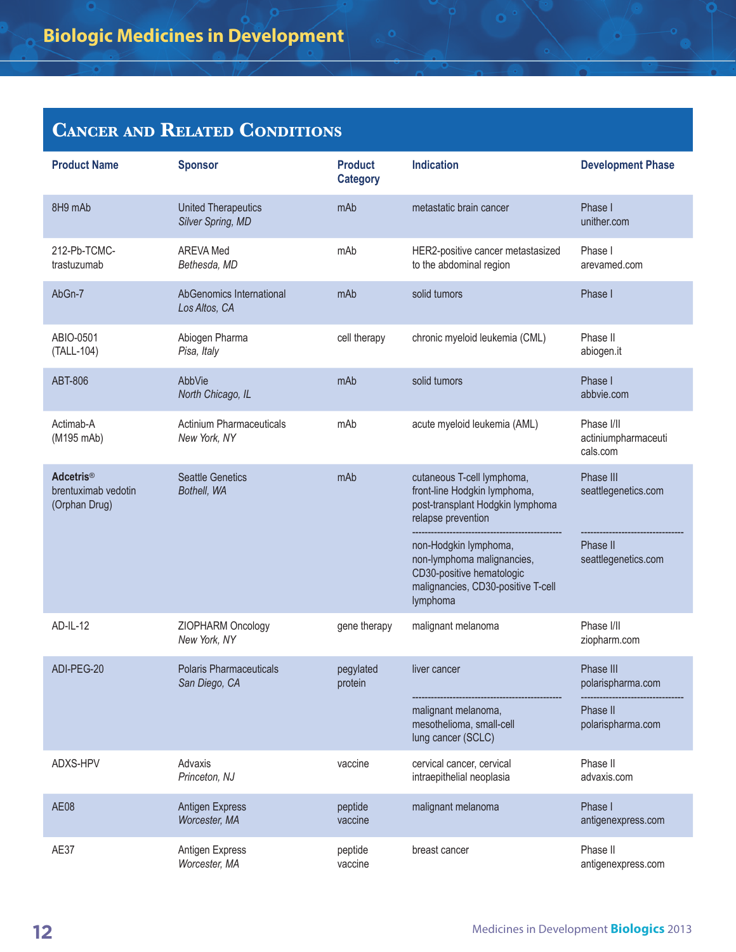| <b>Product Name</b>                                      | <b>Sponsor</b>                                  | <b>Product</b><br><b>Category</b> | <b>Indication</b>                                                                                                                                                                                                                                          | <b>Development Phase</b>                                            |
|----------------------------------------------------------|-------------------------------------------------|-----------------------------------|------------------------------------------------------------------------------------------------------------------------------------------------------------------------------------------------------------------------------------------------------------|---------------------------------------------------------------------|
| 8H9 mAb                                                  | <b>United Therapeutics</b><br>Silver Spring, MD | mAb                               | metastatic brain cancer                                                                                                                                                                                                                                    | Phase I<br>unither.com                                              |
| 212-Pb-TCMC-<br>trastuzumab                              | <b>AREVA Med</b><br>Bethesda, MD                | mAb                               | HER2-positive cancer metastasized<br>to the abdominal region                                                                                                                                                                                               | Phase I<br>arevamed.com                                             |
| AbGn-7                                                   | AbGenomics International<br>Los Altos, CA       | mAb                               | solid tumors                                                                                                                                                                                                                                               | Phase I                                                             |
| ABIO-0501<br>(TALL-104)                                  | Abiogen Pharma<br>Pisa, Italy                   | cell therapy                      | chronic myeloid leukemia (CML)                                                                                                                                                                                                                             | Phase II<br>abiogen.it                                              |
| <b>ABT-806</b>                                           | AbbVie<br>North Chicago, IL                     | mAb                               | solid tumors                                                                                                                                                                                                                                               | Phase I<br>abbvie.com                                               |
| Actimab-A<br>(M195 mAb)                                  | <b>Actinium Pharmaceuticals</b><br>New York, NY | mAb                               | acute myeloid leukemia (AML)                                                                                                                                                                                                                               | Phase I/II<br>actiniumpharmaceuti<br>cals.com                       |
| <b>Adcetris®</b><br>brentuximab vedotin<br>(Orphan Drug) | <b>Seattle Genetics</b><br>Bothell, WA          | mAb                               | cutaneous T-cell lymphoma,<br>front-line Hodgkin lymphoma,<br>post-transplant Hodgkin lymphoma<br>relapse prevention<br>non-Hodgkin lymphoma,<br>non-lymphoma malignancies,<br>CD30-positive hematologic<br>malignancies, CD30-positive T-cell<br>lymphoma | Phase III<br>seattlegenetics.com<br>Phase II<br>seattlegenetics.com |
| AD-IL-12                                                 | ZIOPHARM Oncology<br>New York, NY               | gene therapy                      | malignant melanoma                                                                                                                                                                                                                                         | Phase I/II<br>ziopharm.com                                          |
| ADI-PEG-20                                               | <b>Polaris Pharmaceuticals</b><br>San Diego, CA | pegylated<br>protein              | liver cancer<br>malignant melanoma,<br>mesothelioma, small-cell<br>lung cancer (SCLC)                                                                                                                                                                      | Phase III<br>polarispharma.com<br>Phase II<br>polarispharma.com     |
| ADXS-HPV                                                 | Advaxis<br>Princeton, NJ                        | vaccine                           | cervical cancer, cervical<br>intraepithelial neoplasia                                                                                                                                                                                                     | Phase II<br>advaxis.com                                             |
| <b>AE08</b>                                              | <b>Antigen Express</b><br>Worcester, MA         | peptide<br>vaccine                | malignant melanoma                                                                                                                                                                                                                                         | Phase I<br>antigenexpress.com                                       |
| AE37                                                     | Antigen Express<br>Worcester, MA                | peptide<br>vaccine                | breast cancer                                                                                                                                                                                                                                              | Phase II<br>antigenexpress.com                                      |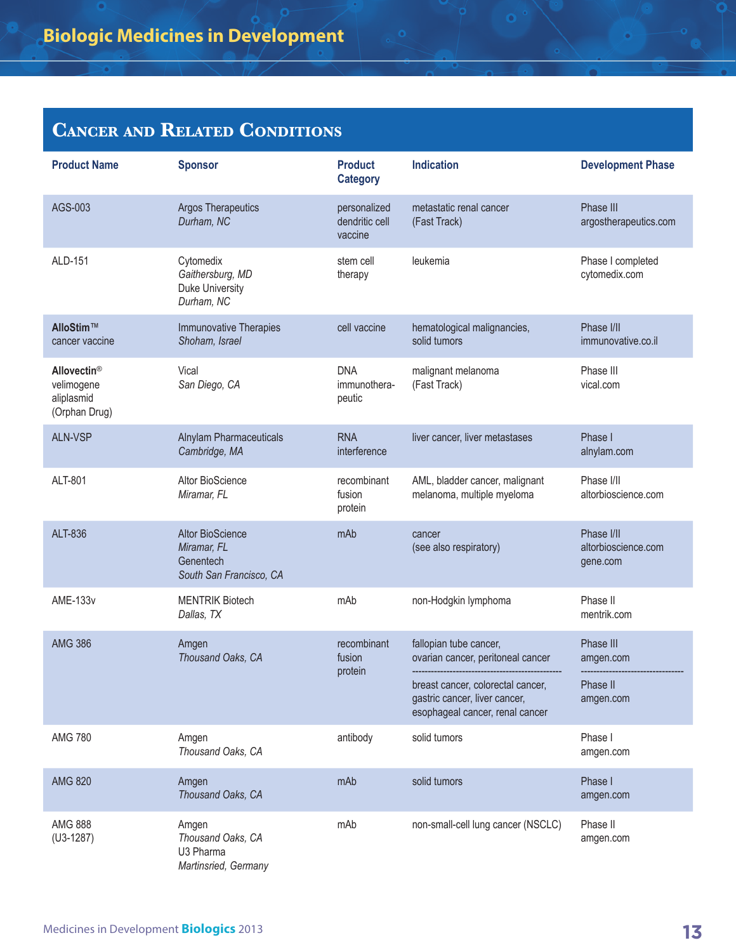| <b>Product Name</b>                                                  | <b>Sponsor</b>                                                                 | <b>Product</b><br><b>Category</b>         | <b>Indication</b>                                                                                     | <b>Development Phase</b>                      |
|----------------------------------------------------------------------|--------------------------------------------------------------------------------|-------------------------------------------|-------------------------------------------------------------------------------------------------------|-----------------------------------------------|
| AGS-003                                                              | <b>Argos Therapeutics</b><br>Durham, NC                                        | personalized<br>dendritic cell<br>vaccine | metastatic renal cancer<br>(Fast Track)                                                               | Phase III<br>argostherapeutics.com            |
| ALD-151                                                              | Cytomedix<br>Gaithersburg, MD<br><b>Duke University</b><br>Durham, NC          | stem cell<br>therapy                      | leukemia                                                                                              | Phase I completed<br>cytomedix.com            |
| AlloStim™<br>cancer vaccine                                          | <b>Immunovative Therapies</b><br>Shoham, Israel                                | cell vaccine                              | hematological malignancies,<br>solid tumors                                                           | Phase I/II<br>immunovative.co.il              |
| Allovectin <sup>®</sup><br>velimogene<br>aliplasmid<br>(Orphan Drug) | Vical<br>San Diego, CA                                                         | <b>DNA</b><br>immunothera-<br>peutic      | malignant melanoma<br>(Fast Track)                                                                    | Phase III<br>vical.com                        |
| <b>ALN-VSP</b>                                                       | <b>Alnylam Pharmaceuticals</b><br>Cambridge, MA                                | <b>RNA</b><br>interference                | liver cancer, liver metastases                                                                        | Phase I<br>alnylam.com                        |
| ALT-801                                                              | Altor BioScience<br>Miramar, FL                                                | recombinant<br>fusion<br>protein          | AML, bladder cancer, malignant<br>melanoma, multiple myeloma                                          | Phase I/II<br>altorbioscience.com             |
| ALT-836                                                              | <b>Altor BioScience</b><br>Miramar, FL<br>Genentech<br>South San Francisco, CA | mAb                                       | cancer<br>(see also respiratory)                                                                      | Phase I/II<br>altorbioscience.com<br>gene.com |
| <b>AME-133v</b>                                                      | <b>MENTRIK Biotech</b><br>Dallas, TX                                           | mAb                                       | non-Hodgkin lymphoma                                                                                  | Phase II<br>mentrik.com                       |
| <b>AMG 386</b>                                                       | Amgen<br>Thousand Oaks, CA                                                     | recombinant<br>fusion<br>protein          | fallopian tube cancer,<br>ovarian cancer, peritoneal cancer                                           | Phase III<br>amgen.com                        |
|                                                                      |                                                                                |                                           | breast cancer, colorectal cancer,<br>gastric cancer, liver cancer,<br>esophageal cancer, renal cancer | Phase II<br>amgen.com                         |
| <b>AMG 780</b>                                                       | Amgen<br>Thousand Oaks, CA                                                     | antibody                                  | solid tumors                                                                                          | Phase I<br>amgen.com                          |
| <b>AMG 820</b>                                                       | Amgen<br>Thousand Oaks, CA                                                     | mAb                                       | solid tumors                                                                                          | Phase I<br>amgen.com                          |
| <b>AMG 888</b><br>$(U3-1287)$                                        | Amgen<br>Thousand Oaks, CA<br>U3 Pharma<br>Martinsried, Germany                | mAb                                       | non-small-cell lung cancer (NSCLC)                                                                    | Phase II<br>amgen.com                         |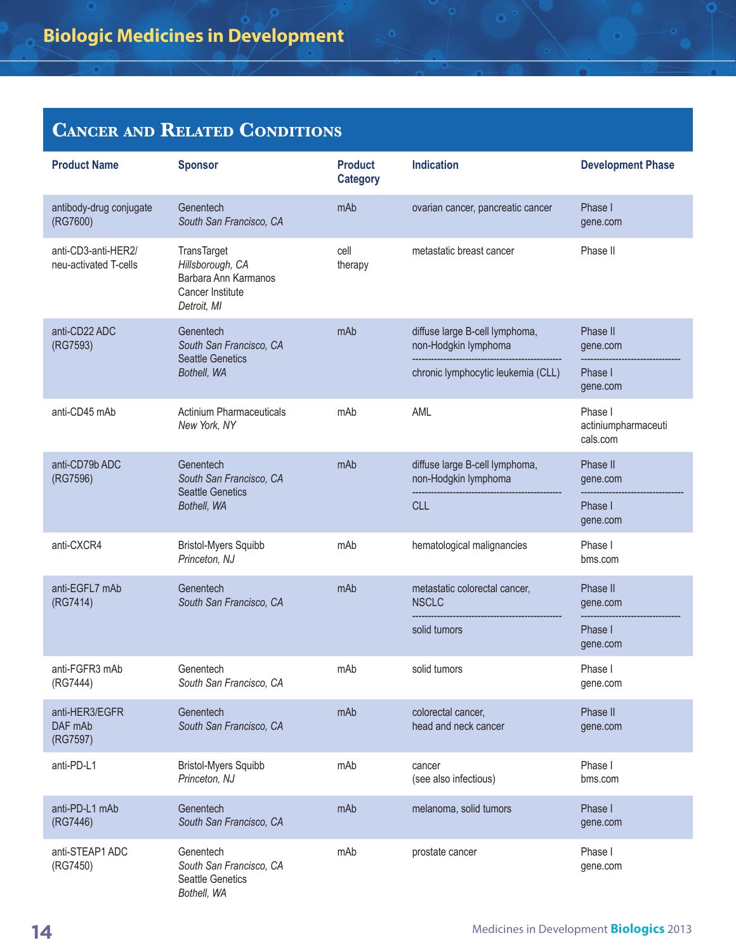| <b>Product Name</b>                          | <b>Sponsor</b>                                                                             | <b>Product</b><br><b>Category</b> | <b>Indication</b>                                                                            | <b>Development Phase</b>                    |
|----------------------------------------------|--------------------------------------------------------------------------------------------|-----------------------------------|----------------------------------------------------------------------------------------------|---------------------------------------------|
| antibody-drug conjugate<br>(RG7600)          | Genentech<br>South San Francisco, CA                                                       | mAb                               | ovarian cancer, pancreatic cancer                                                            | Phase I<br>gene.com                         |
| anti-CD3-anti-HER2/<br>neu-activated T-cells | TransTarget<br>Hillsborough, CA<br>Barbara Ann Karmanos<br>Cancer Institute<br>Detroit, MI | cell<br>therapy                   | metastatic breast cancer                                                                     | Phase II                                    |
| anti-CD22 ADC<br>(RG7593)                    | Genentech<br>South San Francisco, CA<br><b>Seattle Genetics</b><br>Bothell, WA             | mAb                               | diffuse large B-cell lymphoma,<br>non-Hodgkin lymphoma<br>chronic lymphocytic leukemia (CLL) | Phase II<br>gene.com<br>Phase I<br>gene.com |
| anti-CD45 mAb                                | <b>Actinium Pharmaceuticals</b><br>New York, NY                                            | mAb                               | AML                                                                                          | Phase I<br>actiniumpharmaceuti<br>cals.com  |
| anti-CD79b ADC<br>(RG7596)                   | Genentech<br>South San Francisco, CA                                                       | mAb                               | diffuse large B-cell lymphoma,<br>non-Hodgkin lymphoma                                       | Phase II<br>gene.com                        |
|                                              | <b>Seattle Genetics</b><br>Bothell, WA                                                     |                                   | <b>CLL</b>                                                                                   | Phase I<br>gene.com                         |
| anti-CXCR4                                   | <b>Bristol-Myers Squibb</b><br>Princeton, NJ                                               | mAb                               | hematological malignancies                                                                   | Phase I<br>bms.com                          |
| anti-EGFL7 mAb<br>(RG7414)                   | Genentech<br>South San Francisco, CA                                                       | mAb                               | metastatic colorectal cancer,<br><b>NSCLC</b>                                                | Phase II<br>gene.com                        |
|                                              |                                                                                            |                                   | solid tumors                                                                                 | Phase I<br>gene.com                         |
| anti-FGFR3 mAb<br>(RG7444)                   | Genentech<br>South San Francisco, CA                                                       | mAb                               | solid tumors                                                                                 | Phase I<br>gene.com                         |
| anti-HER3/EGFR<br>DAF mAb<br>(RG7597)        | Genentech<br>South San Francisco, CA                                                       | mAb                               | colorectal cancer,<br>head and neck cancer                                                   | Phase II<br>gene.com                        |
| anti-PD-L1                                   | <b>Bristol-Myers Squibb</b><br>Princeton, NJ                                               | mAb                               | cancer<br>(see also infectious)                                                              | Phase I<br>bms.com                          |
| anti-PD-L1 mAb<br>(RG7446)                   | Genentech<br>South San Francisco, CA                                                       | mAb                               | melanoma, solid tumors                                                                       | Phase I<br>gene.com                         |
| anti-STEAP1 ADC<br>(RG7450)                  | Genentech<br>South San Francisco, CA<br><b>Seattle Genetics</b><br>Bothell, WA             | mAb                               | prostate cancer                                                                              | Phase I<br>gene.com                         |

o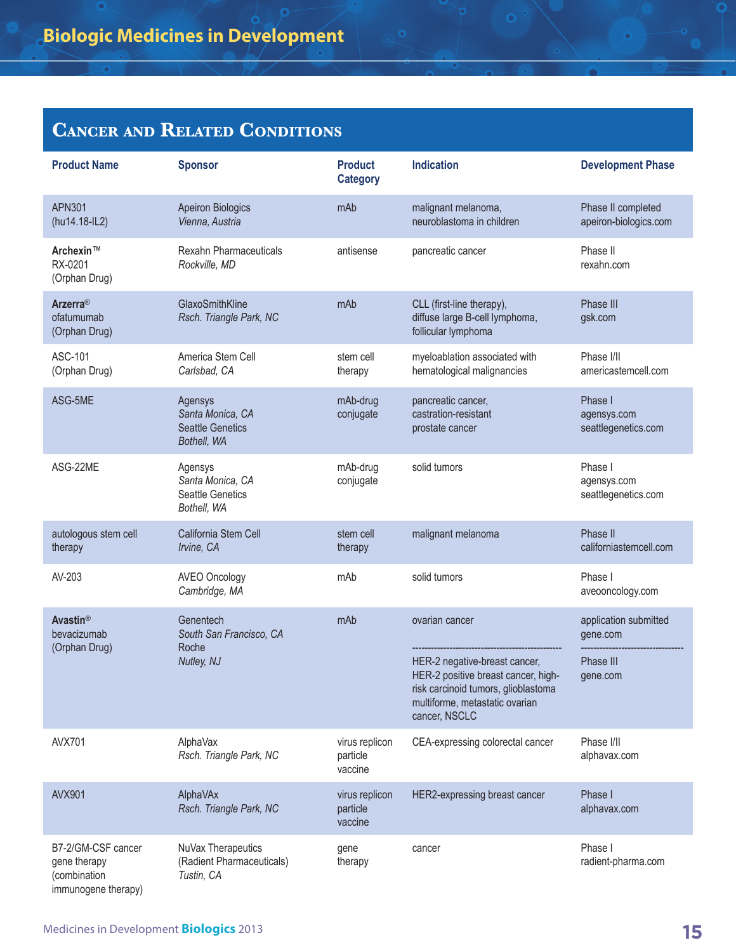| <b>Product Name</b>                                                       | <b>Sponsor</b>                                                        | <b>Product</b><br><b>Category</b>     | <b>Indication</b>                                                                                                                                              | <b>Development Phase</b>                      |
|---------------------------------------------------------------------------|-----------------------------------------------------------------------|---------------------------------------|----------------------------------------------------------------------------------------------------------------------------------------------------------------|-----------------------------------------------|
| <b>APN301</b><br>(hu14.18-IL2)                                            | <b>Apeiron Biologics</b><br>Vienna, Austria                           | mAb                                   | malignant melanoma,<br>neuroblastoma in children                                                                                                               | Phase II completed<br>apeiron-biologics.com   |
| Archexin™<br>RX-0201<br>(Orphan Drug)                                     | Rexahn Pharmaceuticals<br>Rockville, MD                               | antisense                             | pancreatic cancer                                                                                                                                              | Phase II<br>rexahn.com                        |
| Arzerra <sup>®</sup><br>ofatumumab<br>(Orphan Drug)                       | GlaxoSmithKline<br>Rsch. Triangle Park, NC                            | mAb                                   | CLL (first-line therapy),<br>diffuse large B-cell lymphoma,<br>follicular lymphoma                                                                             | Phase III<br>gsk.com                          |
| ASC-101<br>(Orphan Drug)                                                  | America Stem Cell<br>Carlsbad, CA                                     | stem cell<br>therapy                  | myeloablation associated with<br>hematological malignancies                                                                                                    | Phase I/II<br>americastemcell.com             |
| ASG-5ME                                                                   | Agensys<br>Santa Monica, CA<br><b>Seattle Genetics</b><br>Bothell, WA | mAb-drug<br>conjugate                 | pancreatic cancer,<br>castration-resistant<br>prostate cancer                                                                                                  | Phase I<br>agensys.com<br>seattlegenetics.com |
| ASG-22ME                                                                  | Agensys<br>Santa Monica, CA<br><b>Seattle Genetics</b><br>Bothell, WA | mAb-drug<br>conjugate                 | solid tumors                                                                                                                                                   | Phase I<br>agensys.com<br>seattlegenetics.com |
| autologous stem cell<br>therapy                                           | California Stem Cell<br>Irvine, CA                                    | stem cell<br>therapy                  | malignant melanoma                                                                                                                                             | Phase II<br>californiastemcell.com            |
| AV-203                                                                    | <b>AVEO Oncology</b><br>Cambridge, MA                                 | mAb                                   | solid tumors                                                                                                                                                   | Phase I<br>aveooncology.com                   |
| <b>Avastin®</b><br>bevacizumab<br>(Orphan Drug)                           | Genentech<br>South San Francisco, CA<br>Roche                         | mAb                                   | ovarian cancer                                                                                                                                                 | application submitted<br>gene.com             |
|                                                                           | Nutley, NJ                                                            |                                       | HER-2 negative-breast cancer,<br>HER-2 positive breast cancer, high-<br>risk carcinoid tumors, glioblastoma<br>multiforme, metastatic ovarian<br>cancer, NSCLC | Phase III<br>gene.com                         |
| <b>AVX701</b>                                                             | AlphaVax<br>Rsch. Triangle Park, NC                                   | virus replicon<br>particle<br>vaccine | CEA-expressing colorectal cancer                                                                                                                               | Phase I/II<br>alphavax.com                    |
| <b>AVX901</b>                                                             | AlphaVAx<br>Rsch. Triangle Park, NC                                   | virus replicon<br>particle<br>vaccine | HER2-expressing breast cancer                                                                                                                                  | Phase I<br>alphavax.com                       |
| B7-2/GM-CSF cancer<br>gene therapy<br>(combination<br>immunogene therapy) | NuVax Therapeutics<br>(Radient Pharmaceuticals)<br>Tustin, CA         | gene<br>therapy                       | cancer                                                                                                                                                         | Phase I<br>radient-pharma.com                 |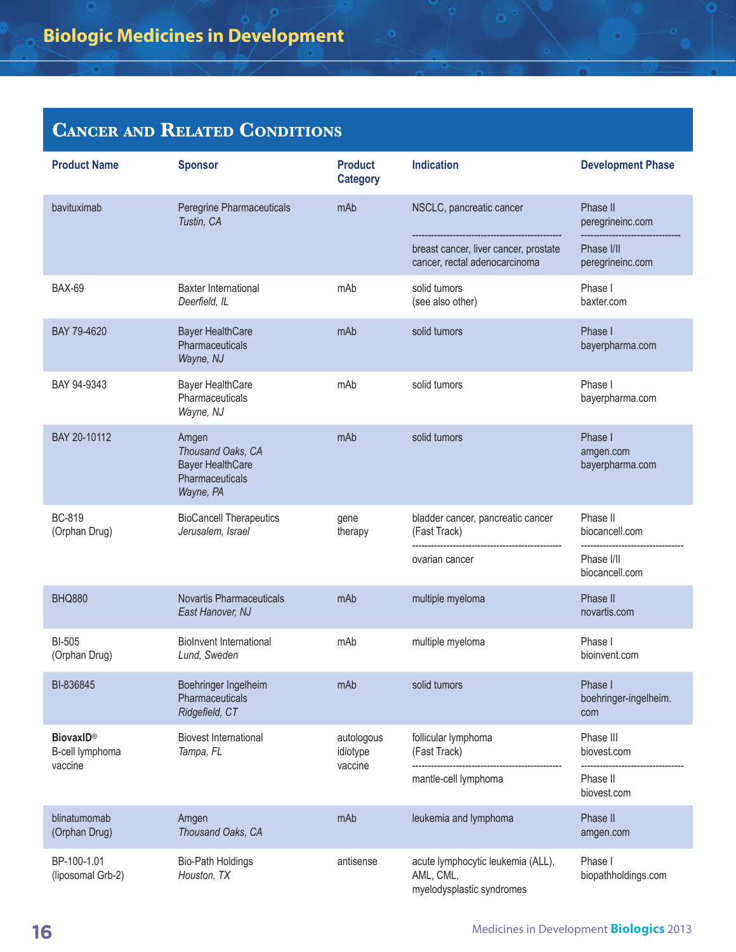| <b>Product Name</b>                 | <b>Sponsor</b>                                                                        | <b>Product</b><br><b>Category</b> | <b>Indication</b>                                                           | <b>Development Phase</b>                |
|-------------------------------------|---------------------------------------------------------------------------------------|-----------------------------------|-----------------------------------------------------------------------------|-----------------------------------------|
| bavituximab                         | Peregrine Pharmaceuticals<br>Tustin, CA                                               | mAb                               | NSCLC, pancreatic cancer                                                    | Phase II<br>peregrineinc.com            |
|                                     |                                                                                       |                                   | breast cancer, liver cancer, prostate<br>cancer, rectal adenocarcinoma      | Phase I/II<br>peregrineinc.com          |
| <b>BAX-69</b>                       | <b>Baxter International</b><br>Deerfield, IL                                          | mAb                               | solid tumors<br>(see also other)                                            | Phase I<br>baxter.com                   |
| BAY 79-4620                         | <b>Bayer HealthCare</b><br>Pharmaceuticals<br>Wayne, NJ                               | mAb                               | solid tumors                                                                | Phase I<br>bayerpharma.com              |
| BAY 94-9343                         | <b>Bayer HealthCare</b><br>Pharmaceuticals<br>Wayne, NJ                               | mAb                               | solid tumors                                                                | Phase I<br>bayerpharma.com              |
| BAY 20-10112                        | Amgen<br>Thousand Oaks, CA<br><b>Bayer HealthCare</b><br>Pharmaceuticals<br>Wayne, PA | mAb                               | solid tumors                                                                | Phase I<br>amgen.com<br>bayerpharma.com |
| <b>BC-819</b><br>(Orphan Drug)      | <b>BioCancell Therapeutics</b><br>Jerusalem, Israel                                   | gene<br>therapy                   | bladder cancer, pancreatic cancer<br>(Fast Track)                           | Phase II<br>biocancell.com              |
|                                     |                                                                                       |                                   | ovarian cancer                                                              | Phase I/II<br>biocancell.com            |
| <b>BHQ880</b>                       | <b>Novartis Pharmaceuticals</b><br>East Hanover, NJ                                   | mAb                               | multiple myeloma                                                            | Phase II<br>novartis.com                |
| <b>BI-505</b><br>(Orphan Drug)      | <b>Biolnvent International</b><br>Lund, Sweden                                        | mAb                               | multiple myeloma                                                            | Phase I<br>bioinvent.com                |
| BI-836845                           | Boehringer Ingelheim<br>Pharmaceuticals<br>Ridgefield, CT                             | mAb                               | solid tumors                                                                | Phase I<br>boehringer-ingelheim.<br>com |
| <b>BiovaxID®</b><br>B-cell lymphoma | <b>Biovest International</b><br>Tampa, FL                                             | autologous<br>idiotype            | follicular lymphoma<br>(Fast Track)                                         | Phase III<br>biovest.com                |
| vaccine                             |                                                                                       | vaccine                           | mantle-cell lymphoma                                                        | Phase II<br>biovest.com                 |
| blinatumomab<br>(Orphan Drug)       | Amgen<br>Thousand Oaks, CA                                                            | mAb                               | leukemia and lymphoma                                                       | Phase II<br>amgen.com                   |
| BP-100-1.01<br>(liposomal Grb-2)    | <b>Bio-Path Holdings</b><br>Houston, TX                                               | antisense                         | acute lymphocytic leukemia (ALL),<br>AML, CML,<br>myelodysplastic syndromes | Phase I<br>biopathholdings.com          |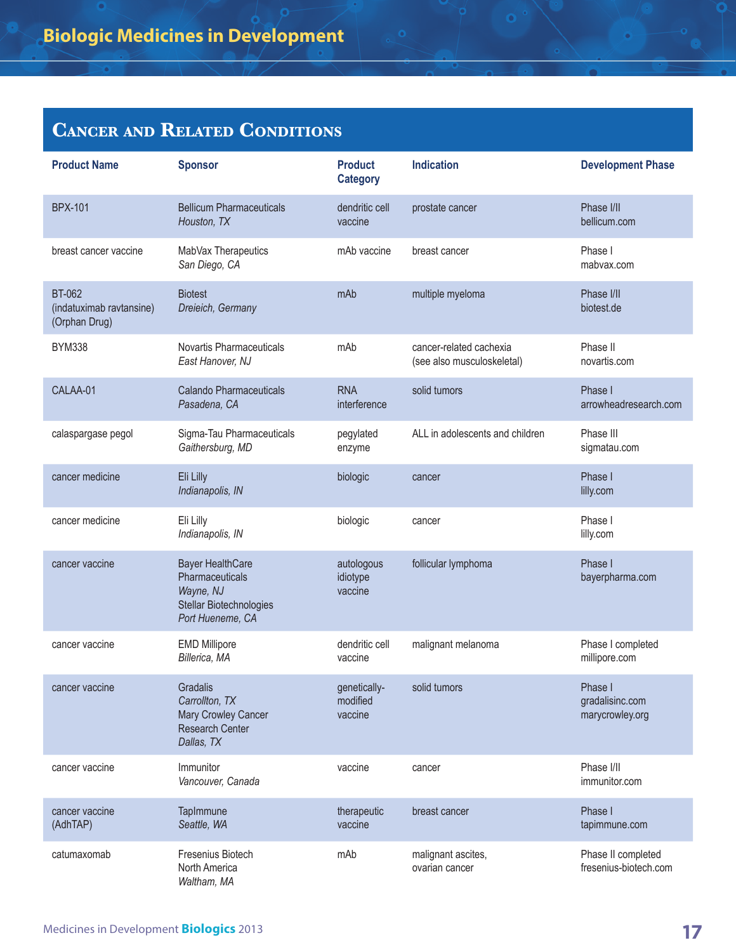| <b>Product Name</b>                                        | <b>Sponsor</b>                                                                                         | <b>Product</b><br><b>Category</b>   | <b>Indication</b>                                     | <b>Development Phase</b>                      |
|------------------------------------------------------------|--------------------------------------------------------------------------------------------------------|-------------------------------------|-------------------------------------------------------|-----------------------------------------------|
| <b>BPX-101</b>                                             | <b>Bellicum Pharmaceuticals</b><br>Houston, TX                                                         | dendritic cell<br>vaccine           | prostate cancer                                       | Phase I/II<br>bellicum.com                    |
| breast cancer vaccine                                      | MabVax Therapeutics<br>San Diego, CA                                                                   | mAb vaccine                         | breast cancer                                         | Phase I<br>mabyax.com                         |
| <b>BT-062</b><br>(indatuximab ravtansine)<br>(Orphan Drug) | <b>Biotest</b><br>Dreieich, Germany                                                                    | mAb                                 | multiple myeloma                                      | Phase I/II<br>biotest.de                      |
| <b>BYM338</b>                                              | Novartis Pharmaceuticals<br>East Hanover, NJ                                                           | mAb                                 | cancer-related cachexia<br>(see also musculoskeletal) | Phase II<br>novartis.com                      |
| CALAA-01                                                   | Calando Pharmaceuticals<br>Pasadena, CA                                                                | <b>RNA</b><br>interference          | solid tumors                                          | Phase I<br>arrowheadresearch.com              |
| calaspargase pegol                                         | Sigma-Tau Pharmaceuticals<br>Gaithersburg, MD                                                          | pegylated<br>enzyme                 | ALL in adolescents and children                       | Phase III<br>sigmatau.com                     |
| cancer medicine                                            | Eli Lilly<br>Indianapolis, IN                                                                          | biologic                            | cancer                                                | Phase I<br>lilly.com                          |
| cancer medicine                                            | Eli Lilly<br>Indianapolis, IN                                                                          | biologic                            | cancer                                                | Phase I<br>lilly.com                          |
| cancer vaccine                                             | <b>Bayer HealthCare</b><br>Pharmaceuticals<br>Wayne, NJ<br>Stellar Biotechnologies<br>Port Hueneme, CA | autologous<br>idiotype<br>vaccine   | follicular lymphoma                                   | Phase I<br>bayerpharma.com                    |
| cancer vaccine                                             | <b>EMD Millipore</b><br>Billerica, MA                                                                  | dendritic cell<br>vaccine           | malignant melanoma                                    | Phase I completed<br>millipore.com            |
| cancer vaccine                                             | Gradalis<br>Carrollton, TX<br>Mary Crowley Cancer<br><b>Research Center</b><br>Dallas, TX              | genetically-<br>modified<br>vaccine | solid tumors                                          | Phase I<br>gradalisinc.com<br>marycrowley.org |
| cancer vaccine                                             | Immunitor<br>Vancouver, Canada                                                                         | vaccine                             | cancer                                                | Phase I/II<br>immunitor.com                   |
| cancer vaccine<br>(AdhTAP)                                 | TapImmune<br>Seattle, WA                                                                               | therapeutic<br>vaccine              | breast cancer                                         | Phase I<br>tapimmune.com                      |
| catumaxomab                                                | Fresenius Biotech<br>North America<br>Waltham, MA                                                      | mAb                                 | malignant ascites,<br>ovarian cancer                  | Phase II completed<br>fresenius-biotech.com   |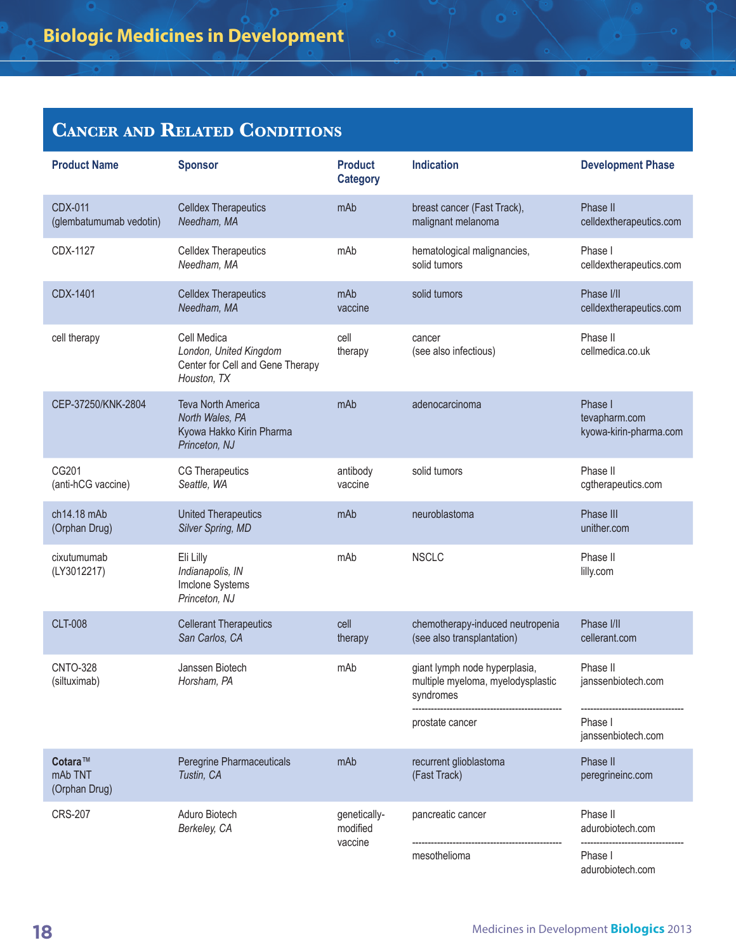| <b>Product Name</b>                       | <b>Sponsor</b>                                                                            | <b>Product</b><br><b>Category</b>   | <b>Indication</b>                                                               | <b>Development Phase</b>                           |
|-------------------------------------------|-------------------------------------------------------------------------------------------|-------------------------------------|---------------------------------------------------------------------------------|----------------------------------------------------|
| <b>CDX-011</b><br>(glembatumumab vedotin) | <b>Celldex Therapeutics</b><br>Needham, MA                                                | mAb                                 | breast cancer (Fast Track),<br>malignant melanoma                               | Phase II<br>celldextherapeutics.com                |
| CDX-1127                                  | <b>Celldex Therapeutics</b><br>Needham, MA                                                | mAb                                 | hematological malignancies,<br>solid tumors                                     | Phase I<br>celldextherapeutics.com                 |
| CDX-1401                                  | <b>Celldex Therapeutics</b><br>Needham, MA                                                | mAb<br>vaccine                      | solid tumors                                                                    | Phase I/II<br>celldextherapeutics.com              |
| cell therapy                              | Cell Medica<br>London, United Kingdom<br>Center for Cell and Gene Therapy<br>Houston, TX  | cell<br>therapy                     | cancer<br>(see also infectious)                                                 | Phase II<br>cellmedica.co.uk                       |
| CEP-37250/KNK-2804                        | <b>Teva North America</b><br>North Wales, PA<br>Kyowa Hakko Kirin Pharma<br>Princeton, NJ | mAb                                 | adenocarcinoma                                                                  | Phase I<br>tevapharm.com<br>kyowa-kirin-pharma.com |
| CG201<br>(anti-hCG vaccine)               | <b>CG Therapeutics</b><br>Seattle, WA                                                     | antibody<br>vaccine                 | solid tumors                                                                    | Phase II<br>cgtherapeutics.com                     |
| ch14.18 mAb<br>(Orphan Drug)              | <b>United Therapeutics</b><br>Silver Spring, MD                                           | mAb                                 | neuroblastoma                                                                   | Phase III<br>unither.com                           |
| cixutumumab<br>(LY3012217)                | Eli Lilly<br>Indianapolis, IN<br>Imclone Systems<br>Princeton, NJ                         | mAb                                 | <b>NSCLC</b>                                                                    | Phase II<br>lilly.com                              |
| <b>CLT-008</b>                            | <b>Cellerant Therapeutics</b><br>San Carlos, CA                                           | cell<br>therapy                     | chemotherapy-induced neutropenia<br>(see also transplantation)                  | Phase I/II<br>cellerant.com                        |
| <b>CNTO-328</b><br>(siltuximab)           | Janssen Biotech<br>Horsham, PA                                                            | mAb                                 | giant lymph node hyperplasia,<br>multiple myeloma, myelodysplastic<br>syndromes | Phase II<br>janssenbiotech.com                     |
|                                           |                                                                                           |                                     | prostate cancer                                                                 | Phase I<br>janssenbiotech.com                      |
| Cotara™<br>mAb TNT<br>(Orphan Drug)       | Peregrine Pharmaceuticals<br>Tustin, CA                                                   | mAb                                 | recurrent glioblastoma<br>(Fast Track)                                          | Phase II<br>peregrineinc.com                       |
| <b>CRS-207</b>                            | Aduro Biotech<br>Berkeley, CA                                                             | genetically-<br>modified<br>vaccine | pancreatic cancer                                                               | Phase II<br>adurobiotech.com                       |
|                                           |                                                                                           |                                     | mesothelioma                                                                    | Phase I<br>adurobiotech.com                        |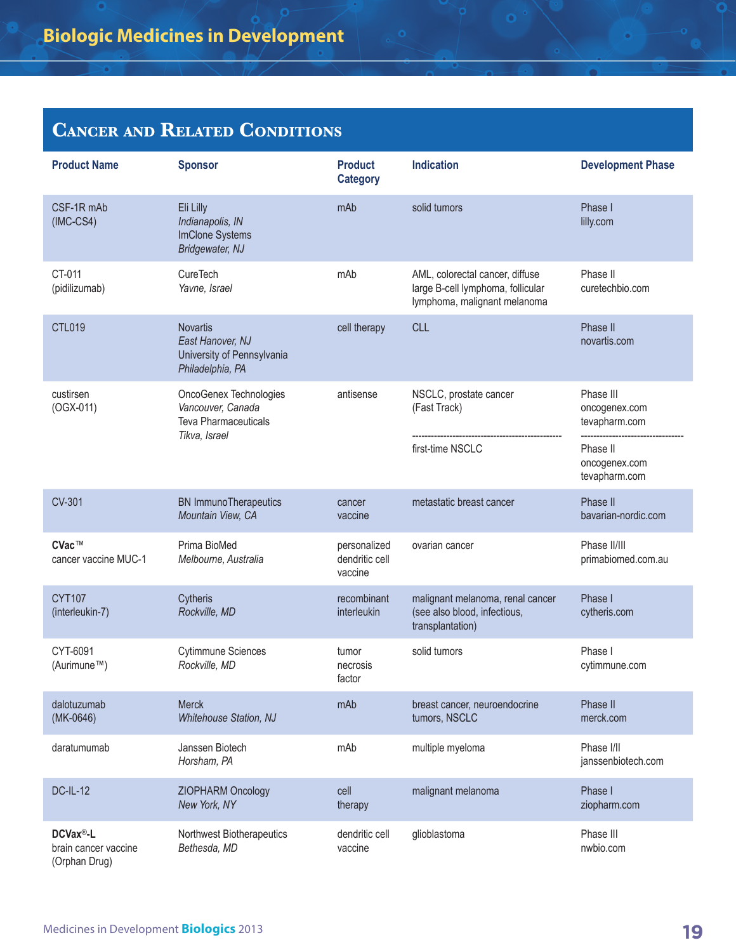| <b>Product Name</b>                                            | <b>Sponsor</b>                                                                        | <b>Product</b><br><b>Category</b>         | <b>Indication</b>                                                                                    | <b>Development Phase</b>                    |
|----------------------------------------------------------------|---------------------------------------------------------------------------------------|-------------------------------------------|------------------------------------------------------------------------------------------------------|---------------------------------------------|
| CSF-1R mAb<br>$(IMC-CS4)$                                      | Eli Lilly<br>Indianapolis, IN<br>ImClone Systems<br>Bridgewater, NJ                   | mAb                                       | solid tumors                                                                                         | Phase I<br>lilly.com                        |
| CT-011<br>(pidilizumab)                                        | <b>CureTech</b><br>Yavne, Israel                                                      | mAb                                       | AML, colorectal cancer, diffuse<br>large B-cell lymphoma, follicular<br>lymphoma, malignant melanoma | Phase II<br>curetechbio.com                 |
| <b>CTL019</b>                                                  | <b>Novartis</b><br>East Hanover, NJ<br>University of Pennsylvania<br>Philadelphia, PA | cell therapy                              | <b>CLL</b>                                                                                           | Phase II<br>novartis.com                    |
| custirsen<br>$(OGX-011)$                                       | OncoGenex Technologies<br>Vancouver, Canada<br><b>Teva Pharmaceuticals</b>            | antisense                                 | NSCLC, prostate cancer<br>(Fast Track)                                                               | Phase III<br>oncogenex.com<br>tevapharm.com |
|                                                                | Tikva, Israel                                                                         |                                           | first-time NSCLC                                                                                     | Phase II<br>oncogenex.com<br>tevapharm.com  |
| <b>CV-301</b>                                                  | <b>BN</b> ImmunoTherapeutics<br>Mountain View, CA                                     | cancer<br>vaccine                         | metastatic breast cancer                                                                             | Phase II<br>bavarian-nordic.com             |
| CVac™<br>cancer vaccine MUC-1                                  | Prima BioMed<br>Melbourne, Australia                                                  | personalized<br>dendritic cell<br>vaccine | ovarian cancer                                                                                       | Phase II/III<br>primabiomed.com.au          |
| <b>CYT107</b><br>(interleukin-7)                               | Cytheris<br>Rockville, MD                                                             | recombinant<br>interleukin                | malignant melanoma, renal cancer<br>(see also blood, infectious,<br>transplantation)                 | Phase I<br>cytheris.com                     |
| CYT-6091<br>(Aurimune™)                                        | <b>Cytimmune Sciences</b><br>Rockville, MD                                            | tumor<br>necrosis<br>factor               | solid tumors                                                                                         | Phase I<br>cytimmune.com                    |
| dalotuzumab<br>$(MK-0646)$                                     | <b>Merck</b><br><b>Whitehouse Station, NJ</b>                                         | mAb                                       | breast cancer, neuroendocrine<br>tumors, NSCLC                                                       | Phase II<br>merck.com                       |
| daratumumab                                                    | Janssen Biotech<br>Horsham, PA                                                        | mAb                                       | multiple myeloma                                                                                     | Phase I/II<br>janssenbiotech.com            |
| <b>DC-IL-12</b>                                                | ZIOPHARM Oncology<br>New York, NY                                                     | cell<br>therapy                           | malignant melanoma                                                                                   | Phase I<br>ziopharm.com                     |
| DCVax <sup>®</sup> -L<br>brain cancer vaccine<br>(Orphan Drug) | Northwest Biotherapeutics<br>Bethesda, MD                                             | dendritic cell<br>vaccine                 | glioblastoma                                                                                         | Phase III<br>nwbio.com                      |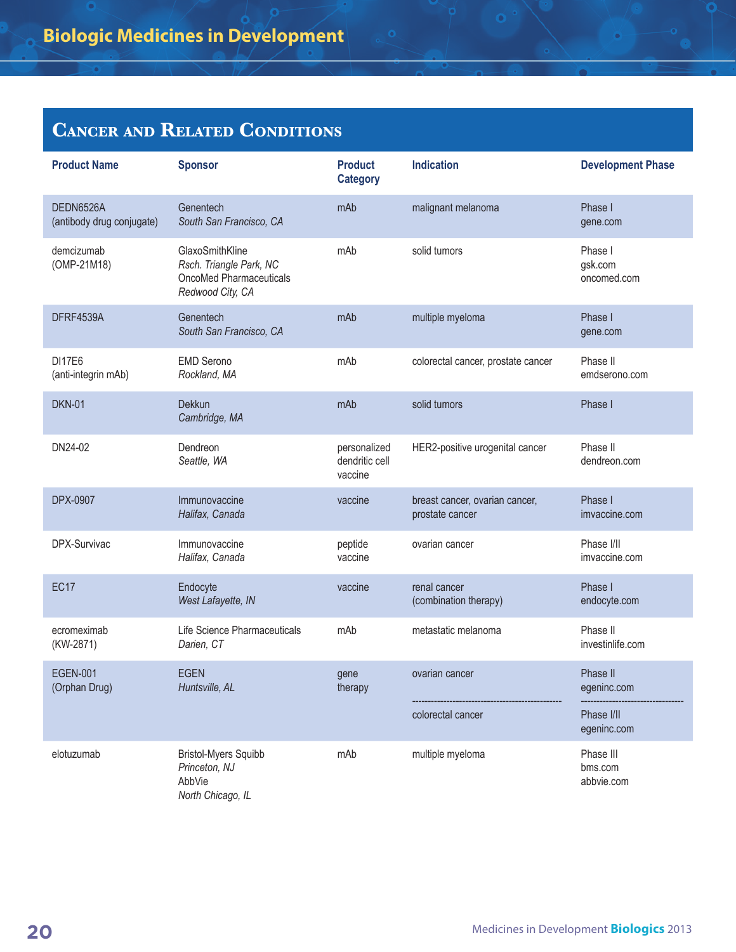| <b>Product Name</b>                    | <b>Sponsor</b>                                                                            | <b>Product</b><br><b>Category</b>         | <b>Indication</b>                                 | <b>Development Phase</b>           |
|----------------------------------------|-------------------------------------------------------------------------------------------|-------------------------------------------|---------------------------------------------------|------------------------------------|
| DEDN6526A<br>(antibody drug conjugate) | Genentech<br>South San Francisco, CA                                                      | mAb                                       | malignant melanoma                                | Phase I<br>gene.com                |
| demcizumab<br>(OMP-21M18)              | GlaxoSmithKline<br>Rsch. Triangle Park, NC<br>OncoMed Pharmaceuticals<br>Redwood City, CA | mAb                                       | solid tumors                                      | Phase I<br>gsk.com<br>oncomed.com  |
| DFRF4539A                              | Genentech<br>South San Francisco, CA                                                      | mAb                                       | multiple myeloma                                  | Phase I<br>gene.com                |
| <b>DI17E6</b><br>(anti-integrin mAb)   | <b>EMD Serono</b><br>Rockland, MA                                                         | mAb                                       | colorectal cancer, prostate cancer                | Phase II<br>emdserono.com          |
| <b>DKN-01</b>                          | Dekkun<br>Cambridge, MA                                                                   | mAb                                       | solid tumors                                      | Phase I                            |
| DN24-02                                | Dendreon<br>Seattle, WA                                                                   | personalized<br>dendritic cell<br>vaccine | HER2-positive urogenital cancer                   | Phase II<br>dendreon.com           |
| DPX-0907                               | Immunovaccine<br>Halifax, Canada                                                          | vaccine                                   | breast cancer, ovarian cancer,<br>prostate cancer | Phase I<br>imvaccine.com           |
| DPX-Survivac                           | Immunovaccine<br>Halifax, Canada                                                          | peptide<br>vaccine                        | ovarian cancer                                    | Phase I/II<br>imvaccine.com        |
| <b>EC17</b>                            | Endocyte<br>West Lafayette, IN                                                            | vaccine                                   | renal cancer<br>(combination therapy)             | Phase I<br>endocyte.com            |
| ecromeximab<br>(KW-2871)               | Life Science Pharmaceuticals<br>Darien, CT                                                | mAb                                       | metastatic melanoma                               | Phase II<br>investinlife.com       |
| <b>EGEN-001</b><br>(Orphan Drug)       | <b>EGEN</b><br>Huntsville, AL                                                             | gene<br>therapy                           | ovarian cancer                                    | Phase II<br>egeninc.com            |
|                                        |                                                                                           |                                           | colorectal cancer                                 | Phase I/II<br>egeninc.com          |
| elotuzumab                             | <b>Bristol-Myers Squibb</b><br>Princeton, NJ<br>AbbVie<br>North Chicago, IL               | mAb                                       | multiple myeloma                                  | Phase III<br>bms.com<br>abbvie.com |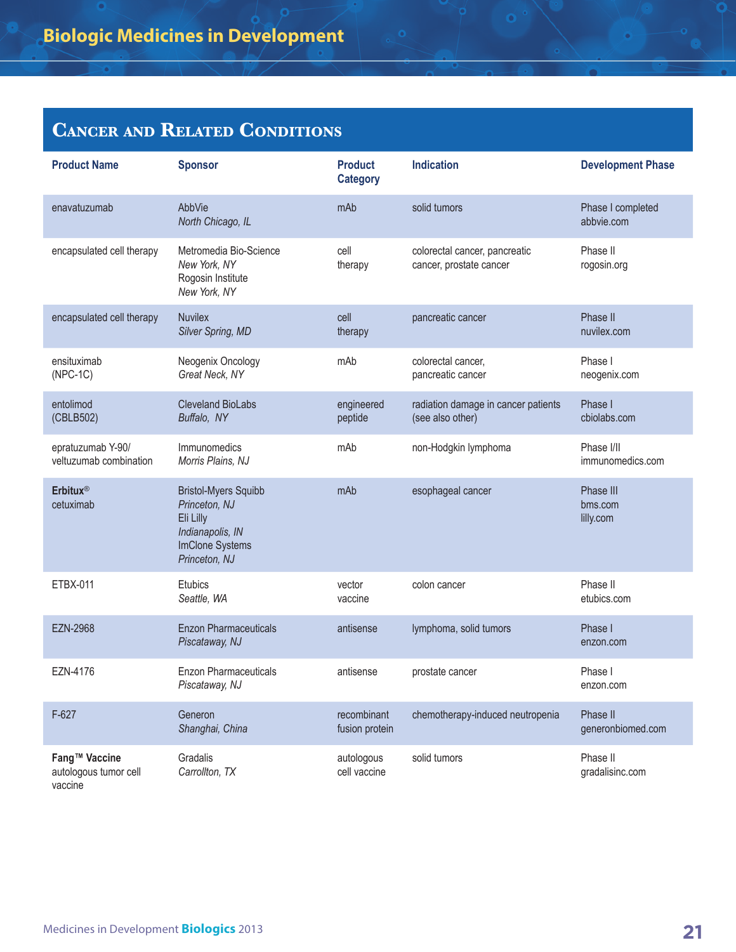| <b>Product Name</b>                               | <b>Sponsor</b>                                                                                                    | <b>Product</b><br><b>Category</b> | <b>Indication</b>                                        | <b>Development Phase</b>          |
|---------------------------------------------------|-------------------------------------------------------------------------------------------------------------------|-----------------------------------|----------------------------------------------------------|-----------------------------------|
| enavatuzumab                                      | AbbVie<br>North Chicago, IL                                                                                       | mAb                               | solid tumors                                             | Phase I completed<br>abbvie.com   |
| encapsulated cell therapy                         | Metromedia Bio-Science<br>New York, NY<br>Rogosin Institute<br>New York, NY                                       | cell<br>therapy                   | colorectal cancer, pancreatic<br>cancer, prostate cancer | Phase II<br>rogosin.org           |
| encapsulated cell therapy                         | <b>Nuvilex</b><br>Silver Spring, MD                                                                               | cell<br>therapy                   | pancreatic cancer                                        | Phase II<br>nuvilex.com           |
| ensituximab<br>$(NPC-1C)$                         | Neogenix Oncology<br>Great Neck, NY                                                                               | mAb                               | colorectal cancer,<br>pancreatic cancer                  | Phase I<br>neogenix.com           |
| entolimod<br>(CBLB502)                            | <b>Cleveland BioLabs</b><br>Buffalo, NY                                                                           | engineered<br>peptide             | radiation damage in cancer patients<br>(see also other)  | Phase I<br>cbiolabs.com           |
| epratuzumab Y-90/<br>veltuzumab combination       | Immunomedics<br>Morris Plains, NJ                                                                                 | mAb                               | non-Hodgkin lymphoma                                     | Phase I/II<br>immunomedics.com    |
| <b>Erbitux®</b><br>cetuximab                      | <b>Bristol-Myers Squibb</b><br>Princeton, NJ<br>Eli Lilly<br>Indianapolis, IN<br>ImClone Systems<br>Princeton, NJ | mAb                               | esophageal cancer                                        | Phase III<br>bms.com<br>lilly.com |
| ETBX-011                                          | <b>Etubics</b><br>Seattle, WA                                                                                     | vector<br>vaccine                 | colon cancer                                             | Phase II<br>etubics.com           |
| <b>EZN-2968</b>                                   | <b>Enzon Pharmaceuticals</b><br>Piscataway, NJ                                                                    | antisense                         | lymphoma, solid tumors                                   | Phase I<br>enzon.com              |
| EZN-4176                                          | <b>Enzon Pharmaceuticals</b><br>Piscataway, NJ                                                                    | antisense                         | prostate cancer                                          | Phase I<br>enzon.com              |
| $F-627$                                           | Generon<br>Shanghai, China                                                                                        | recombinant<br>fusion protein     | chemotherapy-induced neutropenia                         | Phase II<br>generonbiomed.com     |
| Fang™ Vaccine<br>autologous tumor cell<br>vaccine | Gradalis<br>Carrollton, TX                                                                                        | autologous<br>cell vaccine        | solid tumors                                             | Phase II<br>gradalisinc.com       |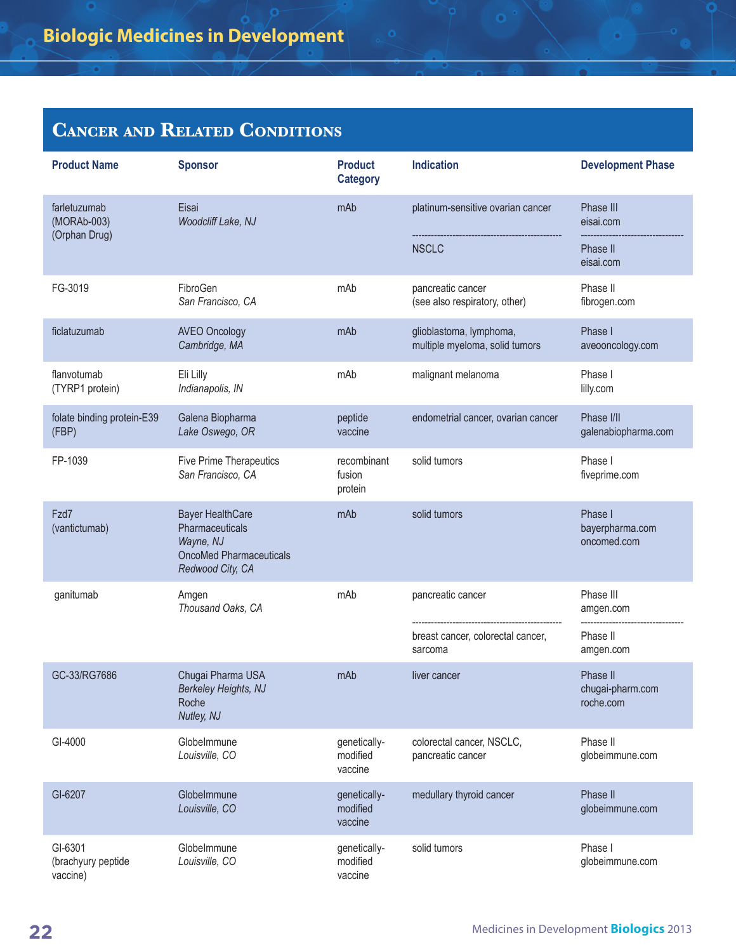| <b>Product Name</b>                       | <b>Sponsor</b>                                                                                                | <b>Product</b><br><b>Category</b>   | <b>Indication</b>                                         | <b>Development Phase</b>                  |
|-------------------------------------------|---------------------------------------------------------------------------------------------------------------|-------------------------------------|-----------------------------------------------------------|-------------------------------------------|
| farletuzumab<br>(MORAb-003)               | Eisai<br>Woodcliff Lake, NJ                                                                                   | mAb                                 | platinum-sensitive ovarian cancer                         | Phase III<br>eisai.com                    |
| (Orphan Drug)                             |                                                                                                               |                                     | <b>NSCLC</b>                                              | Phase II<br>eisai.com                     |
| FG-3019                                   | FibroGen<br>San Francisco, CA                                                                                 | mAb                                 | pancreatic cancer<br>(see also respiratory, other)        | Phase II<br>fibrogen.com                  |
| ficlatuzumab                              | <b>AVEO Oncology</b><br>Cambridge, MA                                                                         | mAb                                 | glioblastoma, lymphoma,<br>multiple myeloma, solid tumors | Phase I<br>aveooncology.com               |
| flanvotumab<br>(TYRP1 protein)            | Eli Lilly<br>Indianapolis, IN                                                                                 | mAb                                 | malignant melanoma                                        | Phase I<br>lilly.com                      |
| folate binding protein-E39<br>(FBP)       | Galena Biopharma<br>Lake Oswego, OR                                                                           | peptide<br>vaccine                  | endometrial cancer, ovarian cancer                        | Phase I/II<br>galenabiopharma.com         |
| FP-1039                                   | Five Prime Therapeutics<br>San Francisco, CA                                                                  | recombinant<br>fusion<br>protein    | solid tumors                                              | Phase I<br>fiveprime.com                  |
| Fzd7<br>(vantictumab)                     | <b>Bayer HealthCare</b><br>Pharmaceuticals<br>Wayne, NJ<br><b>OncoMed Pharmaceuticals</b><br>Redwood City, CA | mAb                                 | solid tumors                                              | Phase I<br>bayerpharma.com<br>oncomed.com |
| ganitumab                                 | Amgen<br>Thousand Oaks, CA                                                                                    | mAb                                 | pancreatic cancer                                         | Phase III<br>amgen.com                    |
|                                           |                                                                                                               |                                     | breast cancer, colorectal cancer,<br>sarcoma              | Phase II<br>amgen.com                     |
| GC-33/RG7686                              | Chugai Pharma USA<br><b>Berkeley Heights, NJ</b><br>Roche<br>Nutley, NJ                                       | mAb                                 | liver cancer                                              | Phase II<br>chugai-pharm.com<br>roche.com |
| GI-4000                                   | GlobeImmune<br>Louisville, CO                                                                                 | genetically-<br>modified<br>vaccine | colorectal cancer, NSCLC,<br>pancreatic cancer            | Phase II<br>globeimmune.com               |
| GI-6207                                   | GlobeImmune<br>Louisville, CO                                                                                 | genetically-<br>modified<br>vaccine | medullary thyroid cancer                                  | Phase II<br>globeimmune.com               |
| GI-6301<br>(brachyury peptide<br>vaccine) | Globelmmune<br>Louisville, CO                                                                                 | genetically-<br>modified<br>vaccine | solid tumors                                              | Phase I<br>globeimmune.com                |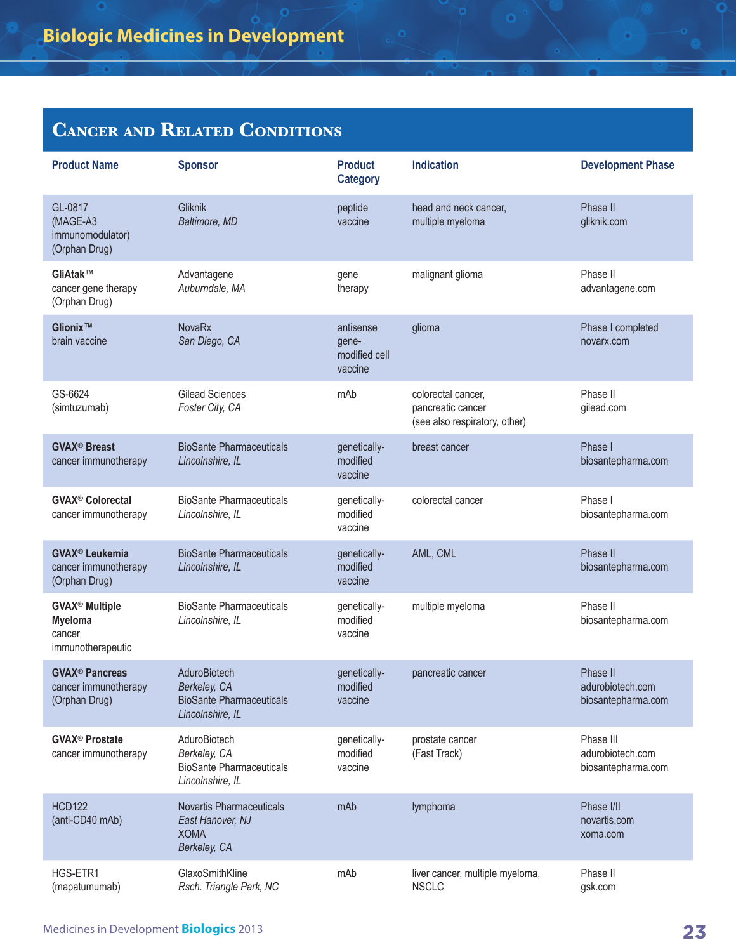| <b>Product Name</b>                                                        | <b>Sponsor</b>                                                                      | <b>Product</b><br><b>Category</b>              | <b>Indication</b>                                                        | <b>Development Phase</b>                            |
|----------------------------------------------------------------------------|-------------------------------------------------------------------------------------|------------------------------------------------|--------------------------------------------------------------------------|-----------------------------------------------------|
| GL-0817<br>(MAGE-A3<br>immunomodulator)<br>(Orphan Drug)                   | Gliknik<br>Baltimore, MD                                                            | peptide<br>vaccine                             | head and neck cancer,<br>multiple myeloma                                | Phase II<br>gliknik.com                             |
| GliAtak™<br>cancer gene therapy<br>(Orphan Drug)                           | Advantagene<br>Auburndale, MA                                                       | gene<br>therapy                                | malignant glioma                                                         | Phase II<br>advantagene.com                         |
| Glionix™<br>brain vaccine                                                  | <b>NovaRx</b><br>San Diego, CA                                                      | antisense<br>gene-<br>modified cell<br>vaccine | glioma                                                                   | Phase I completed<br>novarx.com                     |
| GS-6624<br>(simtuzumab)                                                    | <b>Gilead Sciences</b><br>Foster City, CA                                           | mAb                                            | colorectal cancer,<br>pancreatic cancer<br>(see also respiratory, other) | Phase II<br>gilead.com                              |
| <b>GVAX<sup>®</sup> Breast</b><br>cancer immunotherapy                     | <b>BioSante Pharmaceuticals</b><br>Lincolnshire, IL                                 | genetically-<br>modified<br>vaccine            | breast cancer                                                            | Phase I<br>biosantepharma.com                       |
| <b>GVAX<sup>®</sup> Colorectal</b><br>cancer immunotherapy                 | <b>BioSante Pharmaceuticals</b><br>Lincolnshire, IL                                 | genetically-<br>modified<br>vaccine            | colorectal cancer                                                        | Phase I<br>biosantepharma.com                       |
| <b>GVAX<sup>®</sup> Leukemia</b><br>cancer immunotherapy<br>(Orphan Drug)  | <b>BioSante Pharmaceuticals</b><br>Lincolnshire, IL                                 | genetically-<br>modified<br>vaccine            | AML, CML                                                                 | Phase II<br>biosantepharma.com                      |
| <b>GVAX<sup>®</sup> Multiple</b><br>Myeloma<br>cancer<br>immunotherapeutic | <b>BioSante Pharmaceuticals</b><br>Lincolnshire, IL                                 | genetically-<br>modified<br>vaccine            | multiple myeloma                                                         | Phase II<br>biosantepharma.com                      |
| <b>GVAX<sup>®</sup> Pancreas</b><br>cancer immunotherapy<br>(Orphan Drug)  | AduroBiotech<br>Berkeley, CA<br><b>BioSante Pharmaceuticals</b><br>Lincolnshire, IL | genetically-<br>modified<br>vaccine            | pancreatic cancer                                                        | Phase II<br>adurobiotech.com<br>biosantepharma.com  |
| <b>GVAX<sup>®</sup> Prostate</b><br>cancer immunotherapy                   | AduroBiotech<br>Berkeley, CA<br><b>BioSante Pharmaceuticals</b><br>Lincolnshire, IL | genetically-<br>modified<br>vaccine            | prostate cancer<br>(Fast Track)                                          | Phase III<br>adurobiotech.com<br>biosantepharma.com |
| <b>HCD122</b><br>(anti-CD40 mAb)                                           | <b>Novartis Pharmaceuticals</b><br>East Hanover, NJ<br><b>XOMA</b><br>Berkeley, CA  | mAb                                            | lymphoma                                                                 | Phase I/II<br>novartis.com<br>xoma.com              |
| HGS-ETR1<br>(mapatumumab)                                                  | GlaxoSmithKline<br>Rsch. Triangle Park, NC                                          | mAb                                            | liver cancer, multiple myeloma,<br><b>NSCLC</b>                          | Phase II<br>gsk.com                                 |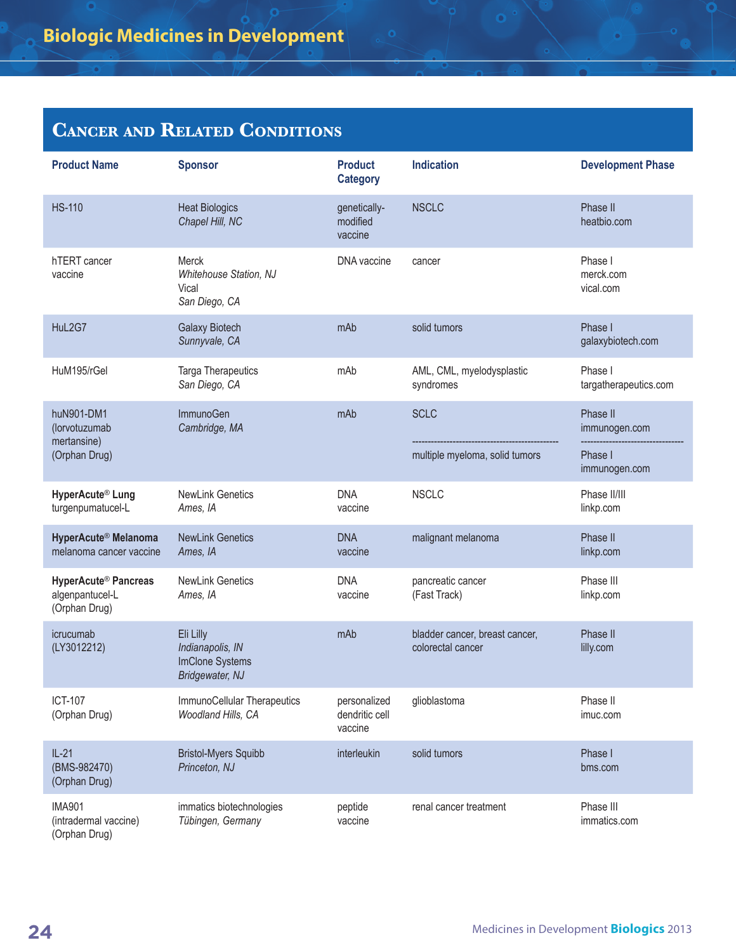| <b>Product Name</b>                                                  | <b>Sponsor</b>                                                      | <b>Product</b><br><b>Category</b>         | <b>Indication</b>                                   | <b>Development Phase</b>                              |
|----------------------------------------------------------------------|---------------------------------------------------------------------|-------------------------------------------|-----------------------------------------------------|-------------------------------------------------------|
| <b>HS-110</b>                                                        | <b>Heat Biologics</b><br>Chapel Hill, NC                            | genetically-<br>modified<br>vaccine       | <b>NSCLC</b>                                        | Phase II<br>heatbio.com                               |
| hTERT cancer<br>vaccine                                              | Merck<br><b>Whitehouse Station, NJ</b><br>Vical<br>San Diego, CA    | DNA vaccine                               | cancer                                              | Phase I<br>merck.com<br>vical.com                     |
| HuL2G7                                                               | <b>Galaxy Biotech</b><br>Sunnyvale, CA                              | mAb                                       | solid tumors                                        | Phase I<br>galaxybiotech.com                          |
| HuM195/rGel                                                          | Targa Therapeutics<br>San Diego, CA                                 | mAb                                       | AML, CML, myelodysplastic<br>syndromes              | Phase I<br>targatherapeutics.com                      |
| huN901-DM1<br>(lorvotuzumab<br>mertansine)<br>(Orphan Drug)          | ImmunoGen<br>Cambridge, MA                                          | mAb                                       | <b>SCLC</b><br>multiple myeloma, solid tumors       | Phase II<br>immunogen.com<br>Phase I<br>immunogen.com |
| HyperAcute® Lung<br>turgenpumatucel-L                                | <b>NewLink Genetics</b><br>Ames, IA                                 | <b>DNA</b><br>vaccine                     | <b>NSCLC</b>                                        | Phase II/III<br>linkp.com                             |
| HyperAcute <sup>®</sup> Melanoma<br>melanoma cancer vaccine          | <b>NewLink Genetics</b><br>Ames, IA                                 | <b>DNA</b><br>vaccine                     | malignant melanoma                                  | Phase II<br>linkp.com                                 |
| HyperAcute <sup>®</sup> Pancreas<br>algenpantucel-L<br>(Orphan Drug) | <b>NewLink Genetics</b><br>Ames, IA                                 | <b>DNA</b><br>vaccine                     | pancreatic cancer<br>(Fast Track)                   | Phase III<br>linkp.com                                |
| icrucumab<br>(LY3012212)                                             | Eli Lilly<br>Indianapolis, IN<br>ImClone Systems<br>Bridgewater, NJ | mAb                                       | bladder cancer, breast cancer,<br>colorectal cancer | Phase II<br>lilly.com                                 |
| <b>ICT-107</b><br>(Orphan Drug)                                      | ImmunoCellular Therapeutics<br>Woodland Hills, CA                   | personalized<br>dendritic cell<br>vaccine | glioblastoma                                        | Phase II<br>imuc.com                                  |
| $IL-21$<br>(BMS-982470)<br>(Orphan Drug)                             | <b>Bristol-Myers Squibb</b><br>Princeton, NJ                        | interleukin                               | solid tumors                                        | Phase I<br>bms.com                                    |
| <b>IMA901</b><br>(intradermal vaccine)<br>(Orphan Drug)              | immatics biotechnologies<br>Tübingen, Germany                       | peptide<br>vaccine                        | renal cancer treatment                              | Phase III<br>immatics.com                             |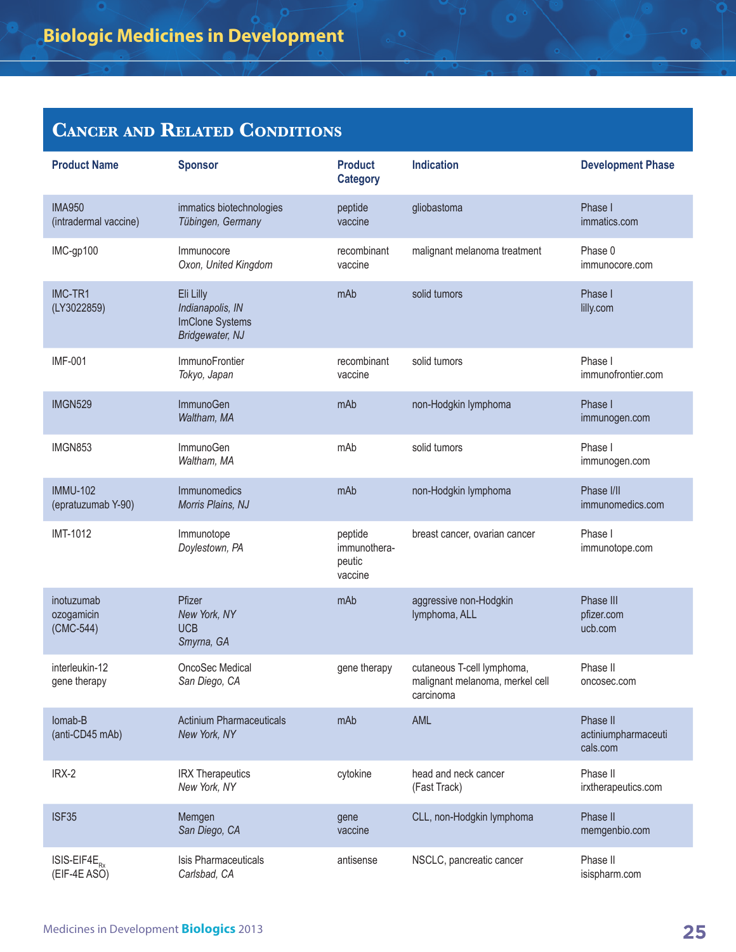| <b>Product Name</b>                     | <b>Sponsor</b>                                                      | <b>Product</b><br><b>Category</b>            | <b>Indication</b>                                                          | <b>Development Phase</b>                    |
|-----------------------------------------|---------------------------------------------------------------------|----------------------------------------------|----------------------------------------------------------------------------|---------------------------------------------|
| <b>IMA950</b><br>(intradermal vaccine)  | immatics biotechnologies<br>Tübingen, Germany                       | peptide<br>vaccine                           | gliobastoma                                                                | Phase I<br>immatics.com                     |
| IMC-gp100                               | Immunocore<br>Oxon, United Kingdom                                  | recombinant<br>vaccine                       | malignant melanoma treatment                                               | Phase 0<br>immunocore.com                   |
| IMC-TR1<br>(LY3022859)                  | Eli Lilly<br>Indianapolis, IN<br>ImClone Systems<br>Bridgewater, NJ | mAb                                          | solid tumors                                                               | Phase I<br>lilly.com                        |
| <b>IMF-001</b>                          | ImmunoFrontier<br>Tokyo, Japan                                      | recombinant<br>vaccine                       | solid tumors                                                               | Phase I<br>immunofrontier.com               |
| <b>IMGN529</b>                          | ImmunoGen<br>Waltham, MA                                            | mAb                                          | non-Hodgkin lymphoma                                                       | Phase I<br>immunogen.com                    |
| IMGN853                                 | ImmunoGen<br>Waltham, MA                                            | mAb                                          | solid tumors                                                               | Phase I<br>immunogen.com                    |
| <b>IMMU-102</b><br>(epratuzumab Y-90)   | Immunomedics<br>Morris Plains, NJ                                   | mAb                                          | non-Hodgkin lymphoma                                                       | Phase I/II<br>immunomedics.com              |
| <b>IMT-1012</b>                         | Immunotope<br>Doylestown, PA                                        | peptide<br>immunothera-<br>peutic<br>vaccine | breast cancer, ovarian cancer                                              | Phase I<br>immunotope.com                   |
| inotuzumab<br>ozogamicin<br>$(CMC-544)$ | Pfizer<br>New York, NY<br><b>UCB</b><br>Smyrna, GA                  | mAb                                          | aggressive non-Hodgkin<br>lymphoma, ALL                                    | Phase III<br>pfizer.com<br>ucb.com          |
| interleukin-12<br>gene therapy          | OncoSec Medical<br>San Diego, CA                                    | gene therapy                                 | cutaneous T-cell lymphoma,<br>malignant melanoma, merkel cell<br>carcinoma | Phase II<br>oncosec.com                     |
| Iomab-B<br>(anti-CD45 mAb)              | <b>Actinium Pharmaceuticals</b><br>New York, NY                     | mAb                                          | AML                                                                        | Phase II<br>actiniumpharmaceuti<br>cals.com |
| IRX-2                                   | <b>IRX Therapeutics</b><br>New York, NY                             | cytokine                                     | head and neck cancer<br>(Fast Track)                                       | Phase II<br>irxtherapeutics.com             |
| <b>ISF35</b>                            | Memgen<br>San Diego, CA                                             | gene<br>vaccine                              | CLL, non-Hodgkin lymphoma                                                  | Phase II<br>memgenbio.com                   |
| $ISIS-EIF4E_{p}$<br>(EIF-4E ASO)        | Isis Pharmaceuticals<br>Carlsbad, CA                                | antisense                                    | NSCLC, pancreatic cancer                                                   | Phase II<br>isispharm.com                   |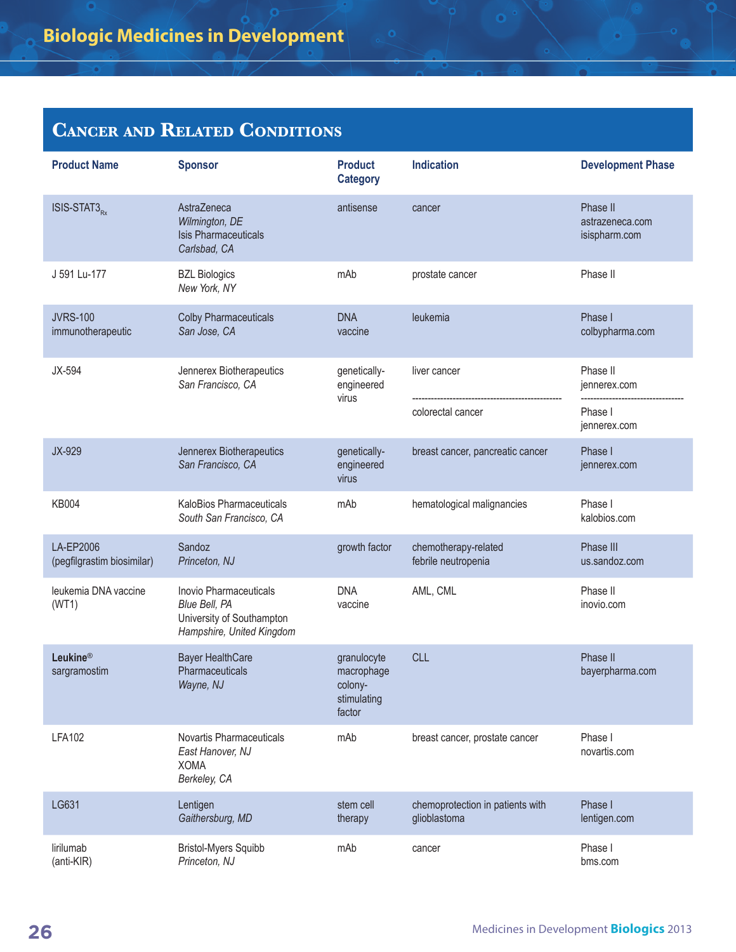| <b>Product Name</b>                     | <b>Sponsor</b>                                                                                    | <b>Product</b><br><b>Category</b>                             | <b>Indication</b>                                | <b>Development Phase</b>                     |
|-----------------------------------------|---------------------------------------------------------------------------------------------------|---------------------------------------------------------------|--------------------------------------------------|----------------------------------------------|
| ISIS-STAT3 <sub>Rx</sub>                | AstraZeneca<br>Wilmington, DE<br><b>Isis Pharmaceuticals</b><br>Carlsbad, CA                      | antisense                                                     | cancer                                           | Phase II<br>astrazeneca.com<br>isispharm.com |
| J 591 Lu-177                            | <b>BZL Biologics</b><br>New York, NY                                                              | mAb                                                           | prostate cancer                                  | Phase II                                     |
| <b>JVRS-100</b><br>immunotherapeutic    | <b>Colby Pharmaceuticals</b><br>San Jose, CA                                                      | <b>DNA</b><br>vaccine                                         | leukemia                                         | Phase I<br>colbypharma.com                   |
| JX-594                                  | Jennerex Biotherapeutics<br>San Francisco, CA                                                     | genetically-<br>engineered<br>virus                           | liver cancer                                     | Phase II<br>jennerex.com                     |
|                                         |                                                                                                   |                                                               | colorectal cancer                                | Phase I<br>jennerex.com                      |
| JX-929                                  | Jennerex Biotherapeutics<br>San Francisco, CA                                                     | genetically-<br>engineered<br>virus                           | breast cancer, pancreatic cancer                 | Phase I<br>jennerex.com                      |
| <b>KB004</b>                            | KaloBios Pharmaceuticals<br>South San Francisco, CA                                               | mAb                                                           | hematological malignancies                       | Phase I<br>kalobios.com                      |
| LA-EP2006<br>(pegfilgrastim biosimilar) | Sandoz<br>Princeton, NJ                                                                           | growth factor                                                 | chemotherapy-related<br>febrile neutropenia      | Phase III<br>us.sandoz.com                   |
| leukemia DNA vaccine<br>(WT1)           | Inovio Pharmaceuticals<br>Blue Bell, PA<br>University of Southampton<br>Hampshire, United Kingdom | <b>DNA</b><br>vaccine                                         | AML, CML                                         | Phase II<br>inovio.com                       |
| Leukine®<br>sargramostim                | <b>Bayer HealthCare</b><br>Pharmaceuticals<br>Wayne, NJ                                           | granulocyte<br>macrophage<br>colony-<br>stimulating<br>factor | <b>CLL</b>                                       | Phase II<br>bayerpharma.com                  |
| <b>LFA102</b>                           | Novartis Pharmaceuticals<br>East Hanover, NJ<br><b>XOMA</b><br>Berkeley, CA                       | mAb                                                           | breast cancer, prostate cancer                   | Phase I<br>novartis.com                      |
| LG631                                   | Lentigen<br>Gaithersburg, MD                                                                      | stem cell<br>therapy                                          | chemoprotection in patients with<br>glioblastoma | Phase I<br>lentigen.com                      |
| lirilumab<br>(anti-KIR)                 | <b>Bristol-Myers Squibb</b><br>Princeton, NJ                                                      | mAb                                                           | cancer                                           | Phase I<br>bms.com                           |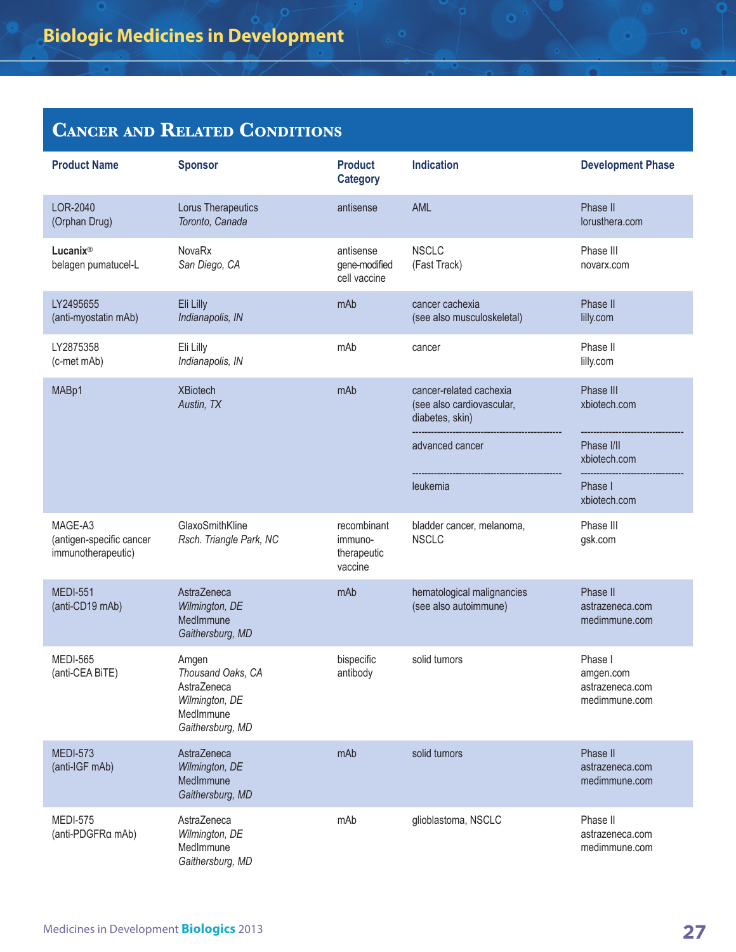| <b>Product Name</b>                                       | <b>Sponsor</b>                                                                               | <b>Product</b><br><b>Category</b>                | <b>Indication</b>                                                       | <b>Development Phase</b>                                 |
|-----------------------------------------------------------|----------------------------------------------------------------------------------------------|--------------------------------------------------|-------------------------------------------------------------------------|----------------------------------------------------------|
| LOR-2040<br>(Orphan Drug)                                 | Lorus Therapeutics<br>Toronto, Canada                                                        | antisense                                        | AML                                                                     | Phase II<br>lorusthera.com                               |
| Lucanix®<br>belagen pumatucel-L                           | NovaRx<br>San Diego, CA                                                                      | antisense<br>gene-modified<br>cell vaccine       | <b>NSCLC</b><br>(Fast Track)                                            | Phase III<br>novarx.com                                  |
| LY2495655<br>(anti-myostatin mAb)                         | Eli Lilly<br>Indianapolis, IN                                                                | mAb                                              | cancer cachexia<br>(see also musculoskeletal)                           | Phase II<br>lilly.com                                    |
| LY2875358<br>(c-met mAb)                                  | Eli Lilly<br>Indianapolis, IN                                                                | mAb                                              | cancer                                                                  | Phase II<br>lilly.com                                    |
| MABp1                                                     | <b>XBiotech</b><br>Austin, TX                                                                | mAb                                              | cancer-related cachexia<br>(see also cardiovascular,<br>diabetes, skin) | Phase III<br>xbiotech.com                                |
|                                                           |                                                                                              |                                                  | advanced cancer                                                         | Phase I/II<br>xbiotech.com                               |
|                                                           |                                                                                              |                                                  | leukemia                                                                | Phase I<br>xbiotech.com                                  |
| MAGE-A3<br>(antigen-specific cancer<br>immunotherapeutic) | GlaxoSmithKline<br>Rsch. Triangle Park, NC                                                   | recombinant<br>immuno-<br>therapeutic<br>vaccine | bladder cancer, melanoma,<br><b>NSCLC</b>                               | Phase III<br>gsk.com                                     |
| <b>MEDI-551</b><br>(anti-CD19 mAb)                        | AstraZeneca<br>Wilmington, DE<br>MedImmune<br>Gaithersburg, MD                               | mAb                                              | hematological malignancies<br>(see also autoimmune)                     | Phase II<br>astrazeneca.com<br>medimmune.com             |
| <b>MEDI-565</b><br>(anti-CEA BiTE)                        | Amgen<br>Thousand Oaks, CA<br>AstraZeneca<br>Wilmington, DE<br>MedImmune<br>Gaithersburg, MD | bispecific<br>antibody                           | solid tumors                                                            | Phase I<br>amgen.com<br>astrazeneca.com<br>medimmune.com |
| <b>MEDI-573</b><br>(anti-IGF mAb)                         | AstraZeneca<br>Wilmington, DE<br>MedImmune<br>Gaithersburg, MD                               | mAb                                              | solid tumors                                                            | Phase II<br>astrazeneca.com<br>medimmune.com             |
| <b>MEDI-575</b><br>(anti-PDGFRa mAb)                      | AstraZeneca<br>Wilmington, DE<br>MedImmune<br>Gaithersburg, MD                               | mAb                                              | glioblastoma, NSCLC                                                     | Phase II<br>astrazeneca.com<br>medimmune.com             |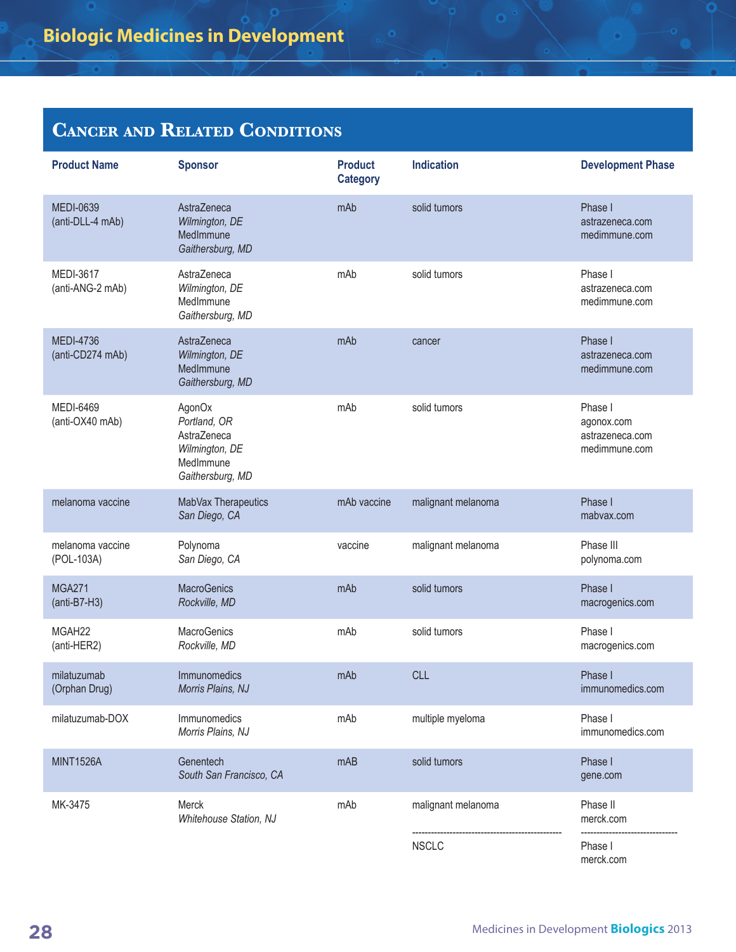| <b>Product Name</b>                  | <b>Sponsor</b>                                                                           | <b>Product</b><br><b>Category</b> | <b>Indication</b>  | <b>Development Phase</b>                                  |
|--------------------------------------|------------------------------------------------------------------------------------------|-----------------------------------|--------------------|-----------------------------------------------------------|
| <b>MEDI-0639</b><br>(anti-DLL-4 mAb) | AstraZeneca<br>Wilmington, DE<br>MedImmune<br>Gaithersburg, MD                           | mAb                               | solid tumors       | Phase I<br>astrazeneca.com<br>medimmune.com               |
| <b>MEDI-3617</b><br>(anti-ANG-2 mAb) | AstraZeneca<br>Wilmington, DE<br>MedImmune<br>Gaithersburg, MD                           | mAb                               | solid tumors       | Phase I<br>astrazeneca.com<br>medimmune.com               |
| <b>MEDI-4736</b><br>(anti-CD274 mAb) | AstraZeneca<br>Wilmington, DE<br>MedImmune<br>Gaithersburg, MD                           | mAb                               | cancer             | Phase I<br>astrazeneca.com<br>medimmune.com               |
| <b>MEDI-6469</b><br>(anti-OX40 mAb)  | AgonOx<br>Portland, OR<br>AstraZeneca<br>Wilmington, DE<br>MedImmune<br>Gaithersburg, MD | mAb                               | solid tumors       | Phase I<br>agonox.com<br>astrazeneca.com<br>medimmune.com |
| melanoma vaccine                     | MabVax Therapeutics<br>San Diego, CA                                                     | mAb vaccine                       | malignant melanoma | Phase I<br>mabvax.com                                     |
| melanoma vaccine<br>(POL-103A)       | Polynoma<br>San Diego, CA                                                                | vaccine                           | malignant melanoma | Phase III<br>polynoma.com                                 |
| <b>MGA271</b><br>$(anti-B7-H3)$      | <b>MacroGenics</b><br>Rockville, MD                                                      | mAb                               | solid tumors       | Phase I<br>macrogenics.com                                |
| MGAH <sub>22</sub><br>(anti-HER2)    | MacroGenics<br>Rockville, MD                                                             | mAb                               | solid tumors       | Phase I<br>macrogenics.com                                |
| milatuzumab<br>(Orphan Drug)         | Immunomedics<br>Morris Plains, NJ                                                        | mAb                               | <b>CLL</b>         | Phase I<br>immunomedics.com                               |
| milatuzumab-DOX                      | Immunomedics<br>Morris Plains, NJ                                                        | mAb                               | multiple myeloma   | Phase I<br>immunomedics.com                               |
| <b>MINT1526A</b>                     | Genentech<br>South San Francisco, CA                                                     | mAB                               | solid tumors       | Phase I<br>gene.com                                       |
| MK-3475                              | Merck<br>Whitehouse Station, NJ                                                          | mAb                               | malignant melanoma | Phase II<br>merck.com                                     |
|                                      |                                                                                          |                                   | <b>NSCLC</b>       | Phase I<br>merck.com                                      |

ō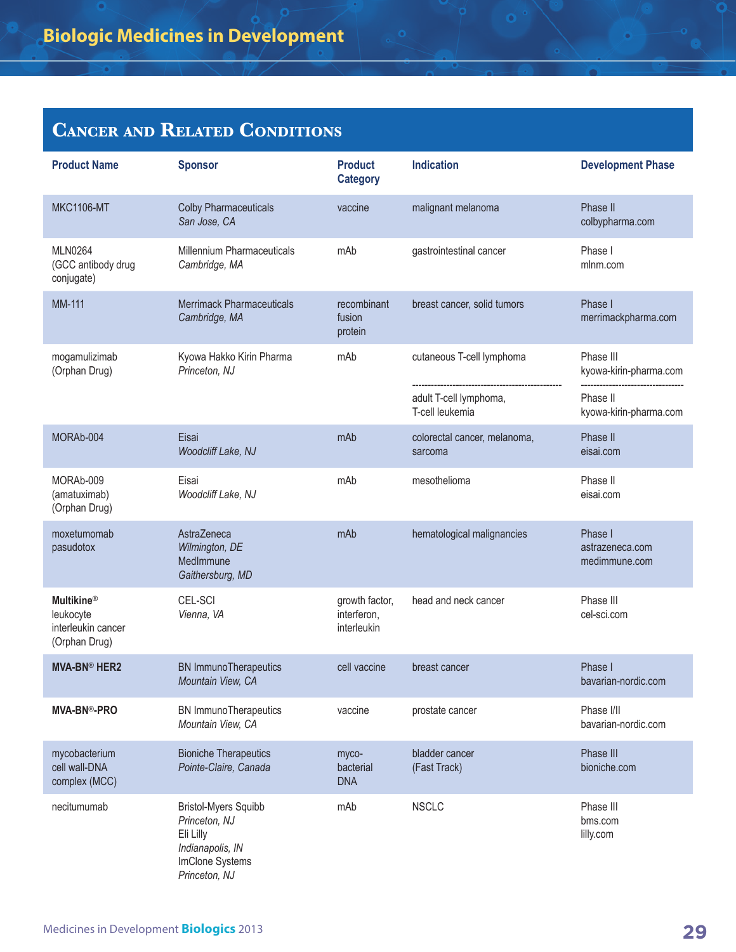| <b>Product Name</b>                                                   | <b>Sponsor</b>                                                                                                    | <b>Product</b><br><b>Category</b>            | <b>Indication</b>                         | <b>Development Phase</b>                    |
|-----------------------------------------------------------------------|-------------------------------------------------------------------------------------------------------------------|----------------------------------------------|-------------------------------------------|---------------------------------------------|
| <b>MKC1106-MT</b>                                                     | <b>Colby Pharmaceuticals</b><br>San Jose, CA                                                                      | vaccine                                      | malignant melanoma                        | Phase II<br>colbypharma.com                 |
| <b>MLN0264</b><br>(GCC antibody drug<br>conjugate)                    | Millennium Pharmaceuticals<br>Cambridge, MA                                                                       | mAb                                          | gastrointestinal cancer                   | Phase I<br>mlnm.com                         |
| <b>MM-111</b>                                                         | <b>Merrimack Pharmaceuticals</b><br>Cambridge, MA                                                                 | recombinant<br>fusion<br>protein             | breast cancer, solid tumors               | Phase I<br>merrimackpharma.com              |
| mogamulizimab<br>(Orphan Drug)                                        | Kyowa Hakko Kirin Pharma<br>Princeton, NJ                                                                         | mAb                                          | cutaneous T-cell lymphoma                 | Phase III<br>kyowa-kirin-pharma.com         |
|                                                                       |                                                                                                                   |                                              | adult T-cell lymphoma,<br>T-cell leukemia | Phase II<br>kyowa-kirin-pharma.com          |
| MORAb-004                                                             | Eisai<br>Woodcliff Lake, NJ                                                                                       | mAb                                          | colorectal cancer, melanoma,<br>sarcoma   | Phase II<br>eisai.com                       |
| MORAb-009<br>(amatuximab)<br>(Orphan Drug)                            | Eisai<br>Woodcliff Lake, NJ                                                                                       | mAb                                          | mesothelioma                              | Phase II<br>eisai.com                       |
| moxetumomab<br>pasudotox                                              | AstraZeneca<br>Wilmington, DE<br>MedImmune<br>Gaithersburg, MD                                                    | mAb                                          | hematological malignancies                | Phase I<br>astrazeneca.com<br>medimmune.com |
| <b>Multikine®</b><br>leukocyte<br>interleukin cancer<br>(Orphan Drug) | CEL-SCI<br>Vienna, VA                                                                                             | growth factor,<br>interferon,<br>interleukin | head and neck cancer                      | Phase III<br>cel-sci.com                    |
| <b>MVA-BN® HER2</b>                                                   | <b>BN ImmunoTherapeutics</b><br>Mountain View, CA                                                                 | cell vaccine                                 | breast cancer                             | Phase I<br>bavarian-nordic.com              |
| <b>MVA-BN®-PRO</b>                                                    | <b>BN</b> ImmunoTherapeutics<br>Mountain View, CA                                                                 | vaccine                                      | prostate cancer                           | Phase I/II<br>bavarian-nordic.com           |
| mycobacterium<br>cell wall-DNA<br>complex (MCC)                       | <b>Bioniche Therapeutics</b><br>Pointe-Claire, Canada                                                             | myco-<br>bacterial<br><b>DNA</b>             | bladder cancer<br>(Fast Track)            | Phase III<br>bioniche.com                   |
| necitumumab                                                           | <b>Bristol-Myers Squibb</b><br>Princeton, NJ<br>Eli Lilly<br>Indianapolis, IN<br>ImClone Systems<br>Princeton, NJ | mAb                                          | <b>NSCLC</b>                              | Phase III<br>bms.com<br>lilly.com           |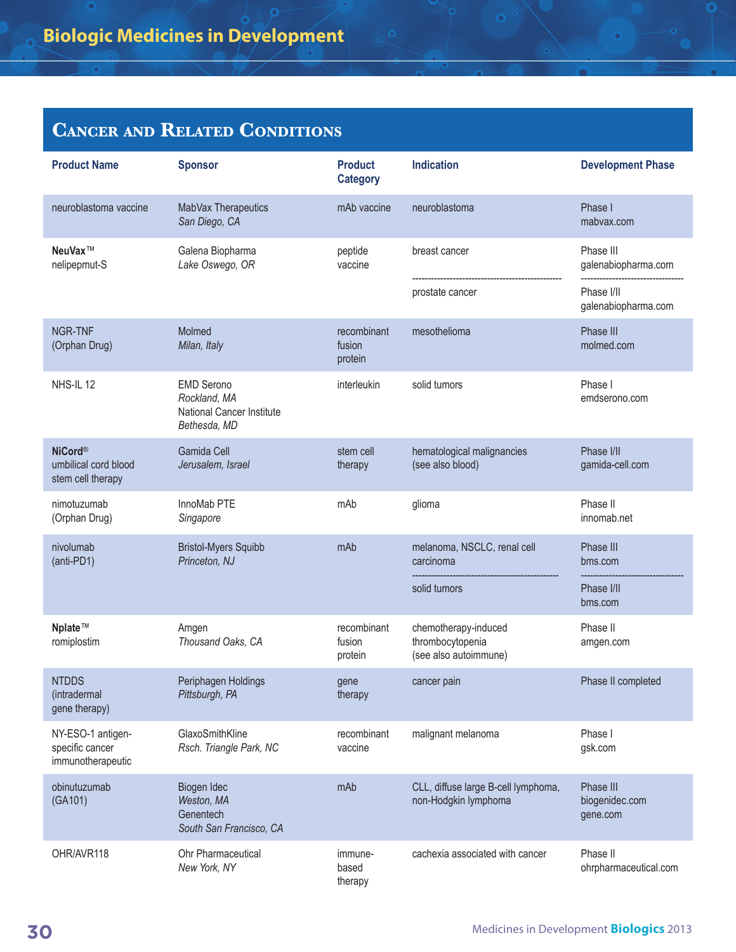| <b>Product Name</b>                                         | <b>Sponsor</b>                                                                        | <b>Product</b><br><b>Category</b> | <b>Indication</b>                                                 | <b>Development Phase</b>                       |
|-------------------------------------------------------------|---------------------------------------------------------------------------------------|-----------------------------------|-------------------------------------------------------------------|------------------------------------------------|
| neuroblastoma vaccine                                       | MabVax Therapeutics<br>San Diego, CA                                                  | mAb vaccine                       | neuroblastoma                                                     | Phase I<br>mabvax.com                          |
| NeuVax™<br>nelipepmut-S                                     | Galena Biopharma<br>Lake Oswego, OR                                                   | peptide<br>vaccine                | breast cancer<br>prostate cancer                                  | Phase III<br>galenabiopharma.com<br>Phase I/II |
|                                                             |                                                                                       |                                   |                                                                   | galenabiopharma.com                            |
| <b>NGR-TNF</b><br>(Orphan Drug)                             | Molmed<br>Milan, Italy                                                                | recombinant<br>fusion<br>protein  | mesothelioma                                                      | Phase III<br>molmed.com                        |
| NHS-IL 12                                                   | <b>EMD Serono</b><br>Rockland, MA<br><b>National Cancer Institute</b><br>Bethesda, MD | interleukin                       | solid tumors                                                      | Phase I<br>emdserono.com                       |
| <b>NiCord®</b><br>umbilical cord blood<br>stem cell therapy | Gamida Cell<br>Jerusalem, Israel                                                      | stem cell<br>therapy              | hematological malignancies<br>(see also blood)                    | Phase I/II<br>gamida-cell.com                  |
| nimotuzumab<br>(Orphan Drug)                                | InnoMab PTE<br>Singapore                                                              | mAb                               | glioma                                                            | Phase II<br>innomab.net                        |
| nivolumab<br>(anti-PD1)                                     | <b>Bristol-Myers Squibb</b><br>Princeton, NJ                                          | mAb                               | melanoma, NSCLC, renal cell<br>carcinoma                          | Phase III<br>bms.com                           |
|                                                             |                                                                                       |                                   | solid tumors                                                      | Phase I/II<br>bms.com                          |
| Nplate™<br>romiplostim                                      | Amgen<br>Thousand Oaks, CA                                                            | recombinant<br>fusion<br>protein  | chemotherapy-induced<br>thrombocytopenia<br>(see also autoimmune) | Phase II<br>amgen.com                          |
| <b>NTDDS</b><br>(intradermal<br>gene therapy)               | Periphagen Holdings<br>Pittsburgh, PA                                                 | gene<br>therapy                   | cancer pain                                                       | Phase II completed                             |
| NY-ESO-1 antigen-<br>specific cancer<br>immunotherapeutic   | GlaxoSmithKline<br>Rsch. Triangle Park, NC                                            | recombinant<br>vaccine            | malignant melanoma                                                | Phase I<br>gsk.com                             |
| obinutuzumab<br>(GA101)                                     | Biogen Idec<br>Weston, MA<br>Genentech<br>South San Francisco, CA                     | mAb                               | CLL, diffuse large B-cell lymphoma,<br>non-Hodgkin lymphoma       | Phase III<br>biogenidec.com<br>gene.com        |
| OHR/AVR118                                                  | Ohr Pharmaceutical<br>New York, NY                                                    | immune-<br>based<br>therapy       | cachexia associated with cancer                                   | Phase II<br>ohrpharmaceutical.com              |

o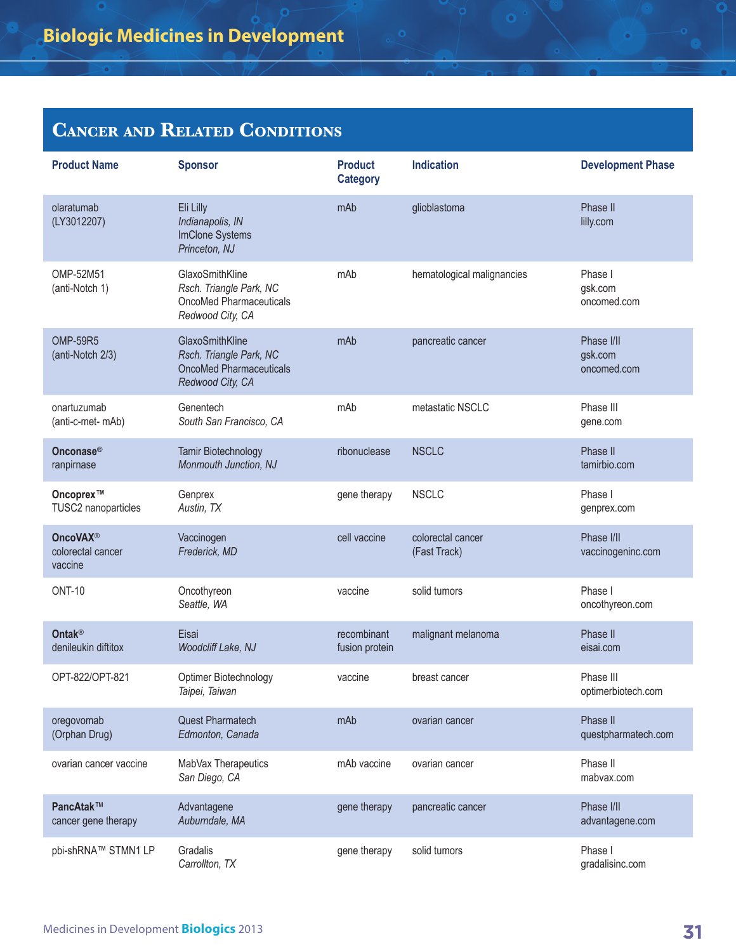| <b>Product Name</b>                             | <b>Sponsor</b>                                                                                   | <b>Product</b><br><b>Category</b> | <b>Indication</b>                 | <b>Development Phase</b>             |
|-------------------------------------------------|--------------------------------------------------------------------------------------------------|-----------------------------------|-----------------------------------|--------------------------------------|
| olaratumab<br>(LY3012207)                       | Eli Lilly<br>Indianapolis, IN<br>ImClone Systems<br>Princeton, NJ                                | mAb                               | glioblastoma                      | Phase II<br>lilly.com                |
| OMP-52M51<br>(anti-Notch 1)                     | GlaxoSmithKline<br>Rsch. Triangle Park, NC<br>OncoMed Pharmaceuticals<br>Redwood City, CA        | mAb                               | hematological malignancies        | Phase I<br>gsk.com<br>oncomed.com    |
| <b>OMP-59R5</b><br>(anti-Notch 2/3)             | GlaxoSmithKline<br>Rsch. Triangle Park, NC<br><b>OncoMed Pharmaceuticals</b><br>Redwood City, CA | mAb                               | pancreatic cancer                 | Phase I/II<br>gsk.com<br>oncomed.com |
| onartuzumab<br>(anti-c-met- mAb)                | Genentech<br>South San Francisco, CA                                                             | mAb                               | metastatic NSCLC                  | Phase III<br>gene.com                |
| Onconase <sup>®</sup><br>ranpirnase             | Tamir Biotechnology<br>Monmouth Junction, NJ                                                     | ribonuclease                      | <b>NSCLC</b>                      | Phase II<br>tamirbio.com             |
| Oncoprex™<br>TUSC2 nanoparticles                | Genprex<br>Austin, TX                                                                            | gene therapy                      | <b>NSCLC</b>                      | Phase I<br>genprex.com               |
| <b>OncoVAX®</b><br>colorectal cancer<br>vaccine | Vaccinogen<br>Frederick, MD                                                                      | cell vaccine                      | colorectal cancer<br>(Fast Track) | Phase I/II<br>vaccinogeninc.com      |
| <b>ONT-10</b>                                   | Oncothyreon<br>Seattle, WA                                                                       | vaccine                           | solid tumors                      | Phase I<br>oncothyreon.com           |
| <b>Ontak®</b><br>denileukin diftitox            | Eisai<br>Woodcliff Lake, NJ                                                                      | recombinant<br>fusion protein     | malignant melanoma                | Phase II<br>eisai.com                |
| OPT-822/OPT-821                                 | Optimer Biotechnology<br>Taipei, Taiwan                                                          | vaccine                           | breast cancer                     | Phase III<br>optimerbiotech.com      |
| oregovomab<br>(Orphan Drug)                     | <b>Quest Pharmatech</b><br>Edmonton, Canada                                                      | mAb                               | ovarian cancer                    | Phase II<br>questpharmatech.com      |
| ovarian cancer vaccine                          | MabVax Therapeutics<br>San Diego, CA                                                             | mAb vaccine                       | ovarian cancer                    | Phase II<br>mabvax.com               |
| PancAtak™<br>cancer gene therapy                | Advantagene<br>Auburndale, MA                                                                    | gene therapy                      | pancreatic cancer                 | Phase I/II<br>advantagene.com        |
| pbi-shRNA™ STMN1 LP                             | Gradalis<br>Carrollton, TX                                                                       | gene therapy                      | solid tumors                      | Phase I<br>gradalisinc.com           |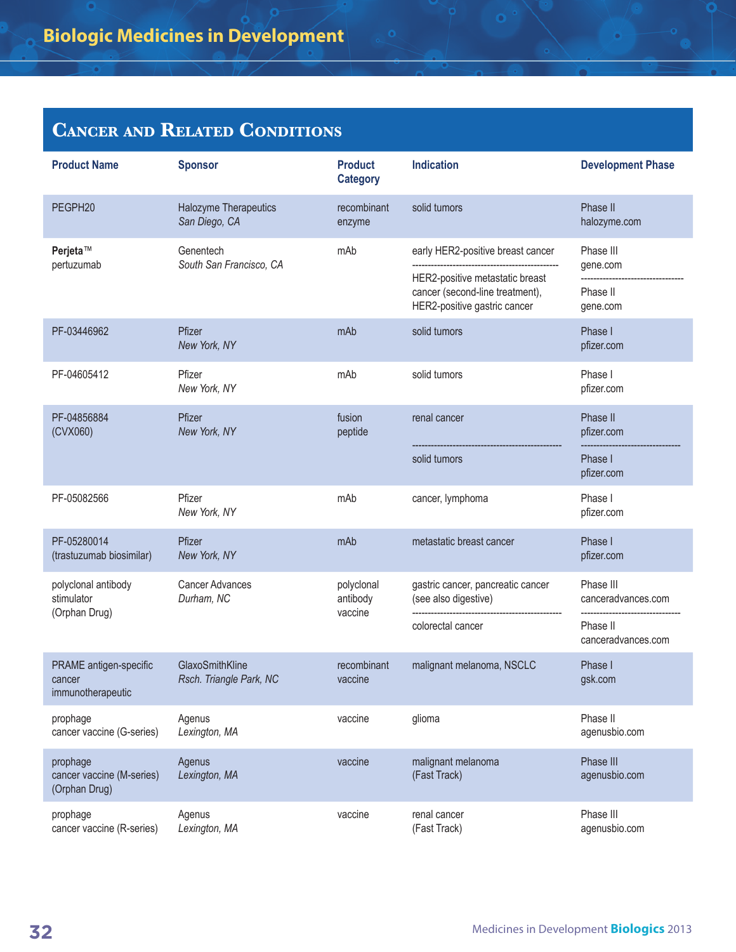| <b>Product Name</b>                                    | <b>Sponsor</b>                             | <b>Product</b><br><b>Category</b> | <b>Indication</b>                                                                                                                       | <b>Development Phase</b>                                          |
|--------------------------------------------------------|--------------------------------------------|-----------------------------------|-----------------------------------------------------------------------------------------------------------------------------------------|-------------------------------------------------------------------|
| PEGPH20                                                | Halozyme Therapeutics<br>San Diego, CA     | recombinant<br>enzyme             | solid tumors                                                                                                                            | Phase II<br>halozyme.com                                          |
| Perjeta™<br>pertuzumab                                 | Genentech<br>South San Francisco, CA       | mAb                               | early HER2-positive breast cancer<br>HER2-positive metastatic breast<br>cancer (second-line treatment),<br>HER2-positive gastric cancer | Phase III<br>gene.com<br>Phase II<br>gene.com                     |
| PF-03446962                                            | Pfizer<br>New York, NY                     | mAb                               | solid tumors                                                                                                                            | Phase I<br>pfizer.com                                             |
| PF-04605412                                            | Pfizer<br>New York, NY                     | mAb                               | solid tumors                                                                                                                            | Phase I<br>pfizer.com                                             |
| PF-04856884<br>(CVX060)                                | Pfizer<br>New York, NY                     | fusion<br>peptide                 | renal cancer<br>solid tumors                                                                                                            | Phase II<br>pfizer.com<br>Phase I<br>pfizer.com                   |
| PF-05082566                                            | Pfizer<br>New York, NY                     | mAb                               | cancer, lymphoma                                                                                                                        | Phase I<br>pfizer.com                                             |
| PF-05280014<br>(trastuzumab biosimilar)                | Pfizer<br>New York, NY                     | mAb                               | metastatic breast cancer                                                                                                                | Phase I<br>pfizer.com                                             |
| polyclonal antibody<br>stimulator<br>(Orphan Drug)     | <b>Cancer Advances</b><br>Durham, NC       | polyclonal<br>antibody<br>vaccine | gastric cancer, pancreatic cancer<br>(see also digestive)<br>colorectal cancer                                                          | Phase III<br>canceradvances.com<br>Phase II<br>canceradvances.com |
| PRAME antigen-specific<br>cancer<br>immunotherapeutic  | GlaxoSmithKline<br>Rsch. Triangle Park, NC | recombinant<br>vaccine            | malignant melanoma, NSCLC                                                                                                               | Phase I<br>gsk.com                                                |
| prophage<br>cancer vaccine (G-series)                  | Agenus<br>Lexington, MA                    | vaccine                           | glioma                                                                                                                                  | Phase II<br>agenusbio.com                                         |
| prophage<br>cancer vaccine (M-series)<br>(Orphan Drug) | Agenus<br>Lexington, MA                    | vaccine                           | malignant melanoma<br>(Fast Track)                                                                                                      | Phase III<br>agenusbio.com                                        |
| prophage<br>cancer vaccine (R-series)                  | Agenus<br>Lexington, MA                    | vaccine                           | renal cancer<br>(Fast Track)                                                                                                            | Phase III<br>agenusbio.com                                        |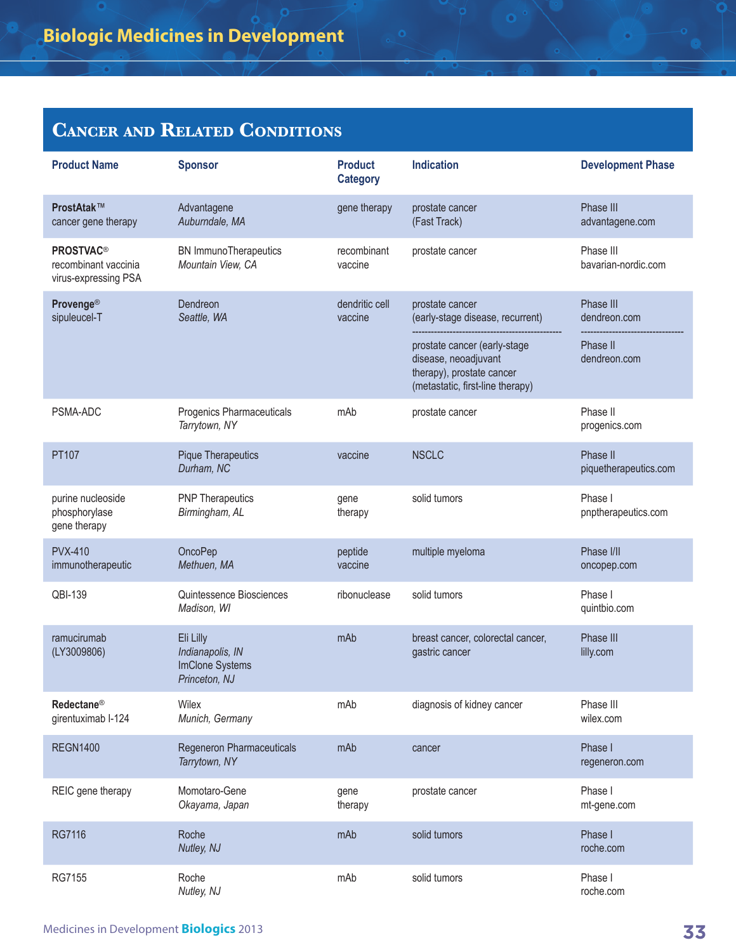| <b>Product Name</b>                                                         | <b>Sponsor</b>                                                    | <b>Product</b><br><b>Category</b> | <b>Indication</b>                                                                                                     | <b>Development Phase</b>          |
|-----------------------------------------------------------------------------|-------------------------------------------------------------------|-----------------------------------|-----------------------------------------------------------------------------------------------------------------------|-----------------------------------|
| ProstAtak™<br>cancer gene therapy                                           | Advantagene<br>Auburndale, MA                                     | gene therapy                      | prostate cancer<br>(Fast Track)                                                                                       | Phase III<br>advantagene.com      |
| <b>PROSTVAC<sup>®</sup></b><br>recombinant vaccinia<br>virus-expressing PSA | <b>BN</b> ImmunoTherapeutics<br>Mountain View, CA                 | recombinant<br>vaccine            | prostate cancer                                                                                                       | Phase III<br>bavarian-nordic.com  |
| <b>Provenge®</b><br>sipuleucel-T                                            | Dendreon<br>Seattle, WA                                           | dendritic cell<br>vaccine         | prostate cancer<br>(early-stage disease, recurrent)                                                                   | Phase III<br>dendreon.com         |
|                                                                             |                                                                   |                                   | prostate cancer (early-stage<br>disease, neoadjuvant<br>therapy), prostate cancer<br>(metastatic, first-line therapy) | Phase II<br>dendreon.com          |
| PSMA-ADC                                                                    | Progenics Pharmaceuticals<br>Tarrytown, NY                        | mAb                               | prostate cancer                                                                                                       | Phase II<br>progenics.com         |
| PT107                                                                       | <b>Pique Therapeutics</b><br>Durham, NC                           | vaccine                           | <b>NSCLC</b>                                                                                                          | Phase II<br>piquetherapeutics.com |
| purine nucleoside<br>phosphorylase<br>gene therapy                          | <b>PNP Therapeutics</b><br>Birmingham, AL                         | gene<br>therapy                   | solid tumors                                                                                                          | Phase I<br>pnptherapeutics.com    |
| <b>PVX-410</b><br>immunotherapeutic                                         | OncoPep<br>Methuen, MA                                            | peptide<br>vaccine                | multiple myeloma                                                                                                      | Phase I/II<br>oncopep.com         |
| QBI-139                                                                     | Quintessence Biosciences<br>Madison, WI                           | ribonuclease                      | solid tumors                                                                                                          | Phase I<br>quintbio.com           |
| ramucirumab<br>(LY3009806)                                                  | Eli Lilly<br>Indianapolis, IN<br>ImClone Systems<br>Princeton, NJ | mAb                               | breast cancer, colorectal cancer,<br>gastric cancer                                                                   | Phase III<br>lilly.com            |
| Redectane <sup>®</sup><br>girentuximab I-124                                | Wilex<br>Munich, Germany                                          | mAb                               | diagnosis of kidney cancer                                                                                            | Phase III<br>wilex.com            |
| <b>REGN1400</b>                                                             | Regeneron Pharmaceuticals<br>Tarrytown, NY                        | mAb                               | cancer                                                                                                                | Phase I<br>regeneron.com          |
| REIC gene therapy                                                           | Momotaro-Gene<br>Okayama, Japan                                   | gene<br>therapy                   | prostate cancer                                                                                                       | Phase I<br>mt-gene.com            |
| <b>RG7116</b>                                                               | Roche<br>Nutley, NJ                                               | mAb                               | solid tumors                                                                                                          | Phase I<br>roche.com              |
| RG7155                                                                      | Roche<br>Nutley, NJ                                               | mAb                               | solid tumors                                                                                                          | Phase I<br>roche.com              |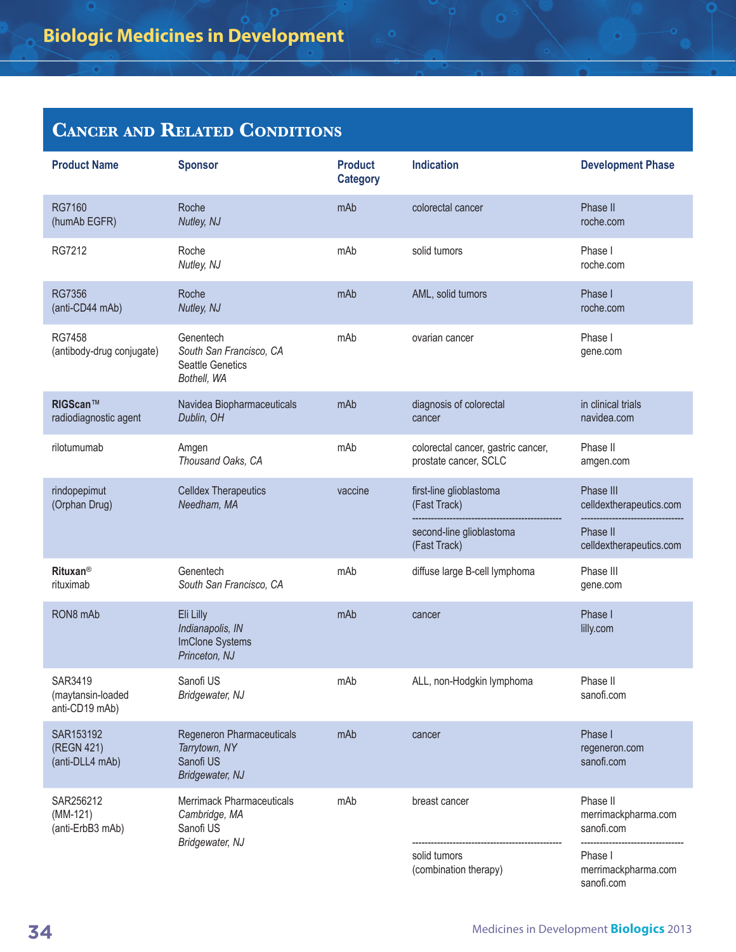| <b>Product Name</b>                            | <b>Sponsor</b>                                                                 | <b>Product</b><br><b>Category</b> | <b>Indication</b>                                           | <b>Development Phase</b>                      |
|------------------------------------------------|--------------------------------------------------------------------------------|-----------------------------------|-------------------------------------------------------------|-----------------------------------------------|
| <b>RG7160</b><br>(humAb EGFR)                  | Roche<br>Nutley, NJ                                                            | mAb                               | colorectal cancer                                           | Phase II<br>roche.com                         |
| RG7212                                         | Roche<br>Nutley, NJ                                                            | mAb                               | solid tumors                                                | Phase I<br>roche.com                          |
| <b>RG7356</b><br>(anti-CD44 mAb)               | Roche<br>Nutley, NJ                                                            | mAb                               | AML, solid tumors                                           | Phase I<br>roche.com                          |
| <b>RG7458</b><br>(antibody-drug conjugate)     | Genentech<br>South San Francisco, CA<br><b>Seattle Genetics</b><br>Bothell, WA | mAb                               | ovarian cancer                                              | Phase I<br>gene.com                           |
| RIGScan™<br>radiodiagnostic agent              | Navidea Biopharmaceuticals<br>Dublin, OH                                       | mAb                               | diagnosis of colorectal<br>cancer                           | in clinical trials<br>navidea.com             |
| rilotumumab                                    | Amgen<br>Thousand Oaks, CA                                                     | mAb                               | colorectal cancer, gastric cancer,<br>prostate cancer, SCLC | Phase II<br>amgen.com                         |
| rindopepimut<br>(Orphan Drug)                  | <b>Celldex Therapeutics</b><br>Needham, MA                                     | vaccine                           | first-line glioblastoma<br>(Fast Track)                     | Phase III<br>celldextherapeutics.com          |
|                                                |                                                                                |                                   | second-line glioblastoma<br>(Fast Track)                    | Phase II<br>celldextherapeutics.com           |
| <b>Rituxan<sup>®</sup></b><br>rituximab        | Genentech<br>South San Francisco, CA                                           | mAb                               | diffuse large B-cell lymphoma                               | Phase III<br>gene.com                         |
| RON8 mAb                                       | Eli Lilly<br>Indianapolis, IN<br>ImClone Systems<br>Princeton, NJ              | mAb                               | cancer                                                      | Phase I<br>lilly.com                          |
| SAR3419<br>(maytansin-loaded<br>anti-CD19 mAb) | Sanofi US<br>Bridgewater, NJ                                                   | mAb                               | ALL, non-Hodgkin lymphoma                                   | Phase II<br>sanofi.com                        |
| SAR153192<br>(REGN 421)<br>(anti-DLL4 mAb)     | Regeneron Pharmaceuticals<br>Tarrytown, NY<br>Sanofi US<br>Bridgewater, NJ     | mAb                               | cancer                                                      | Phase I<br>regeneron.com<br>sanofi.com        |
| SAR256212<br>$(MM-121)$<br>(anti-ErbB3 mAb)    | Merrimack Pharmaceuticals<br>Cambridge, MA<br>Sanofi US                        | mAb                               | breast cancer                                               | Phase II<br>merrimackpharma.com<br>sanofi.com |
|                                                | Bridgewater, NJ                                                                |                                   | solid tumors<br>(combination therapy)                       | Phase I<br>merrimackpharma.com<br>sanofi.com  |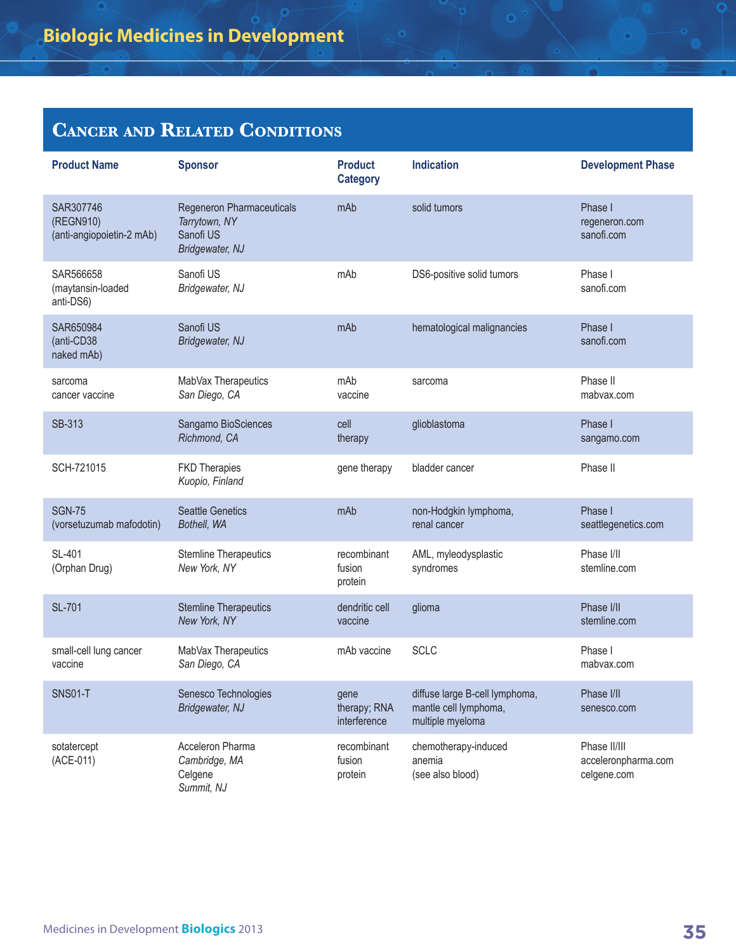| <b>Product Name</b>                                 | <b>Sponsor</b>                                                             | <b>Product</b><br><b>Category</b>    | <b>Indication</b>                                                           | <b>Development Phase</b>                           |
|-----------------------------------------------------|----------------------------------------------------------------------------|--------------------------------------|-----------------------------------------------------------------------------|----------------------------------------------------|
| SAR307746<br>(REGN910)<br>(anti-angiopoietin-2 mAb) | Regeneron Pharmaceuticals<br>Tarrytown, NY<br>Sanofi US<br>Bridgewater, NJ | mAb                                  | solid tumors                                                                | Phase I<br>regeneron.com<br>sanofi.com             |
| SAR566658<br>(maytansin-loaded<br>anti-DS6)         | Sanofi US<br>Bridgewater, NJ                                               | mAb                                  | DS6-positive solid tumors                                                   | Phase I<br>sanofi.com                              |
| SAR650984<br>(anti-CD38<br>naked mAb)               | Sanofi US<br>Bridgewater, NJ                                               | mAb                                  | hematological malignancies                                                  | Phase I<br>sanofi.com                              |
| sarcoma<br>cancer vaccine                           | MabVax Therapeutics<br>San Diego, CA                                       | mAb<br>vaccine                       | sarcoma                                                                     | Phase II<br>mabyax.com                             |
| SB-313                                              | Sangamo BioSciences<br>Richmond, CA                                        | cell<br>therapy                      | glioblastoma                                                                | Phase I<br>sangamo.com                             |
| SCH-721015                                          | <b>FKD Therapies</b><br>Kuopio, Finland                                    | gene therapy                         | bladder cancer                                                              | Phase II                                           |
| <b>SGN-75</b><br>(vorsetuzumab mafodotin)           | <b>Seattle Genetics</b><br>Bothell, WA                                     | mAb                                  | non-Hodgkin lymphoma,<br>renal cancer                                       | Phase I<br>seattlegenetics.com                     |
| SL-401<br>(Orphan Drug)                             | <b>Stemline Therapeutics</b><br>New York, NY                               | recombinant<br>fusion<br>protein     | AML, myleodysplastic<br>syndromes                                           | Phase I/II<br>stemline.com                         |
| <b>SL-701</b>                                       | <b>Stemline Therapeutics</b><br>New York, NY                               | dendritic cell<br>vaccine            | glioma                                                                      | Phase I/II<br>stemline.com                         |
| small-cell lung cancer<br>vaccine                   | MabVax Therapeutics<br>San Diego, CA                                       | mAb vaccine                          | <b>SCLC</b>                                                                 | Phase I<br>mabyax.com                              |
| <b>SNS01-T</b>                                      | Senesco Technologies<br>Bridgewater, NJ                                    | gene<br>therapy; RNA<br>interference | diffuse large B-cell lymphoma,<br>mantle cell lymphoma,<br>multiple myeloma | Phase I/II<br>senesco.com                          |
| sotatercept<br>(ACE-011)                            | Acceleron Pharma<br>Cambridge, MA<br>Celgene<br>Summit, NJ                 | recombinant<br>fusion<br>protein     | chemotherapy-induced<br>anemia<br>(see also blood)                          | Phase II/III<br>acceleronpharma.com<br>celgene.com |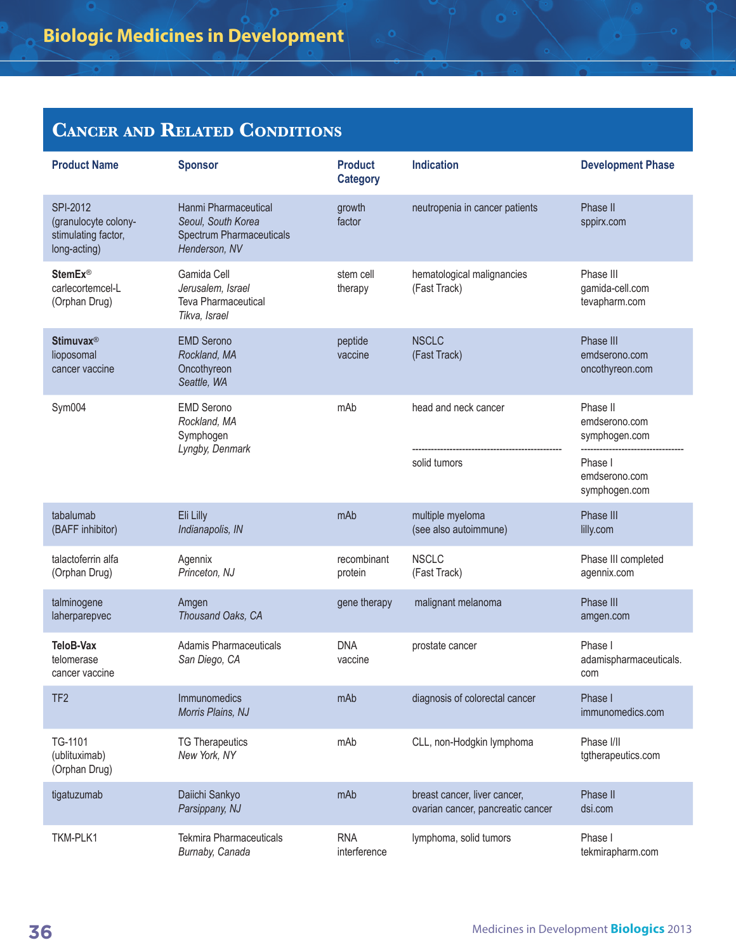| <b>Product Name</b>                                                     | <b>Sponsor</b>                                                                                 | <b>Product</b><br><b>Category</b> | <b>Indication</b>                                                 | <b>Development Phase</b>                      |
|-------------------------------------------------------------------------|------------------------------------------------------------------------------------------------|-----------------------------------|-------------------------------------------------------------------|-----------------------------------------------|
| SPI-2012<br>(granulocyte colony-<br>stimulating factor,<br>long-acting) | Hanmi Pharmaceutical<br>Seoul, South Korea<br><b>Spectrum Pharmaceuticals</b><br>Henderson, NV | growth<br>factor                  | neutropenia in cancer patients                                    | Phase II<br>sppirx.com                        |
| <b>StemEx®</b><br>carlecortemcel-L<br>(Orphan Drug)                     | Gamida Cell<br>Jerusalem, Israel<br><b>Teva Pharmaceutical</b><br>Tikva, Israel                | stem cell<br>therapy              | hematological malignancies<br>(Fast Track)                        | Phase III<br>gamida-cell.com<br>tevapharm.com |
| Stimuvax <sup>®</sup><br>lioposomal<br>cancer vaccine                   | <b>EMD Serono</b><br>Rockland, MA<br>Oncothyreon<br>Seattle, WA                                | peptide<br>vaccine                | <b>NSCLC</b><br>(Fast Track)                                      | Phase III<br>emdserono.com<br>oncothyreon.com |
| Sym004                                                                  | <b>EMD Serono</b><br>Rockland, MA<br>Symphogen                                                 | mAb                               | head and neck cancer                                              | Phase II<br>emdserono.com<br>symphogen.com    |
|                                                                         | Lyngby, Denmark                                                                                |                                   | solid tumors                                                      | Phase I<br>emdserono.com<br>symphogen.com     |
| tabalumab<br>(BAFF inhibitor)                                           | Eli Lilly<br>Indianapolis, IN                                                                  | mAb                               | multiple myeloma<br>(see also autoimmune)                         | Phase III<br>lilly.com                        |
| talactoferrin alfa<br>(Orphan Drug)                                     | Agennix<br>Princeton, NJ                                                                       | recombinant<br>protein            | <b>NSCLC</b><br>(Fast Track)                                      | Phase III completed<br>agennix.com            |
| talminogene<br>laherparepvec                                            | Amgen<br>Thousand Oaks, CA                                                                     | gene therapy                      | malignant melanoma                                                | Phase III<br>amgen.com                        |
| TeloB-Vax<br>telomerase<br>cancer vaccine                               | Adamis Pharmaceuticals<br>San Diego, CA                                                        | <b>DNA</b><br>vaccine             | prostate cancer                                                   | Phase I<br>adamispharmaceuticals.<br>com      |
| TF <sub>2</sub>                                                         | Immunomedics<br>Morris Plains, NJ                                                              | mAb                               | diagnosis of colorectal cancer                                    | Phase I<br>immunomedics.com                   |
| TG-1101<br>(ublituximab)<br>(Orphan Drug)                               | <b>TG Therapeutics</b><br>New York, NY                                                         | mAb                               | CLL, non-Hodgkin lymphoma                                         | Phase I/II<br>tgtherapeutics.com              |
| tigatuzumab                                                             | Daiichi Sankyo<br>Parsippany, NJ                                                               | mAb                               | breast cancer, liver cancer,<br>ovarian cancer, pancreatic cancer | Phase II<br>dsi.com                           |
| TKM-PLK1                                                                | <b>Tekmira Pharmaceuticals</b><br>Burnaby, Canada                                              | <b>RNA</b><br>interference        | lymphoma, solid tumors                                            | Phase I<br>tekmirapharm.com                   |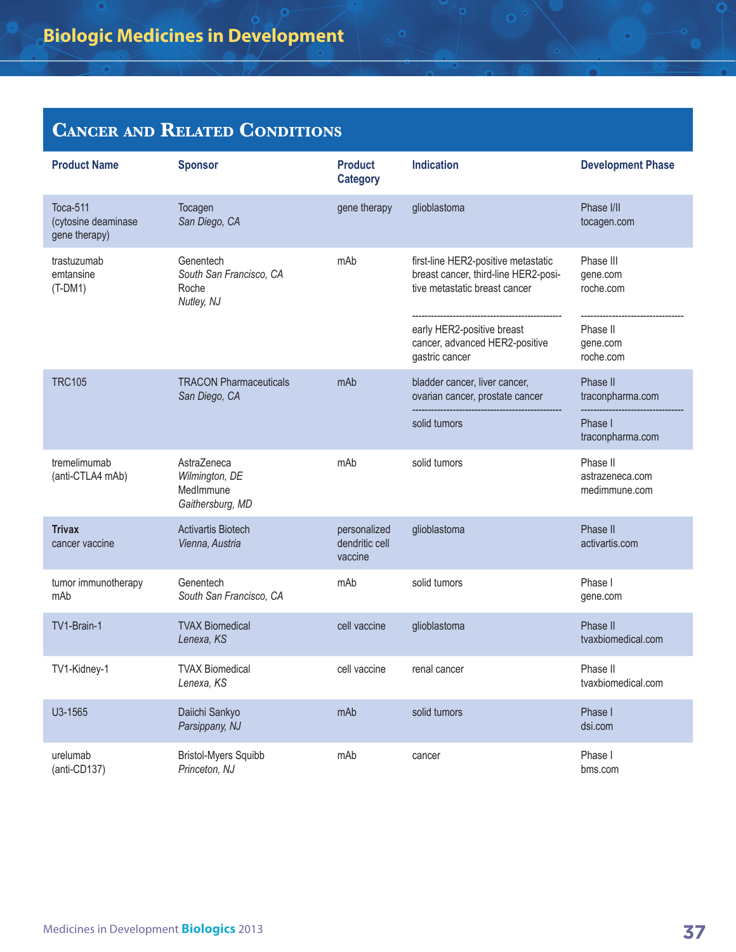## **Cancer and Related Conditions**

| <b>Product Name</b>                              | <b>Sponsor</b>                                                 | <b>Product</b><br><b>Category</b>         | <b>Indication</b>                                                                                            | <b>Development Phase</b>                     |
|--------------------------------------------------|----------------------------------------------------------------|-------------------------------------------|--------------------------------------------------------------------------------------------------------------|----------------------------------------------|
| Toca-511<br>(cytosine deaminase<br>gene therapy) | Tocagen<br>San Diego, CA                                       | gene therapy                              | glioblastoma                                                                                                 | Phase I/II<br>tocagen.com                    |
| trastuzumab<br>emtansine<br>$(T-DM1)$            | Genentech<br>South San Francisco, CA<br>Roche<br>Nutley, NJ    | mAb                                       | first-line HER2-positive metastatic<br>breast cancer, third-line HER2-posi-<br>tive metastatic breast cancer | Phase III<br>gene.com<br>roche.com           |
|                                                  |                                                                |                                           | early HER2-positive breast<br>cancer, advanced HER2-positive<br>gastric cancer                               | Phase II<br>gene.com<br>roche.com            |
| <b>TRC105</b>                                    | <b>TRACON Pharmaceuticals</b><br>San Diego, CA                 | mAb                                       | bladder cancer, liver cancer,<br>ovarian cancer, prostate cancer                                             | Phase II<br>traconpharma.com                 |
|                                                  |                                                                |                                           | solid tumors                                                                                                 | Phase I<br>traconpharma.com                  |
| tremelimumab<br>(anti-CTLA4 mAb)                 | AstraZeneca<br>Wilmington, DE<br>MedImmune<br>Gaithersburg, MD | mAb                                       | solid tumors                                                                                                 | Phase II<br>astrazeneca.com<br>medimmune.com |
| <b>Trivax</b><br>cancer vaccine                  | <b>Activartis Biotech</b><br>Vienna, Austria                   | personalized<br>dendritic cell<br>vaccine | glioblastoma                                                                                                 | Phase II<br>activartis.com                   |
| tumor immunotherapy<br>mAb                       | Genentech<br>South San Francisco, CA                           | mAb                                       | solid tumors                                                                                                 | Phase I<br>gene.com                          |
| TV1-Brain-1                                      | <b>TVAX Biomedical</b><br>Lenexa, KS                           | cell vaccine                              | glioblastoma                                                                                                 | Phase II<br>tvaxbiomedical.com               |
| TV1-Kidney-1                                     | <b>TVAX Biomedical</b><br>Lenexa, KS                           | cell vaccine                              | renal cancer                                                                                                 | Phase II<br>tvaxbiomedical.com               |
| U3-1565                                          | Daiichi Sankyo<br>Parsippany, NJ                               | mAb                                       | solid tumors                                                                                                 | Phase I<br>dsi.com                           |
| urelumab<br>$(anti-CD137)$                       | <b>Bristol-Myers Squibb</b><br>Princeton, NJ                   | mAb                                       | cancer                                                                                                       | Phase I<br>bms.com                           |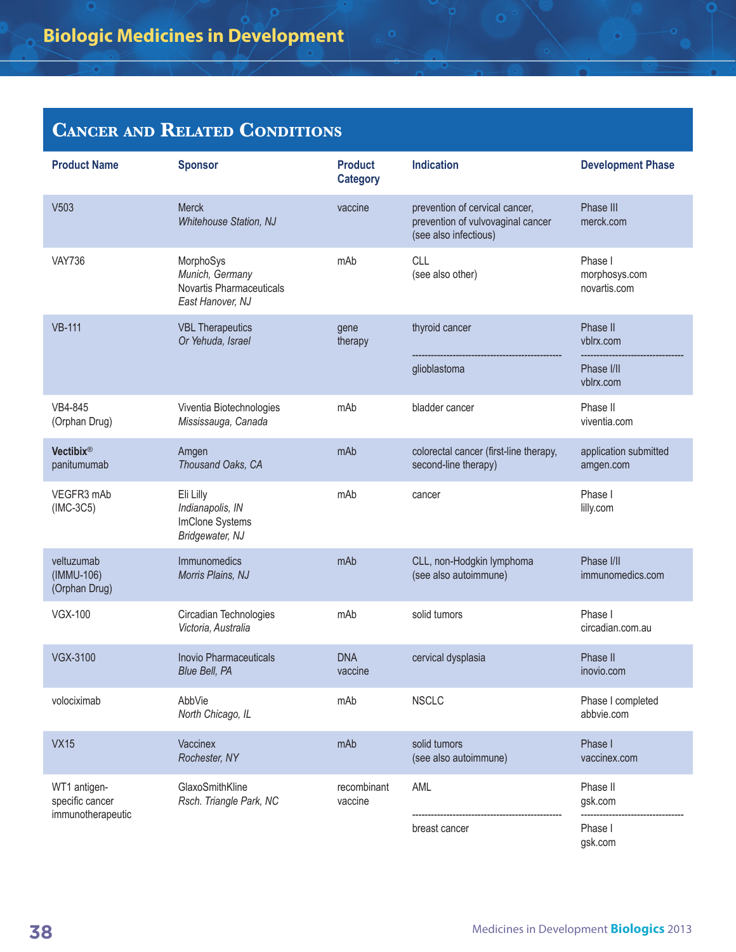#### **Cancer and Related Conditions**

| <b>Product Name</b>                       | <b>Sponsor</b>                                                               | <b>Product</b><br><b>Category</b> | <b>Indication</b>                                                                            | <b>Development Phase</b>                 |
|-------------------------------------------|------------------------------------------------------------------------------|-----------------------------------|----------------------------------------------------------------------------------------------|------------------------------------------|
| V503                                      | <b>Merck</b><br>Whitehouse Station, NJ                                       | vaccine                           | prevention of cervical cancer,<br>prevention of vulvovaginal cancer<br>(see also infectious) | Phase III<br>merck.com                   |
| <b>VAY736</b>                             | MorphoSys<br>Munich, Germany<br>Novartis Pharmaceuticals<br>East Hanover, NJ | mAb                               | CLL<br>(see also other)                                                                      | Phase I<br>morphosys.com<br>novartis.com |
| <b>VB-111</b>                             | <b>VBL Therapeutics</b><br>Or Yehuda, Israel                                 | gene<br>therapy                   | thyroid cancer                                                                               | Phase II<br>vblrx.com                    |
|                                           |                                                                              |                                   | glioblastoma                                                                                 | Phase I/II<br>vblrx.com                  |
| VB4-845<br>(Orphan Drug)                  | Viventia Biotechnologies<br>Mississauga, Canada                              | mAb                               | bladder cancer                                                                               | Phase II<br>viventia.com                 |
| Vectibix®<br>panitumumab                  | Amgen<br>Thousand Oaks, CA                                                   | mAb                               | colorectal cancer (first-line therapy,<br>second-line therapy)                               | application submitted<br>amgen.com       |
| VEGFR3 mAb<br>$(IMC-3C5)$                 | Eli Lilly<br>Indianapolis, IN<br>ImClone Systems<br>Bridgewater, NJ          | mAb                               | cancer                                                                                       | Phase I<br>lilly.com                     |
| veltuzumab<br>(IMMU-106)<br>(Orphan Drug) | Immunomedics<br>Morris Plains, NJ                                            | mAb                               | CLL, non-Hodgkin lymphoma<br>(see also autoimmune)                                           | Phase I/II<br>immunomedics.com           |
| <b>VGX-100</b>                            | Circadian Technologies<br>Victoria, Australia                                | mAb                               | solid tumors                                                                                 | Phase I<br>circadian.com.au              |
| <b>VGX-3100</b>                           | <b>Inovio Pharmaceuticals</b><br>Blue Bell, PA                               | <b>DNA</b><br>vaccine             | cervical dysplasia                                                                           | Phase II<br>inovio.com                   |
| volociximab                               | AbbVie<br>North Chicago, IL                                                  | mAb                               | <b>NSCLC</b>                                                                                 | Phase I completed<br>abbvie.com          |
| <b>VX15</b>                               | Vaccinex<br>Rochester, NY                                                    | mAb                               | solid tumors<br>(see also autoimmune)                                                        | Phase I<br>vaccinex.com                  |
| WT1 antigen-<br>specific cancer           | GlaxoSmithKline<br>Rsch. Triangle Park, NC                                   | recombinant<br>vaccine            | AML                                                                                          | Phase II<br>gsk.com                      |
| immunotherapeutic                         |                                                                              |                                   | breast cancer                                                                                | Phase I<br>gsk.com                       |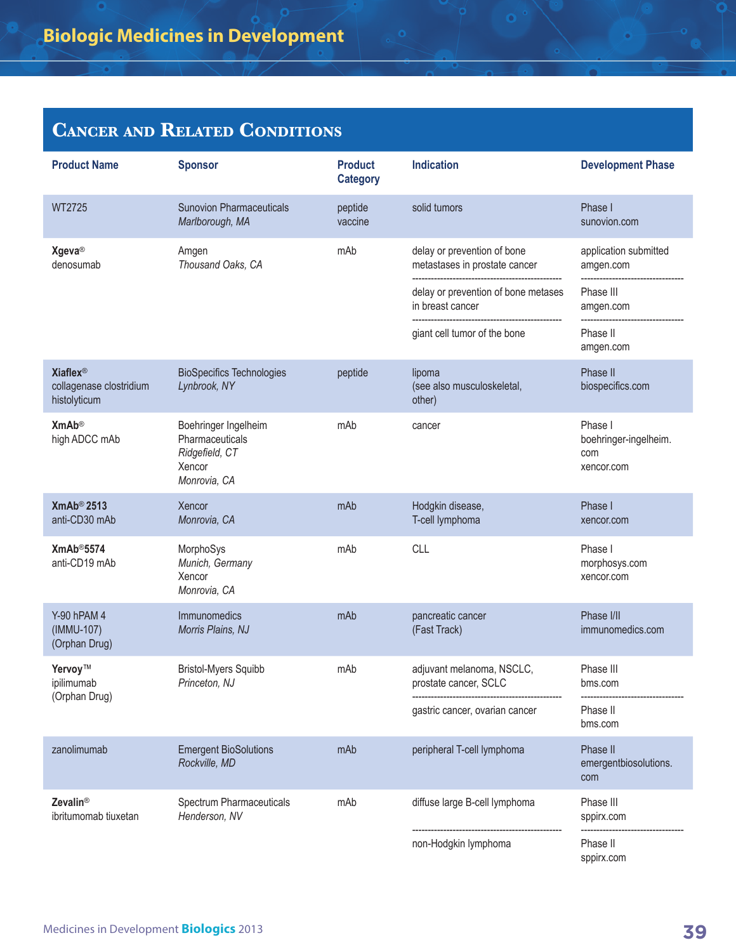#### **Cancer and Related Conditions**

| <b>Product Name</b>                                                   | <b>Sponsor</b>                                                                      | <b>Product</b><br><b>Category</b> | <b>Indication</b>                                            | <b>Development Phase</b>                              |
|-----------------------------------------------------------------------|-------------------------------------------------------------------------------------|-----------------------------------|--------------------------------------------------------------|-------------------------------------------------------|
| WT2725                                                                | <b>Sunovion Pharmaceuticals</b><br>Marlborough, MA                                  | peptide<br>vaccine                | solid tumors                                                 | Phase I<br>sunovion.com                               |
| <b>Xgeva®</b><br>denosumab                                            | Amgen<br>Thousand Oaks, CA                                                          | mAb                               | delay or prevention of bone<br>metastases in prostate cancer | application submitted<br>amgen.com                    |
|                                                                       |                                                                                     |                                   | delay or prevention of bone metases<br>in breast cancer      | Phase III<br>amgen.com                                |
|                                                                       |                                                                                     |                                   | giant cell tumor of the bone                                 | Phase II<br>amgen.com                                 |
| <b>Xiaflex<sup>®</sup></b><br>collagenase clostridium<br>histolyticum | <b>BioSpecifics Technologies</b><br>Lynbrook, NY                                    | peptide                           | lipoma<br>(see also musculoskeletal,<br>other)               | Phase II<br>biospecifics.com                          |
| <b>XmAb®</b><br>high ADCC mAb                                         | Boehringer Ingelheim<br>Pharmaceuticals<br>Ridgefield, CT<br>Xencor<br>Monrovia, CA | mAb                               | cancer                                                       | Phase I<br>boehringer-ingelheim.<br>com<br>xencor.com |
| XmAb <sup>®</sup> 2513<br>anti-CD30 mAb                               | Xencor<br>Monrovia, CA                                                              | mAb                               | Hodgkin disease,<br>T-cell lymphoma                          | Phase I<br>xencor.com                                 |
| XmAb <sup>®</sup> 5574<br>anti-CD19 mAb                               | MorphoSys<br>Munich, Germany<br>Xencor<br>Monrovia, CA                              | mAb                               | CLL                                                          | Phase I<br>morphosys.com<br>xencor.com                |
| Y-90 hPAM 4<br>(IMMU-107)<br>(Orphan Drug)                            | Immunomedics<br>Morris Plains, NJ                                                   | mAb                               | pancreatic cancer<br>(Fast Track)                            | Phase I/II<br>immunomedics.com                        |
| Yervoy™<br>ipilimumab<br>(Orphan Drug)                                | <b>Bristol-Myers Squibb</b><br>Princeton, NJ                                        | mAb                               | adjuvant melanoma, NSCLC,<br>prostate cancer, SCLC           | Phase III<br>bms.com                                  |
|                                                                       |                                                                                     |                                   | gastric cancer, ovarian cancer                               | Phase II<br>bms.com                                   |
| zanolimumab                                                           | <b>Emergent BioSolutions</b><br>Rockville, MD                                       | mAb                               | peripheral T-cell lymphoma                                   | Phase II<br>emergentbiosolutions.<br>com              |
| <b>Zevalin®</b><br>ibritumomab tiuxetan                               | Spectrum Pharmaceuticals<br>Henderson, NV                                           | mAb                               | diffuse large B-cell lymphoma                                | Phase III<br>sppirx.com                               |
|                                                                       |                                                                                     |                                   | non-Hodgkin lymphoma                                         | Phase II<br>sppirx.com                                |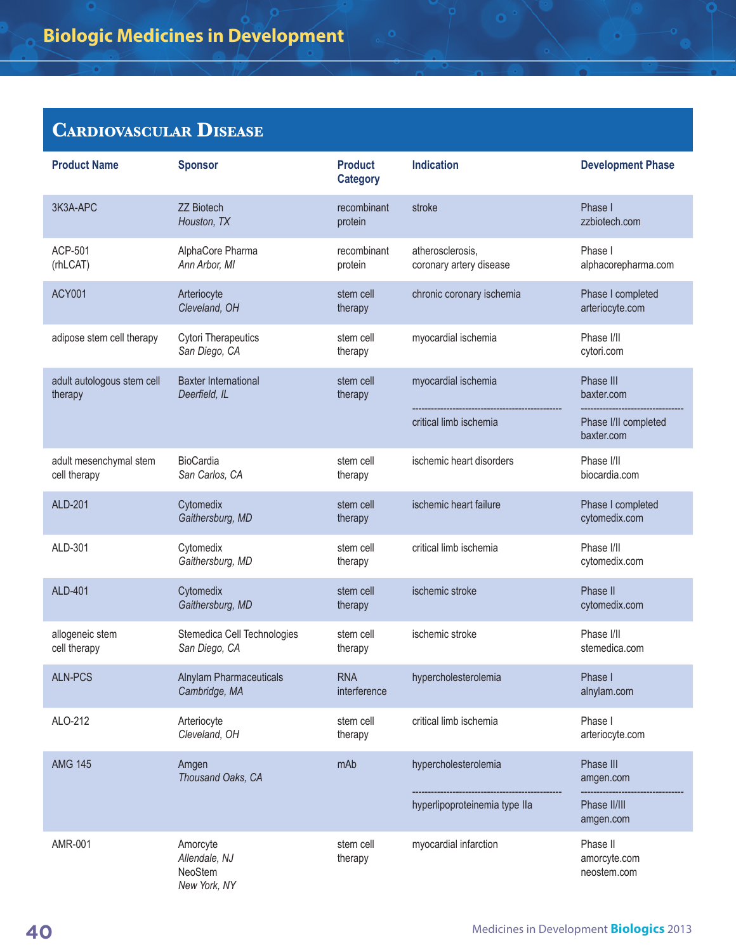| <b>Product Name</b>                    | <b>Sponsor</b>                                       | <b>Product</b><br><b>Category</b> | <b>Indication</b>                           | <b>Development Phase</b>                |
|----------------------------------------|------------------------------------------------------|-----------------------------------|---------------------------------------------|-----------------------------------------|
| 3K3A-APC                               | <b>ZZ Biotech</b><br>Houston, TX                     | recombinant<br>protein            | stroke                                      | Phase I<br>zzbiotech.com                |
| ACP-501<br>(rhLCAT)                    | AlphaCore Pharma<br>Ann Arbor, MI                    | recombinant<br>protein            | atherosclerosis,<br>coronary artery disease | Phase I<br>alphacorepharma.com          |
| <b>ACY001</b>                          | Arteriocyte<br>Cleveland, OH                         | stem cell<br>therapy              | chronic coronary ischemia                   | Phase I completed<br>arteriocyte.com    |
| adipose stem cell therapy              | <b>Cytori Therapeutics</b><br>San Diego, CA          | stem cell<br>therapy              | myocardial ischemia                         | Phase I/II<br>cytori.com                |
| adult autologous stem cell<br>therapy  | <b>Baxter International</b><br>Deerfield, IL         | stem cell<br>therapy              | myocardial ischemia                         | Phase III<br>baxter.com                 |
|                                        |                                                      |                                   | critical limb ischemia                      | Phase I/II completed<br>baxter.com      |
| adult mesenchymal stem<br>cell therapy | <b>BioCardia</b><br>San Carlos, CA                   | stem cell<br>therapy              | ischemic heart disorders                    | Phase I/II<br>biocardia.com             |
| <b>ALD-201</b>                         | Cytomedix<br>Gaithersburg, MD                        | stem cell<br>therapy              | ischemic heart failure                      | Phase I completed<br>cytomedix.com      |
| ALD-301                                | Cytomedix<br>Gaithersburg, MD                        | stem cell<br>therapy              | critical limb ischemia                      | Phase I/II<br>cytomedix.com             |
| ALD-401                                | Cytomedix<br>Gaithersburg, MD                        | stem cell<br>therapy              | ischemic stroke                             | Phase II<br>cytomedix.com               |
| allogeneic stem<br>cell therapy        | Stemedica Cell Technologies<br>San Diego, CA         | stem cell<br>therapy              | ischemic stroke                             | Phase I/II<br>stemedica.com             |
| <b>ALN-PCS</b>                         | <b>Alnylam Pharmaceuticals</b><br>Cambridge, MA      | <b>RNA</b><br>interference        | hypercholesterolemia                        | Phase I<br>alnylam.com                  |
| ALO-212                                | Arteriocyte<br>Cleveland, OH                         | stem cell<br>therapy              | critical limb ischemia                      | Phase I<br>arteriocyte.com              |
| <b>AMG 145</b>                         | Amgen<br>Thousand Oaks, CA                           | mAb                               | hypercholesterolemia                        | Phase III<br>amgen.com                  |
|                                        |                                                      |                                   | hyperlipoproteinemia type IIa               | Phase II/III<br>amgen.com               |
| AMR-001                                | Amorcyte<br>Allendale, NJ<br>NeoStem<br>New York, NY | stem cell<br>therapy              | myocardial infarction                       | Phase II<br>amorcyte.com<br>neostem.com |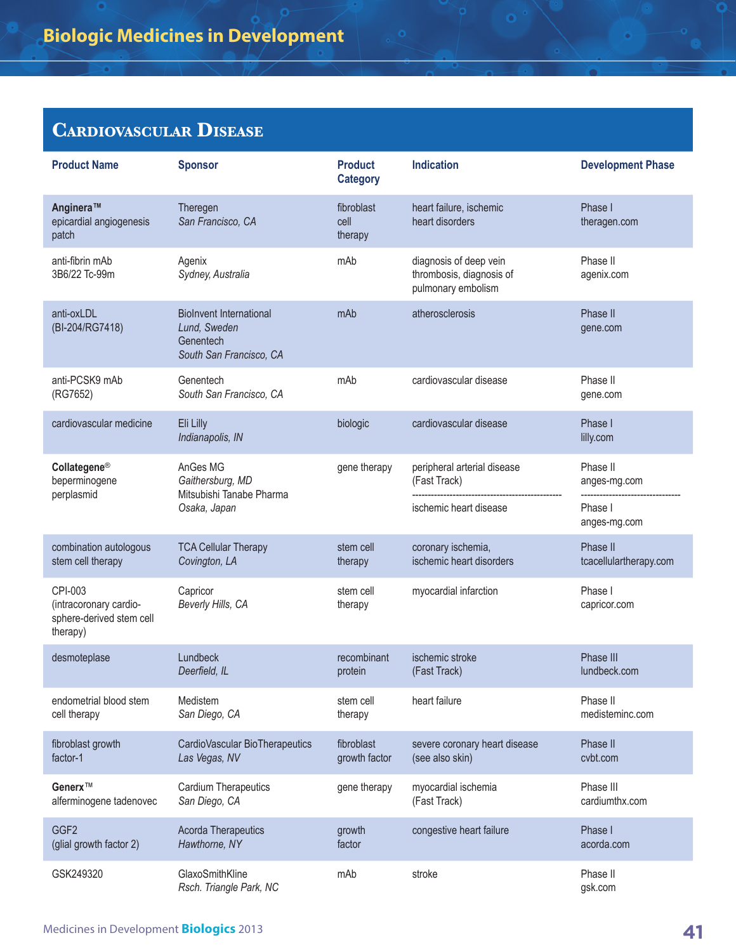| <b>Product Name</b>                                                       | <b>Sponsor</b>                                                                         | <b>Product</b><br><b>Category</b> | <b>Indication</b>                                                        | <b>Development Phase</b>           |
|---------------------------------------------------------------------------|----------------------------------------------------------------------------------------|-----------------------------------|--------------------------------------------------------------------------|------------------------------------|
| Anginera™<br>epicardial angiogenesis<br>patch                             | Theregen<br>San Francisco, CA                                                          | fibroblast<br>cell<br>therapy     | heart failure, ischemic<br>heart disorders                               | Phase I<br>theragen.com            |
| anti-fibrin mAb<br>3B6/22 Tc-99m                                          | Agenix<br>Sydney, Australia                                                            | mAb                               | diagnosis of deep vein<br>thrombosis, diagnosis of<br>pulmonary embolism | Phase II<br>agenix.com             |
| anti-oxLDL<br>(BI-204/RG7418)                                             | <b>BioInvent International</b><br>Lund, Sweden<br>Genentech<br>South San Francisco, CA | mAb                               | atherosclerosis                                                          | Phase II<br>gene.com               |
| anti-PCSK9 mAb<br>(RG7652)                                                | Genentech<br>South San Francisco, CA                                                   | mAb                               | cardiovascular disease                                                   | Phase II<br>gene.com               |
| cardiovascular medicine                                                   | Eli Lilly<br>Indianapolis, IN                                                          | biologic                          | cardiovascular disease                                                   | Phase I<br>lilly.com               |
| Collategene®<br>AnGes MG<br>Gaithersburg, MD<br>beperminogene             | Mitsubishi Tanabe Pharma                                                               | gene therapy                      | peripheral arterial disease<br>(Fast Track)                              | Phase II<br>anges-mg.com           |
| perplasmid                                                                | Osaka, Japan                                                                           |                                   | ischemic heart disease                                                   | Phase I<br>anges-mg.com            |
| combination autologous<br>stem cell therapy                               | <b>TCA Cellular Therapy</b><br>Covington, LA                                           | stem cell<br>therapy              | coronary ischemia,<br>ischemic heart disorders                           | Phase II<br>tcacellulartherapy.com |
| CPI-003<br>(intracoronary cardio-<br>sphere-derived stem cell<br>therapy) | Capricor<br>Beverly Hills, CA                                                          | stem cell<br>therapy              | myocardial infarction                                                    | Phase I<br>capricor.com            |
| desmoteplase                                                              | Lundbeck<br>Deerfield, IL                                                              | recombinant<br>protein            | ischemic stroke<br>(Fast Track)                                          | Phase III<br>lundbeck.com          |
| endometrial blood stem<br>cell therapy                                    | Medistem<br>San Diego, CA                                                              | stem cell<br>therapy              | heart failure                                                            | Phase II<br>medisteminc.com        |
| fibroblast growth<br>factor-1                                             | CardioVascular BioTherapeutics<br>Las Vegas, NV                                        | fibroblast<br>growth factor       | severe coronary heart disease<br>(see also skin)                         | Phase II<br>cvbt.com               |
| Generx™<br>alferminogene tadenovec                                        | <b>Cardium Therapeutics</b><br>San Diego, CA                                           | gene therapy                      | myocardial ischemia<br>(Fast Track)                                      | Phase III<br>cardiumthx.com        |
| GGF <sub>2</sub><br>(glial growth factor 2)                               | <b>Acorda Therapeutics</b><br>Hawthorne, NY                                            | growth<br>factor                  | congestive heart failure                                                 | Phase I<br>acorda.com              |
| GSK249320                                                                 | GlaxoSmithKline<br>Rsch. Triangle Park, NC                                             | mAb                               | stroke                                                                   | Phase II<br>gsk.com                |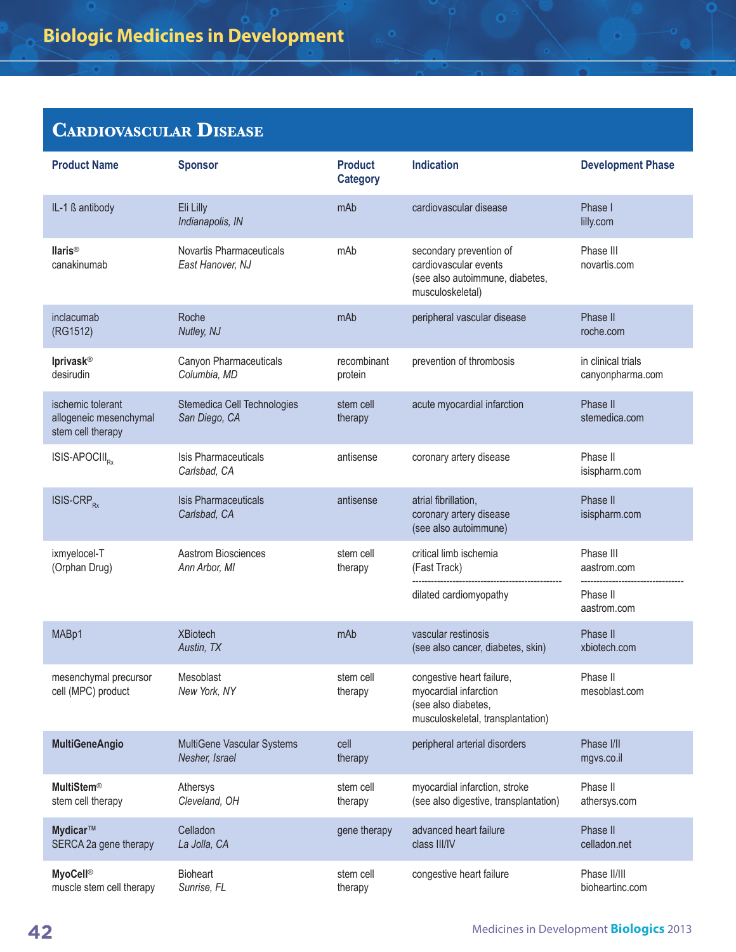| <b>Product Name</b>                                              | <b>Sponsor</b>                               | <b>Product</b><br><b>Category</b> | <b>Indication</b>                                                                                              | <b>Development Phase</b>               |
|------------------------------------------------------------------|----------------------------------------------|-----------------------------------|----------------------------------------------------------------------------------------------------------------|----------------------------------------|
| IL-1 ß antibody                                                  | Eli Lilly<br>Indianapolis, IN                | mAb                               | cardiovascular disease                                                                                         | Phase I<br>lilly.com                   |
| llaris <sup>®</sup><br>canakinumab                               | Novartis Pharmaceuticals<br>East Hanover, NJ | mAb                               | secondary prevention of<br>cardiovascular events<br>(see also autoimmune, diabetes,<br>musculoskeletal)        | Phase III<br>novartis.com              |
| inclacumab<br>(RG1512)                                           | Roche<br>Nutley, NJ                          | mAb                               | peripheral vascular disease                                                                                    | Phase II<br>roche.com                  |
| <b>Iprivask®</b><br>desirudin                                    | Canyon Pharmaceuticals<br>Columbia, MD       | recombinant<br>protein            | prevention of thrombosis                                                                                       | in clinical trials<br>canyonpharma.com |
| ischemic tolerant<br>allogeneic mesenchymal<br>stem cell therapy | Stemedica Cell Technologies<br>San Diego, CA | stem cell<br>therapy              | acute myocardial infarction                                                                                    | Phase II<br>stemedica.com              |
| ISIS-APOCIII <sub>P</sub>                                        | Isis Pharmaceuticals<br>Carlsbad, CA         | antisense                         | coronary artery disease                                                                                        | Phase II<br>isispharm.com              |
| <b>ISIS-CRP</b> <sub>RX</sub>                                    | <b>Isis Pharmaceuticals</b><br>Carlsbad, CA  | antisense                         | atrial fibrillation,<br>coronary artery disease<br>(see also autoimmune)                                       | Phase II<br>isispharm.com              |
| ixmyelocel-T<br>(Orphan Drug)                                    | Aastrom Biosciences<br>Ann Arbor, MI         | stem cell<br>therapy              | critical limb ischemia<br>(Fast Track)                                                                         | Phase III<br>aastrom.com               |
|                                                                  |                                              |                                   | dilated cardiomyopathy                                                                                         | Phase II<br>aastrom.com                |
| MABp1                                                            | <b>XBiotech</b><br>Austin, TX                | mAb                               | vascular restinosis<br>(see also cancer, diabetes, skin)                                                       | Phase II<br>xbiotech.com               |
| mesenchymal precursor<br>cell (MPC) product                      | Mesoblast<br>New York, NY                    | stem cell<br>therapy              | congestive heart failure,<br>myocardial infarction<br>(see also diabetes,<br>musculoskeletal, transplantation) | Phase II<br>mesoblast.com              |
| <b>MultiGeneAngio</b>                                            | MultiGene Vascular Systems<br>Nesher, Israel | cell<br>therapy                   | peripheral arterial disorders                                                                                  | Phase I/II<br>mgvs.co.il               |
| <b>MultiStem®</b><br>stem cell therapy                           | Athersys<br>Cleveland, OH                    | stem cell<br>therapy              | myocardial infarction, stroke<br>(see also digestive, transplantation)                                         | Phase II<br>athersys.com               |
| Mydicar™<br>SERCA 2a gene therapy                                | Celladon<br>La Jolla, CA                     | gene therapy                      | advanced heart failure<br>class III/IV                                                                         | Phase II<br>celladon.net               |
| <b>MyoCell®</b><br>muscle stem cell therapy                      | <b>Bioheart</b><br>Sunrise, FL               | stem cell<br>therapy              | congestive heart failure                                                                                       | Phase II/III<br>bioheartinc.com        |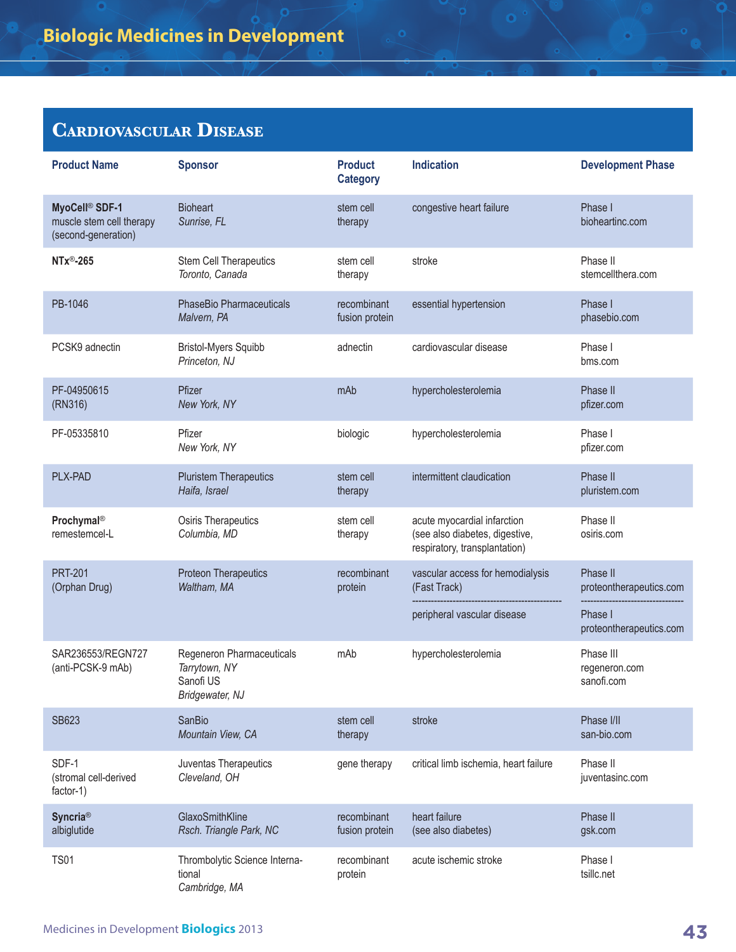| <b>Product Name</b>                                                           | <b>Sponsor</b>                                                             | <b>Product</b><br><b>Category</b> | <b>Indication</b>                                                                              | <b>Development Phase</b>                 |
|-------------------------------------------------------------------------------|----------------------------------------------------------------------------|-----------------------------------|------------------------------------------------------------------------------------------------|------------------------------------------|
| MyoCell <sup>®</sup> SDF-1<br>muscle stem cell therapy<br>(second-generation) | <b>Bioheart</b><br>Sunrise, FL                                             | stem cell<br>therapy              | congestive heart failure                                                                       | Phase I<br>bioheartinc.com               |
| NTx <sup>®</sup> -265                                                         | Stem Cell Therapeutics<br>Toronto, Canada                                  | stem cell<br>therapy              | stroke                                                                                         | Phase II<br>stemcellthera.com            |
| PB-1046                                                                       | PhaseBio Pharmaceuticals<br>Malvern, PA                                    | recombinant<br>fusion protein     | essential hypertension                                                                         | Phase I<br>phasebio.com                  |
| PCSK9 adnectin                                                                | <b>Bristol-Myers Squibb</b><br>Princeton, NJ                               | adnectin                          | cardiovascular disease                                                                         | Phase I<br>bms.com                       |
| PF-04950615<br>(RN316)                                                        | Pfizer<br>New York, NY                                                     | mAb                               | hypercholesterolemia                                                                           | Phase II<br>pfizer.com                   |
| PF-05335810                                                                   | Pfizer<br>New York, NY                                                     | biologic                          | hypercholesterolemia                                                                           | Phase I<br>pfizer.com                    |
| PLX-PAD                                                                       | <b>Pluristem Therapeutics</b><br>Haifa, Israel                             | stem cell<br>therapy              | intermittent claudication                                                                      | Phase II<br>pluristem.com                |
| Prochymal®<br>remestemcel-L                                                   | Osiris Therapeutics<br>Columbia, MD                                        | stem cell<br>therapy              | acute myocardial infarction<br>(see also diabetes, digestive,<br>respiratory, transplantation) | Phase II<br>osiris.com                   |
| <b>PRT-201</b><br>(Orphan Drug)                                               | <b>Proteon Therapeutics</b><br>Waltham, MA                                 | recombinant<br>protein            | vascular access for hemodialysis<br>(Fast Track)                                               | Phase II<br>proteontherapeutics.com      |
|                                                                               |                                                                            |                                   | peripheral vascular disease                                                                    | Phase I<br>proteontherapeutics.com       |
| SAR236553/REGN727<br>(anti-PCSK-9 mAb)                                        | Regeneron Pharmaceuticals<br>Tarrytown, NY<br>Sanofi US<br>Bridgewater, NJ | mAb                               | hypercholesterolemia                                                                           | Phase III<br>regeneron.com<br>sanofi.com |
| SB623                                                                         | SanBio<br>Mountain View, CA                                                | stem cell<br>therapy              | stroke                                                                                         | Phase I/II<br>san-bio.com                |
| SDF-1<br>(stromal cell-derived<br>factor-1)                                   | Juventas Therapeutics<br>Cleveland, OH                                     | gene therapy                      | critical limb ischemia, heart failure                                                          | Phase II<br>juventasinc.com              |
| <b>Syncria®</b><br>albiglutide                                                | GlaxoSmithKline<br>Rsch. Triangle Park, NC                                 | recombinant<br>fusion protein     | heart failure<br>(see also diabetes)                                                           | Phase II<br>gsk.com                      |
| <b>TS01</b>                                                                   | Thrombolytic Science Interna-<br>tional<br>Cambridge, MA                   | recombinant<br>protein            | acute ischemic stroke                                                                          | Phase I<br>tsillc.net                    |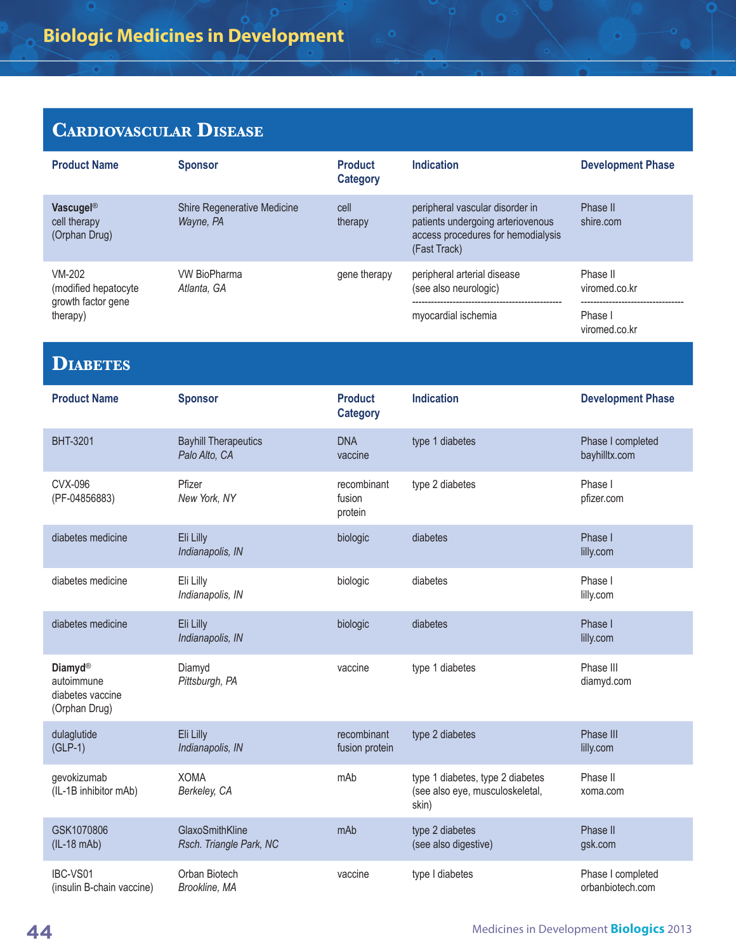| <b>Product Name</b>                                               | <b>Sponsor</b>                               | <b>Product</b><br><b>Category</b> | <b>Indication</b>                                                                                                          | <b>Development Phase</b>              |
|-------------------------------------------------------------------|----------------------------------------------|-----------------------------------|----------------------------------------------------------------------------------------------------------------------------|---------------------------------------|
| Vascugel®<br>cell therapy<br>(Orphan Drug)                        | Shire Regenerative Medicine<br>Wayne, PA     | cell<br>therapy                   | peripheral vascular disorder in<br>patients undergoing arteriovenous<br>access procedures for hemodialysis<br>(Fast Track) | Phase II<br>shire.com                 |
| <b>VM-202</b><br>(modified hepatocyte                             | <b>VW BioPharma</b><br>Atlanta, GA           | gene therapy                      | peripheral arterial disease<br>(see also neurologic)                                                                       | Phase II<br>viromed.co.kr             |
| growth factor gene<br>therapy)                                    |                                              |                                   | myocardial ischemia                                                                                                        | Phase I<br>viromed.co.kr              |
| <b>DIABETES</b>                                                   |                                              |                                   |                                                                                                                            |                                       |
| <b>Product Name</b>                                               | <b>Sponsor</b>                               | <b>Product</b><br><b>Category</b> | <b>Indication</b>                                                                                                          | <b>Development Phase</b>              |
| BHT-3201                                                          | <b>Bayhill Therapeutics</b><br>Palo Alto, CA | <b>DNA</b><br>vaccine             | type 1 diabetes                                                                                                            | Phase I completed<br>bayhilltx.com    |
| <b>CVX-096</b><br>(PF-04856883)                                   | Pfizer<br>New York, NY                       | recombinant<br>fusion<br>protein  | type 2 diabetes                                                                                                            | Phase I<br>pfizer.com                 |
| diabetes medicine                                                 | Eli Lilly<br>Indianapolis, IN                | biologic                          | diabetes                                                                                                                   | Phase I<br>lilly.com                  |
| diabetes medicine                                                 | Eli Lilly<br>Indianapolis, IN                | biologic                          | diabetes                                                                                                                   | Phase I<br>lilly.com                  |
| diabetes medicine                                                 | Eli Lilly<br>Indianapolis, IN                | biologic                          | diabetes                                                                                                                   | Phase I<br>lilly.com                  |
| <b>Diamyd®</b><br>autoimmune<br>diabetes vaccine<br>(Orphan Drug) | Diamyd<br>Pittsburgh, PA                     | vaccine                           | type 1 diabetes                                                                                                            | Phase III<br>diamyd.com               |
| dulaglutide<br>$(GLP-1)$                                          | Eli Lilly<br>Indianapolis, IN                | recombinant<br>fusion protein     | type 2 diabetes                                                                                                            | Phase III<br>lilly.com                |
| gevokizumab<br>(IL-1B inhibitor mAb)                              | <b>XOMA</b><br>Berkeley, CA                  | mAb                               | type 1 diabetes, type 2 diabetes<br>(see also eye, musculoskeletal,<br>skin)                                               | Phase II<br>xoma.com                  |
| GSK1070806<br>$(IL-18 mAb)$                                       | GlaxoSmithKline<br>Rsch. Triangle Park, NC   | mAb                               | type 2 diabetes<br>(see also digestive)                                                                                    | Phase II<br>gsk.com                   |
| IBC-VS01<br>(insulin B-chain vaccine)                             | Orban Biotech<br>Brookline, MA               | vaccine                           | type I diabetes                                                                                                            | Phase I completed<br>orbanbiotech.com |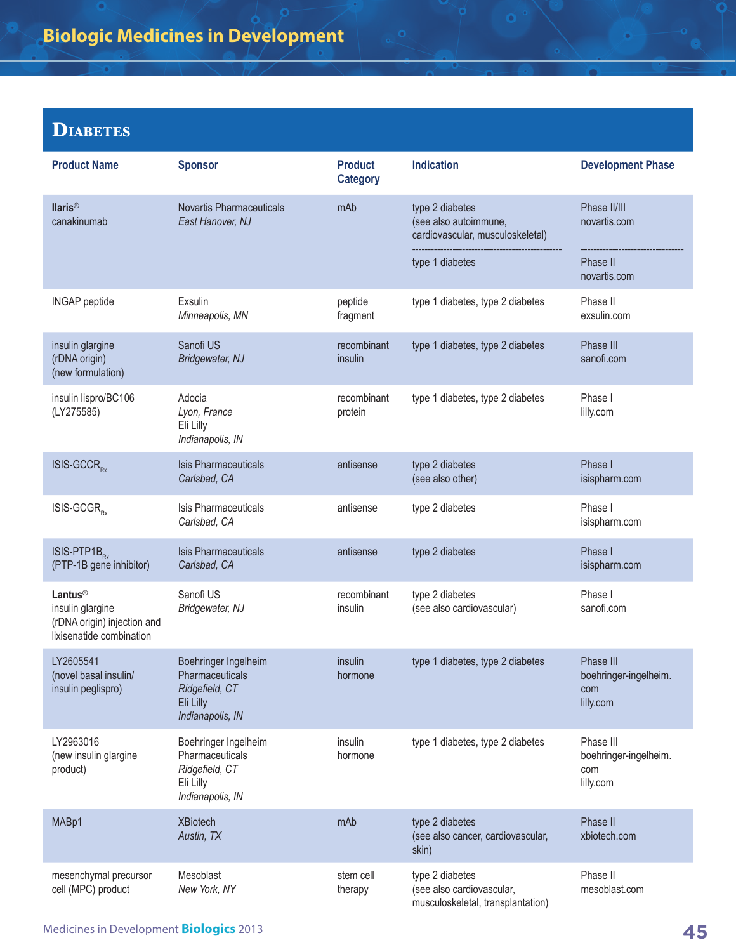#### **Diabetes**

| <b>Product Name</b>                                                                                | <b>Sponsor</b>                                                                             | <b>Product</b><br><b>Category</b> | <b>Indication</b>                                                                 | <b>Development Phase</b>                               |
|----------------------------------------------------------------------------------------------------|--------------------------------------------------------------------------------------------|-----------------------------------|-----------------------------------------------------------------------------------|--------------------------------------------------------|
| <b>Ilaris®</b><br>canakinumab                                                                      | <b>Novartis Pharmaceuticals</b><br>East Hanover, NJ                                        | mAb                               | type 2 diabetes<br>(see also autoimmune,<br>cardiovascular, musculoskeletal)      | Phase II/III<br>novartis.com                           |
|                                                                                                    |                                                                                            |                                   | type 1 diabetes                                                                   | Phase II<br>novartis.com                               |
| <b>INGAP</b> peptide                                                                               | Exsulin<br>Minneapolis, MN                                                                 | peptide<br>fragment               | type 1 diabetes, type 2 diabetes                                                  | Phase II<br>exsulin.com                                |
| insulin glargine<br>(rDNA origin)<br>(new formulation)                                             | Sanofi US<br>Bridgewater, NJ                                                               | recombinant<br>insulin            | type 1 diabetes, type 2 diabetes                                                  | Phase III<br>sanofi.com                                |
| insulin lispro/BC106<br>(LY275585)                                                                 | Adocia<br>Lyon, France<br>Eli Lilly<br>Indianapolis, IN                                    | recombinant<br>protein            | type 1 diabetes, type 2 diabetes                                                  | Phase I<br>lilly.com                                   |
| ISIS-GCCR <sub>RX</sub>                                                                            | <b>Isis Pharmaceuticals</b><br>Carlsbad, CA                                                | antisense                         | type 2 diabetes<br>(see also other)                                               | Phase I<br>isispharm.com                               |
| $ISIS-GCGR_{Rx}$                                                                                   | Isis Pharmaceuticals<br>Carlsbad, CA                                                       | antisense                         | type 2 diabetes                                                                   | Phase I<br>isispharm.com                               |
| ISIS-PTP1B <sub>Rx</sub><br>(PTP-1B gene inhibitor)                                                | <b>Isis Pharmaceuticals</b><br>Carlsbad, CA                                                | antisense                         | type 2 diabetes                                                                   | Phase I<br>isispharm.com                               |
| Lantus <sup>®</sup><br>insulin glargine<br>(rDNA origin) injection and<br>lixisenatide combination | Sanofi US<br>Bridgewater, NJ                                                               | recombinant<br>insulin            | type 2 diabetes<br>(see also cardiovascular)                                      | Phase I<br>sanofi.com                                  |
| LY2605541<br>(novel basal insulin/<br>insulin peglispro)                                           | Boehringer Ingelheim<br>Pharmaceuticals<br>Ridgefield, CT<br>Eli Lilly<br>Indianapolis, IN | insulin<br>hormone                | type 1 diabetes, type 2 diabetes                                                  | Phase III<br>boehringer-ingelheim.<br>com<br>lilly.com |
| LY2963016<br>(new insulin glargine<br>product)                                                     | Boehringer Ingelheim<br>Pharmaceuticals<br>Ridgefield, CT<br>Eli Lilly<br>Indianapolis, IN | insulin<br>hormone                | type 1 diabetes, type 2 diabetes                                                  | Phase III<br>boehringer-ingelheim.<br>com<br>lilly.com |
| MABp1                                                                                              | <b>XBiotech</b><br>Austin, TX                                                              | mAb                               | type 2 diabetes<br>(see also cancer, cardiovascular,<br>skin)                     | Phase II<br>xbiotech.com                               |
| mesenchymal precursor<br>cell (MPC) product                                                        | Mesoblast<br>New York, NY                                                                  | stem cell<br>therapy              | type 2 diabetes<br>(see also cardiovascular,<br>musculoskeletal, transplantation) | Phase II<br>mesoblast.com                              |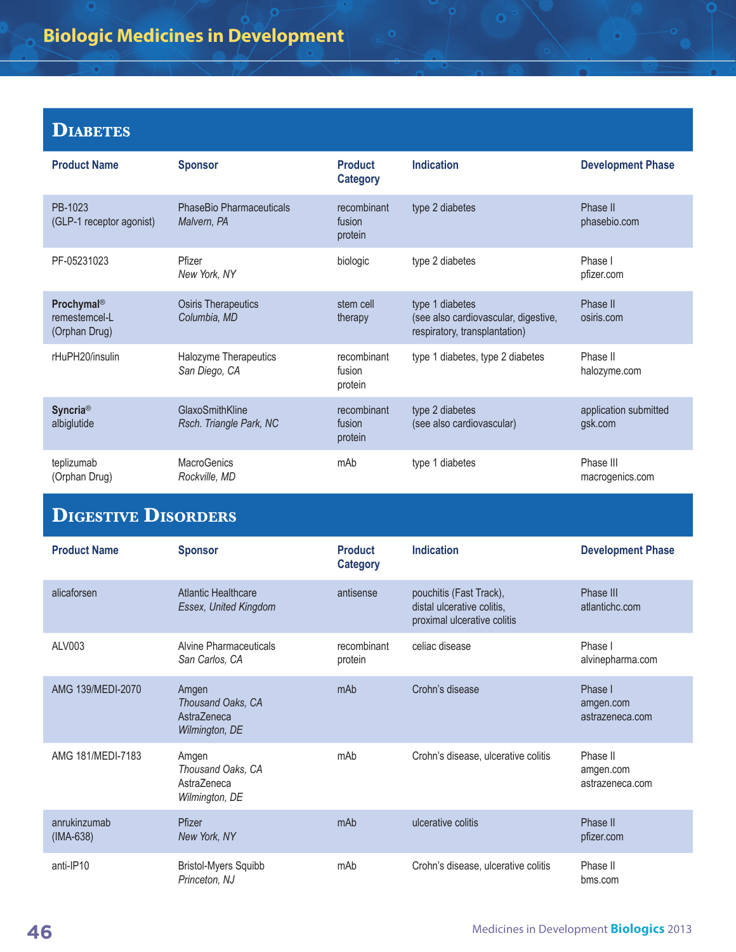#### **Diabetes**

| <b>Product Name</b>                                      | <b>Sponsor</b>                                 | <b>Product</b><br><b>Category</b> | <b>Indication</b>                                                                        | <b>Development Phase</b>         |
|----------------------------------------------------------|------------------------------------------------|-----------------------------------|------------------------------------------------------------------------------------------|----------------------------------|
| PB-1023<br>(GLP-1 receptor agonist)                      | <b>PhaseBio Pharmaceuticals</b><br>Malvern, PA | recombinant<br>fusion<br>protein  | type 2 diabetes                                                                          | Phase II<br>phasebio.com         |
| PF-05231023                                              | Pfizer<br>New York, NY                         | biologic                          | type 2 diabetes                                                                          | Phase I<br>pfizer.com            |
| Prochymal <sup>®</sup><br>remestemcel-L<br>(Orphan Drug) | <b>Osiris Therapeutics</b><br>Columbia, MD     | stem cell<br>therapy              | type 1 diabetes<br>(see also cardiovascular, digestive,<br>respiratory, transplantation) | Phase II<br>osiris.com           |
| rHuPH20/insulin                                          | Halozyme Therapeutics<br>San Diego, CA         | recombinant<br>fusion<br>protein  | type 1 diabetes, type 2 diabetes                                                         | Phase II<br>halozyme.com         |
| <b>Syncria®</b><br>albiglutide                           | GlaxoSmithKline<br>Rsch. Triangle Park, NC     | recombinant<br>fusion<br>protein  | type 2 diabetes<br>(see also cardiovascular)                                             | application submitted<br>gsk.com |
| teplizumab<br>(Orphan Drug)                              | <b>MacroGenics</b><br>Rockville, MD            | mAb                               | type 1 diabetes                                                                          | Phase III<br>macrogenics.com     |

 $\bullet$ 

## **Digestive Disorders**

| <b>Product Name</b>         | <b>Sponsor</b>                                              | <b>Product</b><br><b>Category</b> | <b>Indication</b>                                                                    | <b>Development Phase</b>                 |
|-----------------------------|-------------------------------------------------------------|-----------------------------------|--------------------------------------------------------------------------------------|------------------------------------------|
| alicaforsen                 | <b>Atlantic Healthcare</b><br>Essex, United Kingdom         | antisense                         | pouchitis (Fast Track),<br>distal ulcerative colitis,<br>proximal ulcerative colitis | Phase III<br>atlantichc.com              |
| ALV003                      | Alvine Pharmaceuticals<br>San Carlos, CA                    | recombinant<br>protein            | celiac disease                                                                       | Phase I<br>alvinepharma.com              |
| AMG 139/MEDI-2070           | Amgen<br>Thousand Oaks, CA<br>Astra7eneca<br>Wilmington, DE | mAb                               | Crohn's disease                                                                      | Phase I<br>amgen.com<br>astrazeneca.com  |
| AMG 181/MEDI-7183           | Amgen<br>Thousand Oaks, CA<br>Astra7eneca<br>Wilmington, DE | mAb                               | Crohn's disease, ulcerative colitis                                                  | Phase II<br>amgen.com<br>astrazeneca.com |
| anrukinzumab<br>$(IMA-638)$ | Pfizer<br>New York, NY                                      | mAb                               | ulcerative colitis                                                                   | Phase II<br>pfizer.com                   |
| anti-IP10                   | <b>Bristol-Myers Squibb</b><br>Princeton, NJ                | mAb                               | Crohn's disease, ulcerative colitis                                                  | Phase II<br>bms.com                      |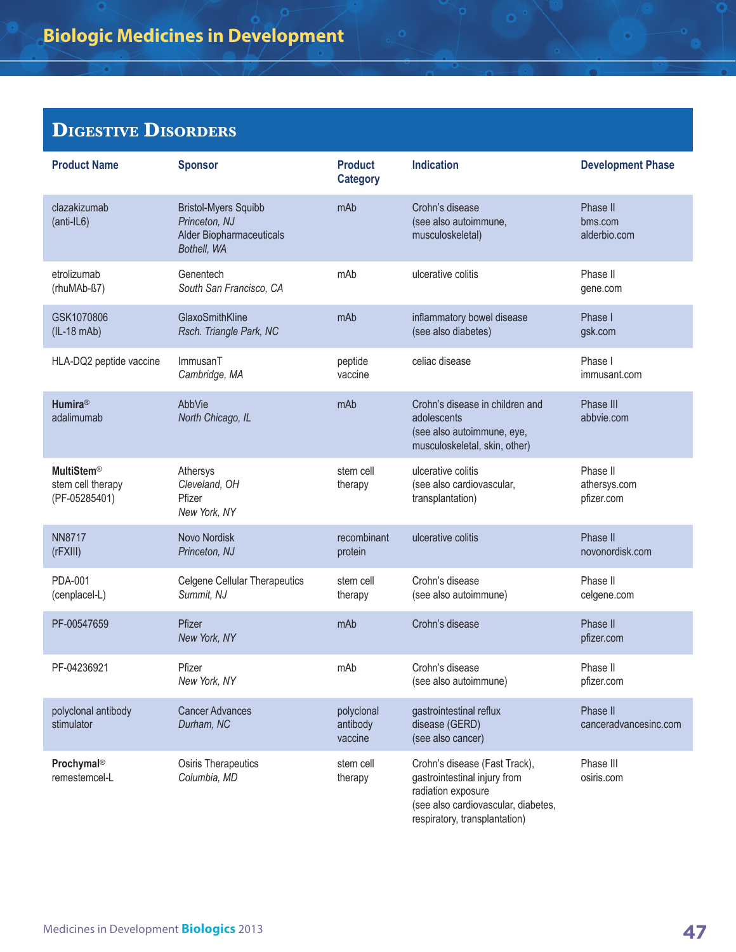#### **Digestive Disorders**

| <b>Product Name</b>                                     | <b>Sponsor</b>                                                                          | <b>Product</b><br><b>Category</b> | <b>Indication</b>                                                                                                                                           | <b>Development Phase</b>               |
|---------------------------------------------------------|-----------------------------------------------------------------------------------------|-----------------------------------|-------------------------------------------------------------------------------------------------------------------------------------------------------------|----------------------------------------|
| clazakizumab<br>(anti-IL6)                              | <b>Bristol-Myers Squibb</b><br>Princeton, NJ<br>Alder Biopharmaceuticals<br>Bothell, WA | mAb                               | Crohn's disease<br>(see also autoimmune,<br>musculoskeletal)                                                                                                | Phase II<br>bms.com<br>alderbio.com    |
| etrolizumab<br>(rhuMAb-ß7)                              | Genentech<br>South San Francisco, CA                                                    | mAb                               | ulcerative colitis                                                                                                                                          | Phase II<br>gene.com                   |
| GSK1070806<br>$(IL-18 mAb)$                             | GlaxoSmithKline<br>Rsch. Triangle Park, NC                                              | mAb                               | inflammatory bowel disease<br>(see also diabetes)                                                                                                           | Phase I<br>gsk.com                     |
| HLA-DQ2 peptide vaccine                                 | ImmusanT<br>Cambridge, MA                                                               | peptide<br>vaccine                | celiac disease                                                                                                                                              | Phase I<br>immusant.com                |
| <b>Humira®</b><br>adalimumab                            | AbbVie<br>North Chicago, IL                                                             | mAb                               | Crohn's disease in children and<br>adolescents<br>(see also autoimmune, eye,<br>musculoskeletal, skin, other)                                               | Phase III<br>abbvie.com                |
| <b>MultiStem®</b><br>stem cell therapy<br>(PF-05285401) | Athersys<br>Cleveland, OH<br>Pfizer<br>New York, NY                                     | stem cell<br>therapy              | ulcerative colitis<br>(see also cardiovascular,<br>transplantation)                                                                                         | Phase II<br>athersys.com<br>pfizer.com |
| <b>NN8717</b><br>(rFXIII)                               | Novo Nordisk<br>Princeton, NJ                                                           | recombinant<br>protein            | ulcerative colitis                                                                                                                                          | Phase II<br>novonordisk.com            |
| <b>PDA-001</b><br>(cenplacel-L)                         | <b>Celgene Cellular Therapeutics</b><br>Summit, NJ                                      | stem cell<br>therapy              | Crohn's disease<br>(see also autoimmune)                                                                                                                    | Phase II<br>celgene.com                |
| PF-00547659                                             | Pfizer<br>New York, NY                                                                  | mAb                               | Crohn's disease                                                                                                                                             | Phase II<br>pfizer.com                 |
| PF-04236921                                             | Pfizer<br>New York, NY                                                                  | mAb                               | Crohn's disease<br>(see also autoimmune)                                                                                                                    | Phase II<br>pfizer.com                 |
| polyclonal antibody<br>stimulator                       | <b>Cancer Advances</b><br>Durham, NC                                                    | polyclonal<br>antibody<br>vaccine | gastrointestinal reflux<br>disease (GERD)<br>(see also cancer)                                                                                              | Phase II<br>canceradvancesinc.com      |
| Prochymal®<br>remestemcel-L                             | Osiris Therapeutics<br>Columbia, MD                                                     | stem cell<br>therapy              | Crohn's disease (Fast Track),<br>gastrointestinal injury from<br>radiation exposure<br>(see also cardiovascular, diabetes,<br>respiratory, transplantation) | Phase III<br>osiris.com                |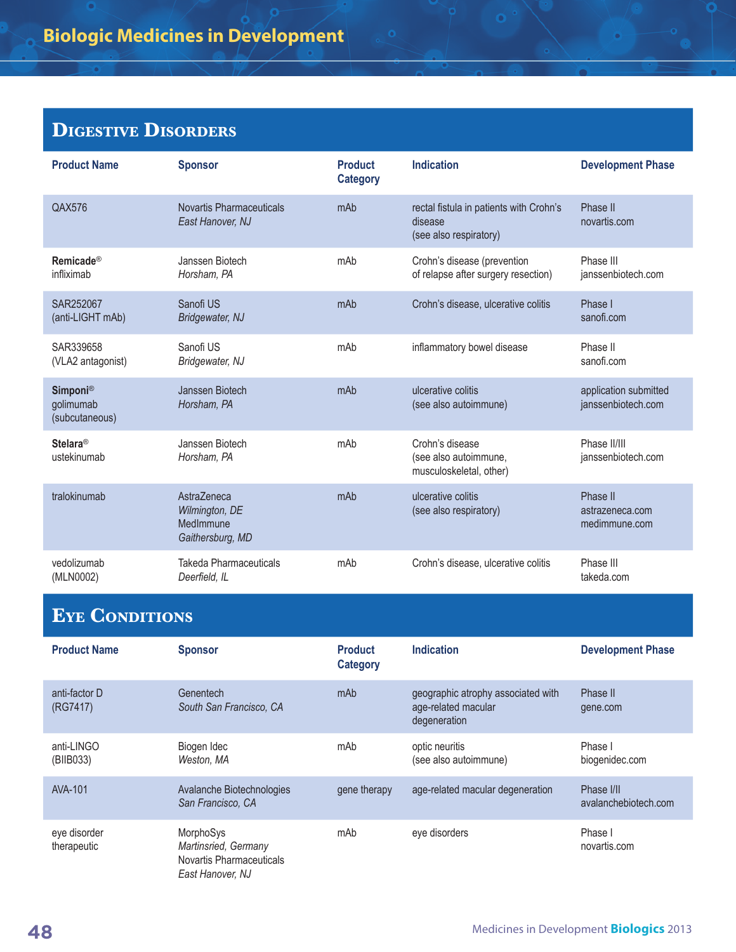## **Digestive Disorders**

| <b>Product Name</b>                            | <b>Sponsor</b>                                                 | <b>Product</b><br><b>Category</b> | <b>Indication</b>                                                            | <b>Development Phase</b>                     |
|------------------------------------------------|----------------------------------------------------------------|-----------------------------------|------------------------------------------------------------------------------|----------------------------------------------|
| QAX576                                         | Novartis Pharmaceuticals<br>East Hanover, NJ                   | mAb                               | rectal fistula in patients with Crohn's<br>disease<br>(see also respiratory) | Phase II<br>novartis.com                     |
| <b>Remicade®</b><br>infliximab                 | Janssen Biotech<br>Horsham, PA                                 | mAb                               | Crohn's disease (prevention<br>of relapse after surgery resection)           | Phase III<br>janssenbiotech.com              |
| SAR252067<br>(anti-LIGHT mAb)                  | Sanofi US<br>Bridgewater, NJ                                   | mAb                               | Crohn's disease, ulcerative colitis                                          | Phase I<br>sanofi.com                        |
| SAR339658<br>(VLA2 antagonist)                 | Sanofi US<br>Bridgewater, NJ                                   | mAb                               | inflammatory bowel disease                                                   | Phase II<br>sanofi.com                       |
| <b>Simponi®</b><br>golimumab<br>(subcutaneous) | Janssen Biotech<br>Horsham, PA                                 | mAb                               | ulcerative colitis<br>(see also autoimmune)                                  | application submitted<br>janssenbiotech.com  |
| <b>Stelara®</b><br>ustekinumab                 | Janssen Biotech<br>Horsham, PA                                 | mAb                               | Crohn's disease<br>(see also autoimmune,<br>musculoskeletal, other)          | Phase II/III<br>janssenbiotech.com           |
| tralokinumab                                   | AstraZeneca<br>Wilmington, DE<br>MedImmune<br>Gaithersburg, MD | mAb                               | ulcerative colitis<br>(see also respiratory)                                 | Phase II<br>astrazeneca.com<br>medimmune.com |
| vedolizumab<br>(MLN0002)                       | <b>Takeda Pharmaceuticals</b><br>Deerfield, IL                 | mAb                               | Crohn's disease, ulcerative colitis                                          | Phase III<br>takeda.com                      |
| $\sim$                                         |                                                                |                                   |                                                                              |                                              |

 $\bullet$ 

#### **Eye Conditions**

| <b>Product Name</b>         | <b>Sponsor</b>                                                                           | <b>Product</b><br><b>Category</b> | <b>Indication</b>                                                         | <b>Development Phase</b>           |
|-----------------------------|------------------------------------------------------------------------------------------|-----------------------------------|---------------------------------------------------------------------------|------------------------------------|
| anti-factor D<br>(RG7417)   | Genentech<br>South San Francisco, CA                                                     | mAb                               | geographic atrophy associated with<br>age-related macular<br>degeneration | Phase II<br>gene.com               |
| anti-LINGO<br>(BIIB033)     | Biogen Idec<br>Weston, MA                                                                | mAb                               | optic neuritis<br>(see also autoimmune)                                   | Phase I<br>biogenidec.com          |
| AVA-101                     | Avalanche Biotechnologies<br>San Francisco, CA                                           | gene therapy                      | age-related macular degeneration                                          | Phase I/II<br>avalanchebiotech.com |
| eye disorder<br>therapeutic | <b>MorphoSys</b><br>Martinsried, Germany<br>Novartis Pharmaceuticals<br>East Hanover, NJ | mAb                               | eve disorders                                                             | Phase I<br>novartis.com            |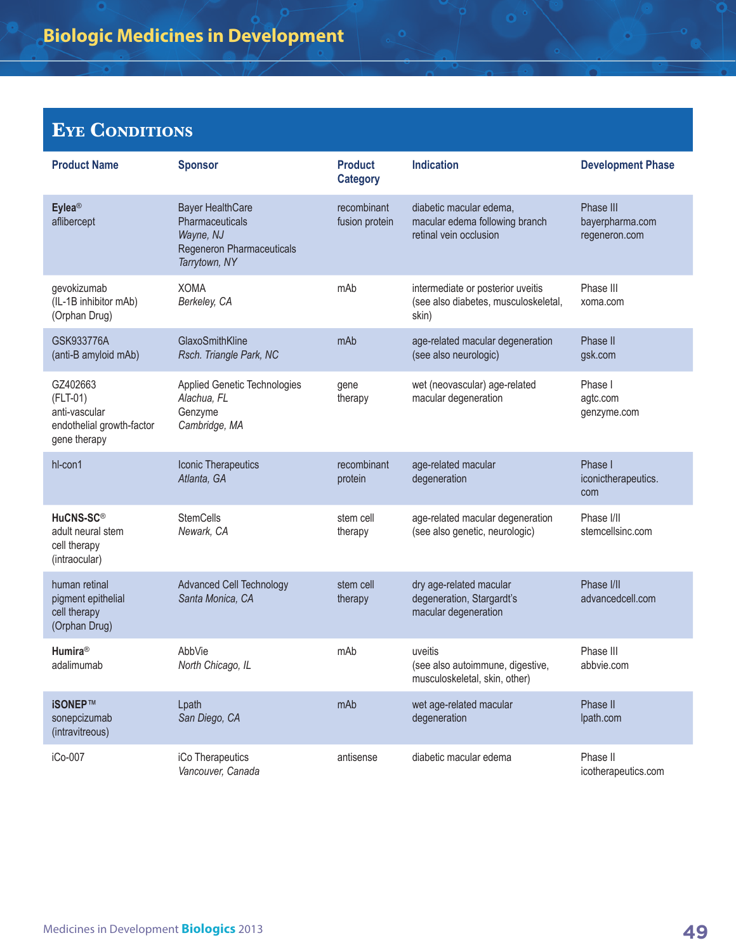#### **Eye Conditions**

| <b>Product Name</b>                                                                  | <b>Sponsor</b>                                                                                        | <b>Product</b><br><b>Category</b> | <b>Indication</b>                                                                   | <b>Development Phase</b>                      |
|--------------------------------------------------------------------------------------|-------------------------------------------------------------------------------------------------------|-----------------------------------|-------------------------------------------------------------------------------------|-----------------------------------------------|
| Eylea <sup>®</sup><br>aflibercept                                                    | <b>Bayer HealthCare</b><br>Pharmaceuticals<br>Wayne, NJ<br>Regeneron Pharmaceuticals<br>Tarrytown, NY | recombinant<br>fusion protein     | diabetic macular edema,<br>macular edema following branch<br>retinal vein occlusion | Phase III<br>bayerpharma.com<br>regeneron.com |
| gevokizumab<br>(IL-1B inhibitor mAb)<br>(Orphan Drug)                                | <b>XOMA</b><br>Berkeley, CA                                                                           | mAb                               | intermediate or posterior uveitis<br>(see also diabetes, musculoskeletal,<br>skin)  | Phase III<br>xoma.com                         |
| GSK933776A<br>(anti-B amyloid mAb)                                                   | GlaxoSmithKline<br>Rsch. Triangle Park, NC                                                            | mAb                               | age-related macular degeneration<br>(see also neurologic)                           | Phase II<br>gsk.com                           |
| GZ402663<br>$(FLT-01)$<br>anti-vascular<br>endothelial growth-factor<br>gene therapy | Applied Genetic Technologies<br>Alachua, FL<br>Genzyme<br>Cambridge, MA                               | gene<br>therapy                   | wet (neovascular) age-related<br>macular degeneration                               | Phase I<br>agtc.com<br>genzyme.com            |
| hl-con1                                                                              | Iconic Therapeutics<br>Atlanta, GA                                                                    | recombinant<br>protein            | age-related macular<br>degeneration                                                 | Phase I<br>iconictherapeutics.<br>com         |
| HuCNS-SC®<br>adult neural stem<br>cell therapy<br>(intraocular)                      | <b>StemCells</b><br>Newark, CA                                                                        | stem cell<br>therapy              | age-related macular degeneration<br>(see also genetic, neurologic)                  | Phase I/II<br>stemcellsinc.com                |
| human retinal<br>pigment epithelial<br>cell therapy<br>(Orphan Drug)                 | <b>Advanced Cell Technology</b><br>Santa Monica, CA                                                   | stem cell<br>therapy              | dry age-related macular<br>degeneration, Stargardt's<br>macular degeneration        | Phase I/II<br>advancedcell.com                |
| Humira <sup>®</sup><br>adalimumab                                                    | AbbVie<br>North Chicago, IL                                                                           | mAb                               | uveitis<br>(see also autoimmune, digestive,<br>musculoskeletal, skin, other)        | Phase III<br>abbvie.com                       |
| iSONEP™<br>sonepcizumab<br>(intravitreous)                                           | Lpath<br>San Diego, CA                                                                                | mAb                               | wet age-related macular<br>degeneration                                             | Phase II<br>lpath.com                         |
| iCo-007                                                                              | iCo Therapeutics<br>Vancouver, Canada                                                                 | antisense                         | diabetic macular edema                                                              | Phase II<br>icotherapeutics.com               |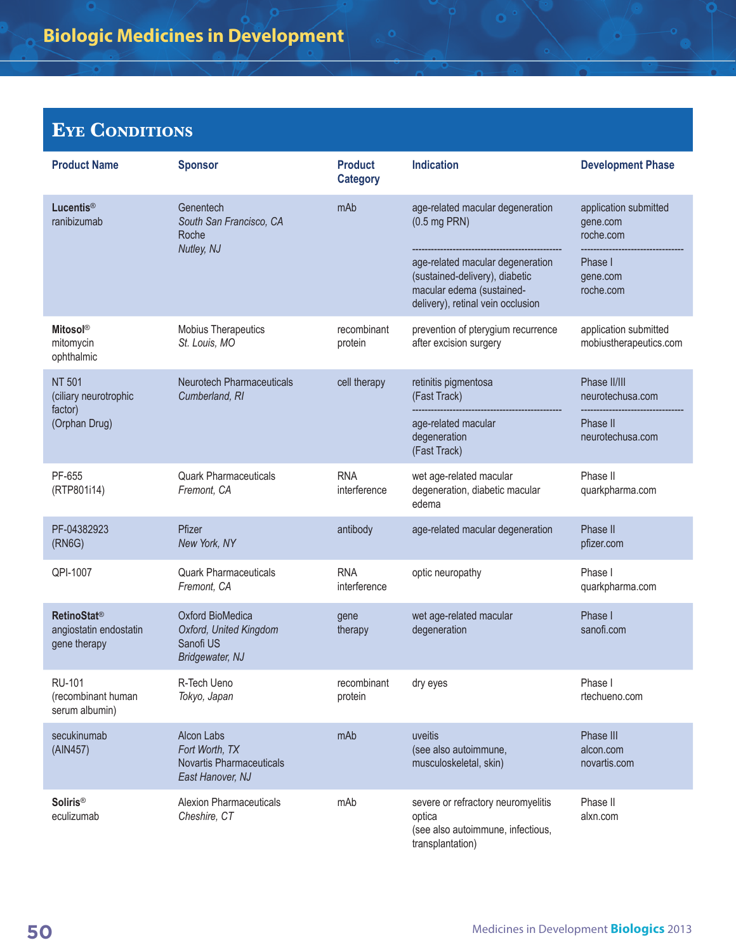#### **Eye Conditions**

| <b>Product Name</b>                                                     | <b>Sponsor</b>                                                                      | <b>Product</b><br><b>Category</b> | <b>Indication</b>                                                                                                                    | <b>Development Phase</b>                        |
|-------------------------------------------------------------------------|-------------------------------------------------------------------------------------|-----------------------------------|--------------------------------------------------------------------------------------------------------------------------------------|-------------------------------------------------|
| <b>Lucentis®</b><br>ranibizumab                                         | Genentech<br>South San Francisco, CA<br>Roche                                       | mAb                               | age-related macular degeneration<br>$(0.5 \text{ mg PRN})$                                                                           | application submitted<br>gene.com<br>roche.com  |
|                                                                         | Nutley, NJ                                                                          |                                   | age-related macular degeneration<br>(sustained-delivery), diabetic<br>macular edema (sustained-<br>delivery), retinal vein occlusion | Phase I<br>gene.com<br>roche.com                |
| <b>Mitosol®</b><br>mitomycin<br>ophthalmic                              | Mobius Therapeutics<br>St. Louis, MO                                                | recombinant<br>protein            | prevention of pterygium recurrence<br>after excision surgery                                                                         | application submitted<br>mobiustherapeutics.com |
| <b>NT 501</b><br>(ciliary neurotrophic                                  | <b>Neurotech Pharmaceuticals</b><br>Cumberland, RI                                  | cell therapy                      | retinitis pigmentosa<br>(Fast Track)                                                                                                 | Phase II/III<br>neurotechusa.com                |
| factor)<br>(Orphan Drug)                                                |                                                                                     |                                   | age-related macular<br>degeneration<br>(Fast Track)                                                                                  | Phase II<br>neurotechusa.com                    |
| PF-655<br>(RTP801i14)                                                   | <b>Quark Pharmaceuticals</b><br>Fremont, CA                                         | <b>RNA</b><br>interference        | wet age-related macular<br>degeneration, diabetic macular<br>edema                                                                   | Phase II<br>quarkpharma.com                     |
| PF-04382923<br>(RNG)                                                    | Pfizer<br>New York, NY                                                              | antibody                          | age-related macular degeneration                                                                                                     | Phase II<br>pfizer.com                          |
| QPI-1007                                                                | <b>Quark Pharmaceuticals</b><br>Fremont, CA                                         | <b>RNA</b><br>interference        | optic neuropathy                                                                                                                     | Phase I<br>quarkpharma.com                      |
| <b>RetinoStat<sup>®</sup></b><br>angiostatin endostatin<br>gene therapy | Oxford BioMedica<br>Oxford, United Kingdom<br>Sanofi US<br>Bridgewater, NJ          | gene<br>therapy                   | wet age-related macular<br>degeneration                                                                                              | Phase I<br>sanofi.com                           |
| <b>RU-101</b><br>(recombinant human<br>serum albumin)                   | R-Tech Ueno<br>Tokyo, Japan                                                         | recombinant<br>protein            | dry eyes                                                                                                                             | Phase I<br>rtechueno.com                        |
| secukinumab<br>(AIN457)                                                 | Alcon Labs<br>Fort Worth, TX<br><b>Novartis Pharmaceuticals</b><br>East Hanover, NJ | mAb                               | uveitis<br>(see also autoimmune,<br>musculoskeletal, skin)                                                                           | Phase III<br>alcon.com<br>novartis.com          |
| <b>Soliris®</b><br>eculizumab                                           | <b>Alexion Pharmaceuticals</b><br>Cheshire, CT                                      | mAb                               | severe or refractory neuromyelitis<br>optica<br>(see also autoimmune, infectious,<br>transplantation)                                | Phase II<br>alxn.com                            |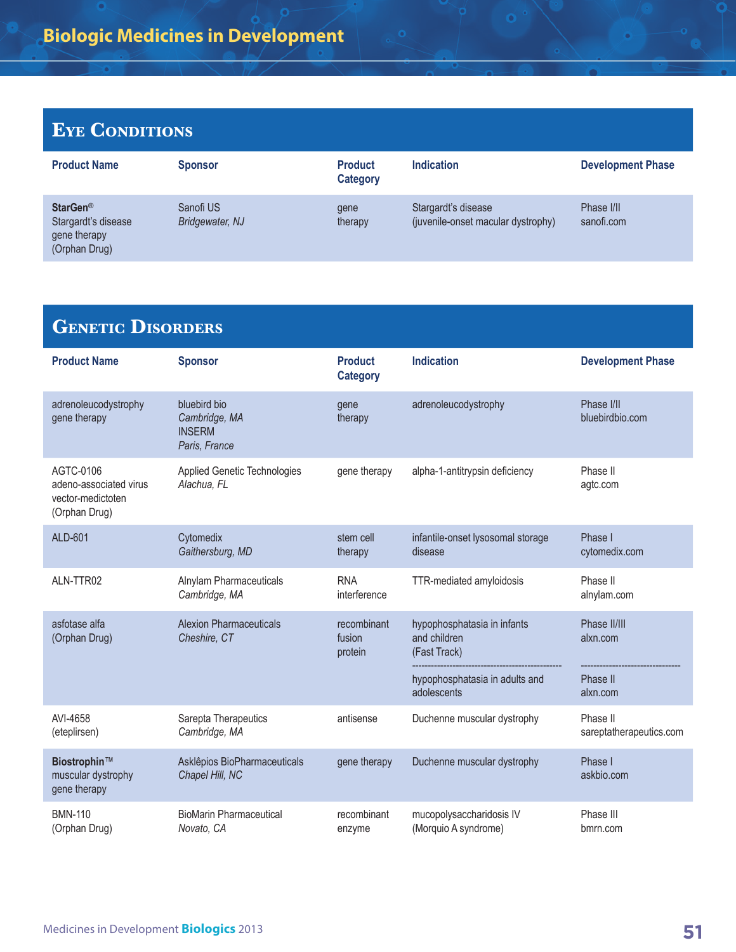#### **Eye Conditions**

| <b>Product Name</b>                                                          | <b>Sponsor</b>                      | <b>Product</b><br>Category | <b>Indication</b>                                         | <b>Development Phase</b> |
|------------------------------------------------------------------------------|-------------------------------------|----------------------------|-----------------------------------------------------------|--------------------------|
| StarGen <sup>®</sup><br>Stargardt's disease<br>gene therapy<br>(Orphan Drug) | Sanofi US<br><b>Bridgewater, NJ</b> | qene<br>therapy            | Stargardt's disease<br>(juvenile-onset macular dystrophy) | Phase I/II<br>sanofi.com |

| <b>GENETIC DISORDERS</b>                                                  |                                                                 |                                   |                                                                                                              |                                                  |
|---------------------------------------------------------------------------|-----------------------------------------------------------------|-----------------------------------|--------------------------------------------------------------------------------------------------------------|--------------------------------------------------|
| <b>Product Name</b>                                                       | <b>Sponsor</b>                                                  | <b>Product</b><br><b>Category</b> | <b>Indication</b>                                                                                            | <b>Development Phase</b>                         |
| adrenoleucodystrophy<br>gene therapy                                      | bluebird bio<br>Cambridge, MA<br><b>INSERM</b><br>Paris, France | gene<br>therapy                   | adrenoleucodystrophy                                                                                         | Phase I/II<br>bluebirdbio.com                    |
| AGTC-0106<br>adeno-associated virus<br>vector-medictoten<br>(Orphan Drug) | Applied Genetic Technologies<br>Alachua, FL                     | gene therapy                      | alpha-1-antitrypsin deficiency                                                                               | Phase II<br>agtc.com                             |
| ALD-601                                                                   | Cytomedix<br>Gaithersburg, MD                                   | stem cell<br>therapy              | infantile-onset lysosomal storage<br>disease                                                                 | Phase I<br>cytomedix.com                         |
| ALN-TTR02                                                                 | Alnylam Pharmaceuticals<br>Cambridge, MA                        | <b>RNA</b><br>interference        | TTR-mediated amyloidosis                                                                                     | Phase II<br>alnylam.com                          |
| asfotase alfa<br>(Orphan Drug)                                            | <b>Alexion Pharmaceuticals</b><br>Cheshire, CT                  | recombinant<br>fusion<br>protein  | hypophosphatasia in infants<br>and children<br>(Fast Track)<br>hypophosphatasia in adults and<br>adolescents | Phase II/III<br>alxn.com<br>Phase II<br>alxn.com |
| AVI-4658<br>(eteplirsen)                                                  | Sarepta Therapeutics<br>Cambridge, MA                           | antisense                         | Duchenne muscular dystrophy                                                                                  | Phase II<br>sareptatherapeutics.com              |
| Biostrophin™<br>muscular dystrophy<br>gene therapy                        | Asklêpios BioPharmaceuticals<br>Chapel Hill, NC                 | gene therapy                      | Duchenne muscular dystrophy                                                                                  | Phase I<br>askbio.com                            |
| <b>BMN-110</b><br>(Orphan Drug)                                           | <b>BioMarin Pharmaceutical</b><br>Novato, CA                    | recombinant<br>enzyme             | mucopolysaccharidosis IV<br>(Morquio A syndrome)                                                             | Phase III<br>bmrn.com                            |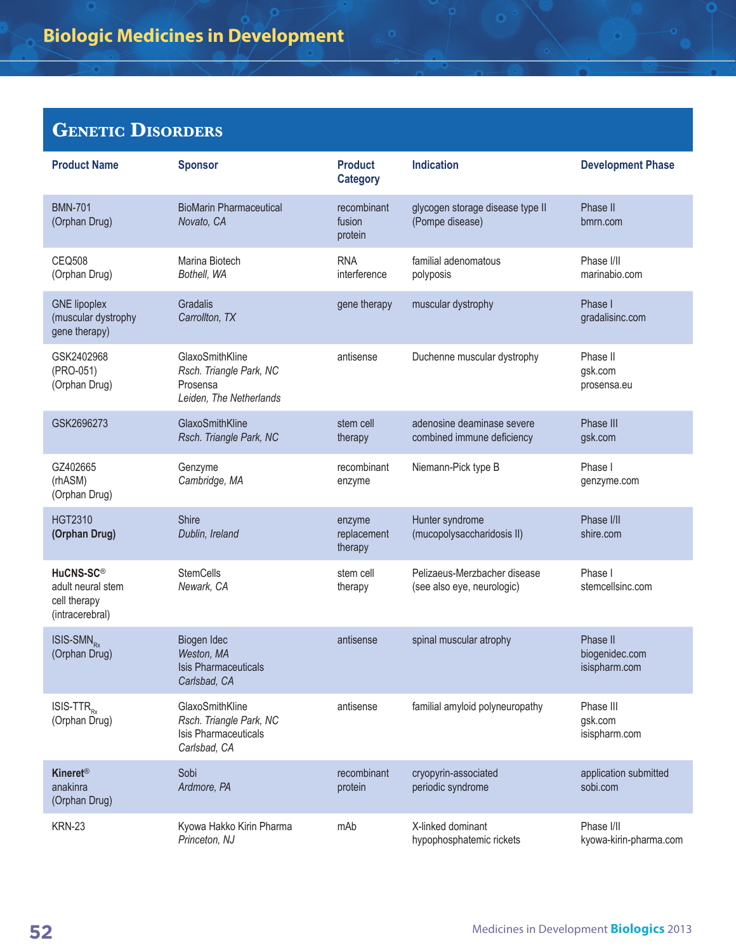### **GENETIC DISORDERS**

| <b>Product Name</b>                                                           | <b>Sponsor</b>                                                                            | <b>Product</b><br><b>Category</b> | <b>Indication</b>                                          | <b>Development Phase</b>                    |
|-------------------------------------------------------------------------------|-------------------------------------------------------------------------------------------|-----------------------------------|------------------------------------------------------------|---------------------------------------------|
| <b>BMN-701</b><br>(Orphan Drug)                                               | <b>BioMarin Pharmaceutical</b><br>Novato, CA                                              | recombinant<br>fusion<br>protein  | glycogen storage disease type II<br>(Pompe disease)        | Phase II<br>bmrn.com                        |
| <b>CEQ508</b><br>(Orphan Drug)                                                | Marina Biotech<br>Bothell, WA                                                             | <b>RNA</b><br>interference        | familial adenomatous<br>polyposis                          | Phase I/II<br>marinabio.com                 |
| <b>GNE</b> lipoplex<br>(muscular dystrophy<br>gene therapy)                   | Gradalis<br>Carrollton, TX                                                                | gene therapy                      | muscular dystrophy                                         | Phase I<br>gradalisinc.com                  |
| GSK2402968<br>(PRO-051)<br>(Orphan Drug)                                      | GlaxoSmithKline<br>Rsch. Triangle Park, NC<br>Prosensa<br>Leiden, The Netherlands         | antisense                         | Duchenne muscular dystrophy                                | Phase II<br>gsk.com<br>prosensa.eu          |
| GSK2696273                                                                    | GlaxoSmithKline<br>Rsch. Triangle Park, NC                                                | stem cell<br>therapy              | adenosine deaminase severe<br>combined immune deficiency   | Phase III<br>gsk.com                        |
| GZ402665<br>(rhASM)<br>(Orphan Drug)                                          | Genzyme<br>Cambridge, MA                                                                  | recombinant<br>enzyme             | Niemann-Pick type B                                        | Phase I<br>genzyme.com                      |
| <b>HGT2310</b><br>(Orphan Drug)                                               | <b>Shire</b><br>Dublin, Ireland                                                           | enzyme<br>replacement<br>therapy  | Hunter syndrome<br>(mucopolysaccharidosis II)              | Phase I/II<br>shire.com                     |
| HuCNS-SC <sup>®</sup><br>adult neural stem<br>cell therapy<br>(intracerebral) | <b>StemCells</b><br>Newark, CA                                                            | stem cell<br>therapy              | Pelizaeus-Merzbacher disease<br>(see also eye, neurologic) | Phase I<br>stemcellsinc.com                 |
| ISIS-SMN <sub>RY</sub><br>(Orphan Drug)                                       | Biogen Idec<br>Weston, MA<br><b>Isis Pharmaceuticals</b><br>Carlsbad, CA                  | antisense                         | spinal muscular atrophy                                    | Phase II<br>biogenidec.com<br>isispharm.com |
| $ISIS-TTR_{Rx}$<br>(Orphan Drug)                                              | GlaxoSmithKline<br>Rsch. Triangle Park, NC<br><b>Isis Pharmaceuticals</b><br>Carlsbad, CA | antisense                         | familial amyloid polyneuropathy                            | Phase III<br>gsk.com<br>isispharm.com       |
| <b>Kineret<sup>®</sup></b><br>anakinra<br>(Orphan Drug)                       | Sobi<br>Ardmore, PA                                                                       | recombinant<br>protein            | cryopyrin-associated<br>periodic syndrome                  | application submitted<br>sobi.com           |
| <b>KRN-23</b>                                                                 | Kyowa Hakko Kirin Pharma<br>Princeton, NJ                                                 | mAb                               | X-linked dominant<br>hypophosphatemic rickets              | Phase I/II<br>kyowa-kirin-pharma.com        |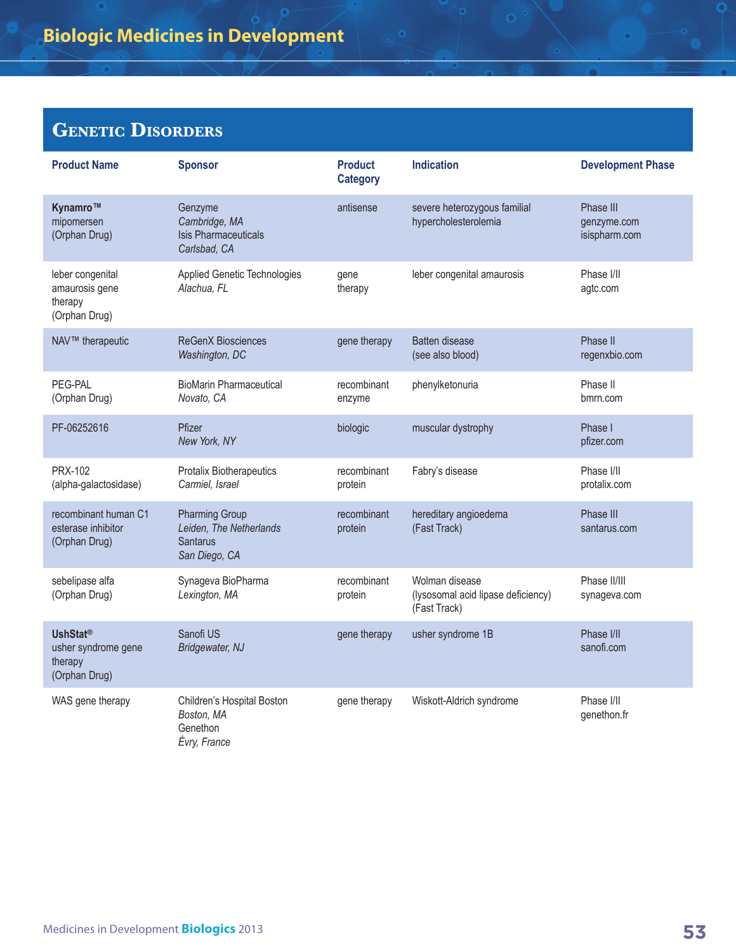## **Genetic Disorders**

| <b>Product Name</b>                                                | <b>Sponsor</b>                                                                       | <b>Product</b><br><b>Category</b> | <b>Indication</b>                                                    | <b>Development Phase</b>                  |
|--------------------------------------------------------------------|--------------------------------------------------------------------------------------|-----------------------------------|----------------------------------------------------------------------|-------------------------------------------|
| Kynamro™<br>mipomersen<br>(Orphan Drug)                            | Genzyme<br>Cambridge, MA<br><b>Isis Pharmaceuticals</b><br>Carlsbad, CA              | antisense                         | severe heterozygous familial<br>hypercholesterolemia                 | Phase III<br>genzyme.com<br>isispharm.com |
| leber congenital<br>amaurosis gene<br>therapy<br>(Orphan Drug)     | Applied Genetic Technologies<br>Alachua, FL                                          | gene<br>therapy                   | leber congenital amaurosis                                           | Phase I/II<br>agtc.com                    |
| NAV™ therapeutic                                                   | <b>ReGenX Biosciences</b><br>Washington, DC                                          | gene therapy                      | <b>Batten disease</b><br>(see also blood)                            | Phase II<br>regenxbio.com                 |
| PEG-PAL<br>(Orphan Drug)                                           | <b>BioMarin Pharmaceutical</b><br>Novato, CA                                         | recombinant<br>enzyme             | phenylketonuria                                                      | Phase II<br>bmrn.com                      |
| PF-06252616                                                        | Pfizer<br>New York, NY                                                               | biologic                          | muscular dystrophy                                                   | Phase I<br>pfizer.com                     |
| PRX-102<br>(alpha-galactosidase)                                   | Protalix Biotherapeutics<br>Carmiel, Israel                                          | recombinant<br>protein            | Fabry's disease                                                      | Phase I/II<br>protalix.com                |
| recombinant human C1<br>esterase inhibitor<br>(Orphan Drug)        | <b>Pharming Group</b><br>Leiden, The Netherlands<br><b>Santarus</b><br>San Diego, CA | recombinant<br>protein            | hereditary angioedema<br>(Fast Track)                                | Phase III<br>santarus.com                 |
| sebelipase alfa<br>(Orphan Drug)                                   | Synageva BioPharma<br>Lexington, MA                                                  | recombinant<br>protein            | Wolman disease<br>(lysosomal acid lipase deficiency)<br>(Fast Track) | Phase II/III<br>synageva.com              |
| <b>UshStat®</b><br>usher syndrome gene<br>therapy<br>(Orphan Drug) | Sanofi US<br>Bridgewater, NJ                                                         | gene therapy                      | usher syndrome 1B                                                    | Phase I/II<br>sanofi.com                  |
| WAS gene therapy                                                   | Children's Hospital Boston<br>Boston, MA<br>Genethon<br>Évry, France                 | gene therapy                      | Wiskott-Aldrich syndrome                                             | Phase I/II<br>genethon.fr                 |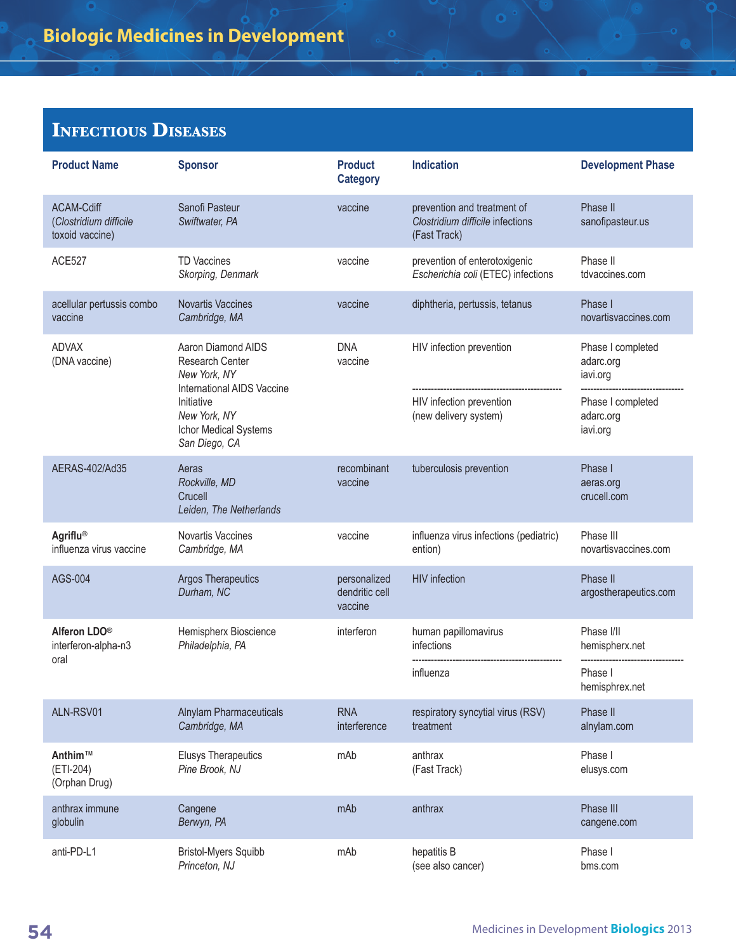| <b>Product Name</b>                                     | <b>Sponsor</b>                                                                      | <b>Product</b><br><b>Category</b>         | <b>Indication</b>                                                               | <b>Development Phase</b>                   |
|---------------------------------------------------------|-------------------------------------------------------------------------------------|-------------------------------------------|---------------------------------------------------------------------------------|--------------------------------------------|
| ACAM-Cdiff<br>(Clostridium difficile<br>toxoid vaccine) | Sanofi Pasteur<br>Swiftwater, PA                                                    | vaccine                                   | prevention and treatment of<br>Clostridium difficile infections<br>(Fast Track) | Phase II<br>sanofipasteur.us               |
| <b>ACE527</b>                                           | <b>TD Vaccines</b><br>Skorping, Denmark                                             | vaccine                                   | prevention of enterotoxigenic<br>Escherichia coli (ETEC) infections             | Phase II<br>tdvaccines.com                 |
| acellular pertussis combo<br>vaccine                    | <b>Novartis Vaccines</b><br>Cambridge, MA                                           | vaccine                                   | diphtheria, pertussis, tetanus                                                  | Phase I<br>novartisvaccines.com            |
| <b>ADVAX</b><br>(DNA vaccine)                           | Aaron Diamond AIDS<br>Research Center<br>New York, NY<br>International AIDS Vaccine | <b>DNA</b><br>vaccine                     | HIV infection prevention                                                        | Phase I completed<br>adarc.org<br>iavi.org |
|                                                         | Initiative<br>New York, NY<br>Ichor Medical Systems<br>San Diego, CA                |                                           | HIV infection prevention<br>(new delivery system)                               | Phase I completed<br>adarc.org<br>iavi.org |
| AERAS-402/Ad35                                          | Aeras<br>Rockville, MD<br>Crucell<br>Leiden, The Netherlands                        | recombinant<br>vaccine                    | tuberculosis prevention                                                         | Phase I<br>aeras.org<br>crucell.com        |
| Agriflu®<br>influenza virus vaccine                     | Novartis Vaccines<br>Cambridge, MA                                                  | vaccine                                   | influenza virus infections (pediatric)<br>ention)                               | Phase III<br>novartisvaccines.com          |
| AGS-004                                                 | <b>Argos Therapeutics</b><br>Durham, NC                                             | personalized<br>dendritic cell<br>vaccine | <b>HIV</b> infection                                                            | Phase II<br>argostherapeutics.com          |
| Alferon LDO <sup>®</sup><br>interferon-alpha-n3         | Hemispherx Bioscience<br>Philadelphia, PA                                           | interferon                                | human papillomavirus<br>infections                                              | Phase I/II<br>hemispherx.net               |
| oral                                                    |                                                                                     |                                           | influenza                                                                       | Phase I<br>hemisphrex.net                  |
| ALN-RSV01                                               | <b>Alnylam Pharmaceuticals</b><br>Cambridge, MA                                     | <b>RNA</b><br>interference                | respiratory syncytial virus (RSV)<br>treatment                                  | Phase II<br>alnylam.com                    |
| Anthim™<br>(ETI-204)<br>(Orphan Drug)                   | <b>Elusys Therapeutics</b><br>Pine Brook, NJ                                        | mAb                                       | anthrax<br>(Fast Track)                                                         | Phase I<br>elusys.com                      |
| anthrax immune<br>globulin                              | Cangene<br>Berwyn, PA                                                               | mAb                                       | anthrax                                                                         | Phase III<br>cangene.com                   |
| anti-PD-L1                                              | <b>Bristol-Myers Squibb</b><br>Princeton, NJ                                        | mAb                                       | hepatitis B<br>(see also cancer)                                                | Phase I<br>bms.com                         |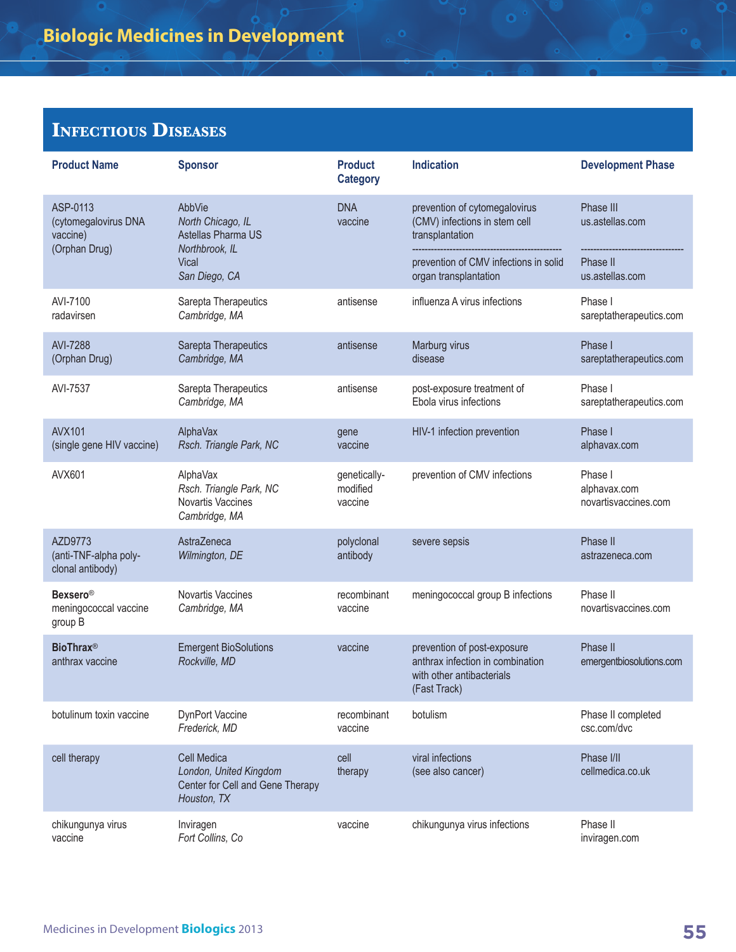| <b>Product Name</b>                                           | <b>Sponsor</b>                                                                           | <b>Product</b><br><b>Category</b>   | <b>Indication</b>                                                                                            | <b>Development Phase</b>                        |
|---------------------------------------------------------------|------------------------------------------------------------------------------------------|-------------------------------------|--------------------------------------------------------------------------------------------------------------|-------------------------------------------------|
| ASP-0113<br>(cytomegalovirus DNA<br>vaccine)<br>(Orphan Drug) | AbbVie<br>North Chicago, IL<br>Astellas Pharma US<br>Northbrook, IL                      | <b>DNA</b><br>vaccine               | prevention of cytomegalovirus<br>(CMV) infections in stem cell<br>transplantation                            | Phase III<br>us.astellas.com                    |
|                                                               | Vical<br>San Diego, CA                                                                   |                                     | prevention of CMV infections in solid<br>organ transplantation                                               | Phase II<br>us.astellas.com                     |
| AVI-7100<br>radavirsen                                        | Sarepta Therapeutics<br>Cambridge, MA                                                    | antisense                           | influenza A virus infections                                                                                 | Phase I<br>sareptatherapeutics.com              |
| <b>AVI-7288</b><br>(Orphan Drug)                              | Sarepta Therapeutics<br>Cambridge, MA                                                    | antisense                           | Marburg virus<br>disease                                                                                     | Phase I<br>sareptatherapeutics.com              |
| AVI-7537                                                      | Sarepta Therapeutics<br>Cambridge, MA                                                    | antisense                           | post-exposure treatment of<br>Ebola virus infections                                                         | Phase I<br>sareptatherapeutics.com              |
| <b>AVX101</b><br>(single gene HIV vaccine)                    | AlphaVax<br>Rsch. Triangle Park, NC                                                      | gene<br>vaccine                     | HIV-1 infection prevention                                                                                   | Phase I<br>alphavax.com                         |
| AVX601                                                        | AlphaVax<br>Rsch. Triangle Park, NC<br>Novartis Vaccines<br>Cambridge, MA                | genetically-<br>modified<br>vaccine | prevention of CMV infections                                                                                 | Phase I<br>alphavax.com<br>novartisvaccines.com |
| AZD9773<br>(anti-TNF-alpha poly-<br>clonal antibody)          | AstraZeneca<br>Wilmington, DE                                                            | polyclonal<br>antibody              | severe sepsis                                                                                                | Phase II<br>astrazeneca.com                     |
| <b>Bexsero®</b><br>meningococcal vaccine<br>group B           | Novartis Vaccines<br>Cambridge, MA                                                       | recombinant<br>vaccine              | meningococcal group B infections                                                                             | Phase II<br>novartisvaccines.com                |
| <b>BioThrax®</b><br>anthrax vaccine                           | <b>Emergent BioSolutions</b><br>Rockville, MD                                            | vaccine                             | prevention of post-exposure<br>anthrax infection in combination<br>with other antibacterials<br>(Fast Track) | Phase II<br>emergentbiosolutions.com            |
| botulinum toxin vaccine                                       | <b>DynPort Vaccine</b><br>Frederick, MD                                                  | recombinant<br>vaccine              | botulism                                                                                                     | Phase II completed<br>csc.com/dvc               |
| cell therapy                                                  | Cell Medica<br>London, United Kingdom<br>Center for Cell and Gene Therapy<br>Houston, TX | cell<br>therapy                     | viral infections<br>(see also cancer)                                                                        | Phase I/II<br>cellmedica.co.uk                  |
| chikungunya virus<br>vaccine                                  | Inviragen<br>Fort Collins, Co                                                            | vaccine                             | chikungunya virus infections                                                                                 | Phase II<br>inviragen.com                       |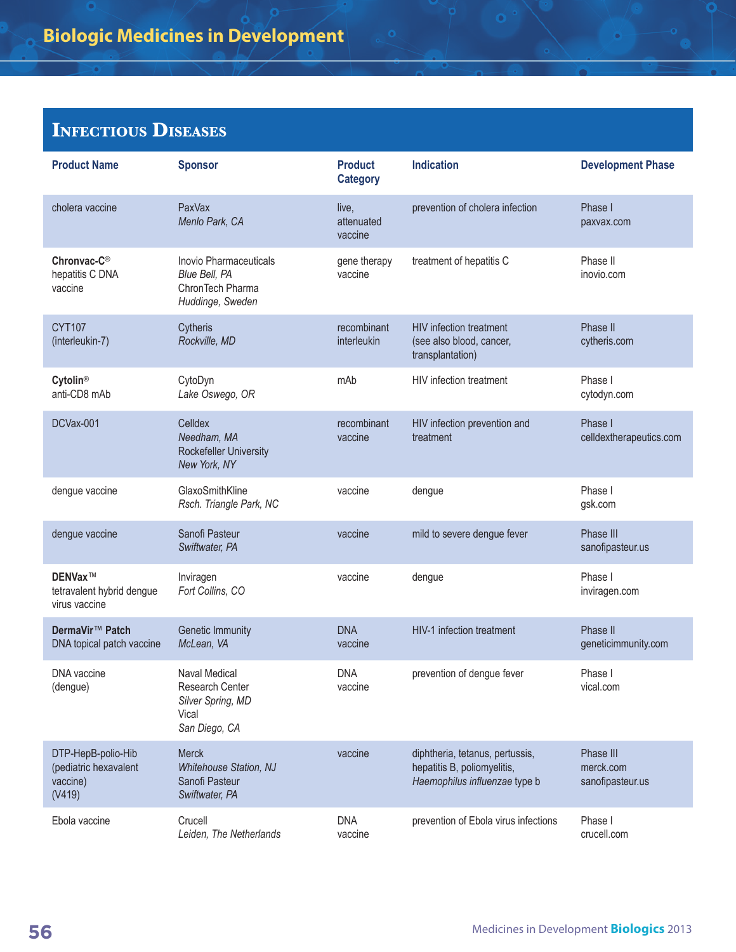| <b>Product Name</b>                                               | <b>Sponsor</b>                                                                         | <b>Product</b><br><b>Category</b> | <b>Indication</b>                                                                               | <b>Development Phase</b>                   |
|-------------------------------------------------------------------|----------------------------------------------------------------------------------------|-----------------------------------|-------------------------------------------------------------------------------------------------|--------------------------------------------|
| cholera vaccine                                                   | PaxVax<br>Menlo Park, CA                                                               | live,<br>attenuated<br>vaccine    | prevention of cholera infection                                                                 | Phase I<br>paxvax.com                      |
| Chronvac-C <sup>®</sup><br>hepatitis C DNA<br>vaccine             | Inovio Pharmaceuticals<br>Blue Bell, PA<br>ChronTech Pharma<br>Huddinge, Sweden        | gene therapy<br>vaccine           | treatment of hepatitis C                                                                        | Phase II<br>inovio.com                     |
| <b>CYT107</b><br>(interleukin-7)                                  | Cytheris<br>Rockville, MD                                                              | recombinant<br>interleukin        | <b>HIV</b> infection treatment<br>(see also blood, cancer,<br>transplantation)                  | Phase II<br>cytheris.com                   |
| Cytolin®<br>anti-CD8 mAb                                          | CytoDyn<br>Lake Oswego, OR                                                             | mAb                               | HIV infection treatment                                                                         | Phase I<br>cytodyn.com                     |
| DCVax-001                                                         | Celldex<br>Needham, MA<br>Rockefeller University<br>New York, NY                       | recombinant<br>vaccine            | HIV infection prevention and<br>treatment                                                       | Phase I<br>celldextherapeutics.com         |
| dengue vaccine                                                    | GlaxoSmithKline<br>Rsch. Triangle Park, NC                                             | vaccine                           | dengue                                                                                          | Phase I<br>gsk.com                         |
| dengue vaccine                                                    | Sanofi Pasteur<br>Swiftwater, PA                                                       | vaccine                           | mild to severe dengue fever                                                                     | Phase III<br>sanofipasteur.us              |
| DENVax™<br>tetravalent hybrid dengue<br>virus vaccine             | Inviragen<br>Fort Collins, CO                                                          | vaccine                           | dengue                                                                                          | Phase I<br>inviragen.com                   |
| DermaVir <sup>™</sup> Patch<br>DNA topical patch vaccine          | <b>Genetic Immunity</b><br>McLean, VA                                                  | <b>DNA</b><br>vaccine             | HIV-1 infection treatment                                                                       | Phase II<br>geneticimmunity.com            |
| DNA vaccine<br>(dengue)                                           | <b>Naval Medical</b><br>Research Center<br>Silver Spring, MD<br>Vical<br>San Diego, CA | <b>DNA</b><br>vaccine             | prevention of dengue fever                                                                      | Phase I<br>vical.com                       |
| DTP-HepB-polio-Hib<br>(pediatric hexavalent<br>vaccine)<br>(V419) | <b>Merck</b><br><b>Whitehouse Station, NJ</b><br>Sanofi Pasteur<br>Swiftwater, PA      | vaccine                           | diphtheria, tetanus, pertussis,<br>hepatitis B, poliomyelitis,<br>Haemophilus influenzae type b | Phase III<br>merck.com<br>sanofipasteur.us |
| Ebola vaccine                                                     | Crucell<br>Leiden, The Netherlands                                                     | <b>DNA</b><br>vaccine             | prevention of Ebola virus infections                                                            | Phase I<br>crucell.com                     |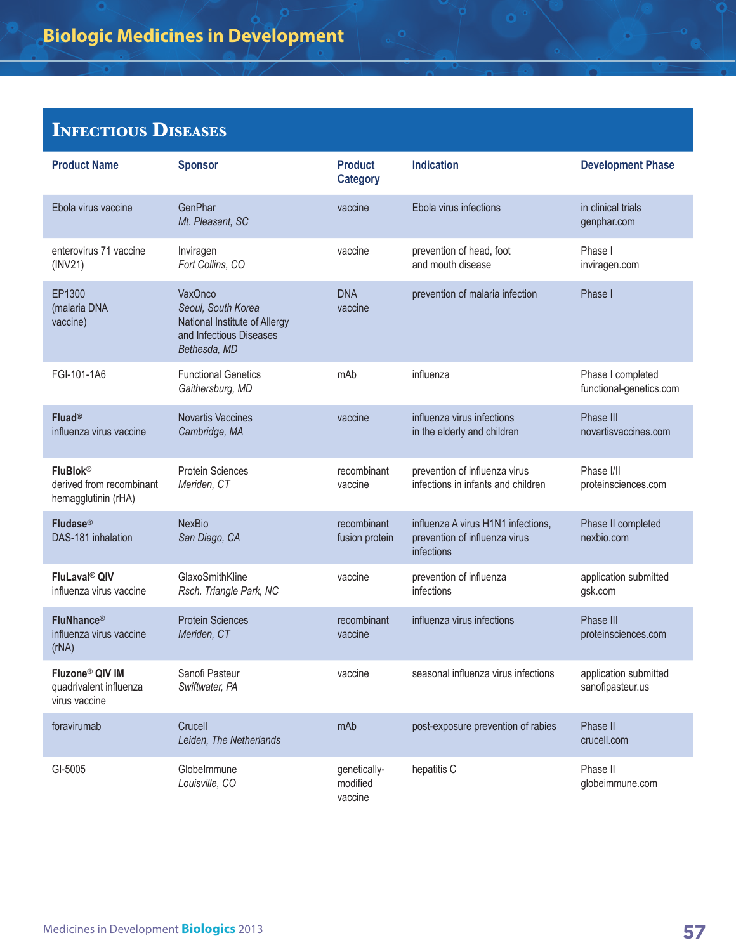| <b>Product Name</b>                                                    | <b>Sponsor</b>                                                                                                   | <b>Product</b><br><b>Category</b>   | <b>Indication</b>                                                                 | <b>Development Phase</b>                     |
|------------------------------------------------------------------------|------------------------------------------------------------------------------------------------------------------|-------------------------------------|-----------------------------------------------------------------------------------|----------------------------------------------|
| Ebola virus vaccine                                                    | <b>GenPhar</b><br>Mt. Pleasant, SC                                                                               | vaccine                             | Ebola virus infections                                                            | in clinical trials<br>genphar.com            |
| enterovirus 71 vaccine<br>(INV21)                                      | Inviragen<br>Fort Collins, CO                                                                                    | vaccine                             | prevention of head, foot<br>and mouth disease                                     | Phase I<br>inviragen.com                     |
| EP1300<br>(malaria DNA<br>vaccine)                                     | <b>VaxOnco</b><br>Seoul, South Korea<br>National Institute of Allergy<br>and Infectious Diseases<br>Bethesda, MD | <b>DNA</b><br>vaccine               | prevention of malaria infection                                                   | Phase I                                      |
| FGI-101-1A6                                                            | <b>Functional Genetics</b><br>Gaithersburg, MD                                                                   | mAb                                 | influenza                                                                         | Phase I completed<br>functional-genetics.com |
| Fluad®<br>influenza virus vaccine                                      | <b>Novartis Vaccines</b><br>Cambridge, MA                                                                        | vaccine                             | influenza virus infections<br>in the elderly and children                         | Phase III<br>novartisvaccines.com            |
| <b>FluBlok®</b><br>derived from recombinant<br>hemagglutinin (rHA)     | <b>Protein Sciences</b><br>Meriden, CT                                                                           | recombinant<br>vaccine              | prevention of influenza virus<br>infections in infants and children               | Phase I/II<br>proteinsciences.com            |
| Fludase®<br>DAS-181 inhalation                                         | <b>NexBio</b><br>San Diego, CA                                                                                   | recombinant<br>fusion protein       | influenza A virus H1N1 infections,<br>prevention of influenza virus<br>infections | Phase II completed<br>nexbio.com             |
| FluLaval <sup>®</sup> QIV<br>influenza virus vaccine                   | GlaxoSmithKline<br>Rsch. Triangle Park, NC                                                                       | vaccine                             | prevention of influenza<br>infections                                             | application submitted<br>gsk.com             |
| <b>FluNhance®</b><br>influenza virus vaccine<br>(rNA)                  | <b>Protein Sciences</b><br>Meriden, CT                                                                           | recombinant<br>vaccine              | influenza virus infections                                                        | Phase III<br>proteinsciences.com             |
| Fluzone <sup>®</sup> QIV IM<br>quadrivalent influenza<br>virus vaccine | Sanofi Pasteur<br>Swiftwater, PA                                                                                 | vaccine                             | seasonal influenza virus infections                                               | application submitted<br>sanofipasteur.us    |
| foravirumab                                                            | Crucell<br>Leiden, The Netherlands                                                                               | mAb                                 | post-exposure prevention of rabies                                                | Phase II<br>crucell.com                      |
| GI-5005                                                                | Globelmmune<br>Louisville, CO                                                                                    | genetically-<br>modified<br>vaccine | hepatitis C                                                                       | Phase II<br>globeimmune.com                  |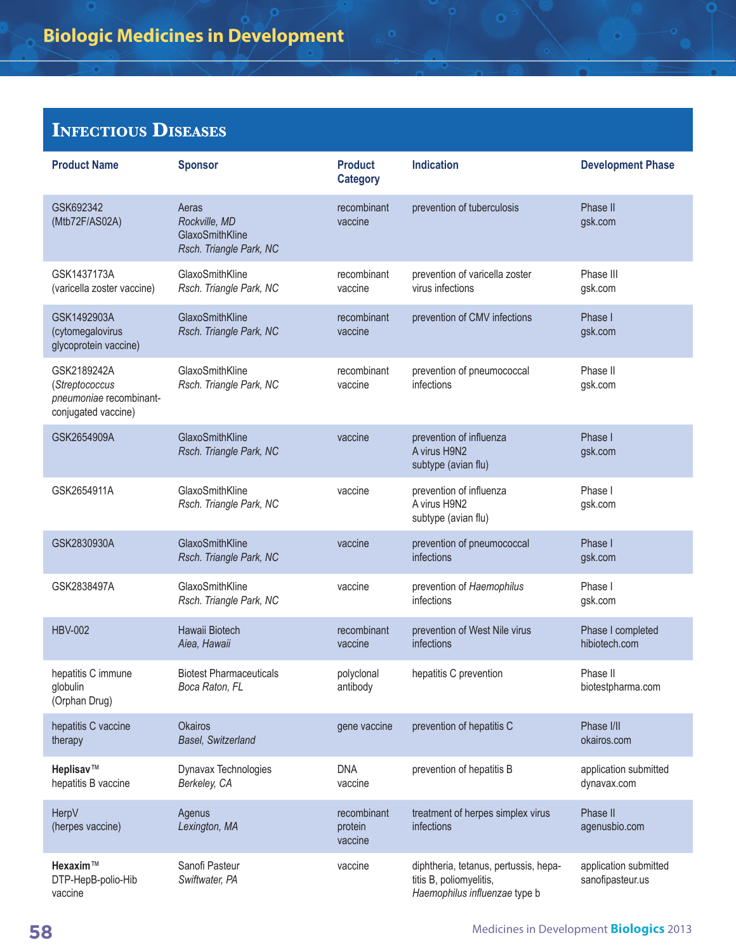| <b>Product Name</b>                                                             | <b>Sponsor</b>                                                       | <b>Product</b><br><b>Category</b> | <b>Indication</b>                                                                                 | <b>Development Phase</b>                  |
|---------------------------------------------------------------------------------|----------------------------------------------------------------------|-----------------------------------|---------------------------------------------------------------------------------------------------|-------------------------------------------|
| GSK692342<br>(Mtb72F/AS02A)                                                     | Aeras<br>Rockville, MD<br>GlaxoSmithKline<br>Rsch. Triangle Park, NC | recombinant<br>vaccine            | prevention of tuberculosis                                                                        | Phase II<br>gsk.com                       |
| GSK1437173A<br>(varicella zoster vaccine)                                       | GlaxoSmithKline<br>Rsch. Triangle Park, NC                           | recombinant<br>vaccine            | prevention of varicella zoster<br>virus infections                                                | Phase III<br>gsk.com                      |
| GSK1492903A<br>(cytomegalovirus<br>glycoprotein vaccine)                        | GlaxoSmithKline<br>Rsch. Triangle Park, NC                           | recombinant<br>vaccine            | prevention of CMV infections                                                                      | Phase I<br>gsk.com                        |
| GSK2189242A<br>(Streptococcus<br>pneumoniae recombinant-<br>conjugated vaccine) | GlaxoSmithKline<br>Rsch. Triangle Park, NC                           | recombinant<br>vaccine            | prevention of pneumococcal<br>infections                                                          | Phase II<br>gsk.com                       |
| GSK2654909A                                                                     | GlaxoSmithKline<br>Rsch. Triangle Park, NC                           | vaccine                           | prevention of influenza<br>A virus H9N2<br>subtype (avian flu)                                    | Phase I<br>gsk.com                        |
| GSK2654911A                                                                     | GlaxoSmithKline<br>Rsch. Triangle Park, NC                           | vaccine                           | prevention of influenza<br>A virus H9N2<br>subtype (avian flu)                                    | Phase I<br>gsk.com                        |
| GSK2830930A                                                                     | GlaxoSmithKline<br>Rsch. Triangle Park, NC                           | vaccine                           | prevention of pneumococcal<br>infections                                                          | Phase I<br>gsk.com                        |
| GSK2838497A                                                                     | GlaxoSmithKline<br>Rsch. Triangle Park, NC                           | vaccine                           | prevention of Haemophilus<br>infections                                                           | Phase I<br>gsk.com                        |
| <b>HBV-002</b>                                                                  | Hawaii Biotech<br>Aiea, Hawaii                                       | recombinant<br>vaccine            | prevention of West Nile virus<br>infections                                                       | Phase I completed<br>hibiotech.com        |
| hepatitis C immune<br>globulin<br>(Orphan Drug)                                 | <b>Biotest Pharmaceuticals</b><br>Boca Raton, FL                     | polyclonal<br>antibody            | hepatitis C prevention                                                                            | Phase II<br>biotestpharma.com             |
| hepatitis C vaccine<br>therapy                                                  | <b>Okairos</b><br>Basel, Switzerland                                 | gene vaccine                      | prevention of hepatitis C                                                                         | Phase I/II<br>okairos.com                 |
| Heplisav™<br>hepatitis B vaccine                                                | Dynavax Technologies<br>Berkeley, CA                                 | <b>DNA</b><br>vaccine             | prevention of hepatitis B                                                                         | application submitted<br>dynavax.com      |
| HerpV<br>(herpes vaccine)                                                       | Agenus<br>Lexington, MA                                              | recombinant<br>protein<br>vaccine | treatment of herpes simplex virus<br>infections                                                   | Phase II<br>agenusbio.com                 |
| Hexaxim™<br>DTP-HepB-polio-Hib<br>vaccine                                       | Sanofi Pasteur<br>Swiftwater, PA                                     | vaccine                           | diphtheria, tetanus, pertussis, hepa-<br>titis B, poliomyelitis,<br>Haemophilus influenzae type b | application submitted<br>sanofipasteur.us |

ō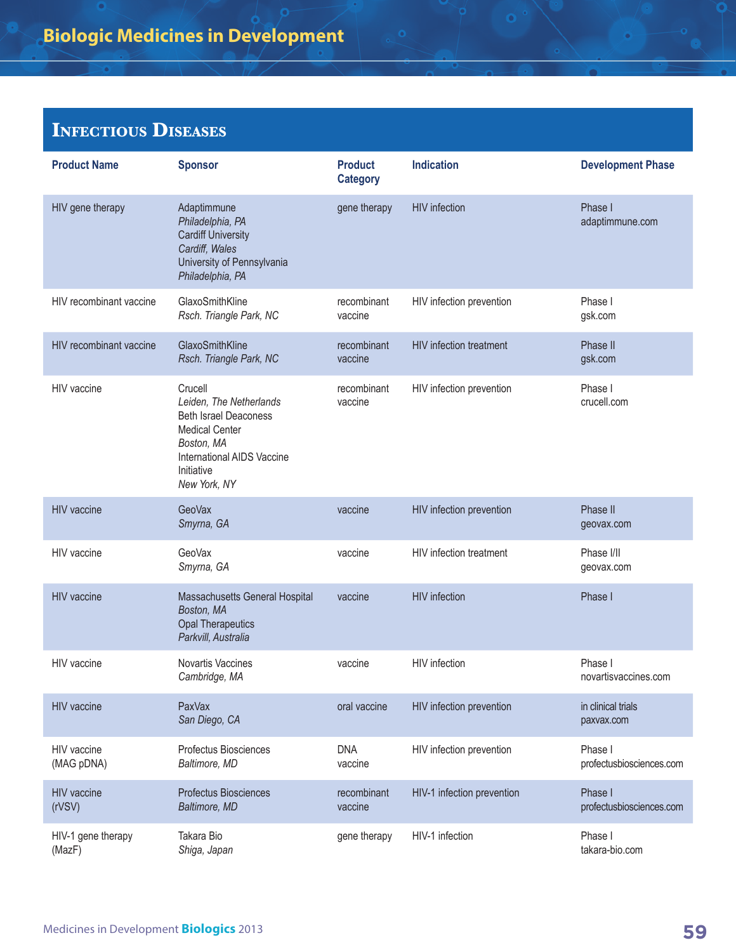| <b>Product Name</b>          | <b>Sponsor</b>                                                                                                                                                        | <b>Product</b><br><b>Category</b> | <b>Indication</b>              | <b>Development Phase</b>            |
|------------------------------|-----------------------------------------------------------------------------------------------------------------------------------------------------------------------|-----------------------------------|--------------------------------|-------------------------------------|
| HIV gene therapy             | Adaptimmune<br>Philadelphia, PA<br><b>Cardiff University</b><br>Cardiff, Wales<br>University of Pennsylvania<br>Philadelphia, PA                                      | gene therapy                      | <b>HIV</b> infection           | Phase I<br>adaptimmune.com          |
| HIV recombinant vaccine      | GlaxoSmithKline<br>Rsch. Triangle Park, NC                                                                                                                            | recombinant<br>vaccine            | HIV infection prevention       | Phase I<br>gsk.com                  |
| HIV recombinant vaccine      | GlaxoSmithKline<br>Rsch. Triangle Park, NC                                                                                                                            | recombinant<br>vaccine            | <b>HIV</b> infection treatment | Phase II<br>gsk.com                 |
| HIV vaccine                  | Crucell<br>Leiden, The Netherlands<br><b>Beth Israel Deaconess</b><br><b>Medical Center</b><br>Boston, MA<br>International AIDS Vaccine<br>Initiative<br>New York, NY | recombinant<br>vaccine            | HIV infection prevention       | Phase I<br>crucell.com              |
| <b>HIV</b> vaccine           | <b>GeoVax</b><br>Smyrna, GA                                                                                                                                           | vaccine                           | HIV infection prevention       | Phase II<br>geovax.com              |
| HIV vaccine                  | GeoVax<br>Smyrna, GA                                                                                                                                                  | vaccine                           | HIV infection treatment        | Phase I/II<br>geovax.com            |
| <b>HIV</b> vaccine           | Massachusetts General Hospital<br>Boston, MA<br><b>Opal Therapeutics</b><br>Parkvill, Australia                                                                       | vaccine                           | <b>HIV</b> infection           | Phase I                             |
| HIV vaccine                  | Novartis Vaccines<br>Cambridge, MA                                                                                                                                    | vaccine                           | <b>HIV</b> infection           | Phase I<br>novartisvaccines.com     |
| <b>HIV</b> vaccine           | PaxVax<br>San Diego, CA                                                                                                                                               | oral vaccine                      | HIV infection prevention       | in clinical trials<br>paxvax.com    |
| HIV vaccine<br>(MAG pDNA)    | Profectus Biosciences<br>Baltimore, MD                                                                                                                                | <b>DNA</b><br>vaccine             | HIV infection prevention       | Phase I<br>profectusbiosciences.com |
| HIV vaccine<br>(rVSV)        | Profectus Biosciences<br>Baltimore, MD                                                                                                                                | recombinant<br>vaccine            | HIV-1 infection prevention     | Phase I<br>profectusbiosciences.com |
| HIV-1 gene therapy<br>(MazF) | Takara Bio<br>Shiga, Japan                                                                                                                                            | gene therapy                      | HIV-1 infection                | Phase I<br>takara-bio.com           |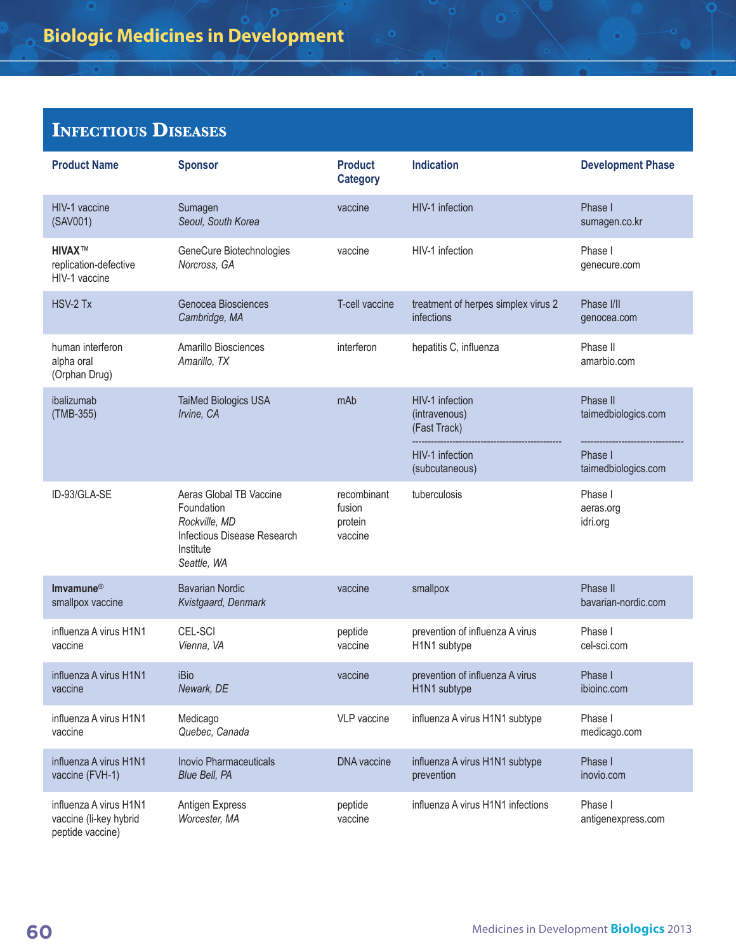| <b>Product Name</b>                                                  | <b>Sponsor</b>                                                                                                    | <b>Product</b><br><b>Category</b>           | <b>Indication</b>                                 | <b>Development Phase</b>         |
|----------------------------------------------------------------------|-------------------------------------------------------------------------------------------------------------------|---------------------------------------------|---------------------------------------------------|----------------------------------|
| HIV-1 vaccine<br>(SAV001)                                            | Sumagen<br>Seoul, South Korea                                                                                     | vaccine                                     | HIV-1 infection                                   | Phase I<br>sumagen.co.kr         |
| <b>HIVAX™</b><br>replication-defective<br>HIV-1 vaccine              | GeneCure Biotechnologies<br>Norcross, GA                                                                          | vaccine                                     | HIV-1 infection                                   | Phase I<br>genecure.com          |
| HSV-2 Tx                                                             | Genocea Biosciences<br>Cambridge, MA                                                                              | T-cell vaccine                              | treatment of herpes simplex virus 2<br>infections | Phase I/II<br>genocea.com        |
| human interferon<br>alpha oral<br>(Orphan Drug)                      | Amarillo Biosciences<br>Amarillo, TX                                                                              | interferon                                  | hepatitis C, influenza                            | Phase II<br>amarbio.com          |
| ibalizumab<br>(TMB-355)                                              | TaiMed Biologics USA<br>Irvine, CA                                                                                | mAb                                         | HIV-1 infection<br>(intravenous)<br>(Fast Track)  | Phase II<br>taimedbiologics.com  |
|                                                                      |                                                                                                                   |                                             | HIV-1 infection<br>(subcutaneous)                 | Phase I<br>taimedbiologics.com   |
| ID-93/GLA-SE                                                         | Aeras Global TB Vaccine<br>Foundation<br>Rockville, MD<br>Infectious Disease Research<br>Institute<br>Seattle, WA | recombinant<br>fusion<br>protein<br>vaccine | tuberculosis                                      | Phase I<br>aeras.org<br>idri.org |
| Imvamune <sup>®</sup><br>smallpox vaccine                            | <b>Bavarian Nordic</b><br>Kvistgaard, Denmark                                                                     | vaccine                                     | smallpox                                          | Phase II<br>bavarian-nordic.com  |
| influenza A virus H1N1<br>vaccine                                    | CEL-SCI<br>Vienna, VA                                                                                             | peptide<br>vaccine                          | prevention of influenza A virus<br>H1N1 subtype   | Phase I<br>cel-sci.com           |
| influenza A virus H1N1<br>vaccine                                    | <b>iBio</b><br>Newark, DE                                                                                         | vaccine                                     | prevention of influenza A virus<br>H1N1 subtype   | Phase I<br>ibioinc.com           |
| influenza A virus H1N1<br>vaccine                                    | Medicago<br>Quebec, Canada                                                                                        | VLP vaccine                                 | influenza A virus H1N1 subtype                    | Phase I<br>medicago.com          |
| influenza A virus H1N1<br>vaccine (FVH-1)                            | <b>Inovio Pharmaceuticals</b><br>Blue Bell, PA                                                                    | <b>DNA</b> vaccine                          | influenza A virus H1N1 subtype<br>prevention      | Phase I<br>inovio.com            |
| influenza A virus H1N1<br>vaccine (li-key hybrid<br>peptide vaccine) | Antigen Express<br>Worcester, MA                                                                                  | peptide<br>vaccine                          | influenza A virus H1N1 infections                 | Phase I<br>antigenexpress.com    |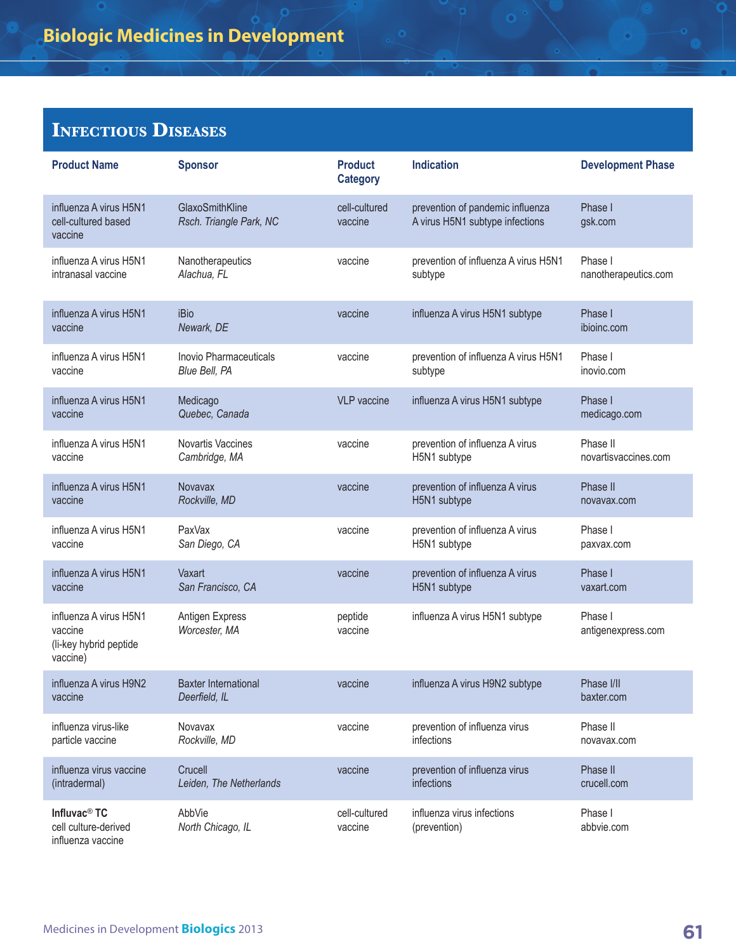| <b>Product Name</b>                                                     | <b>Sponsor</b>                               | <b>Product</b><br><b>Category</b> | <b>Indication</b>                                                   | <b>Development Phase</b>      |
|-------------------------------------------------------------------------|----------------------------------------------|-----------------------------------|---------------------------------------------------------------------|-------------------------------|
| influenza A virus H5N1<br>cell-cultured based<br>vaccine                | GlaxoSmithKline<br>Rsch. Triangle Park, NC   | cell-cultured<br>vaccine          | prevention of pandemic influenza<br>A virus H5N1 subtype infections | Phase I<br>gsk.com            |
| influenza A virus H5N1                                                  | Nanotherapeutics                             | vaccine                           | prevention of influenza A virus H5N1                                | Phase I                       |
| intranasal vaccine                                                      | Alachua, FL                                  |                                   | subtype                                                             | nanotherapeutics.com          |
| influenza A virus H5N1<br>vaccine                                       | iBio<br>Newark, DE                           | vaccine                           | influenza A virus H5N1 subtype                                      | Phase I<br>ibioinc.com        |
| influenza A virus H5N1                                                  | Inovio Pharmaceuticals                       | vaccine                           | prevention of influenza A virus H5N1                                | Phase I                       |
| vaccine                                                                 | Blue Bell, PA                                |                                   | subtype                                                             | inovio.com                    |
| influenza A virus H5N1<br>vaccine                                       | Medicago<br>Quebec, Canada                   | VI P vaccine                      | influenza A virus H5N1 subtype                                      | Phase I<br>medicago.com       |
| influenza A virus H5N1                                                  | Novartis Vaccines                            | vaccine                           | prevention of influenza A virus                                     | Phase II                      |
| vaccine                                                                 | Cambridge, MA                                |                                   | H5N1 subtype                                                        | novartisvaccines.com          |
| influenza A virus H5N1                                                  | <b>Novavax</b>                               | vaccine                           | prevention of influenza A virus                                     | Phase II                      |
| vaccine                                                                 | Rockville, MD                                |                                   | H5N1 subtype                                                        | novavax.com                   |
| influenza A virus H5N1                                                  | PaxVax                                       | vaccine                           | prevention of influenza A virus                                     | Phase I                       |
| vaccine                                                                 | San Diego, CA                                |                                   | H5N1 subtype                                                        | paxvax.com                    |
| influenza A virus H5N1                                                  | Vaxart                                       | vaccine                           | prevention of influenza A virus                                     | Phase I                       |
| vaccine                                                                 | San Francisco, CA                            |                                   | H5N1 subtype                                                        | vaxart.com                    |
| influenza A virus H5N1<br>vaccine<br>(li-key hybrid peptide<br>vaccine) | Antigen Express<br>Worcester, MA             | peptide<br>vaccine                | influenza A virus H5N1 subtype                                      | Phase I<br>antigenexpress.com |
| influenza A virus H9N2<br>vaccine                                       | <b>Baxter International</b><br>Deerfield, IL | vaccine                           | influenza A virus H9N2 subtype                                      | Phase I/II<br>baxter.com      |
| influenza virus-like                                                    | Novavax                                      | vaccine                           | prevention of influenza virus                                       | Phase II                      |
| particle vaccine                                                        | Rockville, MD                                |                                   | infections                                                          | novavax.com                   |
| influenza virus vaccine                                                 | Crucell                                      | vaccine                           | prevention of influenza virus                                       | Phase II                      |
| (intradermal)                                                           | Leiden, The Netherlands                      |                                   | infections                                                          | crucell.com                   |
| Influvac <sup>®</sup> TC<br>cell culture-derived<br>influenza vaccine   | AbbVie<br>North Chicago, IL                  | cell-cultured<br>vaccine          | influenza virus infections<br>(prevention)                          | Phase I<br>abbvie.com         |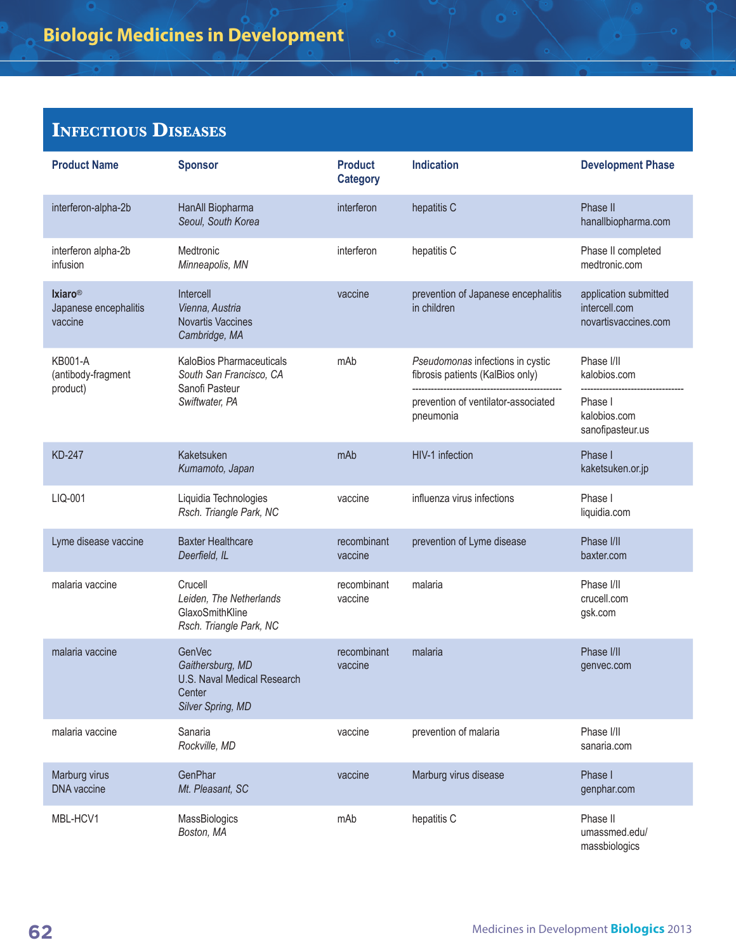| <b>Product Name</b>                                | <b>Sponsor</b>                                                                                  | <b>Product</b><br><b>Category</b> | <b>Indication</b>                                                    | <b>Development Phase</b>                                       |
|----------------------------------------------------|-------------------------------------------------------------------------------------------------|-----------------------------------|----------------------------------------------------------------------|----------------------------------------------------------------|
| interferon-alpha-2b                                | HanAll Biopharma<br>Seoul, South Korea                                                          | interferon                        | hepatitis C                                                          | Phase II<br>hanallbiopharma.com                                |
| interferon alpha-2b<br>infusion                    | Medtronic<br>Minneapolis, MN                                                                    | interferon                        | hepatitis C                                                          | Phase II completed<br>medtronic.com                            |
| <b>Ixiaro®</b><br>Japanese encephalitis<br>vaccine | Intercell<br>Vienna, Austria<br><b>Novartis Vaccines</b><br>Cambridge, MA                       | vaccine                           | prevention of Japanese encephalitis<br>in children                   | application submitted<br>intercell.com<br>novartisvaccines.com |
| <b>KB001-A</b><br>(antibody-fragment               | KaloBios Pharmaceuticals<br>South San Francisco, CA<br>Sanofi Pasteur                           | mAb                               | Pseudomonas infections in cystic<br>fibrosis patients (KalBios only) | Phase I/II<br>kalobios.com                                     |
| product)                                           | Swiftwater, PA                                                                                  |                                   | prevention of ventilator-associated<br>pneumonia                     | Phase I<br>kalobios.com<br>sanofipasteur.us                    |
| <b>KD-247</b>                                      | Kaketsuken<br>Kumamoto, Japan                                                                   | mAb                               | HIV-1 infection                                                      | Phase I<br>kaketsuken.or.jp                                    |
| LIQ-001                                            | Liquidia Technologies<br>Rsch. Triangle Park, NC                                                | vaccine                           | influenza virus infections                                           | Phase I<br>liquidia.com                                        |
| Lyme disease vaccine                               | <b>Baxter Healthcare</b><br>Deerfield, IL                                                       | recombinant<br>vaccine            | prevention of Lyme disease                                           | Phase I/II<br>baxter.com                                       |
| malaria vaccine                                    | Crucell<br>Leiden, The Netherlands<br>GlaxoSmithKline<br>Rsch. Triangle Park, NC                | recombinant<br>vaccine            | malaria                                                              | Phase I/II<br>crucell.com<br>gsk.com                           |
| malaria vaccine                                    | <b>GenVec</b><br>Gaithersburg, MD<br>U.S. Naval Medical Research<br>Center<br>Silver Spring, MD | recombinant<br>vaccine            | malaria                                                              | Phase I/II<br>genvec.com                                       |
| malaria vaccine                                    | Sanaria<br>Rockville, MD                                                                        | vaccine                           | prevention of malaria                                                | Phase I/II<br>sanaria.com                                      |
| Marburg virus<br>DNA vaccine                       | GenPhar<br>Mt. Pleasant, SC                                                                     | vaccine                           | Marburg virus disease                                                | Phase I<br>genphar.com                                         |
| MBL-HCV1                                           | MassBiologics<br>Boston, MA                                                                     | mAb                               | hepatitis C                                                          | Phase II<br>umassmed.edu/<br>massbiologics                     |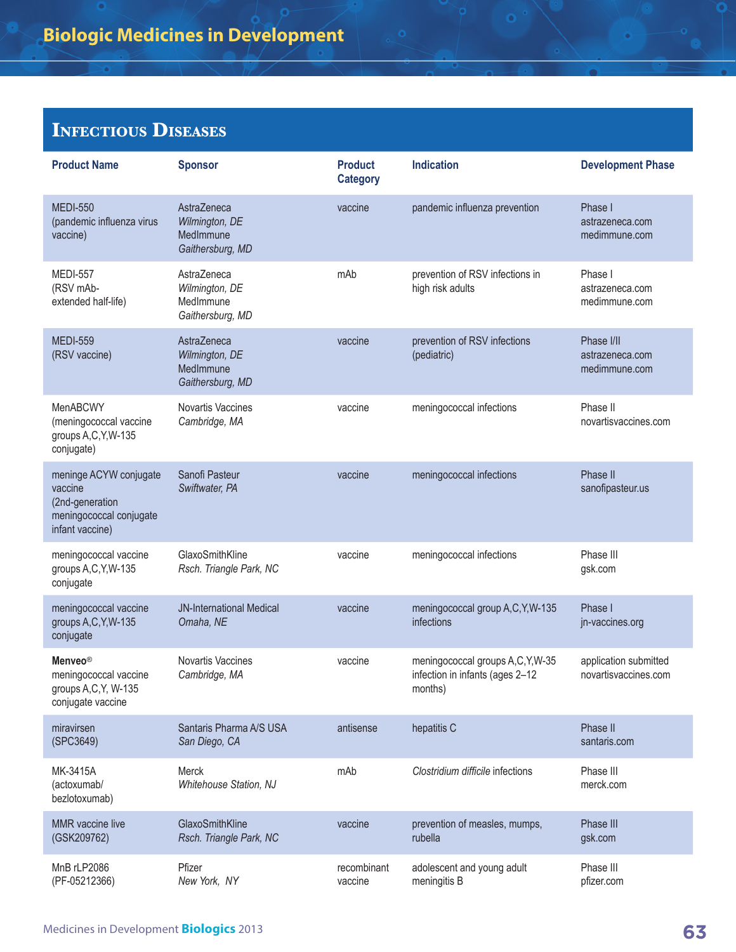| <b>Product Name</b>                                                                                | <b>Sponsor</b>                                                 | <b>Product</b><br><b>Category</b> | <b>Indication</b>                                                             | <b>Development Phase</b>                       |
|----------------------------------------------------------------------------------------------------|----------------------------------------------------------------|-----------------------------------|-------------------------------------------------------------------------------|------------------------------------------------|
| <b>MEDI-550</b><br>(pandemic influenza virus<br>vaccine)                                           | AstraZeneca<br>Wilmington, DE<br>MedImmune<br>Gaithersburg, MD | vaccine                           | pandemic influenza prevention                                                 | Phase I<br>astrazeneca.com<br>medimmune.com    |
| <b>MEDI-557</b><br>(RSV mAb-<br>extended half-life)                                                | AstraZeneca<br>Wilmington, DE<br>MedImmune<br>Gaithersburg, MD | mAb                               | prevention of RSV infections in<br>high risk adults                           | Phase I<br>astrazeneca.com<br>medimmune.com    |
| <b>MEDI-559</b><br>(RSV vaccine)                                                                   | AstraZeneca<br>Wilmington, DE<br>MedImmune<br>Gaithersburg, MD | vaccine                           | prevention of RSV infections<br>(pediatric)                                   | Phase I/II<br>astrazeneca.com<br>medimmune.com |
| <b>MenABCWY</b><br>(meningococcal vaccine<br>groups A,C, Y, W-135<br>conjugate)                    | Novartis Vaccines<br>Cambridge, MA                             | vaccine                           | meningococcal infections                                                      | Phase II<br>novartisvaccines.com               |
| meninge ACYW conjugate<br>vaccine<br>(2nd-generation<br>meningococcal conjugate<br>infant vaccine) | Sanofi Pasteur<br>Swiftwater, PA                               | vaccine                           | meningococcal infections                                                      | Phase II<br>sanofipasteur.us                   |
| meningococcal vaccine<br>groups A,C, Y, W-135<br>conjugate                                         | GlaxoSmithKline<br>Rsch. Triangle Park, NC                     | vaccine                           | meningococcal infections                                                      | Phase III<br>gsk.com                           |
| meningococcal vaccine<br>groups A,C, Y, W-135<br>conjugate                                         | <b>JN-International Medical</b><br>Omaha, NE                   | vaccine                           | meningococcal group A,C, Y, W-135<br>infections                               | Phase I<br>jn-vaccines.org                     |
| Menveo <sup>®</sup><br>meningococcal vaccine<br>groups A,C,Y, W-135<br>conjugate vaccine           | Novartis Vaccines<br>Cambridge, MA                             | vaccine                           | meningococcal groups A,C,Y,W-35<br>infection in infants (ages 2-12<br>months) | application submitted<br>novartisvaccines.com  |
| miravirsen<br>(SPC3649)                                                                            | Santaris Pharma A/S USA<br>San Diego, CA                       | antisense                         | hepatitis C                                                                   | Phase II<br>santaris.com                       |
| MK-3415A<br>(actoxumab/<br>bezlotoxumab)                                                           | Merck<br>Whitehouse Station, NJ                                | mAb                               | Clostridium difficile infections                                              | Phase III<br>merck.com                         |
| MMR vaccine live<br>(GSK209762)                                                                    | GlaxoSmithKline<br>Rsch. Triangle Park, NC                     | vaccine                           | prevention of measles, mumps,<br>rubella                                      | Phase III<br>gsk.com                           |
| MnB rLP2086<br>(PF-05212366)                                                                       | Pfizer<br>New York, NY                                         | recombinant<br>vaccine            | adolescent and young adult<br>meningitis B                                    | Phase III<br>pfizer.com                        |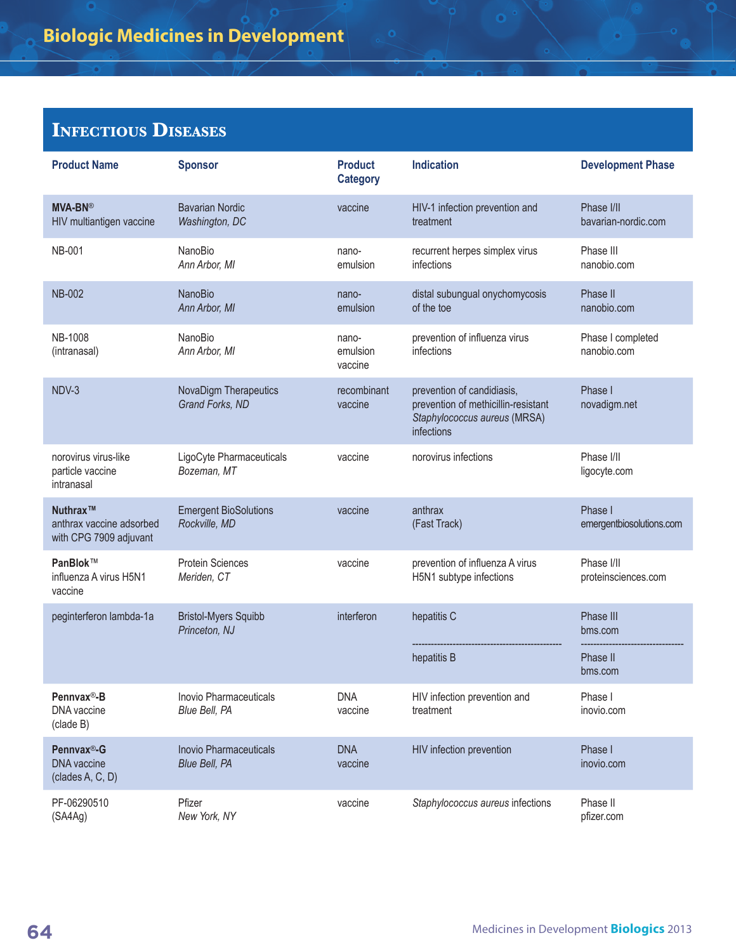| <b>Product Name</b>                                            | <b>Sponsor</b>                                 | <b>Product</b><br><b>Category</b> | <b>Indication</b>                                                                                               | <b>Development Phase</b>            |
|----------------------------------------------------------------|------------------------------------------------|-----------------------------------|-----------------------------------------------------------------------------------------------------------------|-------------------------------------|
| <b>MVA-BN®</b><br>HIV multiantigen vaccine                     | <b>Bavarian Nordic</b><br>Washington, DC       | vaccine                           | HIV-1 infection prevention and<br>treatment                                                                     | Phase I/II<br>bavarian-nordic.com   |
| <b>NB-001</b>                                                  | NanoBio<br>Ann Arbor, MI                       | nano-<br>emulsion                 | recurrent herpes simplex virus<br>infections                                                                    | Phase III<br>nanobio.com            |
| <b>NB-002</b>                                                  | <b>NanoBio</b><br>Ann Arbor, MI                | nano-<br>emulsion                 | distal subungual onychomycosis<br>of the toe                                                                    | Phase II<br>nanobio.com             |
| <b>NB-1008</b><br>(intranasal)                                 | NanoBio<br>Ann Arbor, MI                       | nano-<br>emulsion<br>vaccine      | prevention of influenza virus<br>infections                                                                     | Phase I completed<br>nanobio.com    |
| NDV-3                                                          | NovaDigm Therapeutics<br>Grand Forks, ND       | recombinant<br>vaccine            | prevention of candidiasis,<br>prevention of methicillin-resistant<br>Staphylococcus aureus (MRSA)<br>infections | Phase I<br>novadigm.net             |
| norovirus virus-like<br>particle vaccine<br>intranasal         | LigoCyte Pharmaceuticals<br>Bozeman, MT        | vaccine                           | norovirus infections                                                                                            | Phase I/II<br>ligocyte.com          |
| Nuthrax™<br>anthrax vaccine adsorbed<br>with CPG 7909 adjuvant | <b>Emergent BioSolutions</b><br>Rockville, MD  | vaccine                           | anthrax<br>(Fast Track)                                                                                         | Phase I<br>emergentbiosolutions.com |
| PanBlok™<br>influenza A virus H5N1<br>vaccine                  | <b>Protein Sciences</b><br>Meriden, CT         | vaccine                           | prevention of influenza A virus<br>H5N1 subtype infections                                                      | Phase I/II<br>proteinsciences.com   |
| peginterferon lambda-1a                                        | <b>Bristol-Myers Squibb</b><br>Princeton, NJ   | interferon                        | hepatitis C                                                                                                     | Phase III<br>bms.com                |
|                                                                |                                                |                                   | hepatitis B                                                                                                     | Phase II<br>bms.com                 |
| Pennvax®-B<br>DNA vaccine<br>(clade B)                         | Inovio Pharmaceuticals<br>Blue Bell, PA        | <b>DNA</b><br>vaccine             | HIV infection prevention and<br>treatment                                                                       | Phase I<br>inovio.com               |
| Pennvax®-G<br><b>DNA</b> vaccine<br>(clades A, C, D)           | <b>Inovio Pharmaceuticals</b><br>Blue Bell, PA | <b>DNA</b><br>vaccine             | HIV infection prevention                                                                                        | Phase I<br>inovio.com               |
| PF-06290510<br>(SAAAg)                                         | Pfizer<br>New York, NY                         | vaccine                           | Staphylococcus aureus infections                                                                                | Phase II<br>pfizer.com              |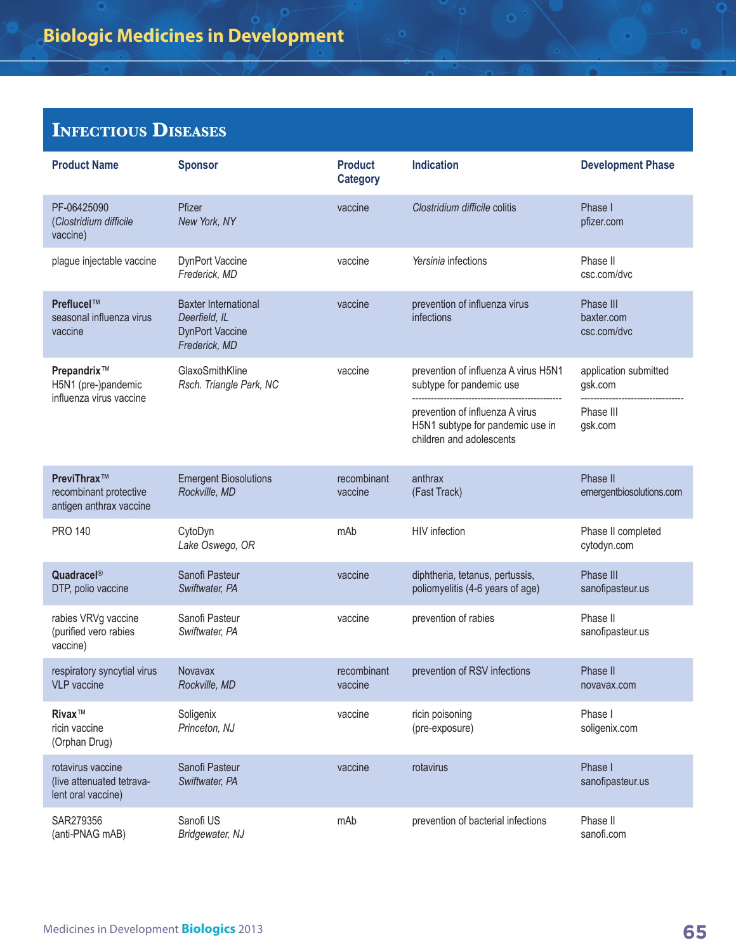| <b>Product Name</b>                                                       | <b>Sponsor</b>                                                                          | <b>Product</b><br><b>Category</b> | <b>Indication</b>                                                                                                                                                   | <b>Development Phase</b>                                 |
|---------------------------------------------------------------------------|-----------------------------------------------------------------------------------------|-----------------------------------|---------------------------------------------------------------------------------------------------------------------------------------------------------------------|----------------------------------------------------------|
| PF-06425090<br>(Clostridium difficile<br>vaccine)                         | Pfizer<br>New York, NY                                                                  | vaccine                           | Clostridium difficile colitis                                                                                                                                       | Phase I<br>pfizer.com                                    |
| plague injectable vaccine                                                 | DynPort Vaccine<br>Frederick, MD                                                        | vaccine                           | Yersinia infections                                                                                                                                                 | Phase II<br>csc.com/dvc                                  |
| Preflucel™<br>seasonal influenza virus<br>vaccine                         | <b>Baxter International</b><br>Deerfield, IL<br><b>DynPort Vaccine</b><br>Frederick, MD | vaccine                           | prevention of influenza virus<br>infections                                                                                                                         | Phase III<br>baxter.com<br>csc.com/dvc                   |
| Prepandrix <sup>™</sup><br>H5N1 (pre-)pandemic<br>influenza virus vaccine | GlaxoSmithKline<br>Rsch. Triangle Park, NC                                              | vaccine                           | prevention of influenza A virus H5N1<br>subtype for pandemic use<br>prevention of influenza A virus<br>H5N1 subtype for pandemic use in<br>children and adolescents | application submitted<br>gsk.com<br>Phase III<br>gsk.com |
| PreviThrax™<br>recombinant protective<br>antigen anthrax vaccine          | <b>Emergent Biosolutions</b><br>Rockville, MD                                           | recombinant<br>vaccine            | anthrax<br>(Fast Track)                                                                                                                                             | Phase II<br>emergentbiosolutions.com                     |
| <b>PRO 140</b>                                                            | CytoDyn<br>Lake Oswego, OR                                                              | mAb                               | <b>HIV</b> infection                                                                                                                                                | Phase II completed<br>cytodyn.com                        |
| Quadracel®<br>DTP, polio vaccine                                          | Sanofi Pasteur<br>Swiftwater, PA                                                        | vaccine                           | diphtheria, tetanus, pertussis,<br>poliomyelitis (4-6 years of age)                                                                                                 | Phase III<br>sanofipasteur.us                            |
| rabies VRVg vaccine<br>(purified vero rabies<br>vaccine)                  | Sanofi Pasteur<br>Swiftwater, PA                                                        | vaccine                           | prevention of rabies                                                                                                                                                | Phase II<br>sanofipasteur.us                             |
| respiratory syncytial virus<br>VLP vaccine                                | Novavax<br>Rockville, MD                                                                | recombinant<br>vaccine            | prevention of RSV infections                                                                                                                                        | Phase II<br>novavax.com                                  |
| Rivax™<br>ricin vaccine<br>(Orphan Drug)                                  | Soligenix<br>Princeton, NJ                                                              | vaccine                           | ricin poisoning<br>(pre-exposure)                                                                                                                                   | Phase I<br>soligenix.com                                 |
| rotavirus vaccine<br>(live attenuated tetrava-<br>lent oral vaccine)      | Sanofi Pasteur<br>Swiftwater, PA                                                        | vaccine                           | rotavirus                                                                                                                                                           | Phase I<br>sanofipasteur.us                              |
| SAR279356<br>(anti-PNAG mAB)                                              | Sanofi US<br>Bridgewater, NJ                                                            | mAb                               | prevention of bacterial infections                                                                                                                                  | Phase II<br>sanofi.com                                   |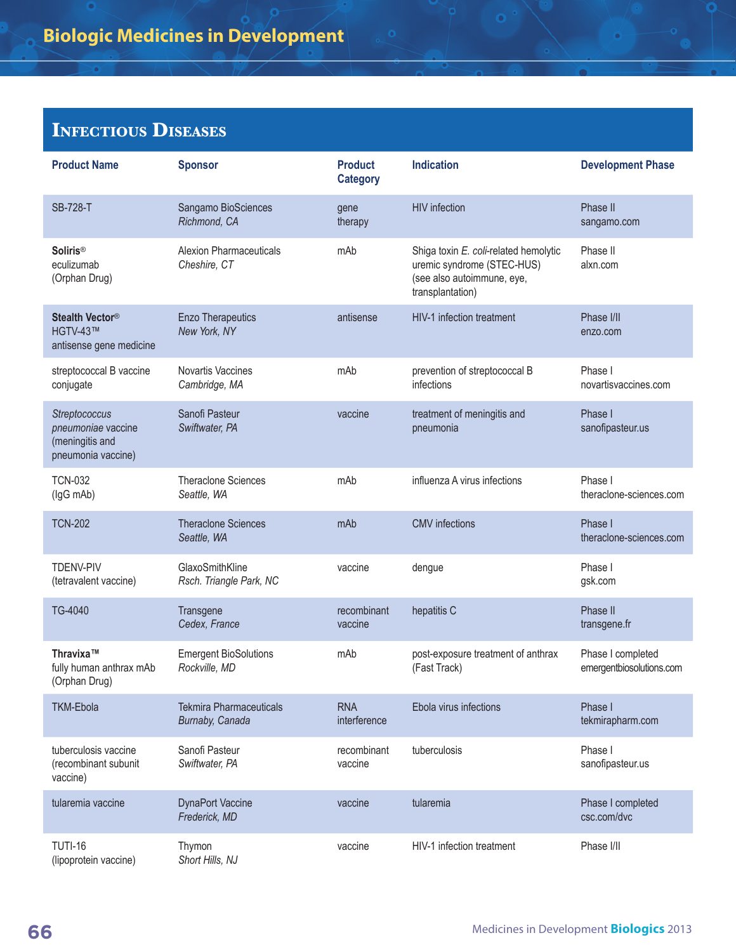| <b>Product Name</b>                                                          | <b>Sponsor</b>                                    | <b>Product</b><br><b>Category</b> | <b>Indication</b>                                                                                                     | <b>Development Phase</b>                      |
|------------------------------------------------------------------------------|---------------------------------------------------|-----------------------------------|-----------------------------------------------------------------------------------------------------------------------|-----------------------------------------------|
| <b>SB-728-T</b>                                                              | Sangamo BioSciences<br>Richmond, CA               | gene<br>therapy                   | <b>HIV</b> infection                                                                                                  | Phase II<br>sangamo.com                       |
| <b>Soliris®</b><br>eculizumab<br>(Orphan Drug)                               | <b>Alexion Pharmaceuticals</b><br>Cheshire, CT    | mAb                               | Shiga toxin E. coli-related hemolytic<br>uremic syndrome (STEC-HUS)<br>(see also autoimmune, eye,<br>transplantation) | Phase II<br>alxn.com                          |
| Stealth Vector <sup>®</sup><br>HGTV-43™<br>antisense gene medicine           | <b>Enzo Therapeutics</b><br>New York, NY          | antisense                         | HIV-1 infection treatment                                                                                             | Phase I/II<br>enzo.com                        |
| streptococcal B vaccine<br>conjugate                                         | Novartis Vaccines<br>Cambridge, MA                | mAb                               | prevention of streptococcal B<br>infections                                                                           | Phase I<br>novartisvaccines.com               |
| Streptococcus<br>pneumoniae vaccine<br>(meningitis and<br>pneumonia vaccine) | Sanofi Pasteur<br>Swiftwater, PA                  | vaccine                           | treatment of meningitis and<br>pneumonia                                                                              | Phase I<br>sanofipasteur.us                   |
| <b>TCN-032</b><br>(IgG mAb)                                                  | <b>Theraclone Sciences</b><br>Seattle, WA         | mAb                               | influenza A virus infections                                                                                          | Phase I<br>theraclone-sciences.com            |
| <b>TCN-202</b>                                                               | <b>Theraclone Sciences</b><br>Seattle, WA         | mAb                               | <b>CMV</b> infections                                                                                                 | Phase I<br>theraclone-sciences.com            |
| <b>TDENV-PIV</b><br>(tetravalent vaccine)                                    | GlaxoSmithKline<br>Rsch. Triangle Park, NC        | vaccine                           | dengue                                                                                                                | Phase I<br>gsk.com                            |
| TG-4040                                                                      | Transgene<br>Cedex, France                        | recombinant<br>vaccine            | hepatitis C                                                                                                           | Phase II<br>transgene.fr                      |
| Thravixa™<br>fully human anthrax mAb<br>(Orphan Drug)                        | <b>Emergent BioSolutions</b><br>Rockville, MD     | mAb                               | post-exposure treatment of anthrax<br>(Fast Track)                                                                    | Phase I completed<br>emergentbiosolutions.com |
| <b>TKM-Ebola</b>                                                             | <b>Tekmira Pharmaceuticals</b><br>Burnaby, Canada | <b>RNA</b><br>interference        | Ebola virus infections                                                                                                | Phase I<br>tekmirapharm.com                   |
| tuberculosis vaccine<br>(recombinant subunit<br>vaccine)                     | Sanofi Pasteur<br>Swiftwater, PA                  | recombinant<br>vaccine            | tuberculosis                                                                                                          | Phase I<br>sanofipasteur.us                   |
| tularemia vaccine                                                            | <b>DynaPort Vaccine</b><br>Frederick, MD          | vaccine                           | tularemia                                                                                                             | Phase I completed<br>csc.com/dvc              |
| <b>TUTI-16</b><br>(lipoprotein vaccine)                                      | Thymon<br>Short Hills, NJ                         | vaccine                           | HIV-1 infection treatment                                                                                             | Phase I/II                                    |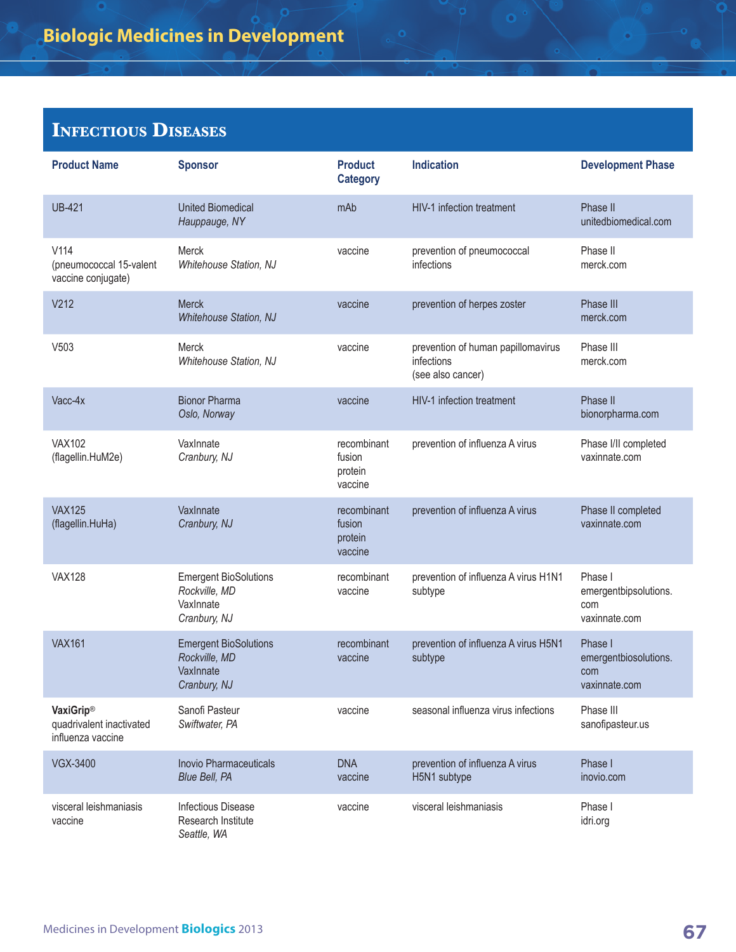| <b>Product Name</b>                                               | <b>Sponsor</b>                                                             | <b>Product</b><br><b>Category</b>           | <b>Indication</b>                                                     | <b>Development Phase</b>                                 |
|-------------------------------------------------------------------|----------------------------------------------------------------------------|---------------------------------------------|-----------------------------------------------------------------------|----------------------------------------------------------|
| <b>UB-421</b>                                                     | <b>United Biomedical</b><br>Hauppauge, NY                                  | mAb                                         | HIV-1 infection treatment                                             | Phase II<br>unitedbiomedical.com                         |
| V114<br>(pneumococcal 15-valent<br>vaccine conjugate)             | Merck<br>Whitehouse Station, NJ                                            | vaccine                                     | prevention of pneumococcal<br>infections                              | Phase II<br>merck.com                                    |
| V212                                                              | <b>Merck</b><br>Whitehouse Station, NJ                                     | vaccine                                     | prevention of herpes zoster                                           | Phase III<br>merck.com                                   |
| V503                                                              | <b>Merck</b><br>Whitehouse Station, NJ                                     | vaccine                                     | prevention of human papillomavirus<br>infections<br>(see also cancer) | Phase III<br>merck.com                                   |
| Vacc-4x                                                           | <b>Bionor Pharma</b><br>Oslo, Norway                                       | vaccine                                     | HIV-1 infection treatment                                             | Phase II<br>bionorpharma.com                             |
| <b>VAX102</b><br>(flagellin.HuM2e)                                | VaxInnate<br>Cranbury, NJ                                                  | recombinant<br>fusion<br>protein<br>vaccine | prevention of influenza A virus                                       | Phase I/II completed<br>vaxinnate.com                    |
| <b>VAX125</b><br>(flagellin.HuHa)                                 | VaxInnate<br>Cranbury, NJ                                                  | recombinant<br>fusion<br>protein<br>vaccine | prevention of influenza A virus                                       | Phase II completed<br>vaxinnate.com                      |
| <b>VAX128</b>                                                     | <b>Emergent BioSolutions</b><br>Rockville, MD<br>VaxInnate<br>Cranbury, NJ | recombinant<br>vaccine                      | prevention of influenza A virus H1N1<br>subtype                       | Phase I<br>emergentbipsolutions.<br>com<br>vaxinnate.com |
| <b>VAX161</b>                                                     | <b>Emergent BioSolutions</b><br>Rockville, MD<br>VaxInnate<br>Cranbury, NJ | recombinant<br>vaccine                      | prevention of influenza A virus H5N1<br>subtype                       | Phase I<br>emergentbiosolutions.<br>com<br>vaxinnate.com |
| <b>VaxiGrip®</b><br>quadrivalent inactivated<br>influenza vaccine | Sanofi Pasteur<br>Swiftwater, PA                                           | vaccine                                     | seasonal influenza virus infections                                   | Phase III<br>sanofipasteur.us                            |
| <b>VGX-3400</b>                                                   | <b>Inovio Pharmaceuticals</b><br>Blue Bell, PA                             | <b>DNA</b><br>vaccine                       | prevention of influenza A virus<br>H5N1 subtype                       | Phase I<br>inovio.com                                    |
| visceral leishmaniasis<br>vaccine                                 | Infectious Disease<br>Research Institute<br>Seattle, WA                    | vaccine                                     | visceral leishmaniasis                                                | Phase I<br>idri.org                                      |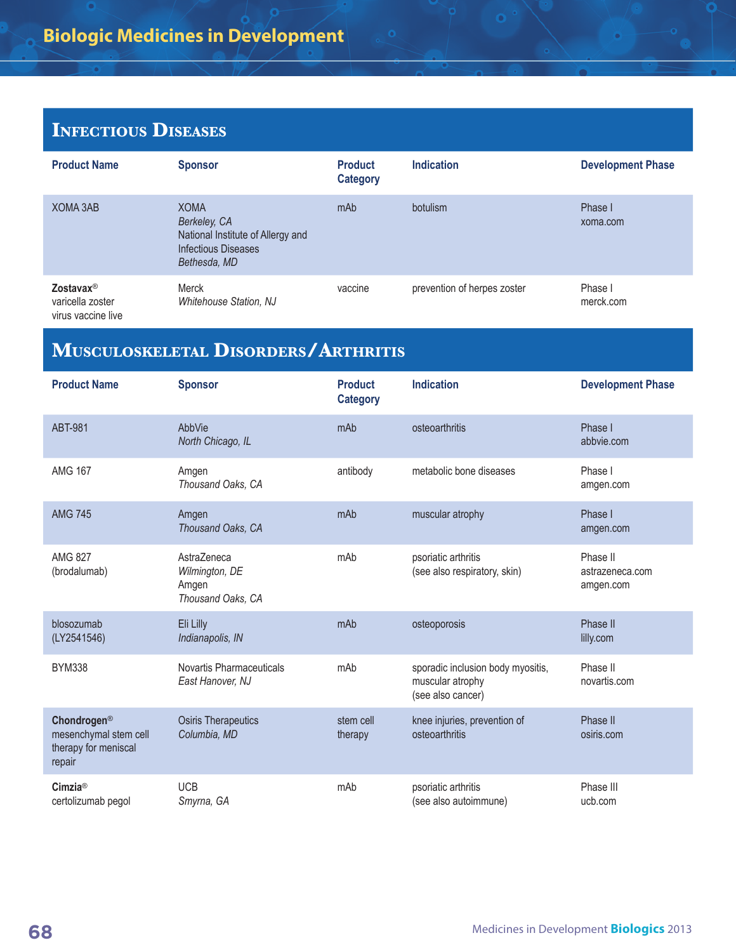| <b>Product Name</b>                                             | <b>Sponsor</b>                                                                                          | <b>Product</b><br><b>Category</b> | <b>Indication</b>           | <b>Development Phase</b> |
|-----------------------------------------------------------------|---------------------------------------------------------------------------------------------------------|-----------------------------------|-----------------------------|--------------------------|
| XOMA 3AB                                                        | <b>XOMA</b><br>Berkeley, CA<br>National Institute of Allergy and<br>Infectious Diseases<br>Bethesda, MD | mAb                               | botulism                    | Phase I<br>xoma.com      |
| Zostavax <sup>®</sup><br>varicella zoster<br>virus vaccine live | Merck<br><b>Whitehouse Station, NJ</b>                                                                  | vaccine                           | prevention of herpes zoster | Phase I<br>merck.com     |

o

# **Musculoskeletal Disorders/Arthritis**

| <b>Product Name</b>                                                    | <b>Sponsor</b>                                              | <b>Product</b><br><b>Category</b> | <b>Indication</b>                                                          | <b>Development Phase</b>                 |
|------------------------------------------------------------------------|-------------------------------------------------------------|-----------------------------------|----------------------------------------------------------------------------|------------------------------------------|
| <b>ABT-981</b>                                                         | AbbVie<br>North Chicago, IL                                 | mAb                               | osteoarthritis                                                             | Phase I<br>abbvie.com                    |
| <b>AMG 167</b>                                                         | Amgen<br>Thousand Oaks, CA                                  | antibody                          | metabolic bone diseases                                                    | Phase I<br>amgen.com                     |
| <b>AMG 745</b>                                                         | Amgen<br>Thousand Oaks, CA                                  | mAb                               | muscular atrophy                                                           | Phase I<br>amgen.com                     |
| AMG 827<br>(brodalumab)                                                | AstraZeneca<br>Wilmington, DE<br>Amgen<br>Thousand Oaks, CA | mAh                               | psoriatic arthritis<br>(see also respiratory, skin)                        | Phase II<br>astrazeneca.com<br>amgen.com |
| blosozumab<br>(LY2541546)                                              | Eli Lilly<br>Indianapolis, IN                               | mAb                               | osteoporosis                                                               | Phase II<br>lilly.com                    |
| <b>BYM338</b>                                                          | Novartis Pharmaceuticals<br>East Hanover, NJ                | mAb                               | sporadic inclusion body myositis,<br>muscular atrophy<br>(see also cancer) | Phase II<br>novartis.com                 |
| Chondrogen®<br>mesenchymal stem cell<br>therapy for meniscal<br>repair | <b>Osiris Therapeutics</b><br>Columbia, MD                  | stem cell<br>therapy              | knee injuries, prevention of<br>osteoarthritis                             | Phase II<br>osiris.com                   |
| Cimzia®<br>certolizumab pegol                                          | <b>UCB</b><br>Smyrna, GA                                    | mAb                               | psoriatic arthritis<br>(see also autoimmune)                               | Phase III<br>ucb.com                     |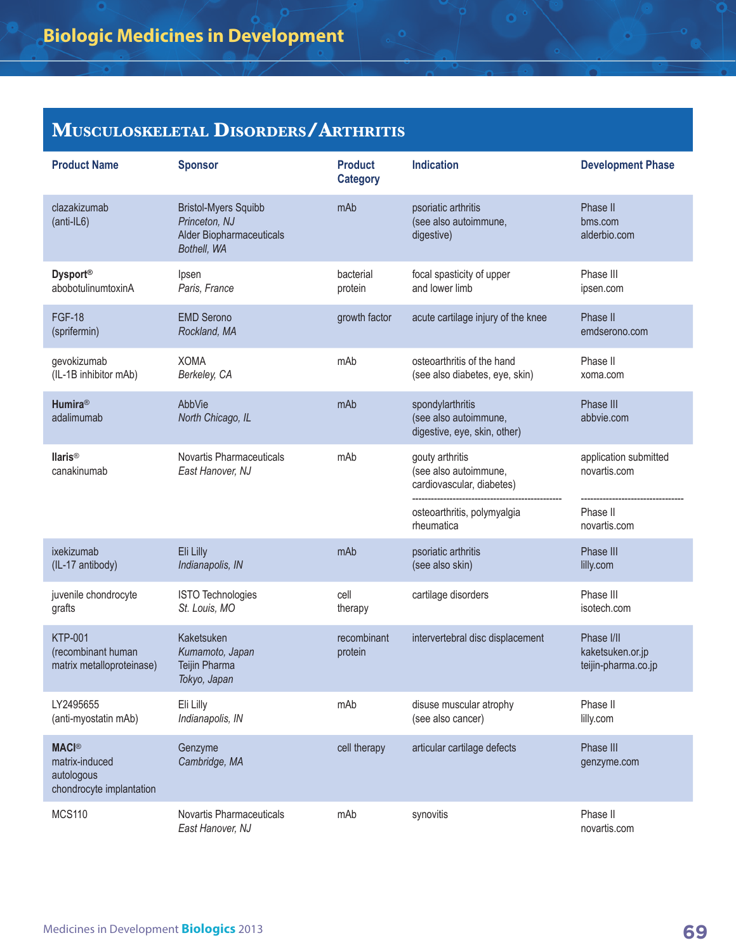## **Musculoskeletal Disorders/Arthritis**

| <b>Product Name</b>                                                      | <b>Sponsor</b>                                                                          | <b>Product</b><br><b>Category</b> | <b>Indication</b>                                                         | <b>Development Phase</b>                              |
|--------------------------------------------------------------------------|-----------------------------------------------------------------------------------------|-----------------------------------|---------------------------------------------------------------------------|-------------------------------------------------------|
| clazakizumab<br>$(anti-IL6)$                                             | <b>Bristol-Myers Squibb</b><br>Princeton, NJ<br>Alder Biopharmaceuticals<br>Bothell, WA | mAb                               | psoriatic arthritis<br>(see also autoimmune,<br>digestive)                | Phase II<br>bms.com<br>alderbio.com                   |
| <b>Dysport®</b><br>abobotulinumtoxinA                                    | Ipsen<br>Paris, France                                                                  | bacterial<br>protein              | focal spasticity of upper<br>and lower limb                               | Phase III<br>ipsen.com                                |
| <b>FGF-18</b><br>(sprifermin)                                            | <b>EMD Serono</b><br>Rockland, MA                                                       | growth factor                     | acute cartilage injury of the knee                                        | Phase II<br>emdserono.com                             |
| gevokizumab<br>(IL-1B inhibitor mAb)                                     | <b>XOMA</b><br>Berkeley, CA                                                             | mAb                               | osteoarthritis of the hand<br>(see also diabetes, eye, skin)              | Phase II<br>xoma.com                                  |
| <b>Humira®</b><br>adalimumab                                             | AbbVie<br>North Chicago, IL                                                             | mAb                               | spondylarthritis<br>(see also autoimmune,<br>digestive, eye, skin, other) | Phase III<br>abbvie.com                               |
| <b>Ilaris®</b><br>canakinumab                                            | Novartis Pharmaceuticals<br>East Hanover, NJ                                            | mAb                               | gouty arthritis<br>(see also autoimmune,<br>cardiovascular, diabetes)     | application submitted<br>novartis.com                 |
|                                                                          |                                                                                         |                                   | osteoarthritis, polymyalgia<br>rheumatica                                 | Phase II<br>novartis.com                              |
| ixekizumab<br>(IL-17 antibody)                                           | Eli Lilly<br>Indianapolis, IN                                                           | mAb                               | psoriatic arthritis<br>(see also skin)                                    | Phase III<br>lilly.com                                |
| juvenile chondrocyte<br>grafts                                           | ISTO Technologies<br>St. Louis, MO                                                      | cell<br>therapy                   | cartilage disorders                                                       | Phase III<br>isotech.com                              |
| <b>KTP-001</b><br>(recombinant human<br>matrix metalloproteinase)        | Kaketsuken<br>Kumamoto, Japan<br>Teijin Pharma<br>Tokyo, Japan                          | recombinant<br>protein            | intervertebral disc displacement                                          | Phase I/II<br>kaketsuken.or.jp<br>teijin-pharma.co.jp |
| LY2495655<br>(anti-myostatin mAb)                                        | Eli Lilly<br>Indianapolis, IN                                                           | mAb                               | disuse muscular atrophy<br>(see also cancer)                              | Phase II<br>lilly.com                                 |
| <b>MACI®</b><br>matrix-induced<br>autologous<br>chondrocyte implantation | Genzyme<br>Cambridge, MA                                                                | cell therapy                      | articular cartilage defects                                               | Phase III<br>genzyme.com                              |
| <b>MCS110</b>                                                            | Novartis Pharmaceuticals<br>East Hanover, NJ                                            | mAb                               | synovitis                                                                 | Phase II<br>novartis.com                              |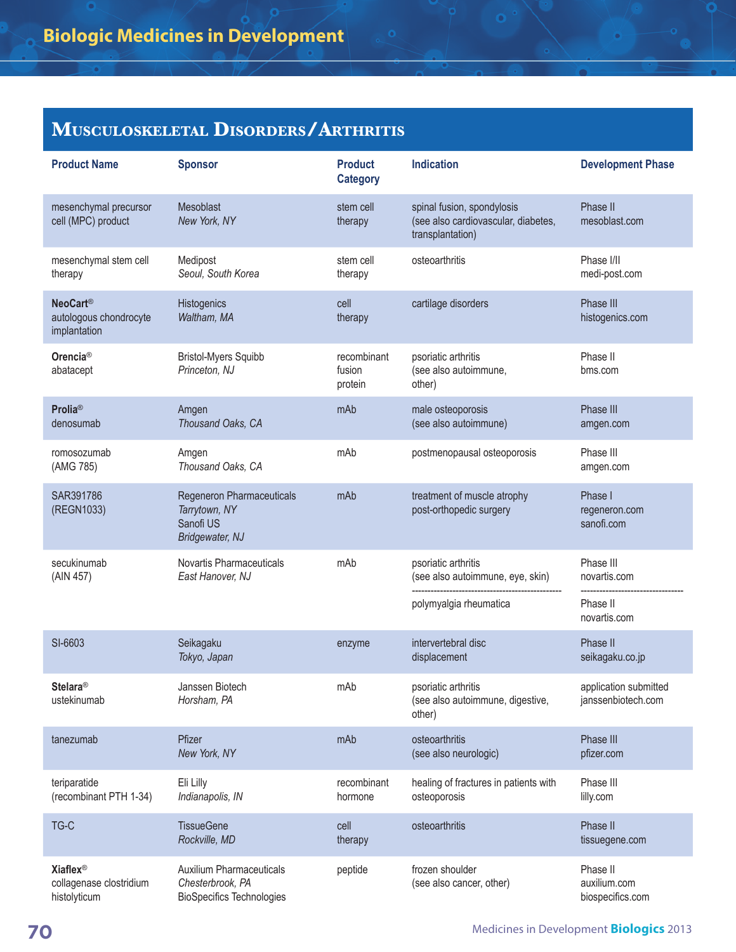## **Musculoskeletal Disorders/Arthritis**

| <b>Product Name</b>                                                   | <b>Sponsor</b>                                                                          | <b>Product</b><br><b>Category</b> | <b>Indication</b>                                                                     | <b>Development Phase</b>                     |
|-----------------------------------------------------------------------|-----------------------------------------------------------------------------------------|-----------------------------------|---------------------------------------------------------------------------------------|----------------------------------------------|
| mesenchymal precursor<br>cell (MPC) product                           | Mesoblast<br>New York, NY                                                               | stem cell<br>therapy              | spinal fusion, spondylosis<br>(see also cardiovascular, diabetes,<br>transplantation) | Phase II<br>mesoblast.com                    |
| mesenchymal stem cell<br>therapy                                      | Medipost<br>Seoul, South Korea                                                          | stem cell<br>therapy              | osteoarthritis                                                                        | Phase I/II<br>medi-post.com                  |
| <b>NeoCart®</b><br>autologous chondrocyte<br>implantation             | Histogenics<br>Waltham, MA                                                              | cell<br>therapy                   | cartilage disorders                                                                   | Phase III<br>histogenics.com                 |
| Orencia <sup>®</sup><br>abatacept                                     | <b>Bristol-Myers Squibb</b><br>Princeton, NJ                                            | recombinant<br>fusion<br>protein  | psoriatic arthritis<br>(see also autoimmune,<br>other)                                | Phase II<br>bms.com                          |
| <b>Prolia®</b><br>denosumab                                           | Amgen<br>Thousand Oaks, CA                                                              | mAb                               | male osteoporosis<br>(see also autoimmune)                                            | Phase III<br>amgen.com                       |
| romosozumab<br>(AMG 785)                                              | Amgen<br>Thousand Oaks, CA                                                              | mAb                               | postmenopausal osteoporosis                                                           | Phase III<br>amgen.com                       |
| SAR391786<br>(REGN1033)                                               | Regeneron Pharmaceuticals<br>Tarrytown, NY<br>Sanofi US<br>Bridgewater, NJ              | mAb                               | treatment of muscle atrophy<br>post-orthopedic surgery                                | Phase I<br>regeneron.com<br>sanofi.com       |
| secukinumab<br>(AIN 457)                                              | Novartis Pharmaceuticals<br>East Hanover, NJ                                            | mAb                               | psoriatic arthritis<br>(see also autoimmune, eye, skin)                               | Phase III<br>novartis.com                    |
|                                                                       |                                                                                         |                                   | polymyalgia rheumatica                                                                | Phase II<br>novartis.com                     |
| SI-6603                                                               | Seikagaku<br>Tokyo, Japan                                                               | enzyme                            | intervertebral disc<br>displacement                                                   | Phase II<br>seikagaku.co.jp                  |
| <b>Stelara®</b><br>ustekinumab                                        | Janssen Biotech<br>Horsham, PA                                                          | mAb                               | psoriatic arthritis<br>(see also autoimmune, digestive,<br>other)                     | application submitted<br>janssenbiotech.com  |
| tanezumab                                                             | Pfizer<br>New York, NY                                                                  | mAb                               | osteoarthritis<br>(see also neurologic)                                               | Phase III<br>pfizer.com                      |
| teriparatide<br>(recombinant PTH 1-34)                                | Eli Lilly<br>Indianapolis, IN                                                           | recombinant<br>hormone            | healing of fractures in patients with<br>osteoporosis                                 | Phase III<br>lilly.com                       |
| TG-C                                                                  | <b>TissueGene</b><br>Rockville, MD                                                      | cell<br>therapy                   | osteoarthritis                                                                        | Phase II<br>tissuegene.com                   |
| <b>Xiaflex<sup>®</sup></b><br>collagenase clostridium<br>histolyticum | <b>Auxilium Pharmaceuticals</b><br>Chesterbrook, PA<br><b>BioSpecifics Technologies</b> | peptide                           | frozen shoulder<br>(see also cancer, other)                                           | Phase II<br>auxilium.com<br>biospecifics.com |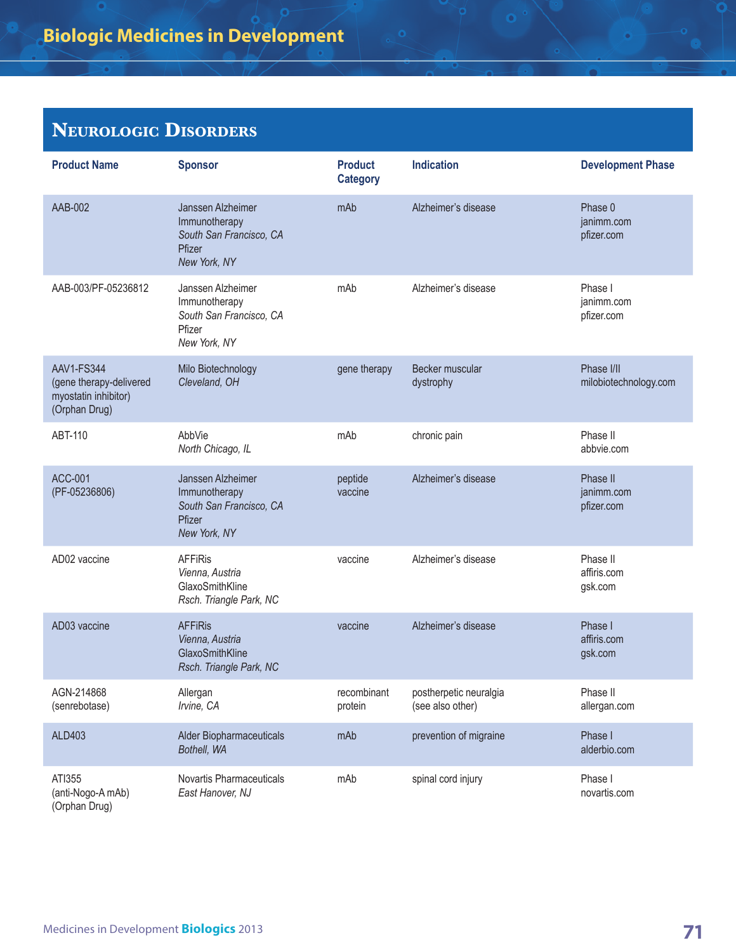## **Neurologic Disorders**

| <b>Product Name</b>                                                                   | <b>Sponsor</b>                                                                          | <b>Product</b><br><b>Category</b> | <b>Indication</b>                          | <b>Development Phase</b>             |
|---------------------------------------------------------------------------------------|-----------------------------------------------------------------------------------------|-----------------------------------|--------------------------------------------|--------------------------------------|
| AAB-002                                                                               | Janssen Alzheimer<br>Immunotherapy<br>South San Francisco, CA<br>Pfizer<br>New York, NY | mAb                               | Alzheimer's disease                        | Phase 0<br>janimm.com<br>pfizer.com  |
| AAB-003/PF-05236812                                                                   | Janssen Alzheimer<br>Immunotherapy<br>South San Francisco, CA<br>Pfizer<br>New York, NY | mAb                               | Alzheimer's disease                        | Phase I<br>janimm.com<br>pfizer.com  |
| <b>AAV1-FS344</b><br>(gene therapy-delivered<br>myostatin inhibitor)<br>(Orphan Drug) | Milo Biotechnology<br>Cleveland, OH                                                     | gene therapy                      | Becker muscular<br>dystrophy               | Phase I/II<br>milobiotechnology.com  |
| ABT-110                                                                               | AbbVie<br>North Chicago, IL                                                             | mAb                               | chronic pain                               | Phase II<br>abbvie.com               |
| <b>ACC-001</b><br>(PF-05236806)                                                       | Janssen Alzheimer<br>Immunotherapy<br>South San Francisco, CA<br>Pfizer<br>New York, NY | peptide<br>vaccine                | Alzheimer's disease                        | Phase II<br>janimm.com<br>pfizer.com |
| AD02 vaccine                                                                          | <b>AFFiRis</b><br>Vienna, Austria<br>GlaxoSmithKline<br>Rsch. Triangle Park, NC         | vaccine                           | Alzheimer's disease                        | Phase II<br>affiris.com<br>gsk.com   |
| AD03 vaccine                                                                          | <b>AFFiRis</b><br>Vienna, Austria<br>GlaxoSmithKline<br>Rsch. Triangle Park, NC         | vaccine                           | Alzheimer's disease                        | Phase I<br>affiris.com<br>gsk.com    |
| AGN-214868<br>(senrebotase)                                                           | Allergan<br>Irvine, CA                                                                  | recombinant<br>protein            | postherpetic neuralgia<br>(see also other) | Phase II<br>allergan.com             |
| ALD403                                                                                | Alder Biopharmaceuticals<br>Bothell, WA                                                 | mAb                               | prevention of migraine                     | Phase I<br>alderbio.com              |
| ATI355<br>(anti-Nogo-A mAb)<br>(Orphan Drug)                                          | Novartis Pharmaceuticals<br>East Hanover, NJ                                            | mAb                               | spinal cord injury                         | Phase I<br>novartis.com              |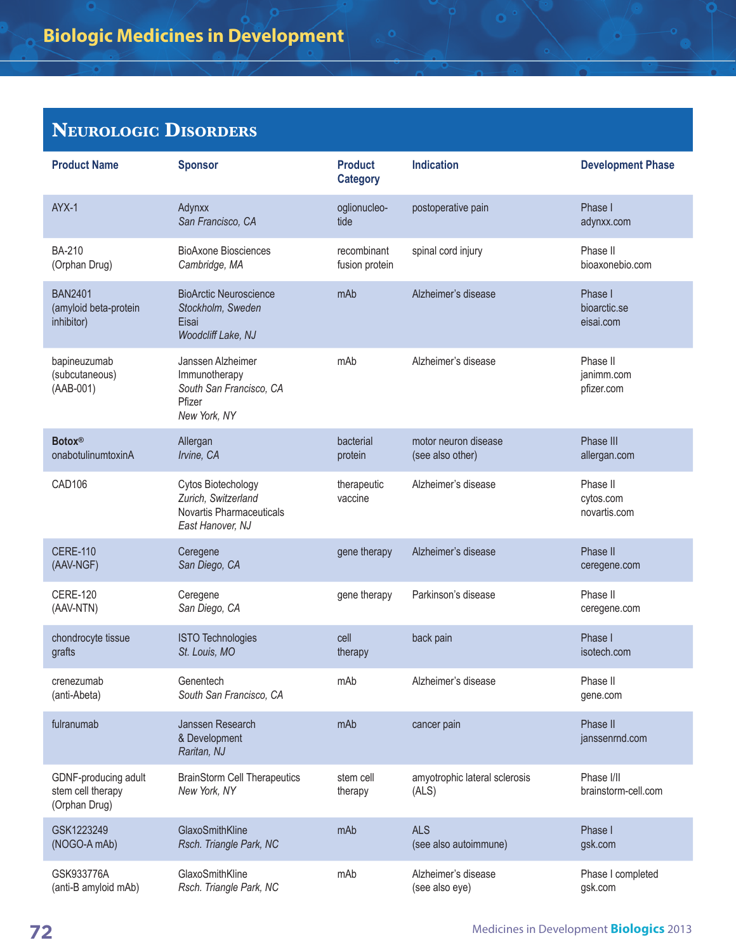## **Neurologic Disorders**

| <b>Product Name</b>                                        | <b>Sponsor</b>                                                                            | <b>Product</b><br><b>Category</b> | <b>Indication</b>                        | <b>Development Phase</b>              |
|------------------------------------------------------------|-------------------------------------------------------------------------------------------|-----------------------------------|------------------------------------------|---------------------------------------|
| AYX-1                                                      | Adynxx<br>San Francisco, CA                                                               | oglionucleo-<br>tide              | postoperative pain                       | Phase I<br>adynxx.com                 |
| <b>BA-210</b><br>(Orphan Drug)                             | <b>BioAxone Biosciences</b><br>Cambridge, MA                                              | recombinant<br>fusion protein     | spinal cord injury                       | Phase II<br>bioaxonebio.com           |
| <b>BAN2401</b><br>(amyloid beta-protein<br>inhibitor)      | <b>BioArctic Neuroscience</b><br>Stockholm, Sweden<br>Eisai<br>Woodcliff Lake, NJ         | mAb                               | Alzheimer's disease                      | Phase I<br>bioarctic.se<br>eisai.com  |
| bapineuzumab<br>(subcutaneous)<br>(AAB-001)                | Janssen Alzheimer<br>Immunotherapy<br>South San Francisco, CA<br>Pfizer<br>New York, NY   | mAb                               | Alzheimer's disease                      | Phase II<br>janimm.com<br>pfizer.com  |
| <b>Botox®</b><br>onabotulinumtoxinA                        | Allergan<br>Irvine, CA                                                                    | bacterial<br>protein              | motor neuron disease<br>(see also other) | Phase III<br>allergan.com             |
| <b>CAD106</b>                                              | Cytos Biotechology<br>Zurich, Switzerland<br>Novartis Pharmaceuticals<br>East Hanover, NJ | therapeutic<br>vaccine            | Alzheimer's disease                      | Phase II<br>cytos.com<br>novartis.com |
| <b>CERE-110</b><br>(AAV-NGF)                               | Ceregene<br>San Diego, CA                                                                 | gene therapy                      | Alzheimer's disease                      | Phase II<br>ceregene.com              |
| <b>CERE-120</b><br>(AAV-NTN)                               | Ceregene<br>San Diego, CA                                                                 | gene therapy                      | Parkinson's disease                      | Phase II<br>ceregene.com              |
| chondrocyte tissue<br>grafts                               | <b>ISTO Technologies</b><br>St. Louis, MO                                                 | cell<br>therapy                   | back pain                                | Phase I<br>isotech.com                |
| crenezumab<br>(anti-Abeta)                                 | Genentech<br>South San Francisco, CA                                                      | mAb                               | Alzheimer's disease                      | Phase II<br>gene.com                  |
| fulranumab                                                 | Janssen Research<br>& Development<br>Raritan, NJ                                          | mAb                               | cancer pain                              | Phase II<br>janssenrnd.com            |
| GDNF-producing adult<br>stem cell therapy<br>(Orphan Drug) | <b>BrainStorm Cell Therapeutics</b><br>New York, NY                                       | stem cell<br>therapy              | amyotrophic lateral sclerosis<br>(ALS)   | Phase I/II<br>brainstorm-cell.com     |
| GSK1223249<br>(NOGO-A mAb)                                 | GlaxoSmithKline<br>Rsch. Triangle Park, NC                                                | mAb                               | <b>ALS</b><br>(see also autoimmune)      | Phase I<br>gsk.com                    |
| GSK933776A<br>(anti-B amyloid mAb)                         | GlaxoSmithKline<br>Rsch. Triangle Park, NC                                                | mAb                               | Alzheimer's disease<br>(see also eye)    | Phase I completed<br>gsk.com          |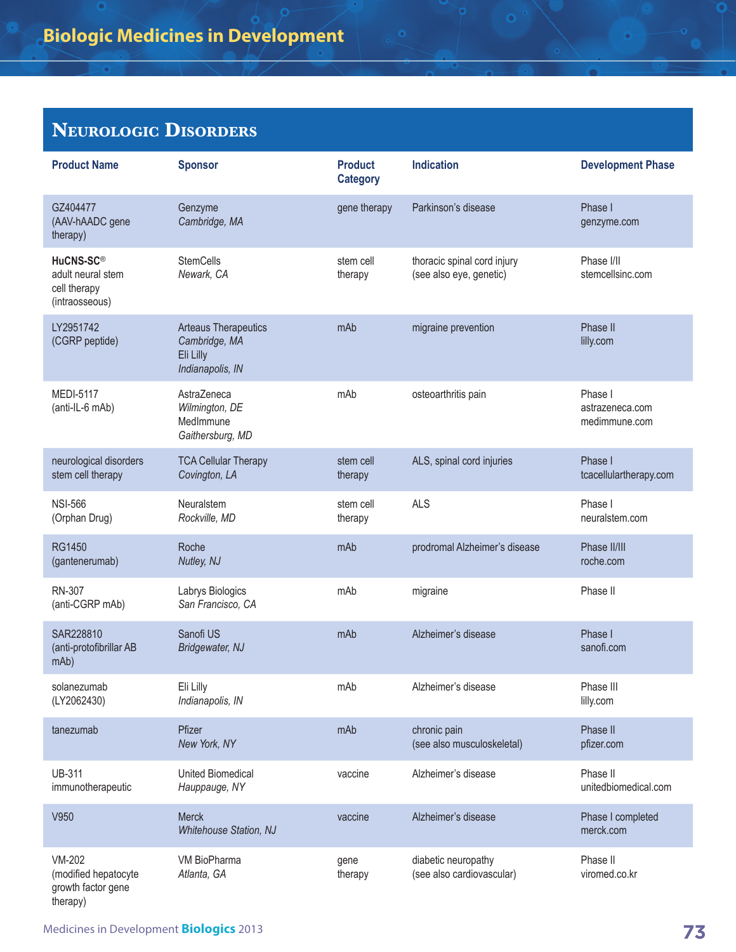## **Neurologic Disorders**

| <b>Product Name</b>                                                          | <b>Sponsor</b>                                                                | <b>Product</b><br><b>Category</b> | <b>Indication</b>                                      | <b>Development Phase</b>                    |
|------------------------------------------------------------------------------|-------------------------------------------------------------------------------|-----------------------------------|--------------------------------------------------------|---------------------------------------------|
| GZ404477<br>(AAV-hAADC gene<br>therapy)                                      | Genzyme<br>Cambridge, MA                                                      | gene therapy                      | Parkinson's disease                                    | Phase I<br>genzyme.com                      |
| HuCNS-SC <sup>®</sup><br>adult neural stem<br>cell therapy<br>(intraosseous) | <b>StemCells</b><br>Newark, CA                                                | stem cell<br>therapy              | thoracic spinal cord injury<br>(see also eye, genetic) | Phase I/II<br>stemcellsinc.com              |
| LY2951742<br>(CGRP peptide)                                                  | <b>Arteaus Therapeutics</b><br>Cambridge, MA<br>Eli Lilly<br>Indianapolis, IN | mAb                               | migraine prevention                                    | Phase II<br>lilly.com                       |
| <b>MEDI-5117</b><br>(anti-IL-6 mAb)                                          | AstraZeneca<br>Wilmington, DE<br>MedImmune<br>Gaithersburg, MD                | mAb                               | osteoarthritis pain                                    | Phase I<br>astrazeneca.com<br>medimmune.com |
| neurological disorders<br>stem cell therapy                                  | <b>TCA Cellular Therapy</b><br>Covington, LA                                  | stem cell<br>therapy              | ALS, spinal cord injuries                              | Phase I<br>tcacellulartherapy.com           |
| <b>NSI-566</b><br>(Orphan Drug)                                              | Neuralstem<br>Rockville, MD                                                   | stem cell<br>therapy              | <b>ALS</b>                                             | Phase I<br>neuralstem.com                   |
| <b>RG1450</b><br>(gantenerumab)                                              | Roche<br>Nutley, NJ                                                           | mAb                               | prodromal Alzheimer's disease                          | Phase II/III<br>roche.com                   |
| <b>RN-307</b><br>(anti-CGRP mAb)                                             | Labrys Biologics<br>San Francisco, CA                                         | mAb                               | migraine                                               | Phase II                                    |
| SAR228810<br>(anti-protofibrillar AB<br>mAb)                                 | Sanofi US<br>Bridgewater, NJ                                                  | mAb                               | Alzheimer's disease                                    | Phase I<br>sanofi.com                       |
| solanezumab<br>(LY2062430)                                                   | Eli Lilly<br>Indianapolis, IN                                                 | mAb                               | Alzheimer's disease                                    | Phase III<br>lilly.com                      |
| tanezumab                                                                    | Pfizer<br>New York, NY                                                        | mAb                               | chronic pain<br>(see also musculoskeletal)             | Phase II<br>pfizer.com                      |
| <b>UB-311</b><br>immunotherapeutic                                           | <b>United Biomedical</b><br>Hauppauge, NY                                     | vaccine                           | Alzheimer's disease                                    | Phase II<br>unitedbiomedical.com            |
| V950                                                                         | <b>Merck</b><br><b>Whitehouse Station, NJ</b>                                 | vaccine                           | Alzheimer's disease                                    | Phase I completed<br>merck.com              |
| <b>VM-202</b><br>(modified hepatocyte<br>growth factor gene<br>therapy)      | VM BioPharma<br>Atlanta, GA                                                   | gene<br>therapy                   | diabetic neuropathy<br>(see also cardiovascular)       | Phase II<br>viromed.co.kr                   |

o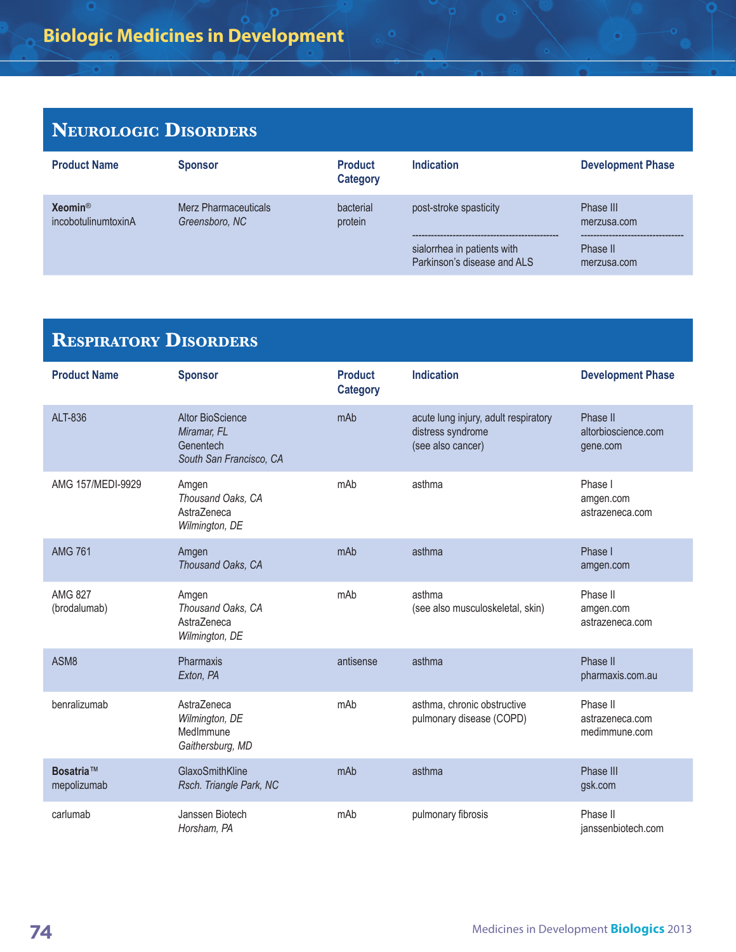## **Neurologic Disorders**

| <b>Product Name</b>                       | <b>Sponsor</b>                         | <b>Product</b><br><b>Category</b> | Indication                                                                           | <b>Development Phase</b>                            |
|-------------------------------------------|----------------------------------------|-----------------------------------|--------------------------------------------------------------------------------------|-----------------------------------------------------|
| $Xeomin^{\otimes}$<br>incobotulinumtoxinA | Merz Pharmaceuticals<br>Greensboro, NC | bacterial<br>protein              | post-stroke spasticity<br>sialorrhea in patients with<br>Parkinson's disease and ALS | Phase III<br>merzusa.com<br>Phase II<br>merzusa.com |

| <b>RESPIRATORY DISORDERS</b>   |                                                                                |                                   |                                                                                |                                              |
|--------------------------------|--------------------------------------------------------------------------------|-----------------------------------|--------------------------------------------------------------------------------|----------------------------------------------|
| <b>Product Name</b>            | <b>Sponsor</b>                                                                 | <b>Product</b><br><b>Category</b> | <b>Indication</b>                                                              | <b>Development Phase</b>                     |
| ALT-836                        | <b>Altor BioScience</b><br>Miramar, FL<br>Genentech<br>South San Francisco, CA | mAb                               | acute lung injury, adult respiratory<br>distress syndrome<br>(see also cancer) | Phase II<br>altorbioscience.com<br>gene.com  |
| AMG 157/MEDI-9929              | Amgen<br>Thousand Oaks, CA<br>AstraZeneca<br>Wilmington, DE                    | mAb                               | asthma                                                                         | Phase I<br>amgen.com<br>astrazeneca.com      |
| <b>AMG 761</b>                 | Amgen<br>Thousand Oaks, CA                                                     | mAb                               | asthma                                                                         | Phase I<br>amgen.com                         |
| <b>AMG 827</b><br>(brodalumab) | Amgen<br>Thousand Oaks, CA<br>AstraZeneca<br>Wilmington, DE                    | mAb                               | asthma<br>(see also musculoskeletal, skin)                                     | Phase II<br>amgen.com<br>astrazeneca.com     |
| ASM8                           | Pharmaxis<br>Exton, PA                                                         | antisense                         | asthma                                                                         | Phase II<br>pharmaxis.com.au                 |
| benralizumab                   | AstraZeneca<br>Wilmington, DE<br>MedImmune<br>Gaithersburg, MD                 | mAb                               | asthma, chronic obstructive<br>pulmonary disease (COPD)                        | Phase II<br>astrazeneca.com<br>medimmune.com |
| Bosatria™<br>mepolizumab       | GlaxoSmithKline<br>Rsch. Triangle Park, NC                                     | mAb                               | asthma                                                                         | Phase III<br>gsk.com                         |
| carlumab                       | Janssen Biotech<br>Horsham, PA                                                 | mAb                               | pulmonary fibrosis                                                             | Phase II<br>janssenbiotech.com               |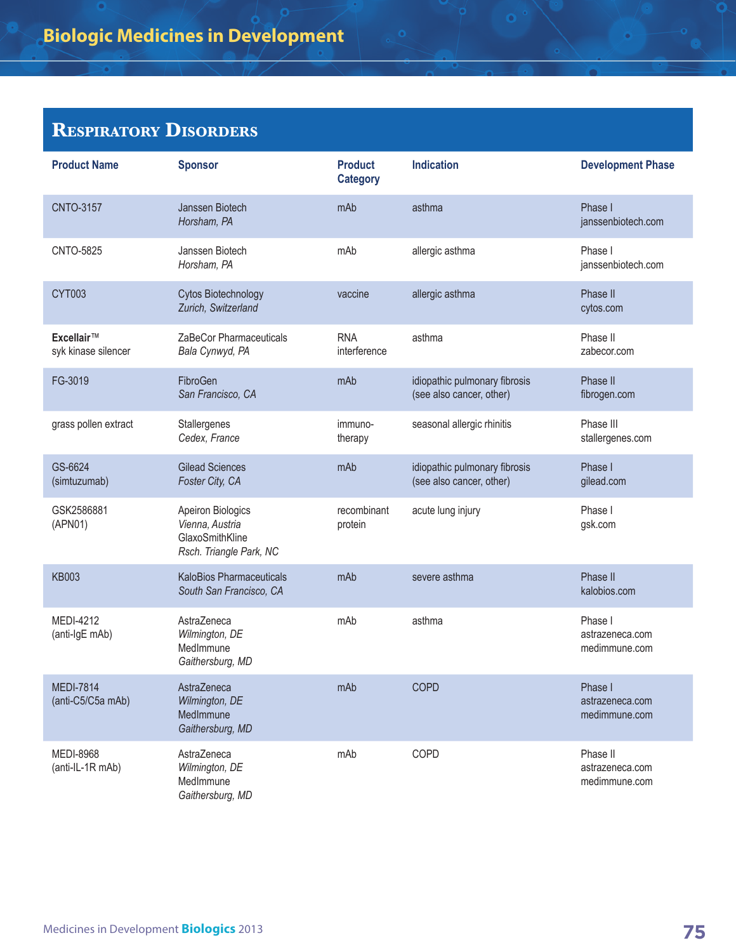## **Respiratory Disorders**

| <b>Product Name</b>                   | <b>Sponsor</b>                                                                     | <b>Product</b><br><b>Category</b> | <b>Indication</b>                                         | <b>Development Phase</b>                     |
|---------------------------------------|------------------------------------------------------------------------------------|-----------------------------------|-----------------------------------------------------------|----------------------------------------------|
| <b>CNTO-3157</b>                      | Janssen Biotech<br>Horsham, PA                                                     | mAb                               | asthma                                                    | Phase I<br>janssenbiotech.com                |
| <b>CNTO-5825</b>                      | Janssen Biotech<br>Horsham, PA                                                     | mAb                               | allergic asthma                                           | Phase I<br>janssenbiotech.com                |
| <b>CYT003</b>                         | Cytos Biotechnology<br>Zurich, Switzerland                                         | vaccine                           | allergic asthma                                           | Phase II<br>cytos.com                        |
| Excellair™<br>syk kinase silencer     | ZaBeCor Pharmaceuticals<br>Bala Cynwyd, PA                                         | <b>RNA</b><br>interference        | asthma                                                    | Phase II<br>zabecor.com                      |
| FG-3019                               | FibroGen<br>San Francisco, CA                                                      | mAb                               | idiopathic pulmonary fibrosis<br>(see also cancer, other) | Phase II<br>fibrogen.com                     |
| grass pollen extract                  | Stallergenes<br>Cedex, France                                                      | immuno-<br>therapy                | seasonal allergic rhinitis                                | Phase III<br>stallergenes.com                |
| GS-6624<br>(simtuzumab)               | <b>Gilead Sciences</b><br>Foster City, CA                                          | mAb                               | idiopathic pulmonary fibrosis<br>(see also cancer, other) | Phase I<br>gilead.com                        |
| GSK2586881<br>(APN01)                 | Apeiron Biologics<br>Vienna, Austria<br>GlaxoSmithKline<br>Rsch. Triangle Park, NC | recombinant<br>protein            | acute lung injury                                         | Phase I<br>gsk.com                           |
| <b>KB003</b>                          | KaloBios Pharmaceuticals<br>South San Francisco, CA                                | mAb                               | severe asthma                                             | Phase II<br>kalobios.com                     |
| <b>MEDI-4212</b><br>(anti-IgE mAb)    | AstraZeneca<br>Wilmington, DE<br>MedImmune<br>Gaithersburg, MD                     | mAb                               | asthma                                                    | Phase I<br>astrazeneca.com<br>medimmune.com  |
| <b>MEDI-7814</b><br>(anti-C5/C5a mAb) | AstraZeneca<br>Wilmington, DE<br>MedImmune<br>Gaithersburg, MD                     | mAb                               | COPD                                                      | Phase I<br>astrazeneca.com<br>medimmune.com  |
| <b>MEDI-8968</b><br>(anti-IL-1R mAb)  | AstraZeneca<br>Wilmington, DE<br>MedImmune<br>Gaithersburg, MD                     | mAb                               | COPD                                                      | Phase II<br>astrazeneca.com<br>medimmune.com |

G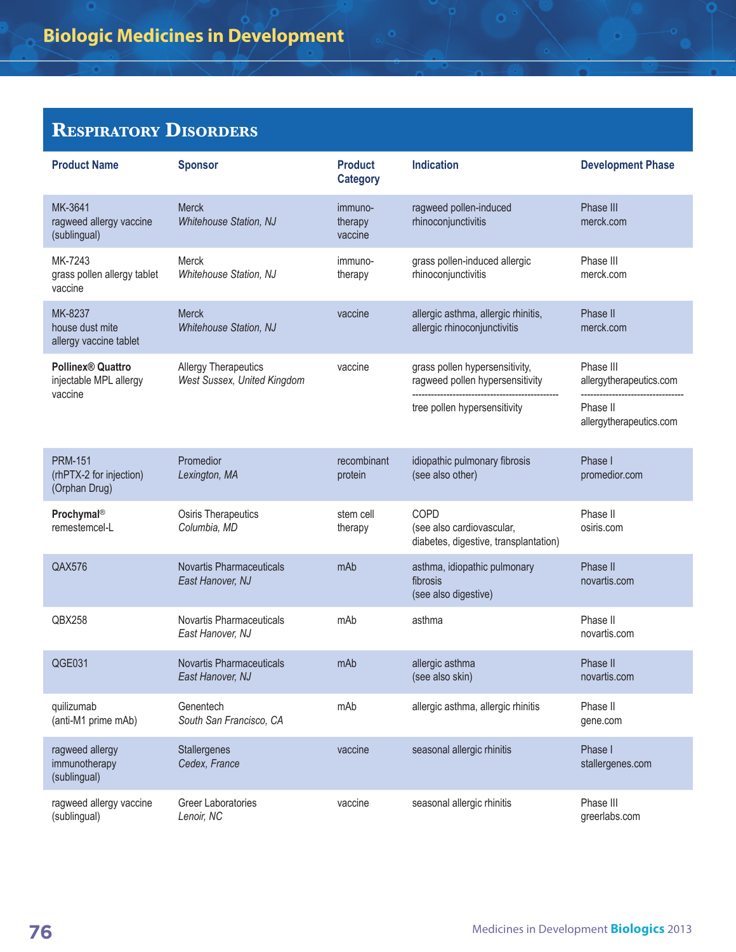## **Respiratory Disorders**

| <b>Product Name</b>                                           | <b>Sponsor</b>                                             | <b>Product</b><br><b>Category</b> | <b>Indication</b>                                                                                 | <b>Development Phase</b>                                                    |
|---------------------------------------------------------------|------------------------------------------------------------|-----------------------------------|---------------------------------------------------------------------------------------------------|-----------------------------------------------------------------------------|
| MK-3641<br>ragweed allergy vaccine<br>(sublingual)            | <b>Merck</b><br><b>Whitehouse Station, NJ</b>              | immuno-<br>therapy<br>vaccine     | ragweed pollen-induced<br>rhinoconjunctivitis                                                     | Phase III<br>merck.com                                                      |
| MK-7243<br>grass pollen allergy tablet<br>vaccine             | Merck<br>Whitehouse Station, NJ                            | immuno-<br>therapy                | grass pollen-induced allergic<br>rhinoconjunctivitis                                              | Phase III<br>merck.com                                                      |
| MK-8237<br>house dust mite<br>allergy vaccine tablet          | Merck<br><b>Whitehouse Station, NJ</b>                     | vaccine                           | allergic asthma, allergic rhinitis,<br>allergic rhinoconjunctivitis                               | Phase II<br>merck.com                                                       |
| <b>Pollinex® Quattro</b><br>injectable MPL allergy<br>vaccine | <b>Allergy Therapeutics</b><br>West Sussex, United Kingdom | vaccine                           | grass pollen hypersensitivity,<br>ragweed pollen hypersensitivity<br>tree pollen hypersensitivity | Phase III<br>allergytherapeutics.com<br>Phase II<br>allergytherapeutics.com |
| <b>PRM-151</b><br>(rhPTX-2 for injection)<br>(Orphan Drug)    | Promedior<br>Lexington, MA                                 | recombinant<br>protein            | idiopathic pulmonary fibrosis<br>(see also other)                                                 | Phase I<br>promedior.com                                                    |
| Prochymal <sup>®</sup><br>remestemcel-L                       | Osiris Therapeutics<br>Columbia, MD                        | stem cell<br>therapy              | COPD<br>(see also cardiovascular,<br>diabetes, digestive, transplantation)                        | Phase II<br>osiris.com                                                      |
| <b>QAX576</b>                                                 | <b>Novartis Pharmaceuticals</b><br>East Hanover, NJ        | mAb                               | asthma, idiopathic pulmonary<br>fibrosis<br>(see also digestive)                                  | Phase II<br>novartis.com                                                    |
| QBX258                                                        | Novartis Pharmaceuticals<br>East Hanover, NJ               | mAb                               | asthma                                                                                            | Phase II<br>novartis.com                                                    |
| QGE031                                                        | <b>Novartis Pharmaceuticals</b><br>East Hanover, NJ        | mAb                               | allergic asthma<br>(see also skin)                                                                | Phase II<br>novartis.com                                                    |
| quilizumab<br>(anti-M1 prime mAb)                             | Genentech<br>South San Francisco, CA                       | mAb                               | allergic asthma, allergic rhinitis                                                                | Phase II<br>gene.com                                                        |
| ragweed allergy<br>immunotherapy<br>(sublingual)              | Stallergenes<br>Cedex, France                              | vaccine                           | seasonal allergic rhinitis                                                                        | Phase I<br>stallergenes.com                                                 |
| ragweed allergy vaccine<br>(sublingual)                       | Greer Laboratories<br>Lenoir, NC                           | vaccine                           | seasonal allergic rhinitis                                                                        | Phase III<br>greerlabs.com                                                  |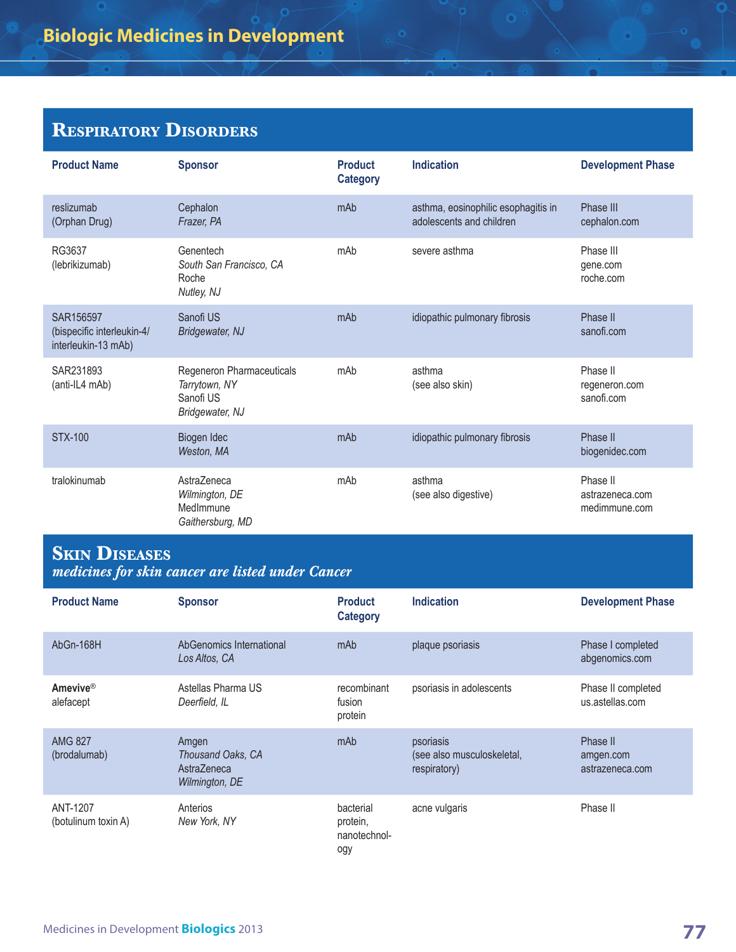### **Respiratory Disorders**

| <b>Product Name</b>                                            | <b>Sponsor</b>                                                             | <b>Product</b><br><b>Category</b> | <b>Indication</b>                                               | <b>Development Phase</b>                     |
|----------------------------------------------------------------|----------------------------------------------------------------------------|-----------------------------------|-----------------------------------------------------------------|----------------------------------------------|
| reslizumab<br>(Orphan Drug)                                    | Cephalon<br>Frazer, PA                                                     | mAb                               | asthma, eosinophilic esophagitis in<br>adolescents and children | Phase III<br>cephalon.com                    |
| RG3637<br>(lebrikizumab)                                       | Genentech<br>South San Francisco, CA<br>Roche<br>Nutley, NJ                | mAb                               | severe asthma                                                   | Phase III<br>gene.com<br>roche.com           |
| SAR156597<br>(bispecific interleukin-4/<br>interleukin-13 mAb) | Sanofi US<br>Bridgewater, NJ                                               | mAb                               | idiopathic pulmonary fibrosis                                   | Phase II<br>sanofi.com                       |
| SAR231893<br>(anti-IL4 mAb)                                    | Regeneron Pharmaceuticals<br>Tarrytown, NY<br>Sanofi US<br>Bridgewater, NJ | mAb                               | asthma<br>(see also skin)                                       | Phase II<br>regeneron.com<br>sanofi.com      |
| <b>STX-100</b>                                                 | Biogen Idec<br>Weston, MA                                                  | mAb                               | idiopathic pulmonary fibrosis                                   | Phase II<br>biogenidec.com                   |
| tralokinumab                                                   | AstraZeneca<br>Wilmington, DE<br>MedImmune<br>Gaithersburg, MD             | mAb                               | asthma<br>(see also digestive)                                  | Phase II<br>astrazeneca.com<br>medimmune.com |

# **Skin Diseases**

*medicines for skin cancer are listed under Cancer*

| <b>Product Name</b>             | <b>Sponsor</b>                                              | <b>Product</b><br><b>Category</b>            | Indication                                              | <b>Development Phase</b>                 |
|---------------------------------|-------------------------------------------------------------|----------------------------------------------|---------------------------------------------------------|------------------------------------------|
| AbGn-168H                       | AbGenomics International<br>Los Altos, CA                   | mAb                                          | plaque psoriasis                                        | Phase I completed<br>abgenomics.com      |
| <b>Amevive®</b><br>alefacept    | Astellas Pharma US<br>Deerfield, IL                         | recombinant<br>fusion<br>protein             | psoriasis in adolescents                                | Phase II completed<br>us.astellas.com    |
| <b>AMG 827</b><br>(brodalumab)  | Amgen<br>Thousand Oaks, CA<br>AstraZeneca<br>Wilmington, DE | mAb                                          | psoriasis<br>(see also musculoskeletal,<br>respiratory) | Phase II<br>amgen.com<br>astrazeneca.com |
| ANT-1207<br>(botulinum toxin A) | Anterios<br>New York, NY                                    | bacterial<br>protein,<br>nanotechnol-<br>ogy | acne vulgaris                                           | Phase II                                 |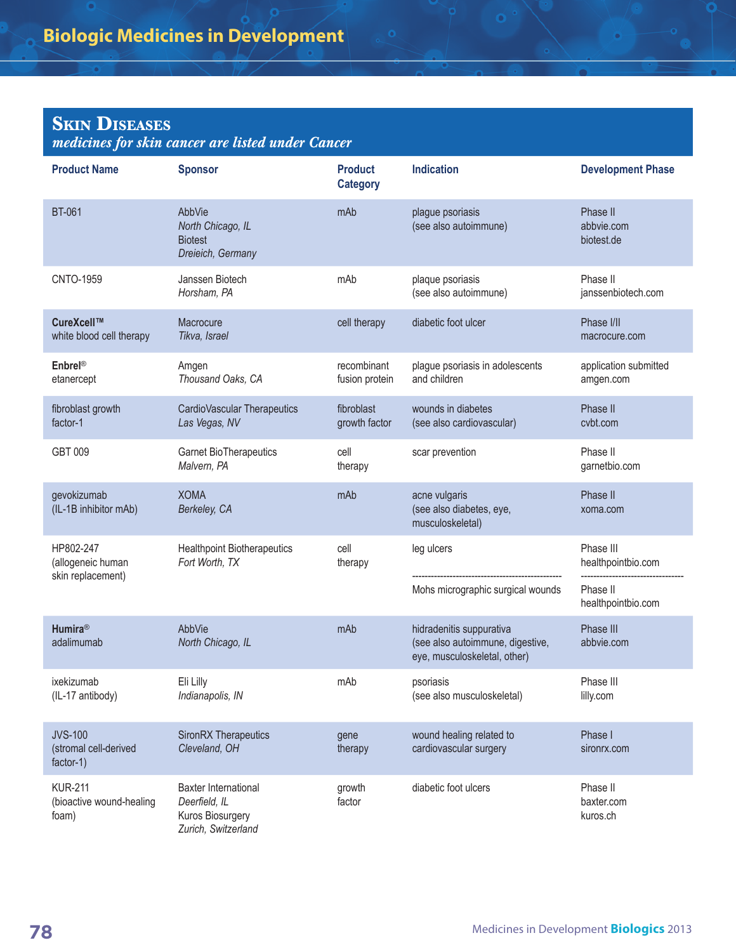## **Skin Diseases**

*medicines for skin cancer are listed under Cancer*

| <b>Product Name</b>                                  | <b>Sponsor</b>                                                                          | <b>Product</b><br><b>Category</b> | <b>Indication</b>                                                                            | <b>Development Phase</b>             |
|------------------------------------------------------|-----------------------------------------------------------------------------------------|-----------------------------------|----------------------------------------------------------------------------------------------|--------------------------------------|
| <b>BT-061</b>                                        | AbbVie<br>North Chicago, IL<br><b>Biotest</b><br>Dreieich, Germany                      | mAb                               | plague psoriasis<br>(see also autoimmune)                                                    | Phase II<br>abbvie.com<br>biotest.de |
| <b>CNTO-1959</b>                                     | Janssen Biotech<br>Horsham, PA                                                          | mAb                               | plaque psoriasis<br>(see also autoimmune)                                                    | Phase II<br>janssenbiotech.com       |
| CureXcell™<br>white blood cell therapy               | Macrocure<br>Tikva, Israel                                                              | cell therapy                      | diabetic foot ulcer                                                                          | Phase I/II<br>macrocure.com          |
| Enbrel®<br>etanercept                                | Amgen<br>Thousand Oaks, CA                                                              | recombinant<br>fusion protein     | plague psoriasis in adolescents<br>and children                                              | application submitted<br>amgen.com   |
| fibroblast growth<br>factor-1                        | CardioVascular Therapeutics<br>Las Vegas, NV                                            | fibroblast<br>growth factor       | wounds in diabetes<br>(see also cardiovascular)                                              | Phase II<br>cvbt.com                 |
| GBT 009                                              | Garnet BioTherapeutics<br>Malvern, PA                                                   | cell<br>therapy                   | scar prevention                                                                              | Phase II<br>garnetbio.com            |
| gevokizumab<br>(IL-1B inhibitor mAb)                 | <b>XOMA</b><br>Berkeley, CA                                                             | mAb                               | acne vulgaris<br>(see also diabetes, eye,<br>musculoskeletal)                                | Phase II<br>xoma.com                 |
| HP802-247<br>(allogeneic human<br>skin replacement)  | <b>Healthpoint Biotherapeutics</b><br>Fort Worth, TX                                    | cell<br>therapy                   | leg ulcers                                                                                   | Phase III<br>healthpointbio.com      |
|                                                      |                                                                                         |                                   | Mohs micrographic surgical wounds                                                            | Phase II<br>healthpointbio.com       |
| <b>Humira®</b><br>adalimumab                         | AbbVie<br>North Chicago, IL                                                             | mAb                               | hidradenitis suppurativa<br>(see also autoimmune, digestive,<br>eye, musculoskeletal, other) | Phase III<br>abbvie.com              |
| ixekizumab<br>(IL-17 antibody)                       | Eli Lilly<br>Indianapolis, IN                                                           | mAb                               | psoriasis<br>(see also musculoskeletal)                                                      | Phase III<br>lilly.com               |
| <b>JVS-100</b><br>(stromal cell-derived<br>factor-1) | SironRX Therapeutics<br>Cleveland, OH                                                   | gene<br>therapy                   | wound healing related to<br>cardiovascular surgery                                           | Phase I<br>sironrx.com               |
| <b>KUR-211</b><br>(bioactive wound-healing<br>foam)  | <b>Baxter International</b><br>Deerfield, IL<br>Kuros Biosurgery<br>Zurich, Switzerland | growth<br>factor                  | diabetic foot ulcers                                                                         | Phase II<br>baxter.com<br>kuros.ch   |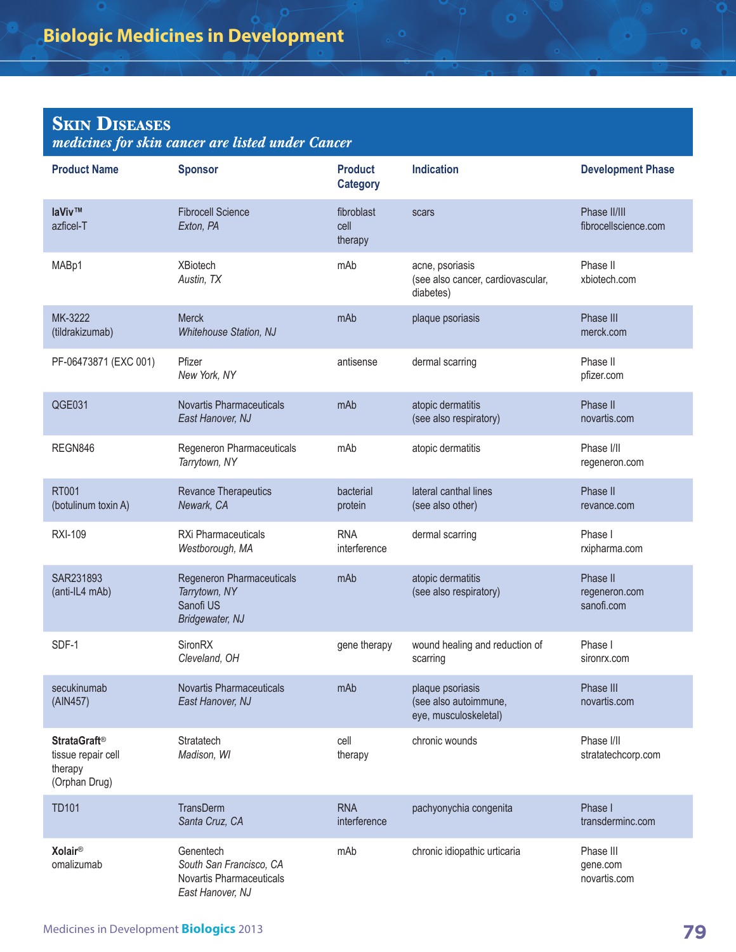## **Skin Diseases**

*medicines for skin cancer are listed under Cancer*

| <b>Product Name</b>                                                              | <b>Sponsor</b>                                                                       | <b>Product</b><br><b>Category</b> | <b>Indication</b>                                                  | <b>Development Phase</b>                |
|----------------------------------------------------------------------------------|--------------------------------------------------------------------------------------|-----------------------------------|--------------------------------------------------------------------|-----------------------------------------|
| laViv™<br>azficel-T                                                              | <b>Fibrocell Science</b><br>Exton, PA                                                | fibroblast<br>cell<br>therapy     | scars                                                              | Phase II/III<br>fibrocellscience.com    |
| MABp1                                                                            | <b>XBiotech</b><br>Austin, TX                                                        | mAb                               | acne, psoriasis<br>(see also cancer, cardiovascular,<br>diabetes)  | Phase II<br>xbiotech.com                |
| MK-3222<br>(tildrakizumab)                                                       | Merck<br><b>Whitehouse Station, NJ</b>                                               | mAb                               | plaque psoriasis                                                   | Phase III<br>merck.com                  |
| PF-06473871 (EXC 001)                                                            | Pfizer<br>New York, NY                                                               | antisense                         | dermal scarring                                                    | Phase II<br>pfizer.com                  |
| QGE031                                                                           | Novartis Pharmaceuticals<br>East Hanover, NJ                                         | mAb                               | atopic dermatitis<br>(see also respiratory)                        | Phase II<br>novartis.com                |
| REGN846                                                                          | Regeneron Pharmaceuticals<br>Tarrytown, NY                                           | mAb                               | atopic dermatitis                                                  | Phase I/II<br>regeneron.com             |
| <b>RT001</b><br>(botulinum toxin A)                                              | Revance Therapeutics<br>Newark, CA                                                   | bacterial<br>protein              | lateral canthal lines<br>(see also other)                          | Phase II<br>revance.com                 |
| <b>RXI-109</b>                                                                   | RXi Pharmaceuticals<br>Westborough, MA                                               | <b>RNA</b><br>interference        | dermal scarring                                                    | Phase I<br>rxipharma.com                |
| SAR231893<br>(anti-IL4 mAb)                                                      | Regeneron Pharmaceuticals<br>Tarrytown, NY<br>Sanofi US<br>Bridgewater, NJ           | mAb                               | atopic dermatitis<br>(see also respiratory)                        | Phase II<br>regeneron.com<br>sanofi.com |
| SDF-1                                                                            | <b>SironRX</b><br>Cleveland, OH                                                      | gene therapy                      | wound healing and reduction of<br>scarring                         | Phase I<br>sironrx.com                  |
| secukinumab<br>(AIN457)                                                          | <b>Novartis Pharmaceuticals</b><br>East Hanover, NJ                                  | mAb                               | plaque psoriasis<br>(see also autoimmune,<br>eye, musculoskeletal) | Phase III<br>novartis.com               |
| <b>StrataGraft<sup>®</sup></b><br>tissue repair cell<br>therapy<br>(Orphan Drug) | Stratatech<br>Madison, WI                                                            | cell<br>therapy                   | chronic wounds                                                     | Phase I/II<br>stratatechcorp.com        |
| <b>TD101</b>                                                                     | TransDerm<br>Santa Cruz, CA                                                          | <b>RNA</b><br>interference        | pachyonychia congenita                                             | Phase I<br>transderminc.com             |
| <b>Xolair®</b><br>omalizumab                                                     | Genentech<br>South San Francisco, CA<br>Novartis Pharmaceuticals<br>East Hanover, NJ | mAb                               | chronic idiopathic urticaria                                       | Phase III<br>gene.com<br>novartis.com   |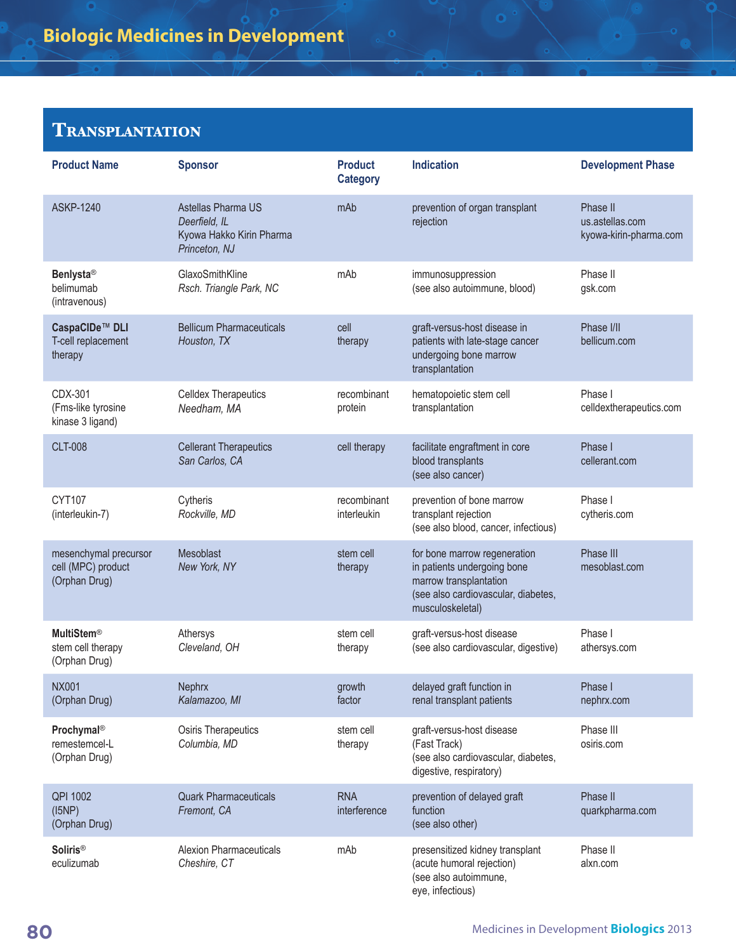#### **Transplantation**

| <b>Product Name</b>                                          | <b>Sponsor</b>                                                                   | <b>Product</b><br><b>Category</b> | <b>Indication</b>                                                                                                                                | <b>Development Phase</b>                              |
|--------------------------------------------------------------|----------------------------------------------------------------------------------|-----------------------------------|--------------------------------------------------------------------------------------------------------------------------------------------------|-------------------------------------------------------|
| <b>ASKP-1240</b>                                             | Astellas Pharma US<br>Deerfield, IL<br>Kyowa Hakko Kirin Pharma<br>Princeton, NJ | mAb                               | prevention of organ transplant<br>rejection                                                                                                      | Phase II<br>us.astellas.com<br>kyowa-kirin-pharma.com |
| <b>Benlysta®</b><br>belimumab<br>(intravenous)               | GlaxoSmithKline<br>Rsch. Triangle Park, NC                                       | mAb                               | immunosuppression<br>(see also autoimmune, blood)                                                                                                | Phase II<br>gsk.com                                   |
| CaspaCIDe™ DLI<br>T-cell replacement<br>therapy              | <b>Bellicum Pharmaceuticals</b><br>Houston, TX                                   | cell<br>therapy                   | graft-versus-host disease in<br>patients with late-stage cancer<br>undergoing bone marrow<br>transplantation                                     | Phase I/II<br>bellicum.com                            |
| CDX-301<br>(Fms-like tyrosine<br>kinase 3 ligand)            | <b>Celldex Therapeutics</b><br>Needham, MA                                       | recombinant<br>protein            | hematopoietic stem cell<br>transplantation                                                                                                       | Phase I<br>celldextherapeutics.com                    |
| <b>CLT-008</b>                                               | <b>Cellerant Therapeutics</b><br>San Carlos, CA                                  | cell therapy                      | facilitate engraftment in core<br>blood transplants<br>(see also cancer)                                                                         | Phase I<br>cellerant.com                              |
| <b>CYT107</b><br>(interleukin-7)                             | Cytheris<br>Rockville, MD                                                        | recombinant<br>interleukin        | prevention of bone marrow<br>transplant rejection<br>(see also blood, cancer, infectious)                                                        | Phase I<br>cytheris.com                               |
| mesenchymal precursor<br>cell (MPC) product<br>(Orphan Drug) | Mesoblast<br>New York, NY                                                        | stem cell<br>therapy              | for bone marrow regeneration<br>in patients undergoing bone<br>marrow transplantation<br>(see also cardiovascular, diabetes,<br>musculoskeletal) | Phase III<br>mesoblast.com                            |
| <b>MultiStem®</b><br>stem cell therapy<br>(Orphan Drug)      | Athersys<br>Cleveland, OH                                                        | stem cell<br>therapy              | graft-versus-host disease<br>(see also cardiovascular, digestive)                                                                                | Phase I<br>athersys.com                               |
| <b>NX001</b><br>(Orphan Drug)                                | Nephrx<br>Kalamazoo, MI                                                          | growth<br>factor                  | delayed graft function in<br>renal transplant patients                                                                                           | Phase I<br>nephrx.com                                 |
| Prochymal®<br>remestemcel-L<br>(Orphan Drug)                 | Osiris Therapeutics<br>Columbia, MD                                              | stem cell<br>therapy              | graft-versus-host disease<br>(Fast Track)<br>(see also cardiovascular, diabetes,<br>digestive, respiratory)                                      | Phase III<br>osiris.com                               |
| QPI 1002<br>(I5NP)<br>(Orphan Drug)                          | <b>Quark Pharmaceuticals</b><br>Fremont, CA                                      | <b>RNA</b><br>interference        | prevention of delayed graft<br>function<br>(see also other)                                                                                      | Phase II<br>quarkpharma.com                           |
| <b>Soliris®</b><br>eculizumab                                | <b>Alexion Pharmaceuticals</b><br>Cheshire, CT                                   | mAb                               | presensitized kidney transplant<br>(acute humoral rejection)<br>(see also autoimmune,<br>eye, infectious)                                        | Phase II<br>alxn.com                                  |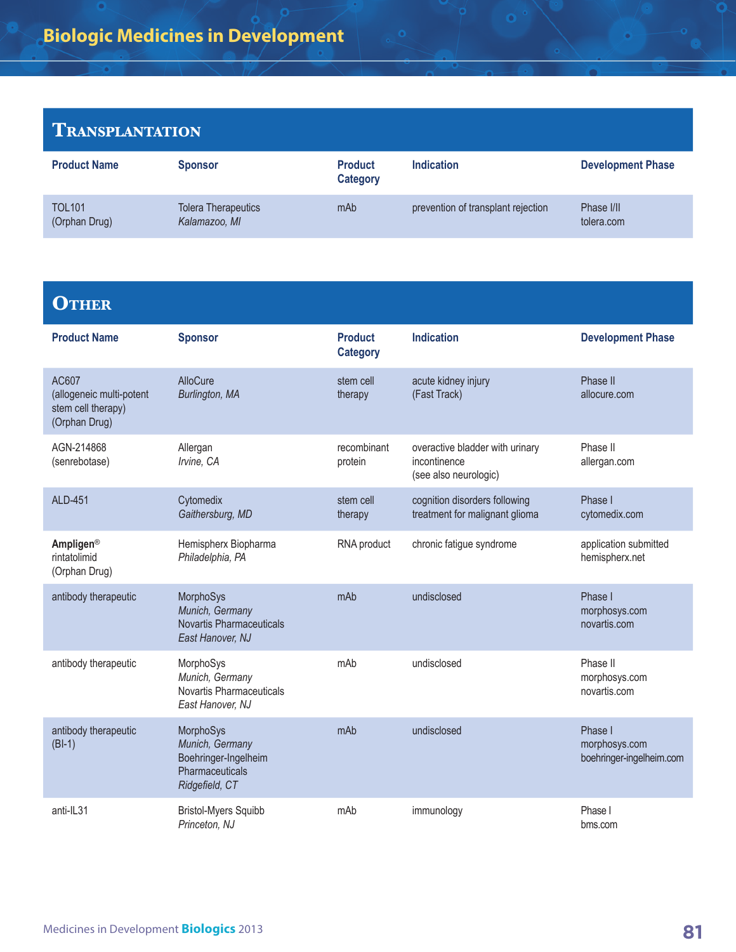#### **Transplantation**

| <b>Product Name</b>            | <b>Sponsor</b>                              | <b>Product</b><br><b>Category</b> | <b>Indication</b>                  | <b>Development Phase</b> |
|--------------------------------|---------------------------------------------|-----------------------------------|------------------------------------|--------------------------|
| <b>TOL101</b><br>(Orphan Drug) | <b>Tolera Therapeutics</b><br>Kalamazoo, MI | mAb                               | prevention of transplant rejection | Phase I/II<br>tolera.com |

 $\ddot{\mathbf{o}}$ 

#### **OTHER**

| <b>Product Name</b>                                                      | <b>Sponsor</b>                                                                            | <b>Product</b><br><b>Category</b> | <b>Indication</b>                                                        | <b>Development Phase</b>                             |
|--------------------------------------------------------------------------|-------------------------------------------------------------------------------------------|-----------------------------------|--------------------------------------------------------------------------|------------------------------------------------------|
| AC607<br>(allogeneic multi-potent<br>stem cell therapy)<br>(Orphan Drug) | AlloCure<br>Burlington, MA                                                                | stem cell<br>therapy              | acute kidney injury<br>(Fast Track)                                      | Phase II<br>allocure.com                             |
| AGN-214868<br>(senrebotase)                                              | Allergan<br>Irvine, CA                                                                    | recombinant<br>protein            | overactive bladder with urinary<br>incontinence<br>(see also neurologic) | Phase II<br>allergan.com                             |
| <b>ALD-451</b>                                                           | Cytomedix<br>Gaithersburg, MD                                                             | stem cell<br>therapy              | cognition disorders following<br>treatment for malignant glioma          | Phase I<br>cytomedix.com                             |
| Ampligen®<br>rintatolimid<br>(Orphan Drug)                               | Hemispherx Biopharma<br>Philadelphia, PA                                                  | RNA product                       | chronic fatigue syndrome                                                 | application submitted<br>hemispherx.net              |
| antibody therapeutic                                                     | MorphoSys<br>Munich, Germany<br><b>Novartis Pharmaceuticals</b><br>East Hanover, NJ       | mAb                               | undisclosed                                                              | Phase I<br>morphosys.com<br>novartis.com             |
| antibody therapeutic                                                     | MorphoSys<br>Munich, Germany<br>Novartis Pharmaceuticals<br>East Hanover, NJ              | mAb                               | undisclosed                                                              | Phase II<br>morphosys.com<br>novartis.com            |
| antibody therapeutic<br>$(BI-1)$                                         | MorphoSys<br>Munich, Germany<br>Boehringer-Ingelheim<br>Pharmaceuticals<br>Ridgefield, CT | mAh                               | undisclosed                                                              | Phase I<br>morphosys.com<br>boehringer-ingelheim.com |
| anti-IL31                                                                | <b>Bristol-Myers Squibb</b><br>Princeton, NJ                                              | mAb                               | immunology                                                               | Phase I<br>bms.com                                   |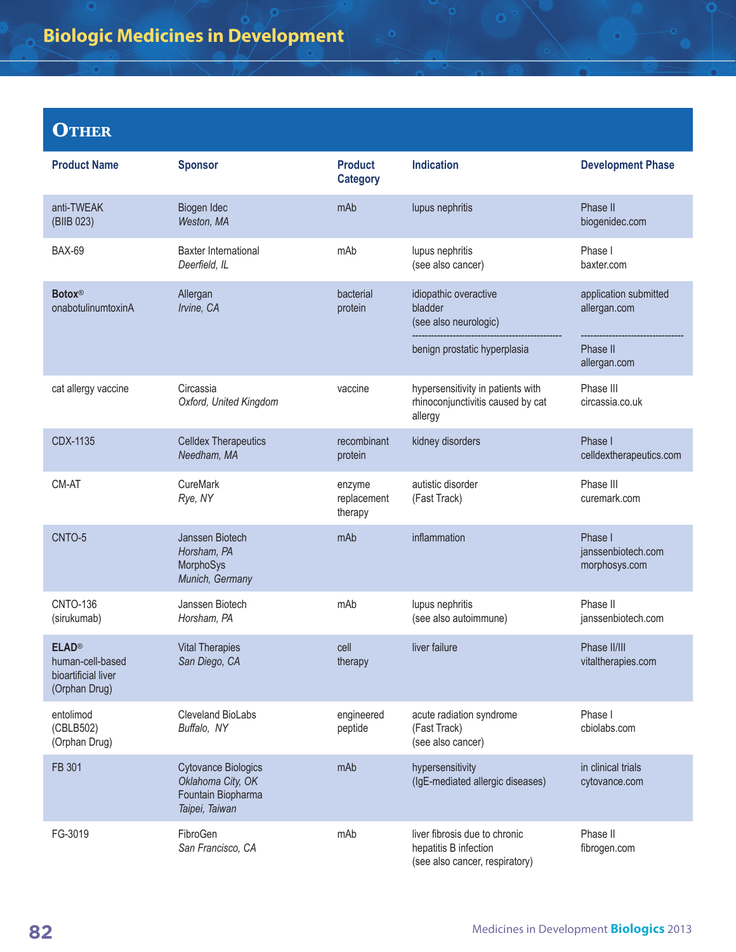## **Biologic Medicines in Development**

## **OTHER**

| <b>Product Name</b>                                                      | <b>Sponsor</b>                                                                          | <b>Product</b><br><b>Category</b> | <b>Indication</b>                                                                        | <b>Development Phase</b>                       |
|--------------------------------------------------------------------------|-----------------------------------------------------------------------------------------|-----------------------------------|------------------------------------------------------------------------------------------|------------------------------------------------|
| anti-TWEAK<br>(BIIB 023)                                                 | Biogen Idec<br>Weston, MA                                                               | mAb                               | lupus nephritis                                                                          | Phase II<br>biogenidec.com                     |
| <b>BAX-69</b>                                                            | <b>Baxter International</b><br>Deerfield, IL                                            | mAb                               | lupus nephritis<br>(see also cancer)                                                     | Phase I<br>baxter.com                          |
| <b>Botox®</b><br>onabotulinumtoxinA                                      | Allergan<br>Irvine, CA                                                                  | bacterial<br>protein              | idiopathic overactive<br>bladder<br>(see also neurologic)                                | application submitted<br>allergan.com          |
|                                                                          |                                                                                         |                                   | benign prostatic hyperplasia                                                             | Phase II<br>allergan.com                       |
| cat allergy vaccine                                                      | Circassia<br>Oxford, United Kingdom                                                     | vaccine                           | hypersensitivity in patients with<br>rhinoconjunctivitis caused by cat<br>allergy        | Phase III<br>circassia.co.uk                   |
| CDX-1135                                                                 | <b>Celldex Therapeutics</b><br>Needham, MA                                              | recombinant<br>protein            | kidney disorders                                                                         | Phase I<br>celldextherapeutics.com             |
| CM-AT                                                                    | CureMark<br>Rye, NY                                                                     | enzyme<br>replacement<br>therapy  | autistic disorder<br>(Fast Track)                                                        | Phase III<br>curemark.com                      |
| CNTO-5                                                                   | Janssen Biotech<br>Horsham, PA<br>MorphoSys<br>Munich, Germany                          | mAb                               | inflammation                                                                             | Phase I<br>janssenbiotech.com<br>morphosys.com |
| <b>CNTO-136</b><br>(sirukumab)                                           | Janssen Biotech<br>Horsham, PA                                                          | mAb                               | lupus nephritis<br>(see also autoimmune)                                                 | Phase II<br>janssenbiotech.com                 |
| <b>ELAD®</b><br>human-cell-based<br>bioartificial liver<br>(Orphan Drug) | <b>Vital Therapies</b><br>San Diego, CA                                                 | cell<br>therapy                   | liver failure                                                                            | Phase II/III<br>vitaltherapies.com             |
| entolimod<br>(CBLB502)<br>(Orphan Drug)                                  | Cleveland BioLabs<br>Buffalo, NY                                                        | engineered<br>peptide             | acute radiation syndrome<br>(Fast Track)<br>(see also cancer)                            | Phase I<br>cbiolabs.com                        |
| FB 301                                                                   | <b>Cytovance Biologics</b><br>Oklahoma City, OK<br>Fountain Biopharma<br>Taipei, Taiwan | mAb                               | hypersensitivity<br>(IgE-mediated allergic diseases)                                     | in clinical trials<br>cytovance.com            |
| FG-3019                                                                  | FibroGen<br>San Francisco, CA                                                           | mAb                               | liver fibrosis due to chronic<br>hepatitis B infection<br>(see also cancer, respiratory) | Phase II<br>fibrogen.com                       |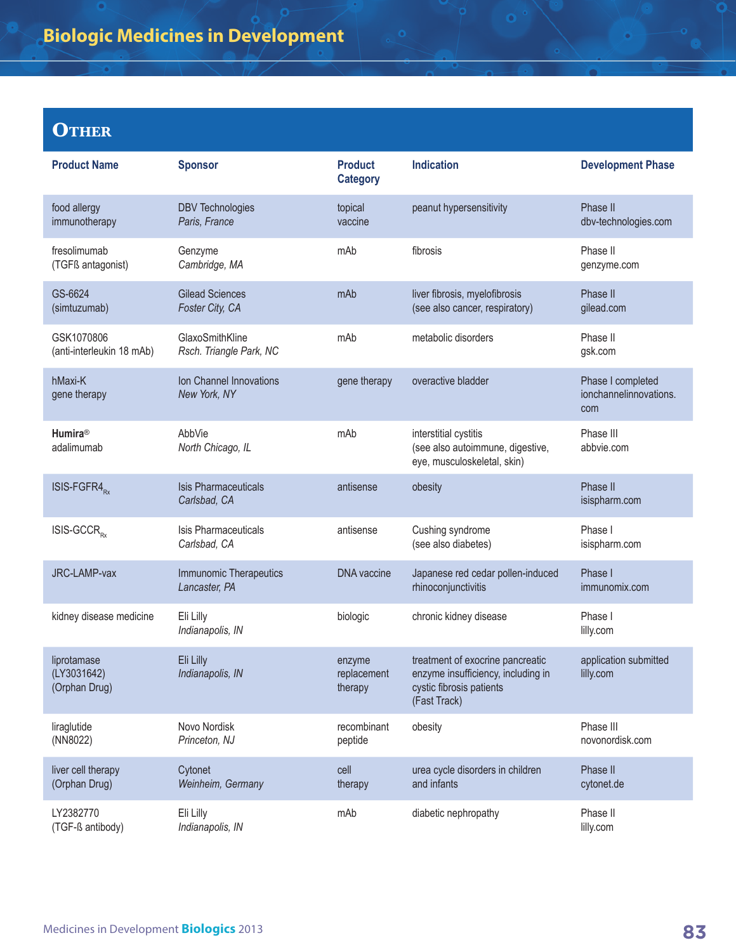## **Biologic Medicines in Development**

## **OTHER**

| <b>Product Name</b>                         | <b>Sponsor</b>                              | <b>Product</b><br><b>Category</b> | <b>Indication</b>                                                                                                  | <b>Development Phase</b>                           |
|---------------------------------------------|---------------------------------------------|-----------------------------------|--------------------------------------------------------------------------------------------------------------------|----------------------------------------------------|
| food allergy<br>immunotherapy               | <b>DBV Technologies</b><br>Paris, France    | topical<br>vaccine                | peanut hypersensitivity                                                                                            | Phase II<br>dbv-technologies.com                   |
| fresolimumab<br>(TGFß antagonist)           | Genzyme<br>Cambridge, MA                    | mAb                               | fibrosis                                                                                                           | Phase II<br>genzyme.com                            |
| GS-6624<br>(simtuzumab)                     | <b>Gilead Sciences</b><br>Foster City, CA   | mAb                               | liver fibrosis, myelofibrosis<br>(see also cancer, respiratory)                                                    | Phase II<br>gilead.com                             |
| GSK1070806<br>(anti-interleukin 18 mAb)     | GlaxoSmithKline<br>Rsch. Triangle Park, NC  | mAb                               | metabolic disorders                                                                                                | Phase II<br>gsk.com                                |
| hMaxi-K<br>gene therapy                     | Ion Channel Innovations<br>New York, NY     | gene therapy                      | overactive bladder                                                                                                 | Phase I completed<br>ionchannelinnovations.<br>com |
| <b>Humira®</b><br>adalimumab                | AbbVie<br>North Chicago, IL                 | mAb                               | interstitial cystitis<br>(see also autoimmune, digestive,<br>eye, musculoskeletal, skin)                           | Phase III<br>abbvie.com                            |
| ISIS-FGFR4 <sub>Rx</sub>                    | <b>Isis Pharmaceuticals</b><br>Carlsbad, CA | antisense                         | obesity                                                                                                            | Phase II<br>isispharm.com                          |
| ISIS-GCCR <sub>RY</sub>                     | Isis Pharmaceuticals<br>Carlsbad, CA        | antisense                         | Cushing syndrome<br>(see also diabetes)                                                                            | Phase I<br>isispharm.com                           |
| JRC-LAMP-vax                                | Immunomic Therapeutics<br>Lancaster, PA     | <b>DNA</b> vaccine                | Japanese red cedar pollen-induced<br>rhinoconjunctivitis                                                           | Phase I<br>immunomix.com                           |
| kidney disease medicine                     | Eli Lilly<br>Indianapolis, IN               | biologic                          | chronic kidney disease                                                                                             | Phase I<br>lilly.com                               |
| liprotamase<br>(LY3031642)<br>(Orphan Drug) | Eli Lilly<br>Indianapolis, IN               | enzyme<br>replacement<br>therapy  | treatment of exocrine pancreatic<br>enzyme insufficiency, including in<br>cystic fibrosis patients<br>(Fast Track) | application submitted<br>lilly.com                 |
| liraglutide<br>(NN8022)                     | Novo Nordisk<br>Princeton, NJ               | recombinant<br>peptide            | obesity                                                                                                            | Phase III<br>novonordisk.com                       |
| liver cell therapy<br>(Orphan Drug)         | Cytonet<br>Weinheim, Germany                | cell<br>therapy                   | urea cycle disorders in children<br>and infants                                                                    | Phase II<br>cytonet.de                             |
| LY2382770<br>(TGF-ß antibody)               | Eli Lilly<br>Indianapolis, IN               | mAb                               | diabetic nephropathy                                                                                               | Phase II<br>lilly.com                              |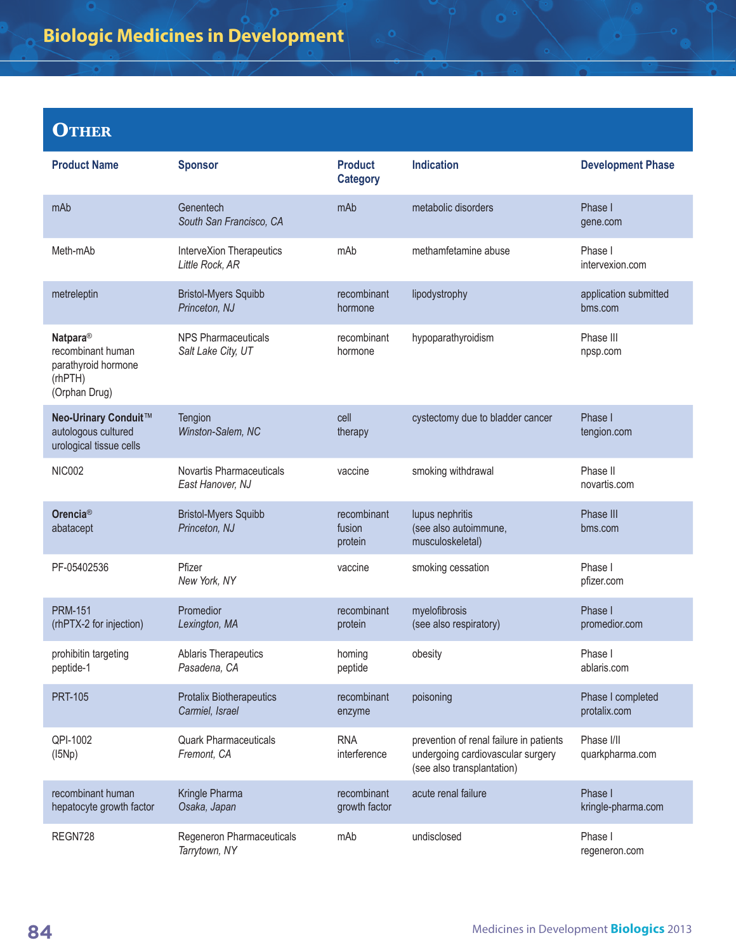## **OTHER**

| <b>Product Name</b>                                                                          | <b>Sponsor</b>                                     | <b>Product</b><br><b>Category</b> | <b>Indication</b>                                                                                          | <b>Development Phase</b>          |
|----------------------------------------------------------------------------------------------|----------------------------------------------------|-----------------------------------|------------------------------------------------------------------------------------------------------------|-----------------------------------|
| mAb                                                                                          | Genentech<br>South San Francisco, CA               | mAb                               | metabolic disorders                                                                                        | Phase I<br>gene.com               |
| Meth-mAb                                                                                     | InterveXion Therapeutics<br>Little Rock, AR        | mAb                               | methamfetamine abuse                                                                                       | Phase I<br>intervexion.com        |
| metreleptin                                                                                  | <b>Bristol-Myers Squibb</b><br>Princeton, NJ       | recombinant<br>hormone            | lipodystrophy                                                                                              | application submitted<br>bms.com  |
| Natpara <sup>®</sup><br>recombinant human<br>parathyroid hormone<br>(rhPTH)<br>(Orphan Drug) | <b>NPS Pharmaceuticals</b><br>Salt Lake City, UT   | recombinant<br>hormone            | hypoparathyroidism                                                                                         | Phase III<br>npsp.com             |
| Neo-Urinary Conduit™<br>autologous cultured<br>urological tissue cells                       | Tengion<br>Winston-Salem, NC                       | cell<br>therapy                   | cystectomy due to bladder cancer                                                                           | Phase I<br>tengion.com            |
| <b>NIC002</b>                                                                                | Novartis Pharmaceuticals<br>East Hanover, NJ       | vaccine                           | smoking withdrawal                                                                                         | Phase II<br>novartis.com          |
| Orencia <sup>®</sup><br>abatacept                                                            | <b>Bristol-Myers Squibb</b><br>Princeton, NJ       | recombinant<br>fusion<br>protein  | lupus nephritis<br>(see also autoimmune,<br>musculoskeletal)                                               | Phase III<br>bms.com              |
| PF-05402536                                                                                  | Pfizer<br>New York, NY                             | vaccine                           | smoking cessation                                                                                          | Phase I<br>pfizer.com             |
| <b>PRM-151</b><br>(rhPTX-2 for injection)                                                    | Promedior<br>Lexington, MA                         | recombinant<br>protein            | myelofibrosis<br>(see also respiratory)                                                                    | Phase I<br>promedior.com          |
| prohibitin targeting<br>peptide-1                                                            | <b>Ablaris Therapeutics</b><br>Pasadena, CA        | homing<br>peptide                 | obesity                                                                                                    | Phase I<br>ablaris.com            |
| <b>PRT-105</b>                                                                               | <b>Protalix Biotherapeutics</b><br>Carmiel, Israel | recombinant<br>enzyme             | poisoning                                                                                                  | Phase I completed<br>protalix.com |
| QPI-1002<br>(I5Np)                                                                           | <b>Quark Pharmaceuticals</b><br>Fremont, CA        | <b>RNA</b><br>interference        | prevention of renal failure in patients<br>undergoing cardiovascular surgery<br>(see also transplantation) | Phase I/II<br>quarkpharma.com     |
| recombinant human<br>hepatocyte growth factor                                                | Kringle Pharma<br>Osaka, Japan                     | recombinant<br>growth factor      | acute renal failure                                                                                        | Phase I<br>kringle-pharma.com     |
| REGN728                                                                                      | Regeneron Pharmaceuticals<br>Tarrytown, NY         | mAb                               | undisclosed                                                                                                | Phase I<br>regeneron.com          |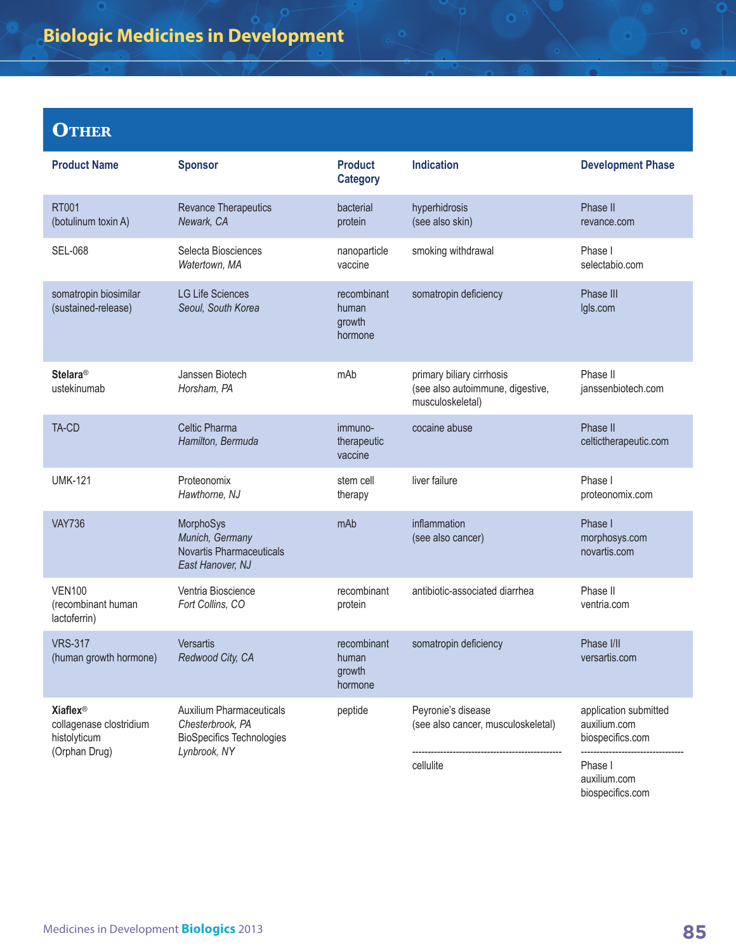## **Biologic Medicines in Development**

### **OTHER**

| <b>Product Name</b>                                                                    | <b>Sponsor</b>                                                                                          | <b>Product</b><br><b>Category</b>         | <b>Indication</b>                                                                 | <b>Development Phase</b>                                                                                 |
|----------------------------------------------------------------------------------------|---------------------------------------------------------------------------------------------------------|-------------------------------------------|-----------------------------------------------------------------------------------|----------------------------------------------------------------------------------------------------------|
| <b>RT001</b><br>(botulinum toxin A)                                                    | Revance Therapeutics<br>Newark, CA                                                                      | bacterial<br>protein                      | hyperhidrosis<br>(see also skin)                                                  | Phase II<br>revance.com                                                                                  |
| <b>SEL-068</b>                                                                         | Selecta Biosciences<br>Watertown, MA                                                                    | nanoparticle<br>vaccine                   | smoking withdrawal                                                                | Phase I<br>selectabio.com                                                                                |
| somatropin biosimilar<br>(sustained-release)                                           | <b>LG Life Sciences</b><br>Seoul, South Korea                                                           | recombinant<br>human<br>growth<br>hormone | somatropin deficiency                                                             | Phase III<br>lgls.com                                                                                    |
| <b>Stelara®</b><br>ustekinumab                                                         | Janssen Biotech<br>Horsham, PA                                                                          | mAb                                       | primary biliary cirrhosis<br>(see also autoimmune, digestive,<br>musculoskeletal) | Phase II<br>janssenbiotech.com                                                                           |
| TA-CD                                                                                  | <b>Celtic Pharma</b><br>Hamilton, Bermuda                                                               | immuno-<br>therapeutic<br>vaccine         | cocaine abuse                                                                     | Phase II<br>celtictherapeutic.com                                                                        |
| <b>UMK-121</b>                                                                         | Proteonomix<br>Hawthorne, NJ                                                                            | stem cell<br>therapy                      | liver failure                                                                     | Phase I<br>proteonomix.com                                                                               |
| <b>VAY736</b>                                                                          | MorphoSys<br>Munich, Germany<br><b>Novartis Pharmaceuticals</b><br>East Hanover, NJ                     | mAb                                       | inflammation<br>(see also cancer)                                                 | Phase I<br>morphosys.com<br>novartis.com                                                                 |
| <b>VEN100</b><br>(recombinant human<br>lactoferrin)                                    | Ventria Bioscience<br>Fort Collins, CO                                                                  | recombinant<br>protein                    | antibiotic-associated diarrhea                                                    | Phase II<br>ventria.com                                                                                  |
| <b>VRS-317</b><br>(human growth hormone)                                               | <b>Versartis</b><br>Redwood City, CA                                                                    | recombinant<br>human<br>growth<br>hormone | somatropin deficiency                                                             | Phase I/II<br>versartis.com                                                                              |
| <b>Xiaflex<sup>®</sup></b><br>collagenase clostridium<br>histolyticum<br>(Orphan Drug) | <b>Auxilium Pharmaceuticals</b><br>Chesterbrook, PA<br><b>BioSpecifics Technologies</b><br>Lynbrook, NY | peptide                                   | Peyronie's disease<br>(see also cancer, musculoskeletal)<br>cellulite             | application submitted<br>auxilium.com<br>biospecifics.com<br>Phase I<br>auxilium.com<br>biospecifics.com |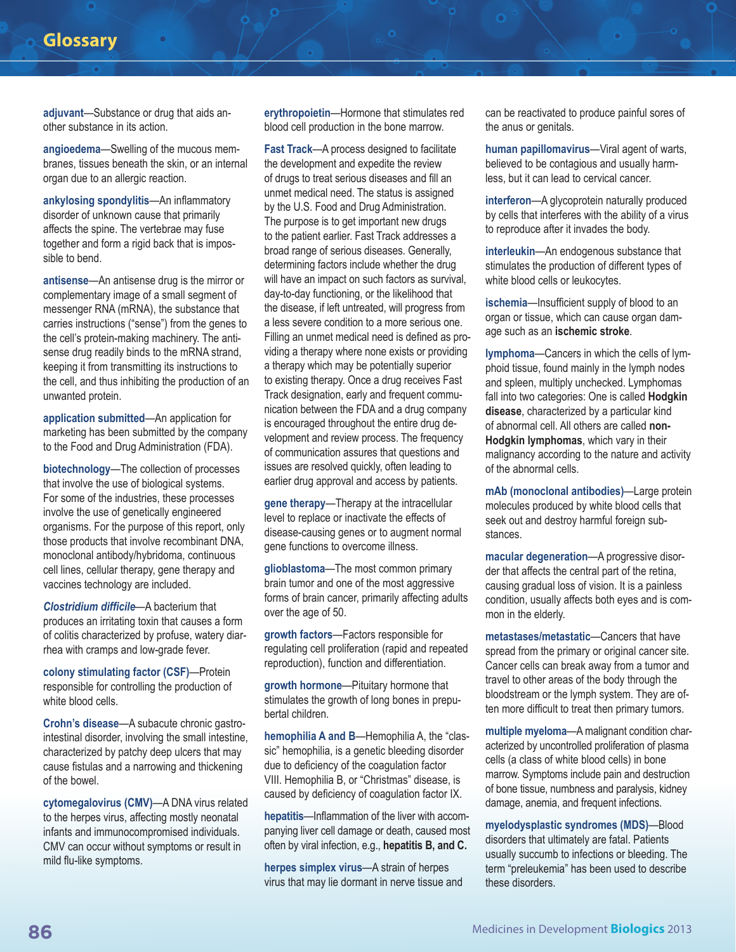#### **Glossary**

**adjuvant**—Substance or drug that aids another substance in its action.

**angioedema**—Swelling of the mucous membranes, tissues beneath the skin, or an internal organ due to an allergic reaction.

**ankylosing spondylitis**—An inflammatory disorder of unknown cause that primarily affects the spine. The vertebrae may fuse together and form a rigid back that is impossible to bend.

**antisense**—An antisense drug is the mirror or complementary image of a small segment of messenger RNA (mRNA), the substance that carries instructions ("sense") from the genes to the cell's protein-making machinery. The antisense drug readily binds to the mRNA strand, keeping it from transmitting its instructions to the cell, and thus inhibiting the production of an unwanted protein.

**application submitted**—An application for marketing has been submitted by the company to the Food and Drug Administration (FDA).

**biotechnology**—The collection of processes that involve the use of biological systems. For some of the industries, these processes involve the use of genetically engineered organisms. For the purpose of this report, only those products that involve recombinant DNA, monoclonal antibody/hybridoma, continuous cell lines, cellular therapy, gene therapy and vaccines technology are included.

*Clostridium difficile*—A bacterium that produces an irritating toxin that causes a form of colitis characterized by profuse, watery diarrhea with cramps and low-grade fever.

**colony stimulating factor (CSF)**—Protein responsible for controlling the production of white blood cells.

**Crohn's disease**—A subacute chronic gastrointestinal disorder, involving the small intestine, characterized by patchy deep ulcers that may cause fistulas and a narrowing and thickening of the bowel.

**cytomegalovirus (CMV)**—A DNA virus related to the herpes virus, affecting mostly neonatal infants and immunocompromised individuals. CMV can occur without symptoms or result in mild flu-like symptoms.

**erythropoietin**—Hormone that stimulates red blood cell production in the bone marrow.

**Fast Track**—A process designed to facilitate the development and expedite the review of drugs to treat serious diseases and fill an unmet medical need. The status is assigned by the U.S. Food and Drug Administration. The purpose is to get important new drugs to the patient earlier. Fast Track addresses a broad range of serious diseases. Generally, determining factors include whether the drug will have an impact on such factors as survival, day-to-day functioning, or the likelihood that the disease, if left untreated, will progress from a less severe condition to a more serious one. Filling an unmet medical need is defined as providing a therapy where none exists or providing a therapy which may be potentially superior to existing therapy. Once a drug receives Fast Track designation, early and frequent communication between the FDA and a drug company is encouraged throughout the entire drug development and review process. The frequency of communication assures that questions and issues are resolved quickly, often leading to earlier drug approval and access by patients.

**gene therapy**—Therapy at the intracellular level to replace or inactivate the effects of disease-causing genes or to augment normal gene functions to overcome illness.

**glioblastoma**—The most common primary brain tumor and one of the most aggressive forms of brain cancer, primarily affecting adults over the age of 50.

**growth factors**—Factors responsible for regulating cell proliferation (rapid and repeated reproduction), function and differentiation.

**growth hormone**—Pituitary hormone that stimulates the growth of long bones in prepubertal children.

**hemophilia A and B**—Hemophilia A, the "classic" hemophilia, is a genetic bleeding disorder due to deficiency of the coagulation factor VIII. Hemophilia B, or "Christmas" disease, is caused by deficiency of coagulation factor IX.

**hepatitis**—Inflammation of the liver with accompanying liver cell damage or death, caused most often by viral infection, e.g., **hepatitis B, and C.**

**herpes simplex virus**—A strain of herpes virus that may lie dormant in nerve tissue and can be reactivated to produce painful sores of the anus or genitals.

**human papillomavirus**—Viral agent of warts, believed to be contagious and usually harmless, but it can lead to cervical cancer.

**interferon**—A glycoprotein naturally produced by cells that interferes with the ability of a virus to reproduce after it invades the body.

**interleukin**—An endogenous substance that stimulates the production of different types of white blood cells or leukocytes.

**ischemia**—Insufficient supply of blood to an organ or tissue, which can cause organ damage such as an **ischemic stroke**.

**lymphoma**—Cancers in which the cells of lymphoid tissue, found mainly in the lymph nodes and spleen, multiply unchecked. Lymphomas fall into two categories: One is called **Hodgkin disease**, characterized by a particular kind of abnormal cell. All others are called **non-Hodgkin lymphomas**, which vary in their malignancy according to the nature and activity of the abnormal cells.

**mAb (monoclonal antibodies)**—Large protein molecules produced by white blood cells that seek out and destroy harmful foreign substances.

**macular degeneration**—A progressive disorder that affects the central part of the retina, causing gradual loss of vision. It is a painless condition, usually affects both eyes and is common in the elderly.

**metastases/metastatic**—Cancers that have spread from the primary or original cancer site. Cancer cells can break away from a tumor and travel to other areas of the body through the bloodstream or the lymph system. They are often more difficult to treat then primary tumors.

**multiple myeloma**—A malignant condition characterized by uncontrolled proliferation of plasma cells (a class of white blood cells) in bone marrow. Symptoms include pain and destruction of bone tissue, numbness and paralysis, kidney damage, anemia, and frequent infections.

**myelodysplastic syndromes (MDS)**—Blood disorders that ultimately are fatal. Patients usually succumb to infections or bleeding. The term "preleukemia" has been used to describe these disorders.